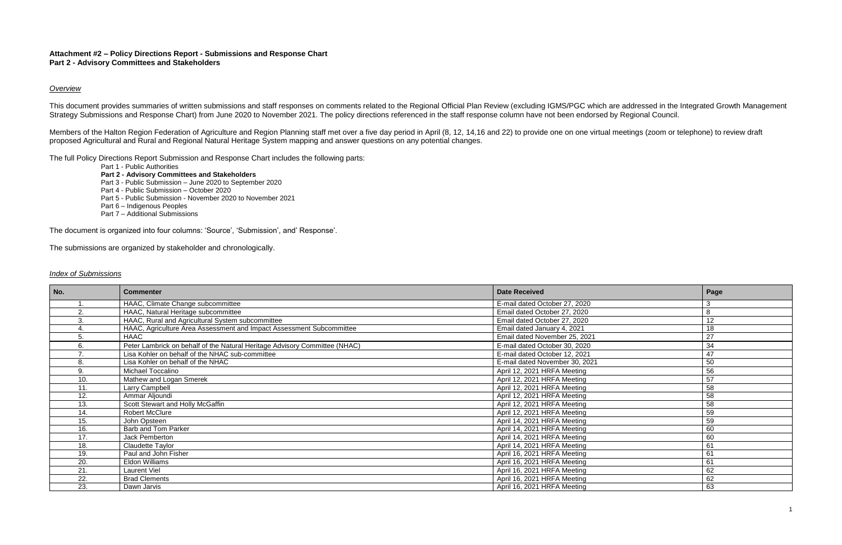### **Attachment #2 – Policy Directions Report - Submissions and Response Chart Part 2 - Advisory Committees and Stakeholders**

### *Overview*

This document provides summaries of written submissions and staff responses on comments related to the Regional Official Plan Review (excluding IGMS/PGC which are addressed in the Integrated Growth Management Strategy Submissions and Response Chart) from June 2020 to November 2021. The policy directions referenced in the staff response column have not been endorsed by Regional Council.

Members of the Halton Region Federation of Agriculture and Region Planning staff met over a five day period in April (8, 12, 14,16 and 22) to provide one on one virtual meetings (zoom or telephone) to review draft proposed Agricultural and Rural and Regional Natural Heritage System mapping and answer questions on any potential changes.

The full Policy Directions Report Submission and Response Chart includes the following parts:

Part 1 - Public Authorities

**Part 2 - Advisory Committees and Stakeholders** Part 3 - Public Submission – June 2020 to September 2020 Part 4 - Public Submission – October 2020 Part 5 - Public Submission - November 2020 to November 2021 Part 6 – Indigenous Peoples Part 7 – Additional Submissions

The document is organized into four columns: 'Source', 'Submission', and' Response'.

The submissions are organized by stakeholder and chronologically.

### *Index of Submissions*

| No.    | <b>Commenter</b>                                                           | <b>Date Received</b>           | Page |
|--------|----------------------------------------------------------------------------|--------------------------------|------|
|        | HAAC, Climate Change subcommittee                                          | E-mail dated October 27, 2020  | 3    |
| $\sim$ | HAAC, Natural Heritage subcommittee                                        | Email dated October 27, 2020   | 8    |
| 3      | HAAC, Rural and Agricultural System subcommittee                           | Email dated October 27, 2020   | 12   |
|        | HAAC, Agriculture Area Assessment and Impact Assessment Subcommittee       | Email dated January 4, 2021    | 18   |
|        | <b>HAAC</b>                                                                | Email dated November 25, 2021  | 27   |
|        | Peter Lambrick on behalf of the Natural Heritage Advisory Committee (NHAC) | E-mail dated October 30, 2020  | 34   |
|        | Lisa Kohler on behalf of the NHAC sub-committee                            | E-mail dated October 12, 2021  | 47   |
|        | Lisa Kohler on behalf of the NHAC                                          | E-mail dated November 30, 2021 | 50   |
| 9      | Michael Toccalino                                                          | April 12, 2021 HRFA Meeting    | 56   |
| 10.    | Mathew and Logan Smerek                                                    | April 12, 2021 HRFA Meeting    | 57   |
| 11.    | Larry Campbell                                                             | April 12, 2021 HRFA Meeting    | 58   |
| 12.    | Ammar Aljoundi                                                             | April 12, 2021 HRFA Meeting    | 58   |
| 13.    | Scott Stewart and Holly McGaffin                                           | April 12, 2021 HRFA Meeting    | 58   |
| 14.    | <b>Robert McClure</b>                                                      | April 12, 2021 HRFA Meeting    | 59   |
| 15.    | John Opsteen                                                               | April 14, 2021 HRFA Meeting    | 59   |
| 16.    | Barb and Tom Parker                                                        | April 14, 2021 HRFA Meeting    | 60   |
| 17.    | Jack Pemberton                                                             | April 14, 2021 HRFA Meeting    | 60   |
| 18.    | <b>Claudette Taylor</b>                                                    | April 14, 2021 HRFA Meeting    | 61   |
| 19.    | Paul and John Fisher                                                       | April 16, 2021 HRFA Meeting    | 61   |
| 20.    | Eldon Williams                                                             | April 16, 2021 HRFA Meeting    | 61   |
| 21.    | Laurent Viel                                                               | April 16, 2021 HRFA Meeting    | 62   |
| 22.    | <b>Brad Clements</b>                                                       | April 16, 2021 HRFA Meeting    | 62   |
| 23.    | Dawn Jarvis                                                                | April 16, 2021 HRFA Meeting    | 63   |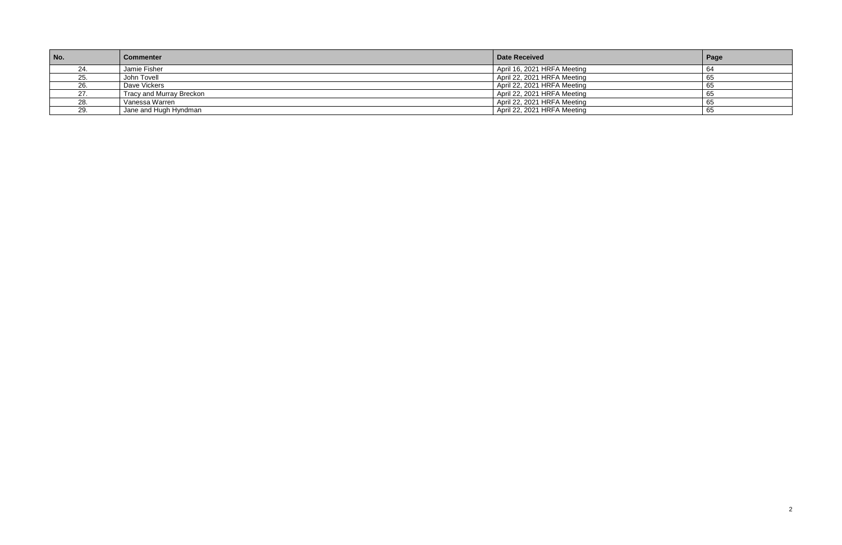| No.      | <b>Commenter</b>         | Date Received               | Page |
|----------|--------------------------|-----------------------------|------|
|          | Jamie Fisher             | April 16, 2021 HRFA Meeting | ٥۰   |
| 25.      | John Tovell              | April 22, 2021 HRFA Meeting | ுட   |
| 26.      | Dave Vickers             | April 22, 2021 HRFA Meeting | ່ຽະ  |
|          | Tracy and Murray Breckon | April 22, 2021 HRFA Meeting | ം:   |
| 28.      | Vanessa Warren           | April 22, 2021 HRFA Meeting | o:   |
| 20<br>ـت | Jane and Hugh Hyndman    | April 22, 2021 HRFA Meeting | ່ຽະ  |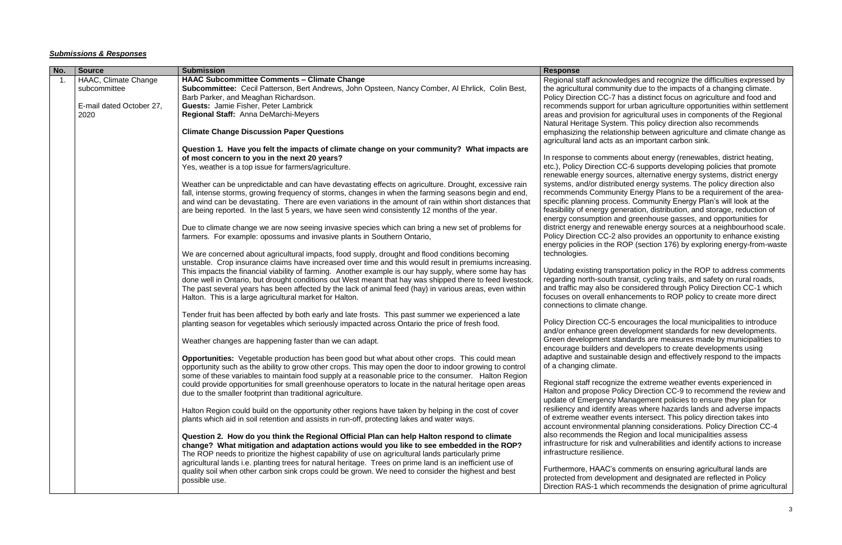### *Submissions & Responses*

| No.            | <b>Source</b>            | <b>Submission</b>                                                                                         | <b>Response</b>                                   |
|----------------|--------------------------|-----------------------------------------------------------------------------------------------------------|---------------------------------------------------|
| $\mathbf{1}$ . | HAAC, Climate Change     | <b>HAAC Subcommittee Comments - Climate Change</b>                                                        | Regional staff acknowl                            |
|                | subcommittee             | Subcommittee: Cecil Patterson, Bert Andrews, John Opsteen, Nancy Comber, Al Ehrlick, Colin Best,          | the agricultural commu                            |
|                |                          | Barb Parker, and Meaghan Richardson.                                                                      | Policy Direction CC-7 I                           |
|                | E-mail dated October 27, | <b>Guests: Jamie Fisher, Peter Lambrick</b>                                                               | recommends support f                              |
|                | 2020                     | Regional Staff: Anna DeMarchi-Meyers                                                                      | areas and provision for                           |
|                |                          |                                                                                                           | <b>Natural Heritage Syste</b>                     |
|                |                          | <b>Climate Change Discussion Paper Questions</b>                                                          | emphasizing the relation                          |
|                |                          |                                                                                                           | agricultural land acts a                          |
|                |                          | Question 1. Have you felt the impacts of climate change on your community? What impacts are               |                                                   |
|                |                          | of most concern to you in the next 20 years?                                                              | In response to comme                              |
|                |                          | Yes, weather is a top issue for farmers/agriculture.                                                      | etc.), Policy Direction (                         |
|                |                          |                                                                                                           | renewable energy soul                             |
|                |                          | Weather can be unpredictable and can have devastating effects on agriculture. Drought, excessive rain     | systems, and/or distrib                           |
|                |                          | fall, intense storms, growing frequency of storms, changes in when the farming seasons begin and end,     | recommends Commun                                 |
|                |                          | and wind can be devastating. There are even variations in the amount of rain within short distances that  | specific planning proce                           |
|                |                          | are being reported. In the last 5 years, we have seen wind consistently 12 months of the year.            | feasibility of energy ge                          |
|                |                          |                                                                                                           | energy consumption a                              |
|                |                          | Due to climate change we are now seeing invasive species which can bring a new set of problems for        | district energy and ren                           |
|                |                          | farmers. For example: opossums and invasive plants in Southern Ontario,                                   | Policy Direction CC-2 a                           |
|                |                          |                                                                                                           | energy policies in the P                          |
|                |                          |                                                                                                           | technologies.                                     |
|                |                          | We are concerned about agricultural impacts, food supply, drought and flood conditions becoming           |                                                   |
|                |                          | unstable. Crop insurance claims have increased over time and this would result in premiums increasing.    | Updating existing trans                           |
|                |                          | This impacts the financial viability of farming. Another example is our hay supply, where some hay has    |                                                   |
|                |                          | done well in Ontario, but drought conditions out West meant that hay was shipped there to feed livestock. | regarding north-south                             |
|                |                          | The past several years has been affected by the lack of animal feed (hay) in various areas, even within   | and traffic may also be<br>focuses on overall enh |
|                |                          | Halton. This is a large agricultural market for Halton.                                                   |                                                   |
|                |                          |                                                                                                           | connections to climate                            |
|                |                          | Tender fruit has been affected by both early and late frosts. This past summer we experienced a late      |                                                   |
|                |                          | planting season for vegetables which seriously impacted across Ontario the price of fresh food.           | Policy Direction CC-5                             |
|                |                          |                                                                                                           | and/or enhance green                              |
|                |                          | Weather changes are happening faster than we can adapt.                                                   | Green development sta                             |
|                |                          |                                                                                                           | encourage builders an                             |
|                |                          | <b>Opportunities:</b> Vegetable production has been good but what about other crops. This could mean      | adaptive and sustainal                            |
|                |                          | opportunity such as the ability to grow other crops. This may open the door to indoor growing to control  | of a changing climate.                            |
|                |                          | some of these variables to maintain food supply at a reasonable price to the consumer. Halton Region      |                                                   |
|                |                          | could provide opportunities for small greenhouse operators to locate in the natural heritage open areas   | Regional staff recogniz                           |
|                |                          | due to the smaller footprint than traditional agriculture.                                                | Halton and propose Po                             |
|                |                          |                                                                                                           | update of Emergency I                             |
|                |                          | Halton Region could build on the opportunity other regions have taken by helping in the cost of cover     | resiliency and identify                           |
|                |                          | plants which aid in soil retention and assists in run-off, protecting lakes and water ways.               | of extreme weather ev                             |
|                |                          |                                                                                                           | account environmental                             |
|                |                          | Question 2. How do you think the Regional Official Plan can help Halton respond to climate                | also recommends the                               |
|                |                          | change? What mitigation and adaptation actions would you like to see embedded in the ROP?                 | infrastructure for risk a                         |
|                |                          | The ROP needs to prioritize the highest capability of use on agricultural lands particularly prime        | infrastructure resilience                         |
|                |                          | agricultural lands i.e. planting trees for natural heritage. Trees on prime land is an inefficient use of |                                                   |
|                |                          | quality soil when other carbon sink crops could be grown. We need to consider the highest and best        | Furthermore, HAAC's                               |
|                |                          | possible use.                                                                                             | protected from develop                            |
|                |                          |                                                                                                           | Direction RAS-1 which                             |

ledges and recognize the difficulties expressed by unity due to the impacts of a changing climate. has a distinct focus on agriculture and food and for urban agriculture opportunities within settlement or agricultural uses in components of the Regional em. This policy direction also recommends onship between agriculture and climate change as as an important carbon sink.

ents about energy (renewables, district heating, CC-6 supports developing policies that promote rces, alternative energy systems, district energy outed energy systems. The policy direction also nity Energy Plans to be a requirement of the areaess. Community Energy Plan's will look at the eneration, distribution, and storage, reduction of and greenhouse gasses, and opportunities for ewable energy sources at a neighbourhood scale. also provides an opportunity to enhance existing ROP (section 176) by exploring energy-from-waste

sportation policy in the ROP to address comments transit, cycling trails, and safety on rural roads, e considered through Policy Direction CC-1 which hancements to ROP policy to create more direct e change.

encourages the local municipalities to introduce development standards for new developments. tandards are measures made by municipalities to developers to create developments using ble design and effectively respond to the impacts

ze the extreme weather events experienced in olicy Direction CC-9 to recommend the review and Management policies to ensure they plan for areas where hazards lands and adverse impacts ents intersect. This policy direction takes into al planning considerations. Policy Direction CC-4 Region and local municipalities assess and vulnerabilities and identify actions to increase ie.

comments on ensuring agricultural lands are pment and designated are reflected in Policy n recommends the designation of prime agricultural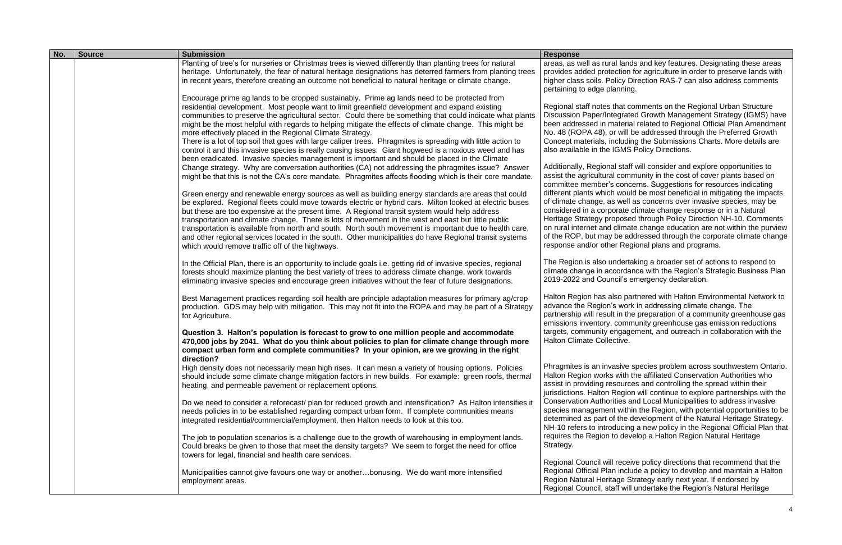| No. | <b>Source</b> | <b>Submission</b>                                                                                                                                                                                                                                                                                                                                                                                                                                                                                                                                                                                                                                                                                                                                                                                                                                                                                                                                                                                                                                                                                                                                                                                                                                                                                                                                                                                                                                           | <b>Response</b>                                                                                                                                                                                                                                                                                                                                                   |
|-----|---------------|-------------------------------------------------------------------------------------------------------------------------------------------------------------------------------------------------------------------------------------------------------------------------------------------------------------------------------------------------------------------------------------------------------------------------------------------------------------------------------------------------------------------------------------------------------------------------------------------------------------------------------------------------------------------------------------------------------------------------------------------------------------------------------------------------------------------------------------------------------------------------------------------------------------------------------------------------------------------------------------------------------------------------------------------------------------------------------------------------------------------------------------------------------------------------------------------------------------------------------------------------------------------------------------------------------------------------------------------------------------------------------------------------------------------------------------------------------------|-------------------------------------------------------------------------------------------------------------------------------------------------------------------------------------------------------------------------------------------------------------------------------------------------------------------------------------------------------------------|
|     |               | Planting of tree's for nurseries or Christmas trees is viewed differently than planting trees for natural<br>heritage. Unfortunately, the fear of natural heritage designations has deterred farmers from planting trees<br>in recent years, therefore creating an outcome not beneficial to natural heritage or climate change.                                                                                                                                                                                                                                                                                                                                                                                                                                                                                                                                                                                                                                                                                                                                                                                                                                                                                                                                                                                                                                                                                                                            | areas, as well as rural I<br>provides added protect<br>higher class soils. Polic<br>pertaining to edge plan                                                                                                                                                                                                                                                       |
|     |               | Encourage prime ag lands to be cropped sustainably. Prime ag lands need to be protected from<br>residential development. Most people want to limit greenfield development and expand existing<br>communities to preserve the agricultural sector. Could there be something that could indicate what plants<br>might be the most helpful with regards to helping mitigate the effects of climate change. This might be<br>more effectively placed in the Regional Climate Strategy.<br>There is a lot of top soil that goes with large caliper trees. Phragmites is spreading with little action to<br>control it and this invasive species is really causing issues. Giant hogweed is a noxious weed and has<br>been eradicated. Invasive species management is important and should be placed in the Climate<br>Change strategy. Why are conversation authorities (CA) not addressing the phragmites issue? Answer<br>might be that this is not the CA's core mandate. Phragmites affects flooding which is their core mandate.<br>Green energy and renewable energy sources as well as building energy standards are areas that could<br>be explored. Regional fleets could move towards electric or hybrid cars. Milton looked at electric buses<br>but these are too expensive at the present time. A Regional transit system would help address<br>transportation and climate change. There is lots of movement in the west and east but little public | Regional staff notes tha<br><b>Discussion Paper/Integ</b><br>been addressed in mat<br>No. 48 (ROPA 48), or v<br>Concept materials, incl<br>also available in the IG<br>Additionally, Regional s<br>assist the agricultural c<br>committee member's c<br>different plants which w<br>of climate change, as v<br>considered in a corpora<br>Heritage Strategy prope |
|     |               | transportation is available from north and south. North south movement is important due to health care,<br>and other regional services located in the south. Other municipalities do have Regional transit systems<br>which would remove traffic off of the highways.                                                                                                                                                                                                                                                                                                                                                                                                                                                                                                                                                                                                                                                                                                                                                                                                                                                                                                                                                                                                                                                                                                                                                                                       | on rural internet and cli<br>of the ROP, but may be<br>response and/or other                                                                                                                                                                                                                                                                                      |
|     |               | In the Official Plan, there is an opportunity to include goals i.e. getting rid of invasive species, regional<br>forests should maximize planting the best variety of trees to address climate change, work towards<br>eliminating invasive species and encourage green initiatives without the fear of future designations.                                                                                                                                                                                                                                                                                                                                                                                                                                                                                                                                                                                                                                                                                                                                                                                                                                                                                                                                                                                                                                                                                                                                | The Region is also und<br>climate change in acco<br>2019-2022 and Counci                                                                                                                                                                                                                                                                                          |
|     |               | Best Management practices regarding soil health are principle adaptation measures for primary ag/crop<br>production. GDS may help with mitigation. This may not fit into the ROPA and may be part of a Strategy<br>for Agriculture.<br>Question 3. Halton's population is forecast to grow to one million people and accommodate                                                                                                                                                                                                                                                                                                                                                                                                                                                                                                                                                                                                                                                                                                                                                                                                                                                                                                                                                                                                                                                                                                                            | Halton Region has also<br>advance the Region's v<br>partnership will result ir<br>emissions inventory, co<br>targets, community eng                                                                                                                                                                                                                               |
|     |               | 470,000 jobs by 2041. What do you think about policies to plan for climate change through more<br>compact urban form and complete communities? In your opinion, are we growing in the right<br>direction?                                                                                                                                                                                                                                                                                                                                                                                                                                                                                                                                                                                                                                                                                                                                                                                                                                                                                                                                                                                                                                                                                                                                                                                                                                                   | <b>Halton Climate Collecti</b>                                                                                                                                                                                                                                                                                                                                    |
|     |               | High density does not necessarily mean high rises. It can mean a variety of housing options. Policies<br>should include some climate change mitigation factors in new builds. For example: green roofs, thermal<br>heating, and permeable pavement or replacement options.                                                                                                                                                                                                                                                                                                                                                                                                                                                                                                                                                                                                                                                                                                                                                                                                                                                                                                                                                                                                                                                                                                                                                                                  | Phragmites is an invasi<br>Halton Region works w<br>assist in providing reso<br>jurisdictions. Halton Re                                                                                                                                                                                                                                                          |
|     |               | Do we need to consider a reforecast/ plan for reduced growth and intensification? As Halton intensifies it<br>needs policies in to be established regarding compact urban form. If complete communities means<br>integrated residential/commercial/employment, then Halton needs to look at this too.                                                                                                                                                                                                                                                                                                                                                                                                                                                                                                                                                                                                                                                                                                                                                                                                                                                                                                                                                                                                                                                                                                                                                       | <b>Conservation Authoritie</b><br>species management v<br>determined as part of tl<br>NH-10 refers to introdu                                                                                                                                                                                                                                                     |
|     |               | The job to population scenarios is a challenge due to the growth of warehousing in employment lands.<br>Could breaks be given to those that meet the density targets? We seem to forget the need for office<br>towers for legal, financial and health care services.                                                                                                                                                                                                                                                                                                                                                                                                                                                                                                                                                                                                                                                                                                                                                                                                                                                                                                                                                                                                                                                                                                                                                                                        | requires the Region to<br>Strategy.                                                                                                                                                                                                                                                                                                                               |
|     |               | Municipalities cannot give favours one way or anotherbonusing. We do want more intensified<br>employment areas.                                                                                                                                                                                                                                                                                                                                                                                                                                                                                                                                                                                                                                                                                                                                                                                                                                                                                                                                                                                                                                                                                                                                                                                                                                                                                                                                             | Regional Council will re<br>Regional Official Plan in<br><b>Region Natural Heritag</b><br>Regional Council, staff                                                                                                                                                                                                                                                 |

lands and key features. Designating these areas tion for agriculture in order to preserve lands with cy Direction RAS-7 can also address comments ning.

at comments on the Regional Urban Structure grated Growth Management Strategy (IGMS) have terial related to Regional Official Plan Amendment will be addressed through the Preferred Growth luding the Submissions Charts. More details are **MS Policy Directions.** 

staff will consider and explore opportunities to community in the cost of cover plants based on concerns. Suggestions for resources indicating vould be most beneficial in mitigating the impacts well as concerns over invasive species, may be ate climate change response or in a Natural osed through Policy Direction NH-10. Comments imate change education are not within the purview e addressed through the corporate climate change Regional plans and programs.

dertaking a broader set of actions to respond to ordance with the Region's Strategic Business Plan il's emergency declaration.

b partnered with Halton Environmental Network to work in addressing climate change. The n the preparation of a community greenhouse gas ommunity greenhouse gas emission reductions qagement, and outreach in collaboration with the ive.

ive species problem across southwestern Ontario. vith the affiliated Conservation Authorities who ources and controlling the spread within their egion will continue to explore partnerships with the es and Local Municipalities to address invasive within the Region, with potential opportunities to be he development of the Natural Heritage Strategy. Icing a new policy in the Regional Official Plan that develop a Halton Region Natural Heritage

eceive policy directions that recommend that the Include a policy to develop and maintain a Halton e Strategy early next year. If endorsed by will undertake the Region's Natural Heritage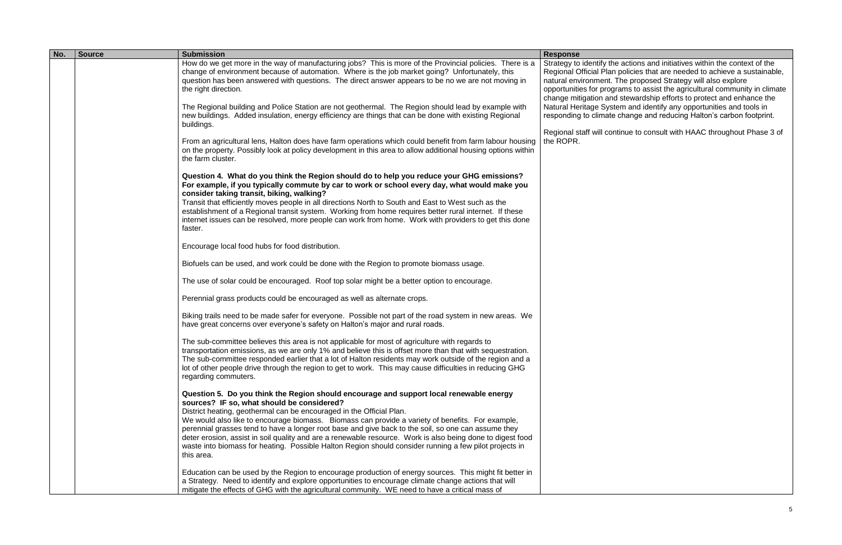actions and initiatives within the context of the Regional Official Plan policies that are needed to achieve a sustainable, natural environment. The proposed Strategy will also explore opportunities for programs to assist the agricultural community in climate change mitigation and stewardship efforts to protect and enhance the Natural Heritage System and identify any opportunities and tools in responding to climate change and reducing Halton's carbon footprint.

tinue to consult with HAAC throughout Phase 3 of

| No. | <b>Source</b> | <b>Submission</b>                                                                                                                                                                                                                                                                                                                                                                                                                                                                                                                                                                                                                                              | <b>Response</b>                                                                                                                     |
|-----|---------------|----------------------------------------------------------------------------------------------------------------------------------------------------------------------------------------------------------------------------------------------------------------------------------------------------------------------------------------------------------------------------------------------------------------------------------------------------------------------------------------------------------------------------------------------------------------------------------------------------------------------------------------------------------------|-------------------------------------------------------------------------------------------------------------------------------------|
|     |               | How do we get more in the way of manufacturing jobs? This is more of the Provincial policies. There is a<br>change of environment because of automation. Where is the job market going? Unfortunately, this<br>question has been answered with questions. The direct answer appears to be no we are not moving in<br>the right direction.                                                                                                                                                                                                                                                                                                                      | Strategy to identify the<br>Regional Official Plan p<br>natural environment. T<br>opportunities for progra<br>change mitigation and |
|     |               | The Regional building and Police Station are not geothermal. The Region should lead by example with<br>new buildings. Added insulation, energy efficiency are things that can be done with existing Regional<br>buildings.                                                                                                                                                                                                                                                                                                                                                                                                                                     | <b>Natural Heritage Syste</b><br>responding to climate o<br>Regional staff will conti                                               |
|     |               | From an agricultural lens, Halton does have farm operations which could benefit from farm labour housing<br>on the property. Possibly look at policy development in this area to allow additional housing options within<br>the farm cluster.                                                                                                                                                                                                                                                                                                                                                                                                                  | the ROPR.                                                                                                                           |
|     |               | Question 4. What do you think the Region should do to help you reduce your GHG emissions?<br>For example, if you typically commute by car to work or school every day, what would make you<br>consider taking transit, biking, walking?<br>Transit that efficiently moves people in all directions North to South and East to West such as the<br>establishment of a Regional transit system. Working from home requires better rural internet. If these<br>internet issues can be resolved, more people can work from home. Work with providers to get this done<br>faster.                                                                                   |                                                                                                                                     |
|     |               | Encourage local food hubs for food distribution.                                                                                                                                                                                                                                                                                                                                                                                                                                                                                                                                                                                                               |                                                                                                                                     |
|     |               | Biofuels can be used, and work could be done with the Region to promote biomass usage.                                                                                                                                                                                                                                                                                                                                                                                                                                                                                                                                                                         |                                                                                                                                     |
|     |               | The use of solar could be encouraged. Roof top solar might be a better option to encourage.                                                                                                                                                                                                                                                                                                                                                                                                                                                                                                                                                                    |                                                                                                                                     |
|     |               | Perennial grass products could be encouraged as well as alternate crops.                                                                                                                                                                                                                                                                                                                                                                                                                                                                                                                                                                                       |                                                                                                                                     |
|     |               | Biking trails need to be made safer for everyone. Possible not part of the road system in new areas. We<br>have great concerns over everyone's safety on Halton's major and rural roads.                                                                                                                                                                                                                                                                                                                                                                                                                                                                       |                                                                                                                                     |
|     |               | The sub-committee believes this area is not applicable for most of agriculture with regards to<br>transportation emissions, as we are only 1% and believe this is offset more than that with sequestration.<br>The sub-committee responded earlier that a lot of Halton residents may work outside of the region and a<br>lot of other people drive through the region to get to work. This may cause difficulties in reducing GHG<br>regarding commuters.                                                                                                                                                                                                     |                                                                                                                                     |
|     |               | Question 5. Do you think the Region should encourage and support local renewable energy<br>sources? IF so, what should be considered?<br>District heating, geothermal can be encouraged in the Official Plan.<br>We would also like to encourage biomass. Biomass can provide a variety of benefits. For example,<br>perennial grasses tend to have a longer root base and give back to the soil, so one can assume they<br>deter erosion, assist in soil quality and are a renewable resource. Work is also being done to digest food<br>waste into biomass for heating. Possible Halton Region should consider running a few pilot projects in<br>this area. |                                                                                                                                     |
|     |               | Education can be used by the Region to encourage production of energy sources. This might fit better in<br>a Strategy. Need to identify and explore opportunities to encourage climate change actions that will<br>mitigate the effects of GHG with the agricultural community. WE need to have a critical mass of                                                                                                                                                                                                                                                                                                                                             |                                                                                                                                     |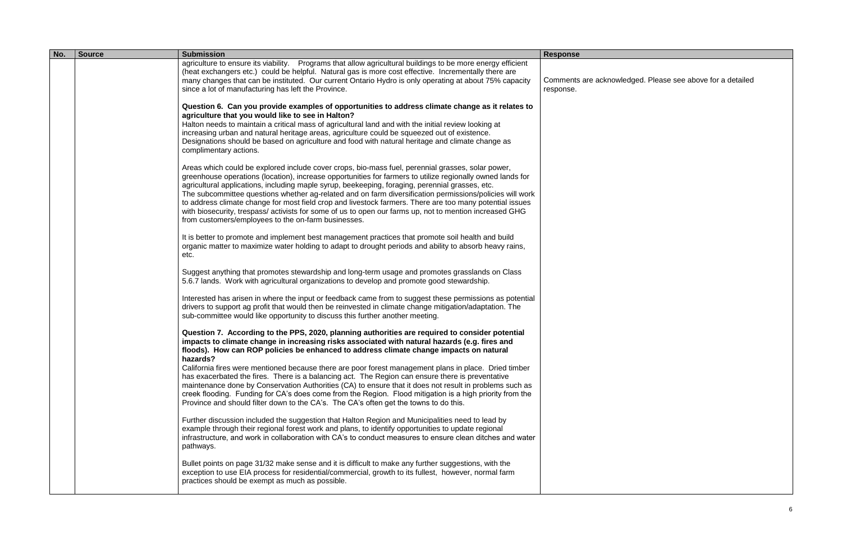| No. | <b>Source</b> | <b>Submission</b>                                                                                                                                                                                                                                                                                                                                                                                                                                                                                                                                                                                                                                                                                           | <b>Response</b>                 |
|-----|---------------|-------------------------------------------------------------------------------------------------------------------------------------------------------------------------------------------------------------------------------------------------------------------------------------------------------------------------------------------------------------------------------------------------------------------------------------------------------------------------------------------------------------------------------------------------------------------------------------------------------------------------------------------------------------------------------------------------------------|---------------------------------|
|     |               | agriculture to ensure its viability. Programs that allow agricultural buildings to be more energy efficient<br>(heat exchangers etc.) could be helpful. Natural gas is more cost effective. Incrementally there are<br>many changes that can be instituted. Our current Ontario Hydro is only operating at about 75% capacity<br>since a lot of manufacturing has left the Province.                                                                                                                                                                                                                                                                                                                        | Comments are ackno<br>response. |
|     |               | Question 6. Can you provide examples of opportunities to address climate change as it relates to<br>agriculture that you would like to see in Halton?<br>Halton needs to maintain a critical mass of agricultural land and with the initial review looking at<br>increasing urban and natural heritage areas, agriculture could be squeezed out of existence.<br>Designations should be based on agriculture and food with natural heritage and climate change as<br>complimentary actions.                                                                                                                                                                                                                 |                                 |
|     |               | Areas which could be explored include cover crops, bio-mass fuel, perennial grasses, solar power,<br>greenhouse operations (location), increase opportunities for farmers to utilize regionally owned lands for<br>agricultural applications, including maple syrup, beekeeping, foraging, perennial grasses, etc.<br>The subcommittee questions whether ag-related and on farm diversification permissions/policies will work<br>to address climate change for most field crop and livestock farmers. There are too many potential issues<br>with biosecurity, trespass/activists for some of us to open our farms up, not to mention increased GHG<br>from customers/employees to the on-farm businesses. |                                 |
|     |               | It is better to promote and implement best management practices that promote soil health and build<br>organic matter to maximize water holding to adapt to drought periods and ability to absorb heavy rains,<br>etc.                                                                                                                                                                                                                                                                                                                                                                                                                                                                                       |                                 |
|     |               | Suggest anything that promotes stewardship and long-term usage and promotes grasslands on Class<br>5.6.7 lands. Work with agricultural organizations to develop and promote good stewardship.                                                                                                                                                                                                                                                                                                                                                                                                                                                                                                               |                                 |
|     |               | Interested has arisen in where the input or feedback came from to suggest these permissions as potential<br>drivers to support ag profit that would then be reinvested in climate change mitigation/adaptation. The<br>sub-committee would like opportunity to discuss this further another meeting.                                                                                                                                                                                                                                                                                                                                                                                                        |                                 |
|     |               | Question 7. According to the PPS, 2020, planning authorities are required to consider potential<br>impacts to climate change in increasing risks associated with natural hazards (e.g. fires and<br>floods). How can ROP policies be enhanced to address climate change impacts on natural<br>hazards?                                                                                                                                                                                                                                                                                                                                                                                                      |                                 |
|     |               | California fires were mentioned because there are poor forest management plans in place. Dried timber<br>has exacerbated the fires. There is a balancing act. The Region can ensure there is preventative<br>maintenance done by Conservation Authorities (CA) to ensure that it does not result in problems such as<br>creek flooding. Funding for CA's does come from the Region. Flood mitigation is a high priority from the<br>Province and should filter down to the CA's. The CA's often get the towns to do this.                                                                                                                                                                                   |                                 |
|     |               | Further discussion included the suggestion that Halton Region and Municipalities need to lead by<br>example through their regional forest work and plans, to identify opportunities to update regional<br>infrastructure, and work in collaboration with CA's to conduct measures to ensure clean ditches and water<br>pathways.                                                                                                                                                                                                                                                                                                                                                                            |                                 |
|     |               | Bullet points on page 31/32 make sense and it is difficult to make any further suggestions, with the<br>exception to use EIA process for residential/commercial, growth to its fullest, however, normal farm<br>practices should be exempt as much as possible.                                                                                                                                                                                                                                                                                                                                                                                                                                             |                                 |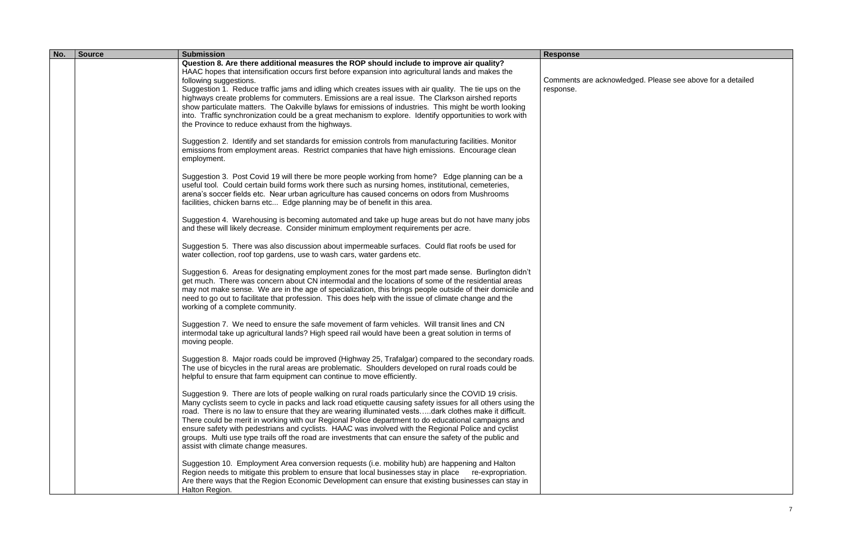| No. | <b>Source</b> | <b>Submission</b>                                                                                                                                                                                                                                                                                                                                                                                                                                                                                                                                                                                                                                                                                                  | <b>Response</b>                  |
|-----|---------------|--------------------------------------------------------------------------------------------------------------------------------------------------------------------------------------------------------------------------------------------------------------------------------------------------------------------------------------------------------------------------------------------------------------------------------------------------------------------------------------------------------------------------------------------------------------------------------------------------------------------------------------------------------------------------------------------------------------------|----------------------------------|
|     |               | Question 8. Are there additional measures the ROP should include to improve air quality?<br>HAAC hopes that intensification occurs first before expansion into agricultural lands and makes the<br>following suggestions.<br>Suggestion 1. Reduce traffic jams and idling which creates issues with air quality. The tie ups on the<br>highways create problems for commuters. Emissions are a real issue. The Clarkson airshed reports<br>show particulate matters. The Oakville bylaws for emissions of industries. This might be worth looking<br>into. Traffic synchronization could be a great mechanism to explore. Identify opportunities to work with<br>the Province to reduce exhaust from the highways. | Comments are acknow<br>response. |
|     |               | Suggestion 2. Identify and set standards for emission controls from manufacturing facilities. Monitor<br>emissions from employment areas. Restrict companies that have high emissions. Encourage clean<br>employment.                                                                                                                                                                                                                                                                                                                                                                                                                                                                                              |                                  |
|     |               | Suggestion 3. Post Covid 19 will there be more people working from home? Edge planning can be a<br>useful tool. Could certain build forms work there such as nursing homes, institutional, cemeteries,<br>arena's soccer fields etc. Near urban agriculture has caused concerns on odors from Mushrooms<br>facilities, chicken barns etc Edge planning may be of benefit in this area.                                                                                                                                                                                                                                                                                                                             |                                  |
|     |               | Suggestion 4. Warehousing is becoming automated and take up huge areas but do not have many jobs<br>and these will likely decrease. Consider minimum employment requirements per acre.                                                                                                                                                                                                                                                                                                                                                                                                                                                                                                                             |                                  |
|     |               | Suggestion 5. There was also discussion about impermeable surfaces. Could flat roofs be used for<br>water collection, roof top gardens, use to wash cars, water gardens etc.                                                                                                                                                                                                                                                                                                                                                                                                                                                                                                                                       |                                  |
|     |               | Suggestion 6. Areas for designating employment zones for the most part made sense. Burlington didn't<br>get much. There was concern about CN intermodal and the locations of some of the residential areas<br>may not make sense. We are in the age of specialization, this brings people outside of their domicile and<br>need to go out to facilitate that profession. This does help with the issue of climate change and the<br>working of a complete community.                                                                                                                                                                                                                                               |                                  |
|     |               | Suggestion 7. We need to ensure the safe movement of farm vehicles. Will transit lines and CN<br>intermodal take up agricultural lands? High speed rail would have been a great solution in terms of<br>moving people.                                                                                                                                                                                                                                                                                                                                                                                                                                                                                             |                                  |
|     |               | Suggestion 8. Major roads could be improved (Highway 25, Trafalgar) compared to the secondary roads.<br>The use of bicycles in the rural areas are problematic. Shoulders developed on rural roads could be<br>helpful to ensure that farm equipment can continue to move efficiently.                                                                                                                                                                                                                                                                                                                                                                                                                             |                                  |
|     |               | Suggestion 9. There are lots of people walking on rural roads particularly since the COVID 19 crisis.<br>Many cyclists seem to cycle in packs and lack road etiquette causing safety issues for all others using the<br>road. There is no law to ensure that they are wearing illuminated vestsdark clothes make it difficult.<br>There could be merit in working with our Regional Police department to do educational campaigns and<br>ensure safety with pedestrians and cyclists. HAAC was involved with the Regional Police and cyclist<br>groups. Multi use type trails off the road are investments that can ensure the safety of the public and<br>assist with climate change measures.                    |                                  |
|     |               | Suggestion 10. Employment Area conversion requests (i.e. mobility hub) are happening and Halton<br>Region needs to mitigate this problem to ensure that local businesses stay in place<br>re-expropriation.<br>Are there ways that the Region Economic Development can ensure that existing businesses can stay in<br>Halton Region.                                                                                                                                                                                                                                                                                                                                                                               |                                  |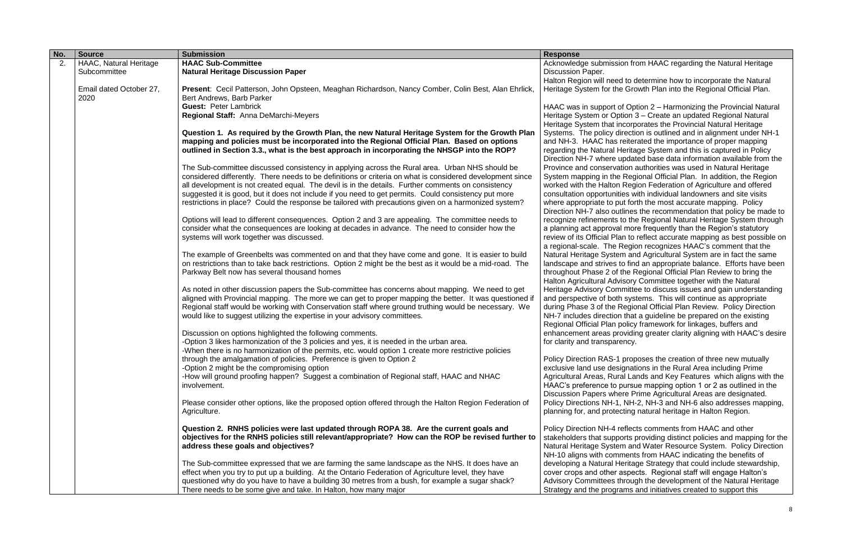| No. | <b>Source</b>                   | <b>Submission</b>                                                                                                                           | <b>Response</b>                                       |
|-----|---------------------------------|---------------------------------------------------------------------------------------------------------------------------------------------|-------------------------------------------------------|
| 2.  | <b>HAAC, Natural Heritage</b>   | <b>HAAC Sub-Committee</b>                                                                                                                   | Acknowledge submissio                                 |
|     | Subcommittee                    | <b>Natural Heritage Discussion Paper</b>                                                                                                    | Discussion Paper.                                     |
|     |                                 |                                                                                                                                             | Halton Region will need                               |
|     | Email dated October 27,<br>2020 | Present: Cecil Patterson, John Opsteen, Meaghan Richardson, Nancy Comber, Colin Best, Alan Ehrlick,<br>Bert Andrews, Barb Parker            | Heritage System for the                               |
|     |                                 | <b>Guest: Peter Lambrick</b>                                                                                                                | HAAC was in support of                                |
|     |                                 | Regional Staff: Anna DeMarchi-Meyers                                                                                                        | Heritage System or Opt                                |
|     |                                 |                                                                                                                                             | Heritage System that in                               |
|     |                                 | Question 1. As required by the Growth Plan, the new Natural Heritage System for the Growth Plan                                             | Systems. The policy direct                            |
|     |                                 | mapping and policies must be incorporated into the Regional Official Plan. Based on options                                                 | and NH-3. HAAC has r                                  |
|     |                                 | outlined in Section 3.3., what is the best approach in incorporating the NHSGP into the ROP?                                                | regarding the Natural H                               |
|     |                                 |                                                                                                                                             | Direction NH-7 where u                                |
|     |                                 | The Sub-committee discussed consistency in applying across the Rural area. Urban NHS should be                                              | Province and conservat                                |
|     |                                 | considered differently. There needs to be definitions or criteria on what is considered development since                                   | System mapping in the                                 |
|     |                                 | all development is not created equal. The devil is in the details. Further comments on consistency                                          | worked with the Halton                                |
|     |                                 | suggested it is good, but it does not include if you need to get permits. Could consistency put more                                        | consultation opportunitie                             |
|     |                                 | restrictions in place? Could the response be tailored with precautions given on a harmonized system?                                        | where appropriate to pu                               |
|     |                                 |                                                                                                                                             | Direction NH-7 also out                               |
|     |                                 | Options will lead to different consequences. Option 2 and 3 are appealing. The committee needs to                                           | recognize refinements t                               |
|     |                                 | consider what the consequences are looking at decades in advance. The need to consider how the<br>systems will work together was discussed. | a planning act approval<br>review of its Official Pla |
|     |                                 |                                                                                                                                             | a regional-scale. The R                               |
|     |                                 | The example of Greenbelts was commented on and that they have come and gone. It is easier to build                                          | <b>Natural Heritage Syster</b>                        |
|     |                                 | on restrictions than to take back restrictions. Option 2 might be the best as it would be a mid-road. The                                   | landscape and strives to                              |
|     |                                 | Parkway Belt now has several thousand homes                                                                                                 | throughout Phase 2 of t                               |
|     |                                 |                                                                                                                                             | Halton Agricultural Advi                              |
|     |                                 | As noted in other discussion papers the Sub-committee has concerns about mapping. We need to get                                            | Heritage Advisory Comi                                |
|     |                                 | aligned with Provincial mapping. The more we can get to proper mapping the better. It was questioned if                                     | and perspective of both                               |
|     |                                 | Regional staff would be working with Conservation staff where ground truthing would be necessary. We                                        | during Phase 3 of the R                               |
|     |                                 | would like to suggest utilizing the expertise in your advisory committees.                                                                  | NH-7 includes direction                               |
|     |                                 |                                                                                                                                             | Regional Official Plan p                              |
|     |                                 | Discussion on options highlighted the following comments.                                                                                   | enhancement areas pro                                 |
|     |                                 | -Option 3 likes harmonization of the 3 policies and yes, it is needed in the urban area.                                                    | for clarity and transpare                             |
|     |                                 | -When there is no harmonization of the permits, etc. would option 1 create more restrictive policies                                        |                                                       |
|     |                                 | through the amalgamation of policies. Preference is given to Option 2                                                                       | <b>Policy Direction RAS-1</b>                         |
|     |                                 | -Option 2 might be the compromising option                                                                                                  | exclusive land use desig                              |
|     |                                 | -How will ground proofing happen? Suggest a combination of Regional staff, HAAC and NHAC                                                    | Agricultural Areas, Rura                              |
|     |                                 | involvement.                                                                                                                                | HAAC's preference to p                                |
|     |                                 |                                                                                                                                             | <b>Discussion Papers whe</b>                          |
|     |                                 | Please consider other options, like the proposed option offered through the Halton Region Federation of                                     | Policy Directions NH-1,                               |
|     |                                 | Agriculture.                                                                                                                                | planning for, and protec                              |
|     |                                 | Question 2. RNHS policies were last updated through ROPA 38. Are the current goals and                                                      | Policy Direction NH-4 re                              |
|     |                                 | objectives for the RNHS policies still relevant/appropriate? How can the ROP be revised further to                                          | stakeholders that suppo                               |
|     |                                 | address these goals and objectives?                                                                                                         | <b>Natural Heritage Syster</b>                        |
|     |                                 |                                                                                                                                             | NH-10 aligns with comn                                |
|     |                                 | The Sub-committee expressed that we are farming the same landscape as the NHS. It does have an                                              | developing a Natural He                               |
|     |                                 | effect when you try to put up a building. At the Ontario Federation of Agriculture level, they have                                         | cover crops and other a                               |
|     |                                 | questioned why do you have to have a building 30 metres from a bush, for example a sugar shack?                                             | <b>Advisory Committees th</b>                         |
|     |                                 | There needs to be some give and take. In Halton, how many major                                                                             | Strategy and the progra                               |

### on from HAAC regarding the Natural Heritage

to determine how to incorporate the Natural Growth Plan into the Regional Official Plan.

f Option 2 – Harmonizing the Provincial Natural ion 3 – Create an updated Regional Natural corporates the Provincial Natural Heritage rection is outlined and in alignment under NH-1 eiterated the importance of proper mapping leritage System and this is captured in Policy pdated base data information available from the ion authorities was used in Natural Heritage Regional Official Plan. In addition, the Region Region Federation of Agriculture and offered ies with individual landowners and site visits It forth the most accurate mapping. Policy lines the recommendation that policy be made to to the Regional Natural Heritage System through more frequently than the Region's statutory in to reflect accurate mapping as best possible on eqion recognizes HAAC's comment that the m and Agricultural System are in fact the same o find an appropriate balance. Efforts have been the Regional Official Plan Review to bring the isory Committee together with the Natural mittee to discuss issues and gain understanding systems. This will continue as appropriate egional Official Plan Review. Policy Direction that a guideline be prepared on the existing olicy framework for linkages, buffers and buiding greater clarity aligning with HAAC's desire ency.

proposes the creation of three new mutually ignations in the Rural Area including Prime al Lands and Key Features which aligns with the bursue mapping option 1 or 2 as outlined in the re Prime Agricultural Areas are designated. NH-2, NH-3 and NH-6 also addresses mapping, cting natural heritage in Halton Region.

eflects comments from HAAC and other orts providing distinct policies and mapping for the m and Water Resource System. Policy Direction nents from HAAC indicating the benefits of eritage Strategy that could include stewardship, spects. Regional staff will engage Halton's I rough the development of the Natural Heritage ams and initiatives created to support this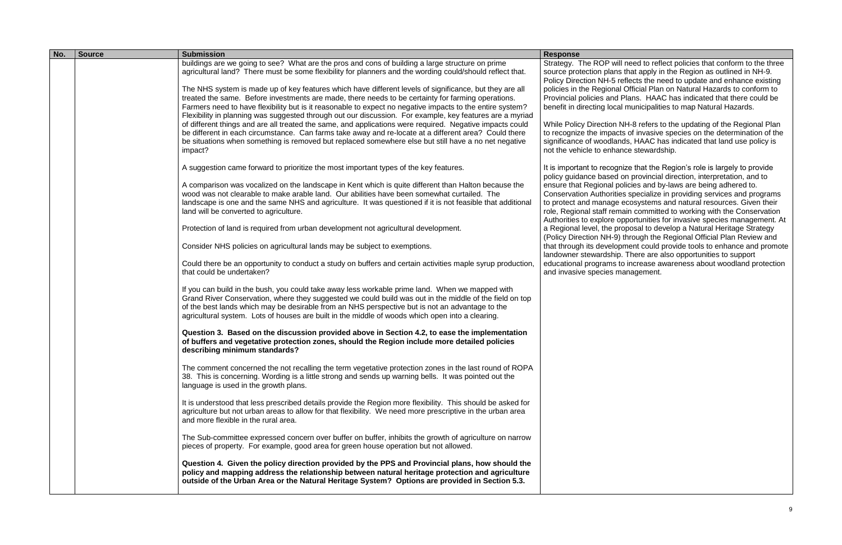| No. | <b>Source</b> | <b>Submission</b>                                                                                                                                                                                                                                                                                                                                                                                                                      | <b>Response</b>                                                                                                                           |
|-----|---------------|----------------------------------------------------------------------------------------------------------------------------------------------------------------------------------------------------------------------------------------------------------------------------------------------------------------------------------------------------------------------------------------------------------------------------------------|-------------------------------------------------------------------------------------------------------------------------------------------|
|     |               | buildings are we going to see? What are the pros and cons of building a large structure on prime<br>agricultural land? There must be some flexibility for planners and the wording could/should reflect that.                                                                                                                                                                                                                          | Strategy. The ROP wil<br>source protection plans<br>Policy Direction NH-5 r                                                               |
|     |               | The NHS system is made up of key features which have different levels of significance, but they are all<br>treated the same. Before investments are made, there needs to be certainty for farming operations.<br>Farmers need to have flexibility but is it reasonable to expect no negative impacts to the entire system?<br>Flexibility in planning was suggested through out our discussion. For example, key features are a myriad | policies in the Regiona<br>Provincial policies and<br>benefit in directing loca                                                           |
|     |               | of different things and are all treated the same, and applications were required. Negative impacts could<br>be different in each circumstance. Can farms take away and re-locate at a different area? Could there<br>be situations when something is removed but replaced somewhere else but still have a no net negative<br>impact?                                                                                                   | While Policy Direction I<br>to recognize the impac<br>significance of woodlar<br>not the vehicle to enha                                  |
|     |               | A suggestion came forward to prioritize the most important types of the key features.                                                                                                                                                                                                                                                                                                                                                  | It is important to recogr<br>policy guidance based                                                                                        |
|     |               | A comparison was vocalized on the landscape in Kent which is quite different than Halton because the<br>wood was not clearable to make arable land. Our abilities have been somewhat curtailed. The<br>landscape is one and the same NHS and agriculture. It was questioned if it is not feasible that additional<br>land will be converted to agriculture.                                                                            | ensure that Regional p<br><b>Conservation Authoritie</b><br>to protect and manage<br>role, Regional staff rem<br>Authorities to explore o |
|     |               | Protection of land is required from urban development not agricultural development.                                                                                                                                                                                                                                                                                                                                                    | a Regional level, the pr<br>(Policy Direction NH-9)                                                                                       |
|     |               | Consider NHS policies on agricultural lands may be subject to exemptions.                                                                                                                                                                                                                                                                                                                                                              | that through its develop<br>landowner stewardship                                                                                         |
|     |               | Could there be an opportunity to conduct a study on buffers and certain activities maple syrup production,<br>that could be undertaken?                                                                                                                                                                                                                                                                                                | educational programs t<br>and invasive species m                                                                                          |
|     |               | If you can build in the bush, you could take away less workable prime land. When we mapped with<br>Grand River Conservation, where they suggested we could build was out in the middle of the field on top<br>of the best lands which may be desirable from an NHS perspective but is not an advantage to the<br>agricultural system. Lots of houses are built in the middle of woods which open into a clearing.                      |                                                                                                                                           |
|     |               | Question 3. Based on the discussion provided above in Section 4.2, to ease the implementation<br>of buffers and vegetative protection zones, should the Region include more detailed policies<br>describing minimum standards?                                                                                                                                                                                                         |                                                                                                                                           |
|     |               | The comment concerned the not recalling the term vegetative protection zones in the last round of ROPA<br>38. This is concerning. Wording is a little strong and sends up warning bells. It was pointed out the<br>language is used in the growth plans.                                                                                                                                                                               |                                                                                                                                           |
|     |               | It is understood that less prescribed details provide the Region more flexibility. This should be asked for<br>agriculture but not urban areas to allow for that flexibility. We need more prescriptive in the urban area<br>and more flexible in the rural area.                                                                                                                                                                      |                                                                                                                                           |
|     |               | The Sub-committee expressed concern over buffer on buffer, inhibits the growth of agriculture on narrow<br>pieces of property. For example, good area for green house operation but not allowed.                                                                                                                                                                                                                                       |                                                                                                                                           |
|     |               | Question 4. Given the policy direction provided by the PPS and Provincial plans, how should the<br>policy and mapping address the relationship between natural heritage protection and agriculture<br>outside of the Urban Area or the Natural Heritage System? Options are provided in Section 5.3.                                                                                                                                   |                                                                                                                                           |

ill need to reflect policies that conform to the three is that apply in the Region as outlined in NH-9. reflects the need to update and enhance existing policies in the Regional Company of Chronicles Chemissipal Official Plan on Natural Hazards to conform to Plans. HAAC has indicated that there could be al municipalities to map Natural Hazards.

NH-8 refers to the updating of the Regional Plan tts of invasive species on the determination of the nds, HAAC has indicated that land use policy is ance stewardship.

nize that the Region's role is largely to provide on provincial direction, interpretation, and to volicies and by-laws are being adhered to. es specialize in providing services and programs ecosystems and natural resources. Given their nain committed to working with the Conservation opportunities for invasive species management. At roposal to develop a Natural Heritage Strategy (end in rough the Regional Official Plan Review and pment could provide tools to enhance and promote landow. There are also opportunities to support to increase awareness about woodland protection nanagement.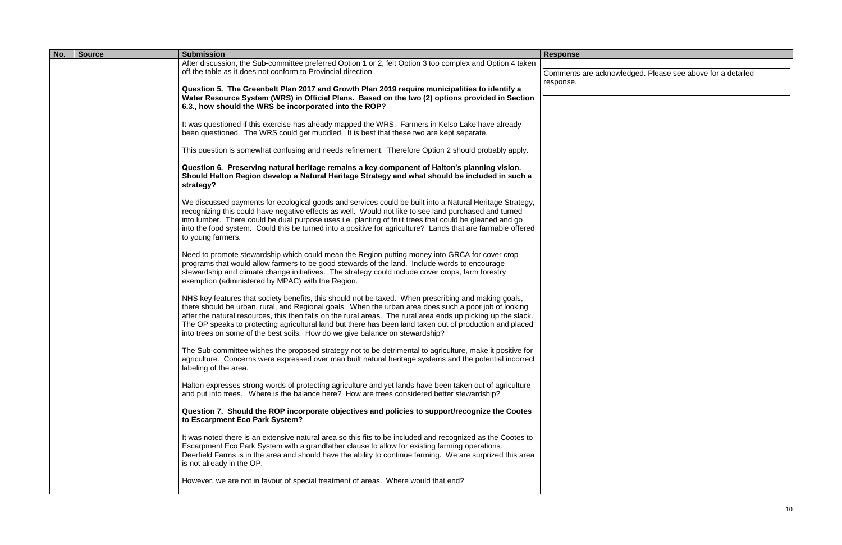| No. | <b>Source</b> | <b>Submission</b>                                                                                                                                                                                                                                                                                                                                                                                                                                                                                                          | <b>Response</b>                  |
|-----|---------------|----------------------------------------------------------------------------------------------------------------------------------------------------------------------------------------------------------------------------------------------------------------------------------------------------------------------------------------------------------------------------------------------------------------------------------------------------------------------------------------------------------------------------|----------------------------------|
|     |               | After discussion, the Sub-committee preferred Option 1 or 2, felt Option 3 too complex and Option 4 taken<br>off the table as it does not conform to Provincial direction                                                                                                                                                                                                                                                                                                                                                  |                                  |
|     |               |                                                                                                                                                                                                                                                                                                                                                                                                                                                                                                                            | Comments are acknot<br>response. |
|     |               | Question 5. The Greenbelt Plan 2017 and Growth Plan 2019 require municipalities to identify a<br>Water Resource System (WRS) in Official Plans. Based on the two (2) options provided in Section                                                                                                                                                                                                                                                                                                                           |                                  |
|     |               | 6.3., how should the WRS be incorporated into the ROP?                                                                                                                                                                                                                                                                                                                                                                                                                                                                     |                                  |
|     |               | It was questioned if this exercise has already mapped the WRS. Farmers in Kelso Lake have already<br>been questioned. The WRS could get muddled. It is best that these two are kept separate.                                                                                                                                                                                                                                                                                                                              |                                  |
|     |               | This question is somewhat confusing and needs refinement. Therefore Option 2 should probably apply.                                                                                                                                                                                                                                                                                                                                                                                                                        |                                  |
|     |               | Question 6. Preserving natural heritage remains a key component of Halton's planning vision.<br>Should Halton Region develop a Natural Heritage Strategy and what should be included in such a<br>strategy?                                                                                                                                                                                                                                                                                                                |                                  |
|     |               | We discussed payments for ecological goods and services could be built into a Natural Heritage Strategy,<br>recognizing this could have negative effects as well. Would not like to see land purchased and turned<br>into lumber. There could be dual purpose uses i.e. planting of fruit trees that could be gleaned and go<br>into the food system. Could this be turned into a positive for agriculture? Lands that are farmable offered<br>to young farmers.                                                           |                                  |
|     |               | Need to promote stewardship which could mean the Region putting money into GRCA for cover crop<br>programs that would allow farmers to be good stewards of the land. Include words to encourage<br>stewardship and climate change initiatives. The strategy could include cover crops, farm forestry<br>exemption (administered by MPAC) with the Region.                                                                                                                                                                  |                                  |
|     |               | NHS key features that society benefits, this should not be taxed. When prescribing and making goals,<br>there should be urban, rural, and Regional goals. When the urban area does such a poor job of looking<br>after the natural resources, this then falls on the rural areas. The rural area ends up picking up the slack.<br>The OP speaks to protecting agricultural land but there has been land taken out of production and placed<br>into trees on some of the best soils. How do we give balance on stewardship? |                                  |
|     |               | The Sub-committee wishes the proposed strategy not to be detrimental to agriculture, make it positive for<br>agriculture. Concerns were expressed over man built natural heritage systems and the potential incorrect<br>labeling of the area.                                                                                                                                                                                                                                                                             |                                  |
|     |               | Halton expresses strong words of protecting agriculture and yet lands have been taken out of agriculture<br>and put into trees. Where is the balance here? How are trees considered better stewardship?                                                                                                                                                                                                                                                                                                                    |                                  |
|     |               | Question 7. Should the ROP incorporate objectives and policies to support/recognize the Cootes<br>to Escarpment Eco Park System?                                                                                                                                                                                                                                                                                                                                                                                           |                                  |
|     |               | It was noted there is an extensive natural area so this fits to be included and recognized as the Cootes to<br>Escarpment Eco Park System with a grandfather clause to allow for existing farming operations.<br>Deerfield Farms is in the area and should have the ability to continue farming. We are surprized this area<br>is not already in the OP.                                                                                                                                                                   |                                  |
|     |               | However, we are not in favour of special treatment of areas. Where would that end?                                                                                                                                                                                                                                                                                                                                                                                                                                         |                                  |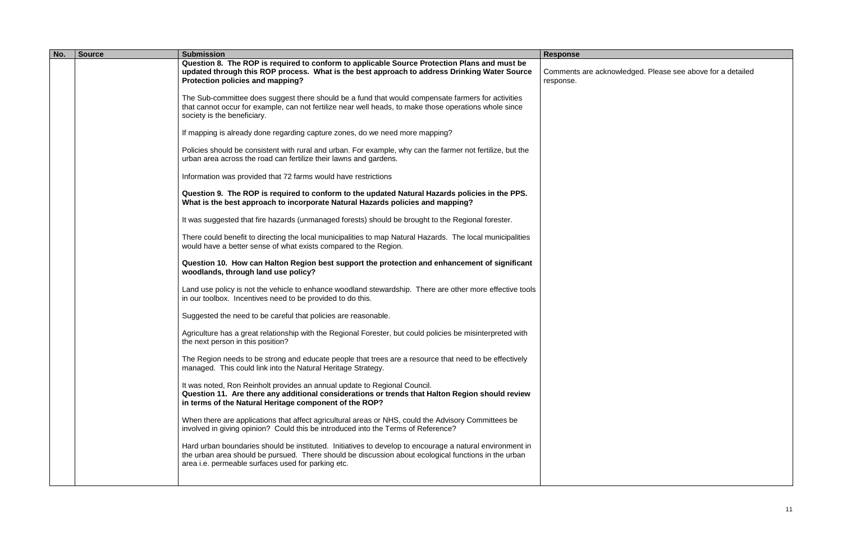| No. | <b>Source</b> | <b>Submission</b>                                                                                                                                                                                                                                                      | <b>Response</b>                  |
|-----|---------------|------------------------------------------------------------------------------------------------------------------------------------------------------------------------------------------------------------------------------------------------------------------------|----------------------------------|
|     |               | Question 8. The ROP is required to conform to applicable Source Protection Plans and must be<br>updated through this ROP process. What is the best approach to address Drinking Water Source<br>Protection policies and mapping?                                       | Comments are acknoy<br>response. |
|     |               | The Sub-committee does suggest there should be a fund that would compensate farmers for activities<br>that cannot occur for example, can not fertilize near well heads, to make those operations whole since<br>society is the beneficiary.                            |                                  |
|     |               | If mapping is already done regarding capture zones, do we need more mapping?                                                                                                                                                                                           |                                  |
|     |               | Policies should be consistent with rural and urban. For example, why can the farmer not fertilize, but the<br>urban area across the road can fertilize their lawns and gardens.                                                                                        |                                  |
|     |               | Information was provided that 72 farms would have restrictions                                                                                                                                                                                                         |                                  |
|     |               | Question 9. The ROP is required to conform to the updated Natural Hazards policies in the PPS.<br>What is the best approach to incorporate Natural Hazards policies and mapping?                                                                                       |                                  |
|     |               | It was suggested that fire hazards (unmanaged forests) should be brought to the Regional forester.                                                                                                                                                                     |                                  |
|     |               | There could benefit to directing the local municipalities to map Natural Hazards. The local municipalities<br>would have a better sense of what exists compared to the Region.                                                                                         |                                  |
|     |               | Question 10. How can Halton Region best support the protection and enhancement of significant<br>woodlands, through land use policy?                                                                                                                                   |                                  |
|     |               | Land use policy is not the vehicle to enhance woodland stewardship. There are other more effective tools<br>in our toolbox. Incentives need to be provided to do this.                                                                                                 |                                  |
|     |               | Suggested the need to be careful that policies are reasonable.                                                                                                                                                                                                         |                                  |
|     |               | Agriculture has a great relationship with the Regional Forester, but could policies be misinterpreted with<br>the next person in this position?                                                                                                                        |                                  |
|     |               | The Region needs to be strong and educate people that trees are a resource that need to be effectively<br>managed. This could link into the Natural Heritage Strategy.                                                                                                 |                                  |
|     |               | It was noted, Ron Reinholt provides an annual update to Regional Council.<br>Question 11. Are there any additional considerations or trends that Halton Region should review<br>in terms of the Natural Heritage component of the ROP?                                 |                                  |
|     |               | When there are applications that affect agricultural areas or NHS, could the Advisory Committees be<br>involved in giving opinion? Could this be introduced into the Terms of Reference?                                                                               |                                  |
|     |               | Hard urban boundaries should be instituted. Initiatives to develop to encourage a natural environment in<br>the urban area should be pursued. There should be discussion about ecological functions in the urban<br>area i.e. permeable surfaces used for parking etc. |                                  |
|     |               |                                                                                                                                                                                                                                                                        |                                  |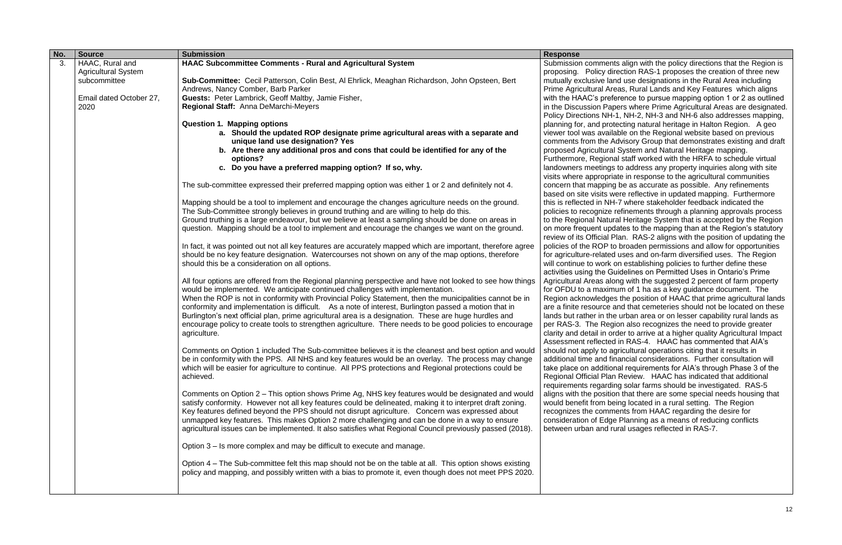| No. | <b>Source</b>              | <b>Submission</b>                                                                                                                                                                                             | <b>Response</b>                                     |
|-----|----------------------------|---------------------------------------------------------------------------------------------------------------------------------------------------------------------------------------------------------------|-----------------------------------------------------|
| 3.  | HAAC, Rural and            | <b>HAAC Subcommittee Comments - Rural and Agricultural System</b>                                                                                                                                             | Submission comments                                 |
|     | <b>Agricultural System</b> |                                                                                                                                                                                                               | proposing. Policy dired                             |
|     | subcommittee               | Sub-Committee: Cecil Patterson, Colin Best, AI Ehrlick, Meaghan Richardson, John Opsteen, Bert                                                                                                                | mutually exclusive land                             |
|     |                            | Andrews, Nancy Comber, Barb Parker                                                                                                                                                                            | Prime Agricultural Area                             |
|     | Email dated October 27,    | Guests: Peter Lambrick, Geoff Maltby, Jamie Fisher,                                                                                                                                                           | with the HAAC's prefere                             |
|     | 2020                       | Regional Staff: Anna DeMarchi-Meyers                                                                                                                                                                          | in the Discussion Paper                             |
|     |                            |                                                                                                                                                                                                               | Policy Directions NH-1,                             |
|     |                            | <b>Question 1. Mapping options</b>                                                                                                                                                                            | planning for, and proted                            |
|     |                            | a. Should the updated ROP designate prime agricultural areas with a separate and                                                                                                                              | viewer tool was availab                             |
|     |                            | unique land use designation? Yes                                                                                                                                                                              | comments from the Adv                               |
|     |                            | b. Are there any additional pros and cons that could be identified for any of the                                                                                                                             | proposed Agricultural S                             |
|     |                            | options?                                                                                                                                                                                                      | Furthermore, Regional                               |
|     |                            | c. Do you have a preferred mapping option? If so, why.                                                                                                                                                        | landowners meetings to                              |
|     |                            |                                                                                                                                                                                                               | visits where appropriate                            |
|     |                            | The sub-committee expressed their preferred mapping option was either 1 or 2 and definitely not 4.                                                                                                            | concern that mapping b<br>based on site visits wer  |
|     |                            | Mapping should be a tool to implement and encourage the changes agriculture needs on the ground.                                                                                                              | this is reflected in NH-7                           |
|     |                            | The Sub-Committee strongly believes in ground truthing and are willing to help do this.                                                                                                                       | policies to recognize ret                           |
|     |                            | Ground truthing is a large endeavour, but we believe at least a sampling should be done on areas in                                                                                                           | to the Regional Natural                             |
|     |                            | question. Mapping should be a tool to implement and encourage the changes we want on the ground.                                                                                                              | on more frequent updat                              |
|     |                            |                                                                                                                                                                                                               | review of its Official Pla                          |
|     |                            | In fact, it was pointed out not all key features are accurately mapped which are important, therefore agree                                                                                                   | policies of the ROP to b                            |
|     |                            | should be no key feature designation. Watercourses not shown on any of the map options, therefore                                                                                                             | for agriculture-related u                           |
|     |                            | should this be a consideration on all options.                                                                                                                                                                | will continue to work on                            |
|     |                            |                                                                                                                                                                                                               | activities using the Guid                           |
|     |                            | All four options are offered from the Regional planning perspective and have not looked to see how things                                                                                                     | Agricultural Areas along                            |
|     |                            | would be implemented. We anticipate continued challenges with implementation.                                                                                                                                 | for OFDU to a maximur                               |
|     |                            | When the ROP is not in conformity with Provincial Policy Statement, then the municipalities cannot be in                                                                                                      | Region acknowledges t                               |
|     |                            | conformity and implementation is difficult. As a note of interest, Burlington passed a motion that in                                                                                                         | are a finite resource an                            |
|     |                            | Burlington's next official plan, prime agricultural area is a designation. These are huge hurdles and                                                                                                         | lands but rather in the u                           |
|     |                            | encourage policy to create tools to strengthen agriculture. There needs to be good policies to encourage                                                                                                      | per RAS-3. The Regior                               |
|     |                            | agriculture.                                                                                                                                                                                                  | clarity and detail in orde                          |
|     |                            |                                                                                                                                                                                                               | Assessment reflected in                             |
|     |                            | Comments on Option 1 included The Sub-committee believes it is the cleanest and best option and would                                                                                                         | should not apply to agri                            |
|     |                            | be in conformity with the PPS. All NHS and key features would be an overlay. The process may change                                                                                                           | additional time and fina                            |
|     |                            | which will be easier for agriculture to continue. All PPS protections and Regional protections could be                                                                                                       | take place on additiona                             |
|     |                            | achieved.                                                                                                                                                                                                     | Regional Official Plan R                            |
|     |                            |                                                                                                                                                                                                               | requirements regarding                              |
|     |                            | Comments on Option 2 – This option shows Prime Ag, NHS key features would be designated and would                                                                                                             | aligns with the position<br>would benefit from bein |
|     |                            | satisfy conformity. However not all key features could be delineated, making it to interpret draft zoning.<br>Key features defined beyond the PPS should not disrupt agriculture. Concern was expressed about | recognizes the commer                               |
|     |                            | unmapped key features. This makes Option 2 more challenging and can be done in a way to ensure                                                                                                                | consideration of Edge F                             |
|     |                            | agricultural issues can be implemented. It also satisfies what Regional Council previously passed (2018).                                                                                                     | between urban and rura                              |
|     |                            |                                                                                                                                                                                                               |                                                     |
|     |                            | Option 3 – Is more complex and may be difficult to execute and manage.                                                                                                                                        |                                                     |
|     |                            | Option 4 – The Sub-committee felt this map should not be on the table at all. This option shows existing                                                                                                      |                                                     |
|     |                            | policy and mapping, and possibly written with a bias to promote it, even though does not meet PPS 2020.                                                                                                       |                                                     |
|     |                            |                                                                                                                                                                                                               |                                                     |
|     |                            |                                                                                                                                                                                                               |                                                     |

align with the policy directions that the Region is ction RAS-1 proposes the creation of three new use designations in the Rural Area including as, Rural Lands and Key Features which aligns ence to pursue mapping option 1 or 2 as outlined **in the Prime Agricultural Areas are designated.** NH-2, NH-3 and NH-6 also addresses mapping, cting natural heritage in Halton Region. A geo vie on the Regional website based on previous visory Group that demonstrates existing and draft System and Natural Heritage mapping.

staff worked with the HRFA to schedule virtual o address any property inquiries along with site e in response to the agricultural communities be as accurate as possible. Any refinements re reflective in updated mapping. Furthermore where stakeholder feedback indicated the finements through a planning approvals process Heritage System that is accepted by the Region tes to the mapping than at the Region's statutory an. RAS-2 aligns with the position of updating the broaden permissions and allow for opportunities uses and on-farm diversified uses. The Region establishing policies to further define these delines on Permitted Uses in Ontario's Prime g with the suggested 2 percent of farm property m of 1 ha as a key guidance document. The the position of HAAC that prime agricultural lands ad that cemeteries should not be located on these urban area or on lesser capability rural lands as In also recognizes the need to provide greater er to arrive at a higher quality Agricultural Impact in RAS-4. HAAC has commented that AIA's icultural operations citing that it results in ancial considerations. Further consultation will al requirements for AIA's through Phase 3 of the Review. HAAC has indicated that additional solar farms should be investigated. RAS-5 that there are some special needs housing that ng located in a rural setting. The Region nts from HAAC regarding the desire for Planning as a means of reducing conflicts al usages reflected in RAS-7.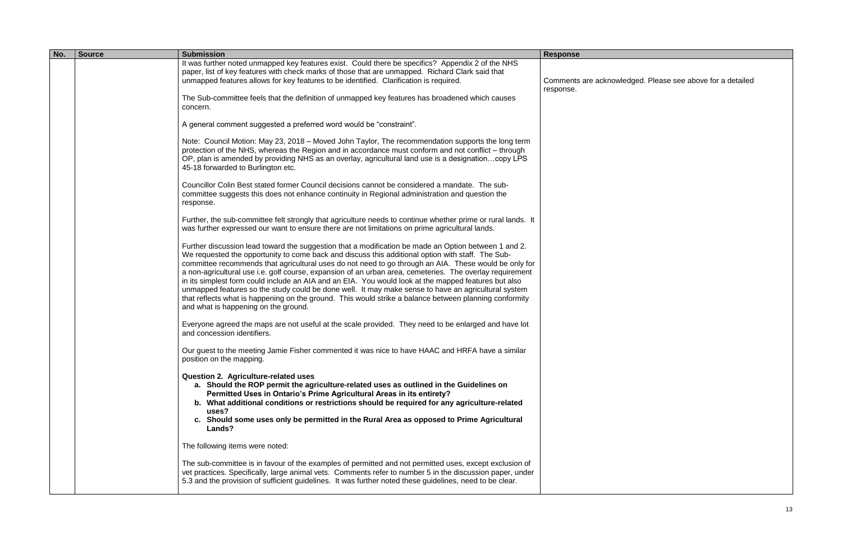| No. | <b>Source</b> | <b>Submission</b>                                                                                                                                                                                                                                                                                                                                                                                                                                                                                                                                                                                                                                                                                                                                                                               | <b>Response</b>     |
|-----|---------------|-------------------------------------------------------------------------------------------------------------------------------------------------------------------------------------------------------------------------------------------------------------------------------------------------------------------------------------------------------------------------------------------------------------------------------------------------------------------------------------------------------------------------------------------------------------------------------------------------------------------------------------------------------------------------------------------------------------------------------------------------------------------------------------------------|---------------------|
|     |               | It was further noted unmapped key features exist. Could there be specifics? Appendix 2 of the NHS<br>paper, list of key features with check marks of those that are unmapped. Richard Clark said that<br>unmapped features allows for key features to be identified. Clarification is required.                                                                                                                                                                                                                                                                                                                                                                                                                                                                                                 | Comments are acknot |
|     |               | The Sub-committee feels that the definition of unmapped key features has broadened which causes<br>concern.                                                                                                                                                                                                                                                                                                                                                                                                                                                                                                                                                                                                                                                                                     | response.           |
|     |               | A general comment suggested a preferred word would be "constraint".                                                                                                                                                                                                                                                                                                                                                                                                                                                                                                                                                                                                                                                                                                                             |                     |
|     |               | Note: Council Motion: May 23, 2018 – Moved John Taylor, The recommendation supports the long term<br>protection of the NHS, whereas the Region and in accordance must conform and not conflict – through<br>OP, plan is amended by providing NHS as an overlay, agricultural land use is a designationcopy LPS<br>45-18 forwarded to Burlington etc.                                                                                                                                                                                                                                                                                                                                                                                                                                            |                     |
|     |               | Councillor Colin Best stated former Council decisions cannot be considered a mandate. The sub-<br>committee suggests this does not enhance continuity in Regional administration and question the<br>response.                                                                                                                                                                                                                                                                                                                                                                                                                                                                                                                                                                                  |                     |
|     |               | Further, the sub-committee felt strongly that agriculture needs to continue whether prime or rural lands. It<br>was further expressed our want to ensure there are not limitations on prime agricultural lands.                                                                                                                                                                                                                                                                                                                                                                                                                                                                                                                                                                                 |                     |
|     |               | Further discussion lead toward the suggestion that a modification be made an Option between 1 and 2.<br>We requested the opportunity to come back and discuss this additional option with staff. The Sub-<br>committee recommends that agricultural uses do not need to go through an AIA. These would be only for<br>a non-agricultural use i.e. golf course, expansion of an urban area, cemeteries. The overlay requirement<br>in its simplest form could include an AIA and an EIA. You would look at the mapped features but also<br>unmapped features so the study could be done well. It may make sense to have an agricultural system<br>that reflects what is happening on the ground. This would strike a balance between planning conformity<br>and what is happening on the ground. |                     |
|     |               | Everyone agreed the maps are not useful at the scale provided. They need to be enlarged and have lot<br>and concession identifiers.                                                                                                                                                                                                                                                                                                                                                                                                                                                                                                                                                                                                                                                             |                     |
|     |               | Our guest to the meeting Jamie Fisher commented it was nice to have HAAC and HRFA have a similar<br>position on the mapping.                                                                                                                                                                                                                                                                                                                                                                                                                                                                                                                                                                                                                                                                    |                     |
|     |               | <b>Question 2. Agriculture-related uses</b><br>a. Should the ROP permit the agriculture-related uses as outlined in the Guidelines on<br>Permitted Uses in Ontario's Prime Agricultural Areas in its entirety?<br>b. What additional conditions or restrictions should be required for any agriculture-related<br>uses?<br>c. Should some uses only be permitted in the Rural Area as opposed to Prime Agricultural<br>Lands?                                                                                                                                                                                                                                                                                                                                                                   |                     |
|     |               | The following items were noted:                                                                                                                                                                                                                                                                                                                                                                                                                                                                                                                                                                                                                                                                                                                                                                 |                     |
|     |               | The sub-committee is in favour of the examples of permitted and not permitted uses, except exclusion of<br>vet practices. Specifically, large animal vets. Comments refer to number 5 in the discussion paper, under<br>5.3 and the provision of sufficient guidelines. It was further noted these guidelines, need to be clear.                                                                                                                                                                                                                                                                                                                                                                                                                                                                |                     |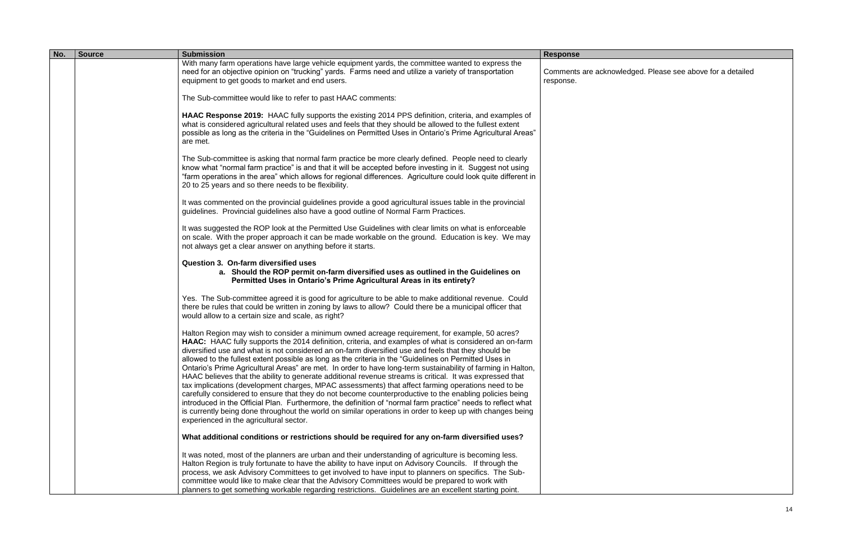| No. | <b>Source</b> | <b>Submission</b>                                                                                                                                                                                                                                                                                                                                                                                                                                                                                                                                                                                                                                                                                                                                                                                                                                                                                                                                                                                                                                                                                                                              | <b>Response</b>                 |
|-----|---------------|------------------------------------------------------------------------------------------------------------------------------------------------------------------------------------------------------------------------------------------------------------------------------------------------------------------------------------------------------------------------------------------------------------------------------------------------------------------------------------------------------------------------------------------------------------------------------------------------------------------------------------------------------------------------------------------------------------------------------------------------------------------------------------------------------------------------------------------------------------------------------------------------------------------------------------------------------------------------------------------------------------------------------------------------------------------------------------------------------------------------------------------------|---------------------------------|
|     |               | With many farm operations have large vehicle equipment yards, the committee wanted to express the<br>need for an objective opinion on "trucking" yards. Farms need and utilize a variety of transportation<br>equipment to get goods to market and end users.                                                                                                                                                                                                                                                                                                                                                                                                                                                                                                                                                                                                                                                                                                                                                                                                                                                                                  | Comments are ackno<br>response. |
|     |               | The Sub-committee would like to refer to past HAAC comments:                                                                                                                                                                                                                                                                                                                                                                                                                                                                                                                                                                                                                                                                                                                                                                                                                                                                                                                                                                                                                                                                                   |                                 |
|     |               | HAAC Response 2019: HAAC fully supports the existing 2014 PPS definition, criteria, and examples of<br>what is considered agricultural related uses and feels that they should be allowed to the fullest extent<br>possible as long as the criteria in the "Guidelines on Permitted Uses in Ontario's Prime Agricultural Areas"<br>are met.                                                                                                                                                                                                                                                                                                                                                                                                                                                                                                                                                                                                                                                                                                                                                                                                    |                                 |
|     |               | The Sub-committee is asking that normal farm practice be more clearly defined. People need to clearly<br>know what "normal farm practice" is and that it will be accepted before investing in it. Suggest not using<br>"farm operations in the area" which allows for regional differences. Agriculture could look quite different in<br>20 to 25 years and so there needs to be flexibility.                                                                                                                                                                                                                                                                                                                                                                                                                                                                                                                                                                                                                                                                                                                                                  |                                 |
|     |               | It was commented on the provincial guidelines provide a good agricultural issues table in the provincial<br>guidelines. Provincial guidelines also have a good outline of Normal Farm Practices.                                                                                                                                                                                                                                                                                                                                                                                                                                                                                                                                                                                                                                                                                                                                                                                                                                                                                                                                               |                                 |
|     |               | It was suggested the ROP look at the Permitted Use Guidelines with clear limits on what is enforceable<br>on scale. With the proper approach it can be made workable on the ground. Education is key. We may<br>not always get a clear answer on anything before it starts.                                                                                                                                                                                                                                                                                                                                                                                                                                                                                                                                                                                                                                                                                                                                                                                                                                                                    |                                 |
|     |               | <b>Question 3. On-farm diversified uses</b><br>a. Should the ROP permit on-farm diversified uses as outlined in the Guidelines on<br>Permitted Uses in Ontario's Prime Agricultural Areas in its entirety?                                                                                                                                                                                                                                                                                                                                                                                                                                                                                                                                                                                                                                                                                                                                                                                                                                                                                                                                     |                                 |
|     |               | Yes. The Sub-committee agreed it is good for agriculture to be able to make additional revenue. Could<br>there be rules that could be written in zoning by laws to allow? Could there be a municipal officer that<br>would allow to a certain size and scale, as right?                                                                                                                                                                                                                                                                                                                                                                                                                                                                                                                                                                                                                                                                                                                                                                                                                                                                        |                                 |
|     |               | Halton Region may wish to consider a minimum owned acreage requirement, for example, 50 acres?<br>HAAC: HAAC fully supports the 2014 definition, criteria, and examples of what is considered an on-farm<br>diversified use and what is not considered an on-farm diversified use and feels that they should be<br>allowed to the fullest extent possible as long as the criteria in the "Guidelines on Permitted Uses in<br>Ontario's Prime Agricultural Areas" are met. In order to have long-term sustainability of farming in Halton,<br>HAAC believes that the ability to generate additional revenue streams is critical. It was expressed that<br>tax implications (development charges, MPAC assessments) that affect farming operations need to be<br>carefully considered to ensure that they do not become counterproductive to the enabling policies being<br>introduced in the Official Plan. Furthermore, the definition of "normal farm practice" needs to reflect what<br>is currently being done throughout the world on similar operations in order to keep up with changes being<br>experienced in the agricultural sector. |                                 |
|     |               | What additional conditions or restrictions should be required for any on-farm diversified uses?                                                                                                                                                                                                                                                                                                                                                                                                                                                                                                                                                                                                                                                                                                                                                                                                                                                                                                                                                                                                                                                |                                 |
|     |               | It was noted, most of the planners are urban and their understanding of agriculture is becoming less.<br>Halton Region is truly fortunate to have the ability to have input on Advisory Councils. If through the<br>process, we ask Advisory Committees to get involved to have input to planners on specifics. The Sub-<br>committee would like to make clear that the Advisory Committees would be prepared to work with<br>planners to get something workable regarding restrictions. Guidelines are an excellent starting point.                                                                                                                                                                                                                                                                                                                                                                                                                                                                                                                                                                                                           |                                 |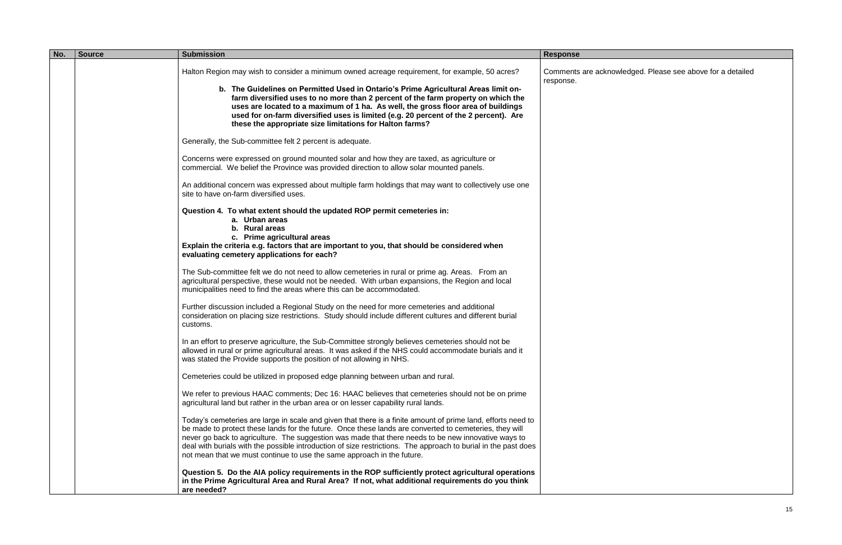| No. | <b>Source</b> | <b>Submission</b>                                                                                                                                                                                                                                                                                                                                                                                                                                                                                                         | <b>Response</b>                  |
|-----|---------------|---------------------------------------------------------------------------------------------------------------------------------------------------------------------------------------------------------------------------------------------------------------------------------------------------------------------------------------------------------------------------------------------------------------------------------------------------------------------------------------------------------------------------|----------------------------------|
|     |               | Halton Region may wish to consider a minimum owned acreage requirement, for example, 50 acres?<br>b. The Guidelines on Permitted Used in Ontario's Prime Agricultural Areas limit on-                                                                                                                                                                                                                                                                                                                                     | Comments are acknoy<br>response. |
|     |               | farm diversified uses to no more than 2 percent of the farm property on which the<br>uses are located to a maximum of 1 ha. As well, the gross floor area of buildings<br>used for on-farm diversified uses is limited (e.g. 20 percent of the 2 percent). Are<br>these the appropriate size limitations for Halton farms?                                                                                                                                                                                                |                                  |
|     |               | Generally, the Sub-committee felt 2 percent is adequate.                                                                                                                                                                                                                                                                                                                                                                                                                                                                  |                                  |
|     |               | Concerns were expressed on ground mounted solar and how they are taxed, as agriculture or<br>commercial. We belief the Province was provided direction to allow solar mounted panels.                                                                                                                                                                                                                                                                                                                                     |                                  |
|     |               | An additional concern was expressed about multiple farm holdings that may want to collectively use one<br>site to have on-farm diversified uses.                                                                                                                                                                                                                                                                                                                                                                          |                                  |
|     |               | Question 4. To what extent should the updated ROP permit cemeteries in:<br>a. Urban areas<br>b. Rural areas<br>c. Prime agricultural areas                                                                                                                                                                                                                                                                                                                                                                                |                                  |
|     |               | Explain the criteria e.g. factors that are important to you, that should be considered when<br>evaluating cemetery applications for each?                                                                                                                                                                                                                                                                                                                                                                                 |                                  |
|     |               | The Sub-committee felt we do not need to allow cemeteries in rural or prime ag. Areas. From an<br>agricultural perspective, these would not be needed. With urban expansions, the Region and local<br>municipalities need to find the areas where this can be accommodated.                                                                                                                                                                                                                                               |                                  |
|     |               | Further discussion included a Regional Study on the need for more cemeteries and additional<br>consideration on placing size restrictions. Study should include different cultures and different burial<br>customs.                                                                                                                                                                                                                                                                                                       |                                  |
|     |               | In an effort to preserve agriculture, the Sub-Committee strongly believes cemeteries should not be<br>allowed in rural or prime agricultural areas. It was asked if the NHS could accommodate burials and it<br>was stated the Provide supports the position of not allowing in NHS.                                                                                                                                                                                                                                      |                                  |
|     |               | Cemeteries could be utilized in proposed edge planning between urban and rural.                                                                                                                                                                                                                                                                                                                                                                                                                                           |                                  |
|     |               | We refer to previous HAAC comments; Dec 16: HAAC believes that cemeteries should not be on prime<br>agricultural land but rather in the urban area or on lesser capability rural lands.                                                                                                                                                                                                                                                                                                                                   |                                  |
|     |               | Today's cemeteries are large in scale and given that there is a finite amount of prime land, efforts need to<br>be made to protect these lands for the future. Once these lands are converted to cemeteries, they will<br>never go back to agriculture. The suggestion was made that there needs to be new innovative ways to<br>deal with burials with the possible introduction of size restrictions. The approach to burial in the past does<br>not mean that we must continue to use the same approach in the future. |                                  |
|     |               | Question 5. Do the AIA policy requirements in the ROP sufficiently protect agricultural operations<br>in the Prime Agricultural Area and Rural Area? If not, what additional requirements do you think<br>are needed?                                                                                                                                                                                                                                                                                                     |                                  |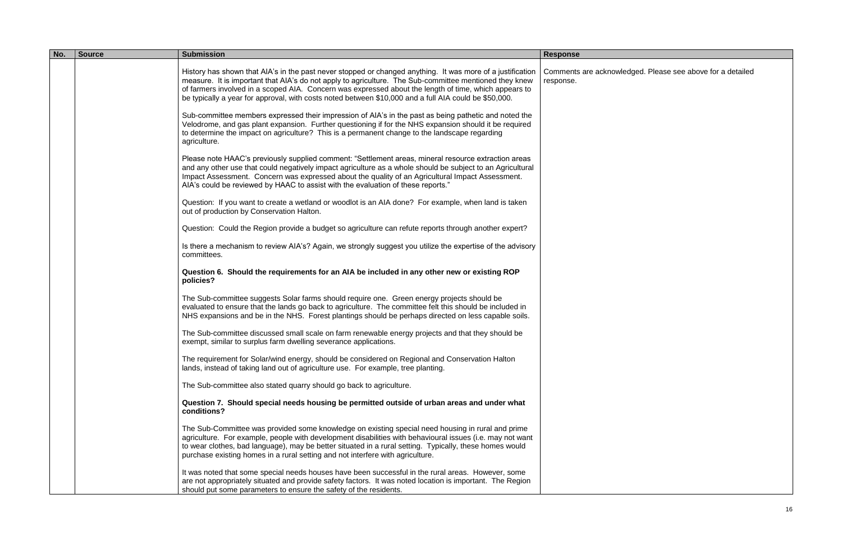| No. | <b>Source</b> | <b>Submission</b>                                                                                                                                                                                                                                                                                                                                                                                                                      | <b>Response</b>                 |
|-----|---------------|----------------------------------------------------------------------------------------------------------------------------------------------------------------------------------------------------------------------------------------------------------------------------------------------------------------------------------------------------------------------------------------------------------------------------------------|---------------------------------|
|     |               | History has shown that AIA's in the past never stopped or changed anything. It was more of a justification<br>measure. It is important that AIA's do not apply to agriculture. The Sub-committee mentioned they knew<br>of farmers involved in a scoped AIA. Concern was expressed about the length of time, which appears to<br>be typically a year for approval, with costs noted between \$10,000 and a full AIA could be \$50,000. | Comments are ackno<br>response. |
|     |               | Sub-committee members expressed their impression of AIA's in the past as being pathetic and noted the<br>Velodrome, and gas plant expansion. Further questioning if for the NHS expansion should it be required<br>to determine the impact on agriculture? This is a permanent change to the landscape regarding<br>agriculture.                                                                                                       |                                 |
|     |               | Please note HAAC's previously supplied comment: "Settlement areas, mineral resource extraction areas<br>and any other use that could negatively impact agriculture as a whole should be subject to an Agricultural<br>Impact Assessment. Concern was expressed about the quality of an Agricultural Impact Assessment.<br>AIA's could be reviewed by HAAC to assist with the evaluation of these reports."                             |                                 |
|     |               | Question: If you want to create a wetland or woodlot is an AIA done? For example, when land is taken<br>out of production by Conservation Halton.                                                                                                                                                                                                                                                                                      |                                 |
|     |               | Question: Could the Region provide a budget so agriculture can refute reports through another expert?                                                                                                                                                                                                                                                                                                                                  |                                 |
|     |               | Is there a mechanism to review AIA's? Again, we strongly suggest you utilize the expertise of the advisory<br>committees.                                                                                                                                                                                                                                                                                                              |                                 |
|     |               | Question 6. Should the requirements for an AIA be included in any other new or existing ROP<br>policies?                                                                                                                                                                                                                                                                                                                               |                                 |
|     |               | The Sub-committee suggests Solar farms should require one. Green energy projects should be<br>evaluated to ensure that the lands go back to agriculture. The committee felt this should be included in<br>NHS expansions and be in the NHS. Forest plantings should be perhaps directed on less capable soils.                                                                                                                         |                                 |
|     |               | The Sub-committee discussed small scale on farm renewable energy projects and that they should be<br>exempt, similar to surplus farm dwelling severance applications.                                                                                                                                                                                                                                                                  |                                 |
|     |               | The requirement for Solar/wind energy, should be considered on Regional and Conservation Halton<br>lands, instead of taking land out of agriculture use. For example, tree planting.                                                                                                                                                                                                                                                   |                                 |
|     |               | The Sub-committee also stated quarry should go back to agriculture.                                                                                                                                                                                                                                                                                                                                                                    |                                 |
|     |               | Question 7. Should special needs housing be permitted outside of urban areas and under what<br>conditions?                                                                                                                                                                                                                                                                                                                             |                                 |
|     |               | The Sub-Committee was provided some knowledge on existing special need housing in rural and prime<br>agriculture. For example, people with development disabilities with behavioural issues (i.e. may not want<br>to wear clothes, bad language), may be better situated in a rural setting. Typically, these homes would<br>purchase existing homes in a rural setting and not interfere with agriculture.                            |                                 |
|     |               | It was noted that some special needs houses have been successful in the rural areas. However, some<br>are not appropriately situated and provide safety factors. It was noted location is important. The Region<br>should put some parameters to ensure the safety of the residents.                                                                                                                                                   |                                 |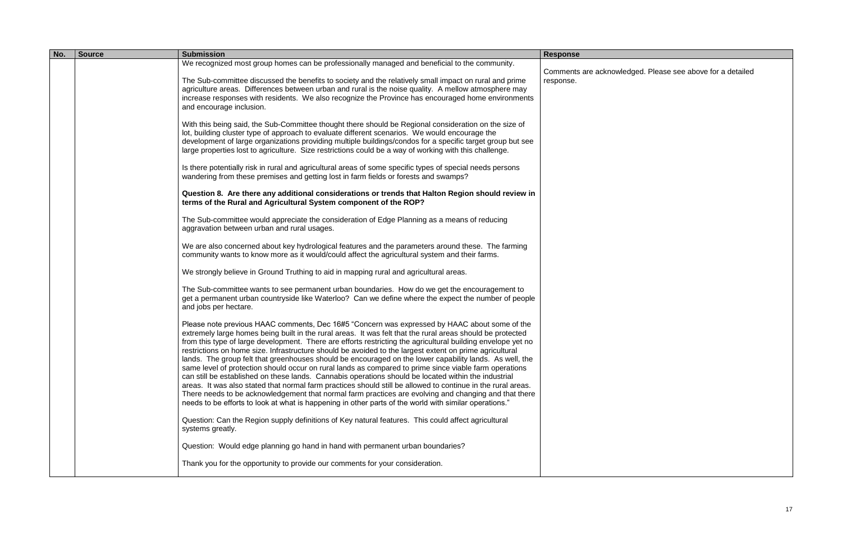| No. | <b>Source</b> | <b>Submission</b>                                                                                                                                                                                                          | <b>Response</b>     |
|-----|---------------|----------------------------------------------------------------------------------------------------------------------------------------------------------------------------------------------------------------------------|---------------------|
|     |               | We recognized most group homes can be professionally managed and beneficial to the community.                                                                                                                              | Comments are acknow |
|     |               | The Sub-committee discussed the benefits to society and the relatively small impact on rural and prime                                                                                                                     | response.           |
|     |               | agriculture areas. Differences between urban and rural is the noise quality. A mellow atmosphere may                                                                                                                       |                     |
|     |               | increase responses with residents. We also recognize the Province has encouraged home environments<br>and encourage inclusion.                                                                                             |                     |
|     |               |                                                                                                                                                                                                                            |                     |
|     |               | With this being said, the Sub-Committee thought there should be Regional consideration on the size of<br>lot, building cluster type of approach to evaluate different scenarios. We would encourage the                    |                     |
|     |               | development of large organizations providing multiple buildings/condos for a specific target group but see                                                                                                                 |                     |
|     |               | large properties lost to agriculture. Size restrictions could be a way of working with this challenge.                                                                                                                     |                     |
|     |               | Is there potentially risk in rural and agricultural areas of some specific types of special needs persons                                                                                                                  |                     |
|     |               | wandering from these premises and getting lost in farm fields or forests and swamps?                                                                                                                                       |                     |
|     |               | Question 8. Are there any additional considerations or trends that Halton Region should review in                                                                                                                          |                     |
|     |               | terms of the Rural and Agricultural System component of the ROP?                                                                                                                                                           |                     |
|     |               | The Sub-committee would appreciate the consideration of Edge Planning as a means of reducing                                                                                                                               |                     |
|     |               | aggravation between urban and rural usages.                                                                                                                                                                                |                     |
|     |               | We are also concerned about key hydrological features and the parameters around these. The farming                                                                                                                         |                     |
|     |               | community wants to know more as it would/could affect the agricultural system and their farms.                                                                                                                             |                     |
|     |               | We strongly believe in Ground Truthing to aid in mapping rural and agricultural areas.                                                                                                                                     |                     |
|     |               | The Sub-committee wants to see permanent urban boundaries. How do we get the encouragement to                                                                                                                              |                     |
|     |               | get a permanent urban countryside like Waterloo? Can we define where the expect the number of people                                                                                                                       |                     |
|     |               | and jobs per hectare.                                                                                                                                                                                                      |                     |
|     |               | Please note previous HAAC comments, Dec 16#5 "Concern was expressed by HAAC about some of the                                                                                                                              |                     |
|     |               | extremely large homes being built in the rural areas. It was felt that the rural areas should be protected<br>from this type of large development. There are efforts restricting the agricultural building envelope yet no |                     |
|     |               | restrictions on home size. Infrastructure should be avoided to the largest extent on prime agricultural                                                                                                                    |                     |
|     |               | lands. The group felt that greenhouses should be encouraged on the lower capability lands. As well, the<br>same level of protection should occur on rural lands as compared to prime since viable farm operations          |                     |
|     |               | can still be established on these lands. Cannabis operations should be located within the industrial                                                                                                                       |                     |
|     |               | areas. It was also stated that normal farm practices should still be allowed to continue in the rural areas.                                                                                                               |                     |
|     |               | There needs to be acknowledgement that normal farm practices are evolving and changing and that there<br>needs to be efforts to look at what is happening in other parts of the world with similar operations."            |                     |
|     |               |                                                                                                                                                                                                                            |                     |
|     |               | Question: Can the Region supply definitions of Key natural features. This could affect agricultural<br>systems greatly.                                                                                                    |                     |
|     |               |                                                                                                                                                                                                                            |                     |
|     |               | Question: Would edge planning go hand in hand with permanent urban boundaries?                                                                                                                                             |                     |
|     |               | Thank you for the opportunity to provide our comments for your consideration.                                                                                                                                              |                     |
|     |               |                                                                                                                                                                                                                            |                     |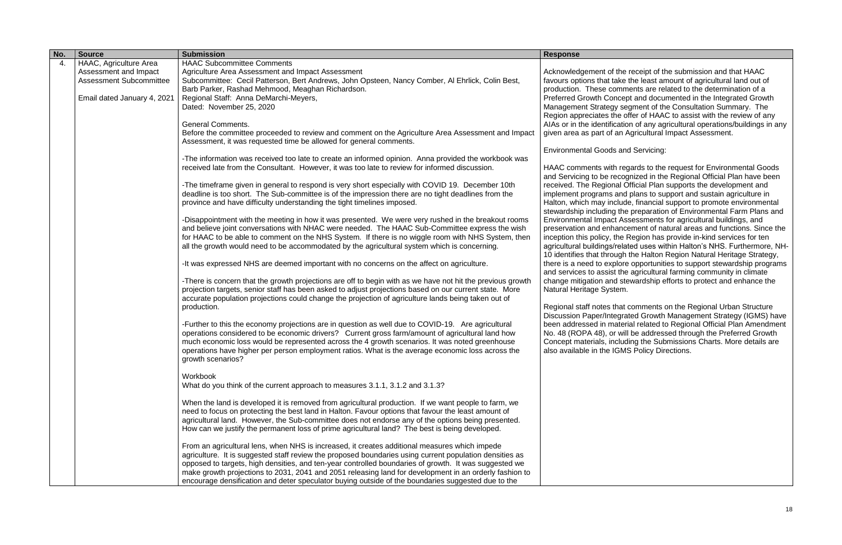| No. | <b>Source</b>                  | <b>Submission</b>                                                                                                                                                                                                                                                                                                           | <b>Response</b>                                           |
|-----|--------------------------------|-----------------------------------------------------------------------------------------------------------------------------------------------------------------------------------------------------------------------------------------------------------------------------------------------------------------------------|-----------------------------------------------------------|
| 4.  | HAAC, Agriculture Area         | <b>HAAC Subcommittee Comments</b>                                                                                                                                                                                                                                                                                           |                                                           |
|     | Assessment and Impact          | Agriculture Area Assessment and Impact Assessment                                                                                                                                                                                                                                                                           | Acknowledgement of the                                    |
|     | <b>Assessment Subcommittee</b> | Subcommittee: Cecil Patterson, Bert Andrews, John Opsteen, Nancy Comber, Al Ehrlick, Colin Best,                                                                                                                                                                                                                            | favours options that take                                 |
|     |                                | Barb Parker, Rashad Mehmood, Meaghan Richardson.                                                                                                                                                                                                                                                                            | production. These comm                                    |
|     | Email dated January 4, 2021    | Regional Staff: Anna DeMarchi-Meyers,                                                                                                                                                                                                                                                                                       | <b>Preferred Growth Concep</b>                            |
|     |                                | Dated: November 25, 2020                                                                                                                                                                                                                                                                                                    | Management Strategy se                                    |
|     |                                |                                                                                                                                                                                                                                                                                                                             | Region appreciates the o                                  |
|     |                                | <b>General Comments.</b>                                                                                                                                                                                                                                                                                                    | AIAs or in the identification                             |
|     |                                | Before the committee proceeded to review and comment on the Agriculture Area Assessment and Impact<br>Assessment, it was requested time be allowed for general comments.                                                                                                                                                    | given area as part of an /                                |
|     |                                |                                                                                                                                                                                                                                                                                                                             | Environmental Goods and                                   |
|     |                                | -The information was received too late to create an informed opinion. Anna provided the workbook was                                                                                                                                                                                                                        |                                                           |
|     |                                | received late from the Consultant. However, it was too late to review for informed discussion.                                                                                                                                                                                                                              | HAAC comments with reg<br>and Servicing to be recop       |
|     |                                | -The timeframe given in general to respond is very short especially with COVID 19. December 10th                                                                                                                                                                                                                            | received. The Regional C                                  |
|     |                                | deadline is too short. The Sub-committee is of the impression there are no tight deadlines from the                                                                                                                                                                                                                         | implement programs and                                    |
|     |                                | province and have difficulty understanding the tight timelines imposed.                                                                                                                                                                                                                                                     | Halton, which may includ<br>stewardship including the     |
|     |                                | -Disappointment with the meeting in how it was presented. We were very rushed in the breakout rooms                                                                                                                                                                                                                         | <b>Environmental Impact As</b>                            |
|     |                                | and believe joint conversations with NHAC were needed. The HAAC Sub-Committee express the wish                                                                                                                                                                                                                              | preservation and enhance                                  |
|     |                                | for HAAC to be able to comment on the NHS System. If there is no wiggle room with NHS System, then                                                                                                                                                                                                                          | inception this policy, the I                              |
|     |                                | all the growth would need to be accommodated by the agricultural system which is concerning.                                                                                                                                                                                                                                | agricultural buildings/rela<br>10 identifies that through |
|     |                                | -It was expressed NHS are deemed important with no concerns on the affect on agriculture.                                                                                                                                                                                                                                   | there is a need to explore<br>and services to assist the  |
|     |                                | -There is concern that the growth projections are off to begin with as we have not hit the previous growth<br>projection targets, senior staff has been asked to adjust projections based on our current state. More<br>accurate population projections could change the projection of agriculture lands being taken out of | change mitigation and ste<br>Natural Heritage System.     |
|     |                                | production.                                                                                                                                                                                                                                                                                                                 | Regional staff notes that                                 |
|     |                                |                                                                                                                                                                                                                                                                                                                             | <b>Discussion Paper/Integra</b>                           |
|     |                                | -Further to this the economy projections are in question as well due to COVID-19. Are agricultural<br>operations considered to be economic drivers? Current gross farm/amount of agricultural land how                                                                                                                      | been addressed in mater<br>No. 48 (ROPA 48), or will      |
|     |                                | much economic loss would be represented across the 4 growth scenarios. It was noted greenhouse<br>operations have higher per person employment ratios. What is the average economic loss across the<br>growth scenarios?                                                                                                    | Concept materials, includ<br>also available in the IGM    |
|     |                                | Workbook                                                                                                                                                                                                                                                                                                                    |                                                           |
|     |                                | What do you think of the current approach to measures 3.1.1, 3.1.2 and 3.1.3?                                                                                                                                                                                                                                               |                                                           |
|     |                                | When the land is developed it is removed from agricultural production. If we want people to farm, we<br>need to focus on protecting the best land in Halton. Favour options that favour the least amount of                                                                                                                 |                                                           |
|     |                                | agricultural land. However, the Sub-committee does not endorse any of the options being presented.<br>How can we justify the permanent loss of prime agricultural land? The best is being developed.                                                                                                                        |                                                           |
|     |                                | From an agricultural lens, when NHS is increased, it creates additional measures which impede                                                                                                                                                                                                                               |                                                           |
|     |                                | agriculture. It is suggested staff review the proposed boundaries using current population densities as                                                                                                                                                                                                                     |                                                           |
|     |                                | opposed to targets, high densities, and ten-year controlled boundaries of growth. It was suggested we                                                                                                                                                                                                                       |                                                           |
|     |                                | make growth projections to 2031, 2041 and 2051 releasing land for development in an orderly fashion to                                                                                                                                                                                                                      |                                                           |
|     |                                | encourage densification and deter speculator buying outside of the boundaries suggested due to the                                                                                                                                                                                                                          |                                                           |

e receipt of the submission and that HAAC ke the least amount of agricultural land out of iments are related to the determination of a ept and documented in the Integrated Growth segment of the Consultation Summary. The offer of HAAC to assist with the review of any tion of any agricultural operations/buildings in any **Agricultural Impact Assessment.** 

and Servicing:

egards to the request for Environmental Goods ognized in the Regional Official Plan have been Official Plan supports the development and id plans to support and sustain agriculture in Ide, financial support to promote environmental he preparation of Environmental Farm Plans and Assessments for agricultural buildings, and ncement of natural areas and functions. Since the e Region has provide in-kind services for ten lated uses within Halton's NHS. Furthermore, NH-Ithe Halton Region Natural Heritage Strategy, re opportunities to support stewardship programs he agricultural farming community in climate stewardship efforts to protect and enhance the

at comments on the Regional Urban Structure rated Growth Management Strategy (IGMS) have erial related to Regional Official Plan Amendment vill be addressed through the Preferred Growth uding the Submissions Charts. More details are MS Policy Directions.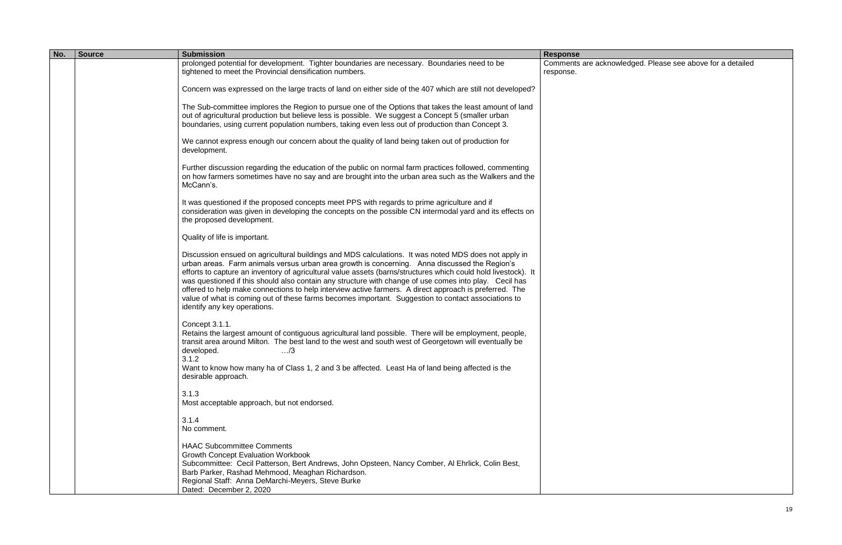| No. | <b>Source</b> | <b>Submission</b>                                                                                                                                                                                                                                                                                                                                                                                                                                                                                                                                                                                                                                                                  | <b>Response</b>                  |
|-----|---------------|------------------------------------------------------------------------------------------------------------------------------------------------------------------------------------------------------------------------------------------------------------------------------------------------------------------------------------------------------------------------------------------------------------------------------------------------------------------------------------------------------------------------------------------------------------------------------------------------------------------------------------------------------------------------------------|----------------------------------|
|     |               | prolonged potential for development. Tighter boundaries are necessary. Boundaries need to be<br>tightened to meet the Provincial densification numbers.                                                                                                                                                                                                                                                                                                                                                                                                                                                                                                                            | Comments are acknov<br>response. |
|     |               |                                                                                                                                                                                                                                                                                                                                                                                                                                                                                                                                                                                                                                                                                    |                                  |
|     |               | Concern was expressed on the large tracts of land on either side of the 407 which are still not developed?                                                                                                                                                                                                                                                                                                                                                                                                                                                                                                                                                                         |                                  |
|     |               | The Sub-committee implores the Region to pursue one of the Options that takes the least amount of land<br>out of agricultural production but believe less is possible. We suggest a Concept 5 (smaller urban<br>boundaries, using current population numbers, taking even less out of production than Concept 3.                                                                                                                                                                                                                                                                                                                                                                   |                                  |
|     |               | We cannot express enough our concern about the quality of land being taken out of production for<br>development.                                                                                                                                                                                                                                                                                                                                                                                                                                                                                                                                                                   |                                  |
|     |               | Further discussion regarding the education of the public on normal farm practices followed, commenting<br>on how farmers sometimes have no say and are brought into the urban area such as the Walkers and the<br>McCann's.                                                                                                                                                                                                                                                                                                                                                                                                                                                        |                                  |
|     |               | It was questioned if the proposed concepts meet PPS with regards to prime agriculture and if<br>consideration was given in developing the concepts on the possible CN intermodal yard and its effects on<br>the proposed development.                                                                                                                                                                                                                                                                                                                                                                                                                                              |                                  |
|     |               | Quality of life is important.                                                                                                                                                                                                                                                                                                                                                                                                                                                                                                                                                                                                                                                      |                                  |
|     |               | Discussion ensued on agricultural buildings and MDS calculations. It was noted MDS does not apply in<br>urban areas. Farm animals versus urban area growth is concerning. Anna discussed the Region's<br>efforts to capture an inventory of agricultural value assets (barns/structures which could hold livestock). It<br>was questioned if this should also contain any structure with change of use comes into play. Cecil has<br>offered to help make connections to help interview active farmers. A direct approach is preferred. The<br>value of what is coming out of these farms becomes important. Suggestion to contact associations to<br>identify any key operations. |                                  |
|     |               | Concept 3.1.1.<br>Retains the largest amount of contiguous agricultural land possible. There will be employment, people,<br>transit area around Milton. The best land to the west and south west of Georgetown will eventually be<br>developed.<br>$\ldots$ /3<br>3.1.2<br>Want to know how many ha of Class 1, 2 and 3 be affected. Least Ha of land being affected is the<br>desirable approach.                                                                                                                                                                                                                                                                                 |                                  |
|     |               | 3.1.3<br>Most acceptable approach, but not endorsed.                                                                                                                                                                                                                                                                                                                                                                                                                                                                                                                                                                                                                               |                                  |
|     |               | 3.1.4<br>No comment.                                                                                                                                                                                                                                                                                                                                                                                                                                                                                                                                                                                                                                                               |                                  |
|     |               | <b>HAAC Subcommittee Comments</b><br><b>Growth Concept Evaluation Workbook</b><br>Subcommittee: Cecil Patterson, Bert Andrews, John Opsteen, Nancy Comber, Al Ehrlick, Colin Best,<br>Barb Parker, Rashad Mehmood, Meaghan Richardson.<br>Regional Staff: Anna DeMarchi-Meyers, Steve Burke<br>Dated: December 2, 2020                                                                                                                                                                                                                                                                                                                                                             |                                  |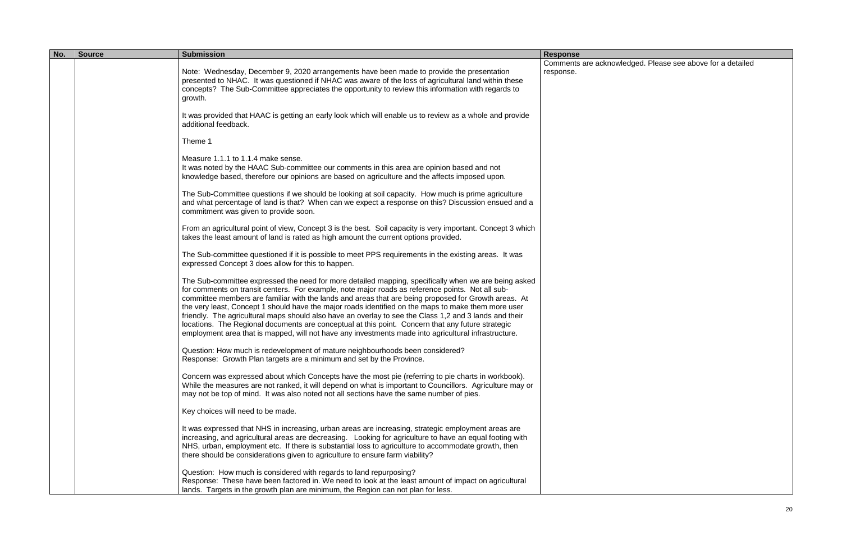| No. | <b>Source</b> | <b>Submission</b>                                                                                                                                                                                                                                                                                                                                                                                                                                                                                                                                                                                                                                                                                                                              | <b>Response</b>                 |
|-----|---------------|------------------------------------------------------------------------------------------------------------------------------------------------------------------------------------------------------------------------------------------------------------------------------------------------------------------------------------------------------------------------------------------------------------------------------------------------------------------------------------------------------------------------------------------------------------------------------------------------------------------------------------------------------------------------------------------------------------------------------------------------|---------------------------------|
|     |               | Note: Wednesday, December 9, 2020 arrangements have been made to provide the presentation<br>presented to NHAC. It was questioned if NHAC was aware of the loss of agricultural land within these<br>concepts? The Sub-Committee appreciates the opportunity to review this information with regards to<br>growth.                                                                                                                                                                                                                                                                                                                                                                                                                             | Comments are ackno<br>response. |
|     |               | It was provided that HAAC is getting an early look which will enable us to review as a whole and provide<br>additional feedback.                                                                                                                                                                                                                                                                                                                                                                                                                                                                                                                                                                                                               |                                 |
|     |               | Theme 1                                                                                                                                                                                                                                                                                                                                                                                                                                                                                                                                                                                                                                                                                                                                        |                                 |
|     |               | Measure 1.1.1 to 1.1.4 make sense.<br>It was noted by the HAAC Sub-committee our comments in this area are opinion based and not<br>knowledge based, therefore our opinions are based on agriculture and the affects imposed upon.                                                                                                                                                                                                                                                                                                                                                                                                                                                                                                             |                                 |
|     |               | The Sub-Committee questions if we should be looking at soil capacity. How much is prime agriculture<br>and what percentage of land is that? When can we expect a response on this? Discussion ensued and a<br>commitment was given to provide soon.                                                                                                                                                                                                                                                                                                                                                                                                                                                                                            |                                 |
|     |               | From an agricultural point of view, Concept 3 is the best. Soil capacity is very important. Concept 3 which<br>takes the least amount of land is rated as high amount the current options provided.                                                                                                                                                                                                                                                                                                                                                                                                                                                                                                                                            |                                 |
|     |               | The Sub-committee questioned if it is possible to meet PPS requirements in the existing areas. It was<br>expressed Concept 3 does allow for this to happen.                                                                                                                                                                                                                                                                                                                                                                                                                                                                                                                                                                                    |                                 |
|     |               | The Sub-committee expressed the need for more detailed mapping, specifically when we are being asked<br>for comments on transit centers. For example, note major roads as reference points. Not all sub-<br>committee members are familiar with the lands and areas that are being proposed for Growth areas. At<br>the very least, Concept 1 should have the major roads identified on the maps to make them more user<br>friendly. The agricultural maps should also have an overlay to see the Class 1,2 and 3 lands and their<br>locations. The Regional documents are conceptual at this point. Concern that any future strategic<br>employment area that is mapped, will not have any investments made into agricultural infrastructure. |                                 |
|     |               | Question: How much is redevelopment of mature neighbourhoods been considered?<br>Response: Growth Plan targets are a minimum and set by the Province.                                                                                                                                                                                                                                                                                                                                                                                                                                                                                                                                                                                          |                                 |
|     |               | Concern was expressed about which Concepts have the most pie (referring to pie charts in workbook).<br>While the measures are not ranked, it will depend on what is important to Councillors. Agriculture may or<br>may not be top of mind. It was also noted not all sections have the same number of pies.                                                                                                                                                                                                                                                                                                                                                                                                                                   |                                 |
|     |               | Key choices will need to be made.                                                                                                                                                                                                                                                                                                                                                                                                                                                                                                                                                                                                                                                                                                              |                                 |
|     |               | It was expressed that NHS in increasing, urban areas are increasing, strategic employment areas are<br>increasing, and agricultural areas are decreasing. Looking for agriculture to have an equal footing with<br>NHS, urban, employment etc. If there is substantial loss to agriculture to accommodate growth, then<br>there should be considerations given to agriculture to ensure farm viability?                                                                                                                                                                                                                                                                                                                                        |                                 |
|     |               | Question: How much is considered with regards to land repurposing?<br>Response: These have been factored in. We need to look at the least amount of impact on agricultural<br>lands. Targets in the growth plan are minimum, the Region can not plan for less.                                                                                                                                                                                                                                                                                                                                                                                                                                                                                 |                                 |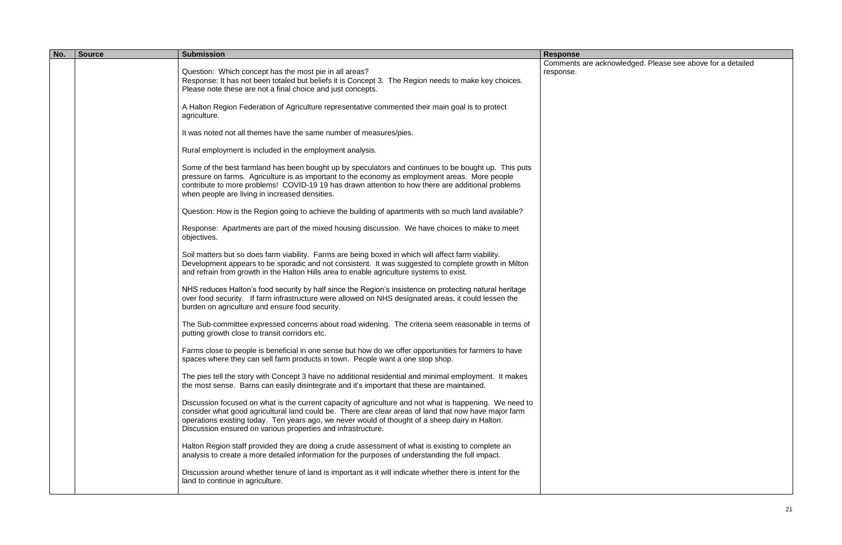| No. | <b>Source</b> | <b>Submission</b>                                                                                                                                                                                                                                                                                                                                                                   | <b>Response</b>                 |
|-----|---------------|-------------------------------------------------------------------------------------------------------------------------------------------------------------------------------------------------------------------------------------------------------------------------------------------------------------------------------------------------------------------------------------|---------------------------------|
|     |               | Question: Which concept has the most pie in all areas?<br>Response: It has not been totaled but beliefs it is Concept 3. The Region needs to make key choices.                                                                                                                                                                                                                      | Comments are ackno<br>response. |
|     |               | Please note these are not a final choice and just concepts.                                                                                                                                                                                                                                                                                                                         |                                 |
|     |               | A Halton Region Federation of Agriculture representative commented their main goal is to protect<br>agriculture.                                                                                                                                                                                                                                                                    |                                 |
|     |               | It was noted not all themes have the same number of measures/pies.                                                                                                                                                                                                                                                                                                                  |                                 |
|     |               | Rural employment is included in the employment analysis.                                                                                                                                                                                                                                                                                                                            |                                 |
|     |               | Some of the best farmland has been bought up by speculators and continues to be bought up. This puts<br>pressure on farms. Agriculture is as important to the economy as employment areas. More people<br>contribute to more problems! COVID-19 19 has drawn attention to how there are additional problems<br>when people are living in increased densities.                       |                                 |
|     |               | Question: How is the Region going to achieve the building of apartments with so much land available?                                                                                                                                                                                                                                                                                |                                 |
|     |               | Response: Apartments are part of the mixed housing discussion. We have choices to make to meet<br>objectives.                                                                                                                                                                                                                                                                       |                                 |
|     |               | Soil matters but so does farm viability. Farms are being boxed in which will affect farm viability.<br>Development appears to be sporadic and not consistent. It was suggested to complete growth in Milton<br>and refrain from growth in the Halton Hills area to enable agriculture systems to exist.                                                                             |                                 |
|     |               | NHS reduces Halton's food security by half since the Region's insistence on protecting natural heritage<br>over food security. If farm infrastructure were allowed on NHS designated areas, it could lessen the<br>burden on agriculture and ensure food security.                                                                                                                  |                                 |
|     |               | The Sub-committee expressed concerns about road widening. The criteria seem reasonable in terms of<br>putting growth close to transit corridors etc.                                                                                                                                                                                                                                |                                 |
|     |               | Farms close to people is beneficial in one sense but how do we offer opportunities for farmers to have<br>spaces where they can sell farm products in town. People want a one stop shop.                                                                                                                                                                                            |                                 |
|     |               | The pies tell the story with Concept 3 have no additional residential and minimal employment. It makes<br>the most sense. Barns can easily disintegrate and it's important that these are maintained.                                                                                                                                                                               |                                 |
|     |               | Discussion focused on what is the current capacity of agriculture and not what is happening. We need to<br>consider what good agricultural land could be. There are clear areas of land that now have major farm<br>operations existing today. Ten years ago, we never would of thought of a sheep dairy in Halton.<br>Discussion ensured on various properties and infrastructure. |                                 |
|     |               | Halton Region staff provided they are doing a crude assessment of what is existing to complete an<br>analysis to create a more detailed information for the purposes of understanding the full impact.                                                                                                                                                                              |                                 |
|     |               | Discussion around whether tenure of land is important as it will indicate whether there is intent for the<br>land to continue in agriculture.                                                                                                                                                                                                                                       |                                 |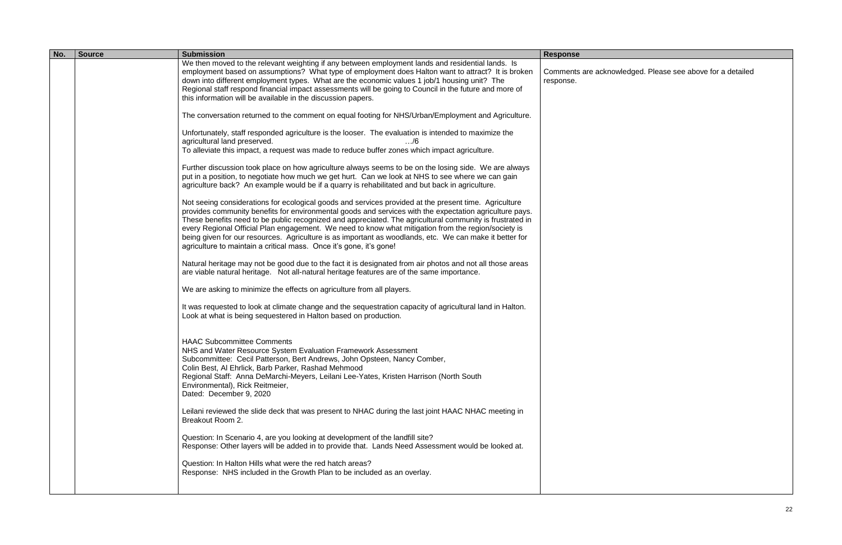| No. | <b>Source</b> | <b>Submission</b>                                                                                                                                                                                                                                                                                                                                                                                                                                                                                                                                                                                                     | <b>Response</b>                  |
|-----|---------------|-----------------------------------------------------------------------------------------------------------------------------------------------------------------------------------------------------------------------------------------------------------------------------------------------------------------------------------------------------------------------------------------------------------------------------------------------------------------------------------------------------------------------------------------------------------------------------------------------------------------------|----------------------------------|
|     |               | We then moved to the relevant weighting if any between employment lands and residential lands. Is<br>employment based on assumptions? What type of employment does Halton want to attract? It is broken<br>down into different employment types. What are the economic values 1 job/1 housing unit? The<br>Regional staff respond financial impact assessments will be going to Council in the future and more of<br>this information will be available in the discussion papers.                                                                                                                                     | Comments are acknow<br>response. |
|     |               | The conversation returned to the comment on equal footing for NHS/Urban/Employment and Agriculture.                                                                                                                                                                                                                                                                                                                                                                                                                                                                                                                   |                                  |
|     |               | Unfortunately, staff responded agriculture is the looser. The evaluation is intended to maximize the<br>agricultural land preserved.<br>$\ldots/6$<br>To alleviate this impact, a request was made to reduce buffer zones which impact agriculture.                                                                                                                                                                                                                                                                                                                                                                   |                                  |
|     |               | Further discussion took place on how agriculture always seems to be on the losing side. We are always<br>put in a position, to negotiate how much we get hurt. Can we look at NHS to see where we can gain<br>agriculture back? An example would be if a quarry is rehabilitated and but back in agriculture.                                                                                                                                                                                                                                                                                                         |                                  |
|     |               | Not seeing considerations for ecological goods and services provided at the present time. Agriculture<br>provides community benefits for environmental goods and services with the expectation agriculture pays.<br>These benefits need to be public recognized and appreciated. The agricultural community is frustrated in<br>every Regional Official Plan engagement. We need to know what mitigation from the region/society is<br>being given for our resources. Agriculture is as important as woodlands, etc. We can make it better for<br>agriculture to maintain a critical mass. Once it's gone, it's gone! |                                  |
|     |               | Natural heritage may not be good due to the fact it is designated from air photos and not all those areas<br>are viable natural heritage. Not all-natural heritage features are of the same importance.                                                                                                                                                                                                                                                                                                                                                                                                               |                                  |
|     |               | We are asking to minimize the effects on agriculture from all players.                                                                                                                                                                                                                                                                                                                                                                                                                                                                                                                                                |                                  |
|     |               | It was requested to look at climate change and the sequestration capacity of agricultural land in Halton.<br>Look at what is being sequestered in Halton based on production.                                                                                                                                                                                                                                                                                                                                                                                                                                         |                                  |
|     |               | <b>HAAC Subcommittee Comments</b><br>NHS and Water Resource System Evaluation Framework Assessment<br>Subcommittee: Cecil Patterson, Bert Andrews, John Opsteen, Nancy Comber,<br>Colin Best, Al Ehrlick, Barb Parker, Rashad Mehmood<br>Regional Staff: Anna DeMarchi-Meyers, Leilani Lee-Yates, Kristen Harrison (North South<br>Environmental), Rick Reitmeier,<br>Dated: December 9, 2020                                                                                                                                                                                                                         |                                  |
|     |               | Leilani reviewed the slide deck that was present to NHAC during the last joint HAAC NHAC meeting in<br>Breakout Room 2.                                                                                                                                                                                                                                                                                                                                                                                                                                                                                               |                                  |
|     |               | Question: In Scenario 4, are you looking at development of the landfill site?<br>Response: Other layers will be added in to provide that. Lands Need Assessment would be looked at.                                                                                                                                                                                                                                                                                                                                                                                                                                   |                                  |
|     |               | Question: In Halton Hills what were the red hatch areas?<br>Response: NHS included in the Growth Plan to be included as an overlay.                                                                                                                                                                                                                                                                                                                                                                                                                                                                                   |                                  |
|     |               |                                                                                                                                                                                                                                                                                                                                                                                                                                                                                                                                                                                                                       |                                  |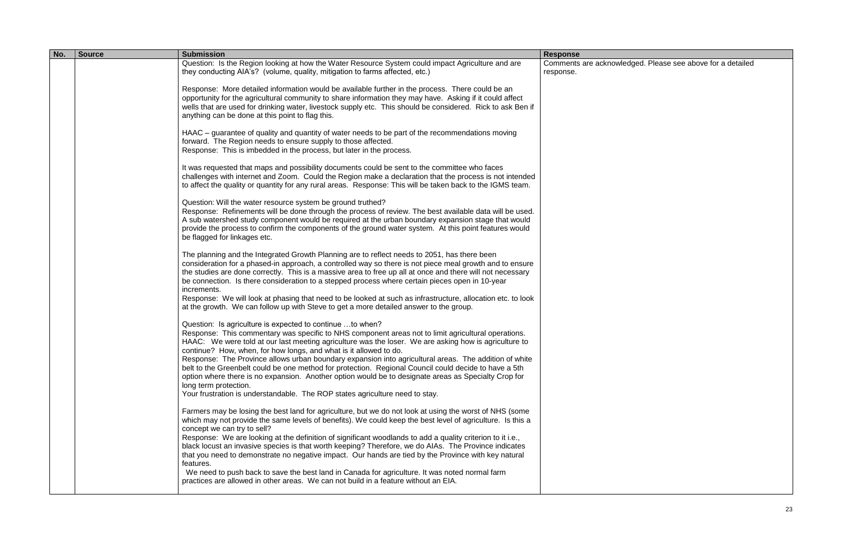| No. | <b>Source</b> | <b>Submission</b>                                                                                                                                                                                                                                                                                                                                                                                                                                                                                                                                                                                                                                                                                                                                                                         | <b>Response</b>                 |
|-----|---------------|-------------------------------------------------------------------------------------------------------------------------------------------------------------------------------------------------------------------------------------------------------------------------------------------------------------------------------------------------------------------------------------------------------------------------------------------------------------------------------------------------------------------------------------------------------------------------------------------------------------------------------------------------------------------------------------------------------------------------------------------------------------------------------------------|---------------------------------|
|     |               | Question: Is the Region looking at how the Water Resource System could impact Agriculture and are<br>they conducting AIA's? (volume, quality, mitigation to farms affected, etc.)                                                                                                                                                                                                                                                                                                                                                                                                                                                                                                                                                                                                         | Comments are ackno<br>response. |
|     |               | Response: More detailed information would be available further in the process. There could be an<br>opportunity for the agricultural community to share information they may have. Asking if it could affect<br>wells that are used for drinking water, livestock supply etc. This should be considered. Rick to ask Ben if<br>anything can be done at this point to flag this.                                                                                                                                                                                                                                                                                                                                                                                                           |                                 |
|     |               | HAAC – guarantee of quality and quantity of water needs to be part of the recommendations moving<br>forward. The Region needs to ensure supply to those affected.<br>Response: This is imbedded in the process, but later in the process.                                                                                                                                                                                                                                                                                                                                                                                                                                                                                                                                                 |                                 |
|     |               | It was requested that maps and possibility documents could be sent to the committee who faces<br>challenges with internet and Zoom. Could the Region make a declaration that the process is not intended<br>to affect the quality or quantity for any rural areas. Response: This will be taken back to the IGMS team.                                                                                                                                                                                                                                                                                                                                                                                                                                                                    |                                 |
|     |               | Question: Will the water resource system be ground truthed?<br>Response: Refinements will be done through the process of review. The best available data will be used.<br>A sub watershed study component would be required at the urban boundary expansion stage that would<br>provide the process to confirm the components of the ground water system. At this point features would<br>be flagged for linkages etc.                                                                                                                                                                                                                                                                                                                                                                    |                                 |
|     |               | The planning and the Integrated Growth Planning are to reflect needs to 2051, has there been<br>consideration for a phased-in approach, a controlled way so there is not piece meal growth and to ensure<br>the studies are done correctly. This is a massive area to free up all at once and there will not necessary<br>be connection. Is there consideration to a stepped process where certain pieces open in 10-year<br>increments.<br>Response: We will look at phasing that need to be looked at such as infrastructure, allocation etc. to look<br>at the growth. We can follow up with Steve to get a more detailed answer to the group.                                                                                                                                         |                                 |
|     |               | Question: Is agriculture is expected to continue to when?<br>Response: This commentary was specific to NHS component areas not to limit agricultural operations.<br>HAAC: We were told at our last meeting agriculture was the loser. We are asking how is agriculture to<br>continue? How, when, for how longs, and what is it allowed to do.<br>Response: The Province allows urban boundary expansion into agricultural areas. The addition of white<br>belt to the Greenbelt could be one method for protection. Regional Council could decide to have a 5th<br>option where there is no expansion. Another option would be to designate areas as Specialty Crop for<br>long term protection.<br>Your frustration is understandable. The ROP states agriculture need to stay.         |                                 |
|     |               | Farmers may be losing the best land for agriculture, but we do not look at using the worst of NHS (some<br>which may not provide the same levels of benefits). We could keep the best level of agriculture. Is this a<br>concept we can try to sell?<br>Response: We are looking at the definition of significant woodlands to add a quality criterion to it i.e.,<br>black locust an invasive species is that worth keeping? Therefore, we do AIAs. The Province indicates<br>that you need to demonstrate no negative impact. Our hands are tied by the Province with key natural<br>features.<br>We need to push back to save the best land in Canada for agriculture. It was noted normal farm<br>practices are allowed in other areas. We can not build in a feature without an EIA. |                                 |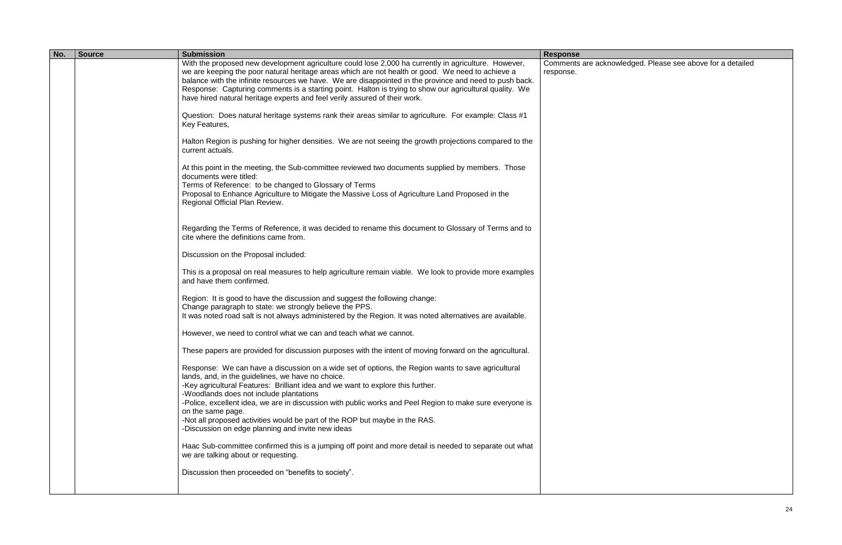| No. | <b>Source</b> | <b>Submission</b>                                                                                                                                                                                                                                                                                                                                                                                                                                                                                             | <b>Response</b>                 |
|-----|---------------|---------------------------------------------------------------------------------------------------------------------------------------------------------------------------------------------------------------------------------------------------------------------------------------------------------------------------------------------------------------------------------------------------------------------------------------------------------------------------------------------------------------|---------------------------------|
|     |               | With the proposed new development agriculture could lose 2,000 ha currently in agriculture. However,<br>we are keeping the poor natural heritage areas which are not health or good. We need to achieve a<br>balance with the infinite resources we have. We are disappointed in the province and need to push back.<br>Response: Capturing comments is a starting point. Halton is trying to show our agricultural quality. We<br>have hired natural heritage experts and feel verily assured of their work. | Comments are ackno<br>response. |
|     |               | Question: Does natural heritage systems rank their areas similar to agriculture. For example: Class #1<br>Key Features,                                                                                                                                                                                                                                                                                                                                                                                       |                                 |
|     |               | Halton Region is pushing for higher densities. We are not seeing the growth projections compared to the<br>current actuals.                                                                                                                                                                                                                                                                                                                                                                                   |                                 |
|     |               | At this point in the meeting, the Sub-committee reviewed two documents supplied by members. Those<br>documents were titled:<br>Terms of Reference: to be changed to Glossary of Terms                                                                                                                                                                                                                                                                                                                         |                                 |
|     |               | Proposal to Enhance Agriculture to Mitigate the Massive Loss of Agriculture Land Proposed in the<br>Regional Official Plan Review.                                                                                                                                                                                                                                                                                                                                                                            |                                 |
|     |               | Regarding the Terms of Reference, it was decided to rename this document to Glossary of Terms and to<br>cite where the definitions came from.                                                                                                                                                                                                                                                                                                                                                                 |                                 |
|     |               | Discussion on the Proposal included:                                                                                                                                                                                                                                                                                                                                                                                                                                                                          |                                 |
|     |               | This is a proposal on real measures to help agriculture remain viable. We look to provide more examples<br>and have them confirmed.                                                                                                                                                                                                                                                                                                                                                                           |                                 |
|     |               | Region: It is good to have the discussion and suggest the following change:<br>Change paragraph to state: we strongly believe the PPS.<br>It was noted road salt is not always administered by the Region. It was noted alternatives are available.                                                                                                                                                                                                                                                           |                                 |
|     |               | However, we need to control what we can and teach what we cannot.                                                                                                                                                                                                                                                                                                                                                                                                                                             |                                 |
|     |               | These papers are provided for discussion purposes with the intent of moving forward on the agricultural.                                                                                                                                                                                                                                                                                                                                                                                                      |                                 |
|     |               | Response: We can have a discussion on a wide set of options, the Region wants to save agricultural<br>lands, and, in the guidelines, we have no choice.<br>-Key agricultural Features: Brilliant idea and we want to explore this further.                                                                                                                                                                                                                                                                    |                                 |
|     |               | -Woodlands does not include plantations<br>-Police, excellent idea, we are in discussion with public works and Peel Region to make sure everyone is<br>on the same page.                                                                                                                                                                                                                                                                                                                                      |                                 |
|     |               | -Not all proposed activities would be part of the ROP but maybe in the RAS.<br>-Discussion on edge planning and invite new ideas                                                                                                                                                                                                                                                                                                                                                                              |                                 |
|     |               | Haac Sub-committee confirmed this is a jumping off point and more detail is needed to separate out what<br>we are talking about or requesting.                                                                                                                                                                                                                                                                                                                                                                |                                 |
|     |               | Discussion then proceeded on "benefits to society".                                                                                                                                                                                                                                                                                                                                                                                                                                                           |                                 |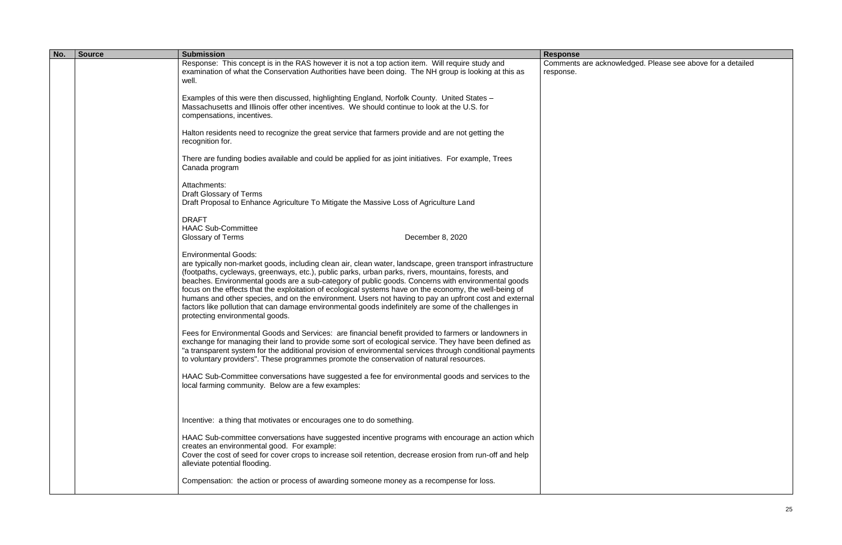| No. | <b>Source</b> | <b>Submission</b>                                                                                                                                                                                                                                                                                                                                                                                                                                                                                                                                                                                                                                                                                                        | <b>Response</b>                 |
|-----|---------------|--------------------------------------------------------------------------------------------------------------------------------------------------------------------------------------------------------------------------------------------------------------------------------------------------------------------------------------------------------------------------------------------------------------------------------------------------------------------------------------------------------------------------------------------------------------------------------------------------------------------------------------------------------------------------------------------------------------------------|---------------------------------|
|     |               | Response: This concept is in the RAS however it is not a top action item. Will require study and<br>examination of what the Conservation Authorities have been doing. The NH group is looking at this as<br>well.                                                                                                                                                                                                                                                                                                                                                                                                                                                                                                        | Comments are ackno<br>response. |
|     |               | Examples of this were then discussed, highlighting England, Norfolk County. United States -<br>Massachusetts and Illinois offer other incentives. We should continue to look at the U.S. for<br>compensations, incentives.                                                                                                                                                                                                                                                                                                                                                                                                                                                                                               |                                 |
|     |               | Halton residents need to recognize the great service that farmers provide and are not getting the<br>recognition for.                                                                                                                                                                                                                                                                                                                                                                                                                                                                                                                                                                                                    |                                 |
|     |               | There are funding bodies available and could be applied for as joint initiatives. For example, Trees<br>Canada program                                                                                                                                                                                                                                                                                                                                                                                                                                                                                                                                                                                                   |                                 |
|     |               | Attachments:<br><b>Draft Glossary of Terms</b><br>Draft Proposal to Enhance Agriculture To Mitigate the Massive Loss of Agriculture Land                                                                                                                                                                                                                                                                                                                                                                                                                                                                                                                                                                                 |                                 |
|     |               | <b>DRAFT</b><br><b>HAAC Sub-Committee</b><br>December 8, 2020<br>Glossary of Terms                                                                                                                                                                                                                                                                                                                                                                                                                                                                                                                                                                                                                                       |                                 |
|     |               | <b>Environmental Goods:</b><br>are typically non-market goods, including clean air, clean water, landscape, green transport infrastructure<br>(footpaths, cycleways, greenways, etc.), public parks, urban parks, rivers, mountains, forests, and<br>beaches. Environmental goods are a sub-category of public goods. Concerns with environmental goods<br>focus on the effects that the exploitation of ecological systems have on the economy, the well-being of<br>humans and other species, and on the environment. Users not having to pay an upfront cost and external<br>factors like pollution that can damage environmental goods indefinitely are some of the challenges in<br>protecting environmental goods. |                                 |
|     |               | Fees for Environmental Goods and Services: are financial benefit provided to farmers or landowners in<br>exchange for managing their land to provide some sort of ecological service. They have been defined as<br>"a transparent system for the additional provision of environmental services through conditional payments<br>to voluntary providers". These programmes promote the conservation of natural resources.                                                                                                                                                                                                                                                                                                 |                                 |
|     |               | HAAC Sub-Committee conversations have suggested a fee for environmental goods and services to the<br>local farming community. Below are a few examples:                                                                                                                                                                                                                                                                                                                                                                                                                                                                                                                                                                  |                                 |
|     |               | Incentive: a thing that motivates or encourages one to do something.                                                                                                                                                                                                                                                                                                                                                                                                                                                                                                                                                                                                                                                     |                                 |
|     |               | HAAC Sub-committee conversations have suggested incentive programs with encourage an action which<br>creates an environmental good. For example:<br>Cover the cost of seed for cover crops to increase soil retention, decrease erosion from run-off and help<br>alleviate potential flooding.                                                                                                                                                                                                                                                                                                                                                                                                                           |                                 |
|     |               | Compensation: the action or process of awarding someone money as a recompense for loss.                                                                                                                                                                                                                                                                                                                                                                                                                                                                                                                                                                                                                                  |                                 |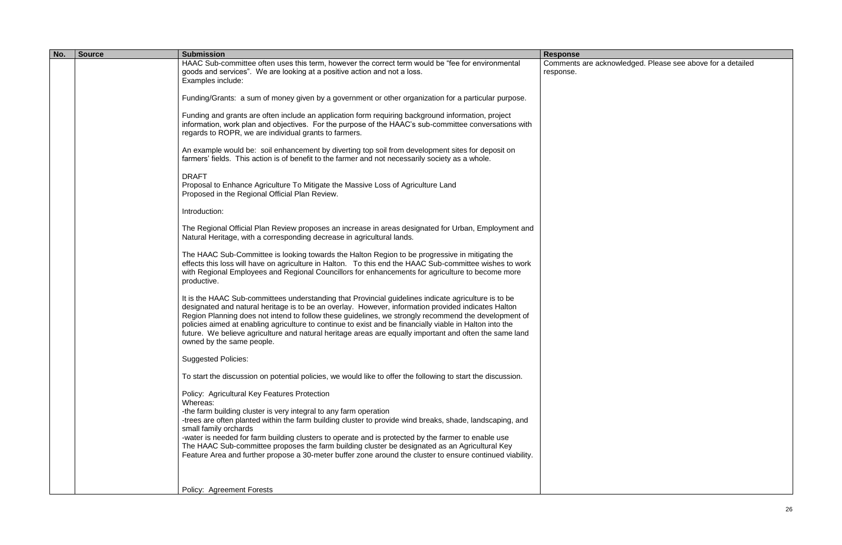| HAAC Sub-committee often uses this term, however the correct term would be "fee for environmental<br>goods and services". We are looking at a positive action and not a loss.<br>response.<br>Examples include:<br>Funding/Grants: a sum of money given by a government or other organization for a particular purpose.<br>Funding and grants are often include an application form requiring background information, project<br>information, work plan and objectives. For the purpose of the HAAC's sub-committee conversations with<br>regards to ROPR, we are individual grants to farmers.<br>An example would be: soil enhancement by diverting top soil from development sites for deposit on<br>farmers' fields. This action is of benefit to the farmer and not necessarily society as a whole.<br><b>DRAFT</b><br>Proposal to Enhance Agriculture To Mitigate the Massive Loss of Agriculture Land<br>Proposed in the Regional Official Plan Review.<br>Introduction:<br>The Regional Official Plan Review proposes an increase in areas designated for Urban, Employment and<br>Natural Heritage, with a corresponding decrease in agricultural lands.<br>The HAAC Sub-Committee is looking towards the Halton Region to be progressive in mitigating the<br>effects this loss will have on agriculture in Halton. To this end the HAAC Sub-committee wishes to work<br>with Regional Employees and Regional Councillors for enhancements for agriculture to become more<br>productive.<br>It is the HAAC Sub-committees understanding that Provincial guidelines indicate agriculture is to be<br>designated and natural heritage is to be an overlay. However, information provided indicates Halton<br>Region Planning does not intend to follow these guidelines, we strongly recommend the development of<br>policies aimed at enabling agriculture to continue to exist and be financially viable in Halton into the<br>future. We believe agriculture and natural heritage areas are equally important and often the same land<br>owned by the same people.<br><b>Suggested Policies:</b><br>To start the discussion on potential policies, we would like to offer the following to start the discussion.<br>Policy: Agricultural Key Features Protection<br>Whereas:<br>-the farm building cluster is very integral to any farm operation<br>-trees are often planted within the farm building cluster to provide wind breaks, shade, landscaping, and<br>small family orchards<br>-water is needed for farm building clusters to operate and is protected by the farmer to enable use<br>The HAAC Sub-committee proposes the farm building cluster be designated as an Agricultural Key<br>Feature Area and further propose a 30-meter buffer zone around the cluster to ensure continued viability.<br>Policy: Agreement Forests | No. | <b>Source</b> | <b>Submission</b> | <b>Response</b>    |
|-------------------------------------------------------------------------------------------------------------------------------------------------------------------------------------------------------------------------------------------------------------------------------------------------------------------------------------------------------------------------------------------------------------------------------------------------------------------------------------------------------------------------------------------------------------------------------------------------------------------------------------------------------------------------------------------------------------------------------------------------------------------------------------------------------------------------------------------------------------------------------------------------------------------------------------------------------------------------------------------------------------------------------------------------------------------------------------------------------------------------------------------------------------------------------------------------------------------------------------------------------------------------------------------------------------------------------------------------------------------------------------------------------------------------------------------------------------------------------------------------------------------------------------------------------------------------------------------------------------------------------------------------------------------------------------------------------------------------------------------------------------------------------------------------------------------------------------------------------------------------------------------------------------------------------------------------------------------------------------------------------------------------------------------------------------------------------------------------------------------------------------------------------------------------------------------------------------------------------------------------------------------------------------------------------------------------------------------------------------------------------------------------------------------------------------------------------------------------------------------------------------------------------------------------------------------------------------------------------------------------------------------------------------------------------------------------------------------------------------------------------------------------------------------------------------------------------------------------------|-----|---------------|-------------------|--------------------|
|                                                                                                                                                                                                                                                                                                                                                                                                                                                                                                                                                                                                                                                                                                                                                                                                                                                                                                                                                                                                                                                                                                                                                                                                                                                                                                                                                                                                                                                                                                                                                                                                                                                                                                                                                                                                                                                                                                                                                                                                                                                                                                                                                                                                                                                                                                                                                                                                                                                                                                                                                                                                                                                                                                                                                                                                                                                       |     |               |                   | Comments are ackno |
|                                                                                                                                                                                                                                                                                                                                                                                                                                                                                                                                                                                                                                                                                                                                                                                                                                                                                                                                                                                                                                                                                                                                                                                                                                                                                                                                                                                                                                                                                                                                                                                                                                                                                                                                                                                                                                                                                                                                                                                                                                                                                                                                                                                                                                                                                                                                                                                                                                                                                                                                                                                                                                                                                                                                                                                                                                                       |     |               |                   |                    |
|                                                                                                                                                                                                                                                                                                                                                                                                                                                                                                                                                                                                                                                                                                                                                                                                                                                                                                                                                                                                                                                                                                                                                                                                                                                                                                                                                                                                                                                                                                                                                                                                                                                                                                                                                                                                                                                                                                                                                                                                                                                                                                                                                                                                                                                                                                                                                                                                                                                                                                                                                                                                                                                                                                                                                                                                                                                       |     |               |                   |                    |
|                                                                                                                                                                                                                                                                                                                                                                                                                                                                                                                                                                                                                                                                                                                                                                                                                                                                                                                                                                                                                                                                                                                                                                                                                                                                                                                                                                                                                                                                                                                                                                                                                                                                                                                                                                                                                                                                                                                                                                                                                                                                                                                                                                                                                                                                                                                                                                                                                                                                                                                                                                                                                                                                                                                                                                                                                                                       |     |               |                   |                    |
|                                                                                                                                                                                                                                                                                                                                                                                                                                                                                                                                                                                                                                                                                                                                                                                                                                                                                                                                                                                                                                                                                                                                                                                                                                                                                                                                                                                                                                                                                                                                                                                                                                                                                                                                                                                                                                                                                                                                                                                                                                                                                                                                                                                                                                                                                                                                                                                                                                                                                                                                                                                                                                                                                                                                                                                                                                                       |     |               |                   |                    |
|                                                                                                                                                                                                                                                                                                                                                                                                                                                                                                                                                                                                                                                                                                                                                                                                                                                                                                                                                                                                                                                                                                                                                                                                                                                                                                                                                                                                                                                                                                                                                                                                                                                                                                                                                                                                                                                                                                                                                                                                                                                                                                                                                                                                                                                                                                                                                                                                                                                                                                                                                                                                                                                                                                                                                                                                                                                       |     |               |                   |                    |
|                                                                                                                                                                                                                                                                                                                                                                                                                                                                                                                                                                                                                                                                                                                                                                                                                                                                                                                                                                                                                                                                                                                                                                                                                                                                                                                                                                                                                                                                                                                                                                                                                                                                                                                                                                                                                                                                                                                                                                                                                                                                                                                                                                                                                                                                                                                                                                                                                                                                                                                                                                                                                                                                                                                                                                                                                                                       |     |               |                   |                    |
|                                                                                                                                                                                                                                                                                                                                                                                                                                                                                                                                                                                                                                                                                                                                                                                                                                                                                                                                                                                                                                                                                                                                                                                                                                                                                                                                                                                                                                                                                                                                                                                                                                                                                                                                                                                                                                                                                                                                                                                                                                                                                                                                                                                                                                                                                                                                                                                                                                                                                                                                                                                                                                                                                                                                                                                                                                                       |     |               |                   |                    |
|                                                                                                                                                                                                                                                                                                                                                                                                                                                                                                                                                                                                                                                                                                                                                                                                                                                                                                                                                                                                                                                                                                                                                                                                                                                                                                                                                                                                                                                                                                                                                                                                                                                                                                                                                                                                                                                                                                                                                                                                                                                                                                                                                                                                                                                                                                                                                                                                                                                                                                                                                                                                                                                                                                                                                                                                                                                       |     |               |                   |                    |
|                                                                                                                                                                                                                                                                                                                                                                                                                                                                                                                                                                                                                                                                                                                                                                                                                                                                                                                                                                                                                                                                                                                                                                                                                                                                                                                                                                                                                                                                                                                                                                                                                                                                                                                                                                                                                                                                                                                                                                                                                                                                                                                                                                                                                                                                                                                                                                                                                                                                                                                                                                                                                                                                                                                                                                                                                                                       |     |               |                   |                    |
|                                                                                                                                                                                                                                                                                                                                                                                                                                                                                                                                                                                                                                                                                                                                                                                                                                                                                                                                                                                                                                                                                                                                                                                                                                                                                                                                                                                                                                                                                                                                                                                                                                                                                                                                                                                                                                                                                                                                                                                                                                                                                                                                                                                                                                                                                                                                                                                                                                                                                                                                                                                                                                                                                                                                                                                                                                                       |     |               |                   |                    |
|                                                                                                                                                                                                                                                                                                                                                                                                                                                                                                                                                                                                                                                                                                                                                                                                                                                                                                                                                                                                                                                                                                                                                                                                                                                                                                                                                                                                                                                                                                                                                                                                                                                                                                                                                                                                                                                                                                                                                                                                                                                                                                                                                                                                                                                                                                                                                                                                                                                                                                                                                                                                                                                                                                                                                                                                                                                       |     |               |                   |                    |
|                                                                                                                                                                                                                                                                                                                                                                                                                                                                                                                                                                                                                                                                                                                                                                                                                                                                                                                                                                                                                                                                                                                                                                                                                                                                                                                                                                                                                                                                                                                                                                                                                                                                                                                                                                                                                                                                                                                                                                                                                                                                                                                                                                                                                                                                                                                                                                                                                                                                                                                                                                                                                                                                                                                                                                                                                                                       |     |               |                   |                    |
|                                                                                                                                                                                                                                                                                                                                                                                                                                                                                                                                                                                                                                                                                                                                                                                                                                                                                                                                                                                                                                                                                                                                                                                                                                                                                                                                                                                                                                                                                                                                                                                                                                                                                                                                                                                                                                                                                                                                                                                                                                                                                                                                                                                                                                                                                                                                                                                                                                                                                                                                                                                                                                                                                                                                                                                                                                                       |     |               |                   |                    |
|                                                                                                                                                                                                                                                                                                                                                                                                                                                                                                                                                                                                                                                                                                                                                                                                                                                                                                                                                                                                                                                                                                                                                                                                                                                                                                                                                                                                                                                                                                                                                                                                                                                                                                                                                                                                                                                                                                                                                                                                                                                                                                                                                                                                                                                                                                                                                                                                                                                                                                                                                                                                                                                                                                                                                                                                                                                       |     |               |                   |                    |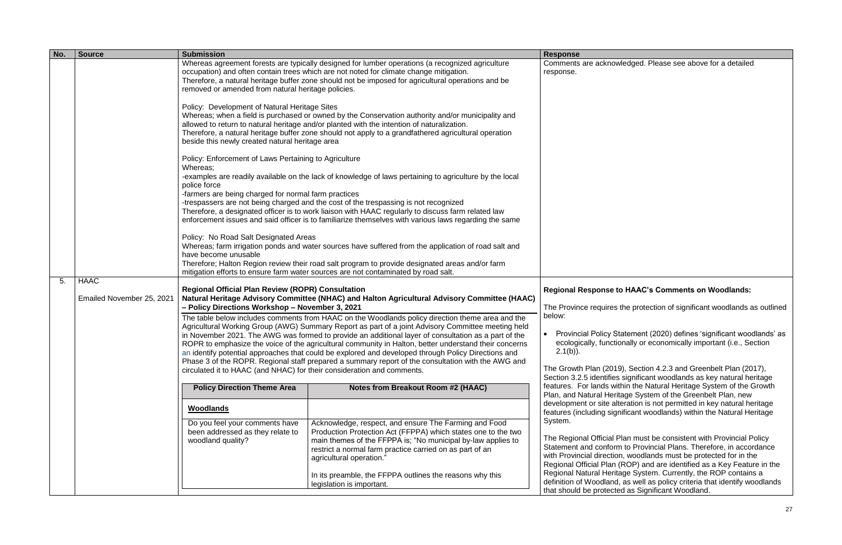| No. | <b>Source</b>             | <b>Submission</b>                                                                                                                                                                                                                                                                                                                                           |                                                                                                                                                                                                                                                                                                                                                                                                                                                                                                                                                                                                                                      | <b>Response</b>                                                                                                                   |
|-----|---------------------------|-------------------------------------------------------------------------------------------------------------------------------------------------------------------------------------------------------------------------------------------------------------------------------------------------------------------------------------------------------------|--------------------------------------------------------------------------------------------------------------------------------------------------------------------------------------------------------------------------------------------------------------------------------------------------------------------------------------------------------------------------------------------------------------------------------------------------------------------------------------------------------------------------------------------------------------------------------------------------------------------------------------|-----------------------------------------------------------------------------------------------------------------------------------|
|     |                           | removed or amended from natural heritage policies.                                                                                                                                                                                                                                                                                                          | Whereas agreement forests are typically designed for lumber operations (a recognized agriculture<br>occupation) and often contain trees which are not noted for climate change mitigation.<br>Therefore, a natural heritage buffer zone should not be imposed for agricultural operations and be                                                                                                                                                                                                                                                                                                                                     | Comments are acknow<br>response.                                                                                                  |
|     |                           | Policy: Development of Natural Heritage Sites<br>beside this newly created natural heritage area                                                                                                                                                                                                                                                            | Whereas; when a field is purchased or owned by the Conservation authority and/or municipality and<br>allowed to return to natural heritage and/or planted with the intention of naturalization.<br>Therefore, a natural heritage buffer zone should not apply to a grandfathered agricultural operation                                                                                                                                                                                                                                                                                                                              |                                                                                                                                   |
|     |                           | Policy: Enforcement of Laws Pertaining to Agriculture<br>Whereas;<br>police force                                                                                                                                                                                                                                                                           | -examples are readily available on the lack of knowledge of laws pertaining to agriculture by the local                                                                                                                                                                                                                                                                                                                                                                                                                                                                                                                              |                                                                                                                                   |
|     |                           | -farmers are being charged for normal farm practices<br>-trespassers are not being charged and the cost of the trespassing is not recognized<br>Therefore, a designated officer is to work liaison with HAAC regularly to discuss farm related law<br>enforcement issues and said officer is to familiarize themselves with various laws regarding the same |                                                                                                                                                                                                                                                                                                                                                                                                                                                                                                                                                                                                                                      |                                                                                                                                   |
|     |                           | Policy: No Road Salt Designated Areas<br>have become unusable                                                                                                                                                                                                                                                                                               | Whereas; farm irrigation ponds and water sources have suffered from the application of road salt and<br>Therefore; Halton Region review their road salt program to provide designated areas and/or farm<br>mitigation efforts to ensure farm water sources are not contaminated by road salt.                                                                                                                                                                                                                                                                                                                                        |                                                                                                                                   |
| 5.  | <b>HAAC</b>               | <b>Regional Official Plan Review (ROPR) Consultation</b>                                                                                                                                                                                                                                                                                                    | <b>Regional Responset</b>                                                                                                                                                                                                                                                                                                                                                                                                                                                                                                                                                                                                            |                                                                                                                                   |
|     | Emailed November 25, 2021 | Natural Heritage Advisory Committee (NHAC) and Halton Agricultural Advisory Committee (HAAC)<br>- Policy Directions Workshop - November 3, 2021                                                                                                                                                                                                             | The Province requires                                                                                                                                                                                                                                                                                                                                                                                                                                                                                                                                                                                                                |                                                                                                                                   |
|     |                           | circulated it to HAAC (and NHAC) for their consideration and comments.                                                                                                                                                                                                                                                                                      | The table below includes comments from HAAC on the Woodlands policy direction theme area and the<br>Agricultural Working Group (AWG) Summary Report as part of a joint Advisory Committee meeting held<br>in November 2021. The AWG was formed to provide an additional layer of consultation as a part of the<br>ROPR to emphasize the voice of the agricultural community in Halton, better understand their concerns<br>an identify potential approaches that could be explored and developed through Policy Directions and<br>Phase 3 of the ROPR. Regional staff prepared a summary report of the consultation with the AWG and | below:<br><b>Provincial Policy S</b><br>ecologically, functio<br>$2.1(b)$ ).<br>The Growth Plan (2019<br>Section 3.2.5 identifies |
|     |                           | <b>Policy Direction Theme Area</b>                                                                                                                                                                                                                                                                                                                          | Notes from Breakout Room #2 (HAAC)                                                                                                                                                                                                                                                                                                                                                                                                                                                                                                                                                                                                   | features. For lands wit<br>Plan, and Natural Heri                                                                                 |
|     |                           | <b>Woodlands</b>                                                                                                                                                                                                                                                                                                                                            |                                                                                                                                                                                                                                                                                                                                                                                                                                                                                                                                                                                                                                      | development or site alt<br>features (including sign                                                                               |
|     |                           | Do you feel your comments have<br>been addressed as they relate to<br>woodland quality?                                                                                                                                                                                                                                                                     | Acknowledge, respect, and ensure The Farming and Food<br>Production Protection Act (FFPPA) which states one to the two<br>main themes of the FFPPA is; "No municipal by-law applies to<br>restrict a normal farm practice carried on as part of an<br>agricultural operation."                                                                                                                                                                                                                                                                                                                                                       | System.<br>The Regional Official F<br>Statement and conforr<br>with Provincial directio<br>Regional Official Plan                 |
|     |                           |                                                                                                                                                                                                                                                                                                                                                             | In its preamble, the FFPPA outlines the reasons why this<br>legislation is important.                                                                                                                                                                                                                                                                                                                                                                                                                                                                                                                                                | <b>Regional Natural Herit</b><br>definition of Woodland<br>that should be protecte                                                |

# **Regional Response to HAAC's Comments on Woodlands:**

the protection of significant woodlands as outlined

Statement (2020) defines 'significant woodlands' as ionally or economically important (i.e., Section

19), Section 4.2.3 and Greenbelt Plan (2017), s significant woodlands as key natural heritage features. For lands within the Natural Heritage System of the Growth Plan, and Natural Heritage System of the Greenbelt Plan, new Iteration is not permitted in key natural heritage Inificant woodlands) within the Natural Heritage

Plan must be consistent with Provincial Policy m to Provincial Plans. Therefore, in accordance on, woodlands must be protected for in the Regional Official Plan (ROP) and are identified as a Key Feature in the Regional Natural Heritage System. Currently, the ROP contains a definition of Woodland, as well as policy criteria that identify woodlands ed as Significant Woodland.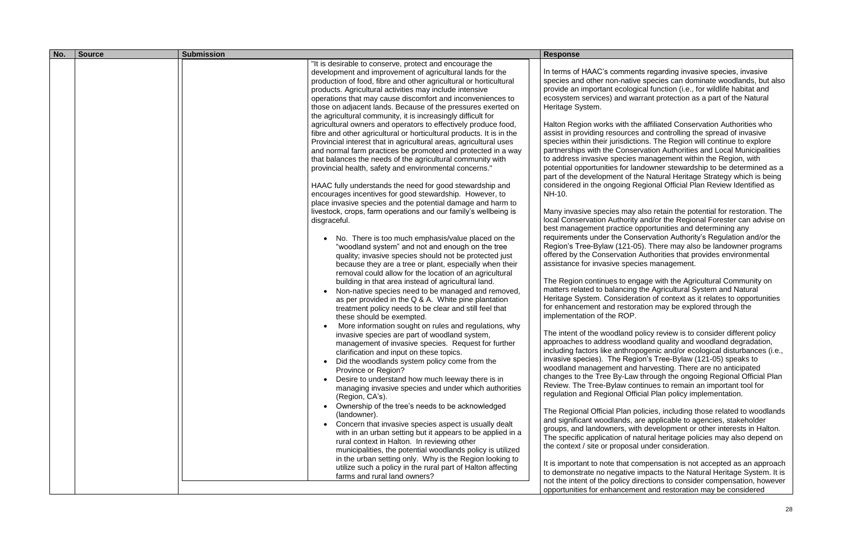| No. | <b>Source</b> | <b>Submission</b>                                                                                                                                                                                                                                                                                                                                                                                                                                                                                                                                                                                                                                                                                                                                                                                                                                                                                                                                                                                                                                                                                                                                                                                                                                                                                                                                                                                                                                                                                                                                                                                                                                                                                                                                                                                                                                                                                                                                                                                                                                                                                                                                                                                                                                                                                                                                                                                                                                                                                                                                                              | <b>Response</b>                                                                                                                                                                                                                                                                                                                                                                                                                                                                                                                                                                                                                                                                                                                                                                                                                                                                                                                                                                                                                                                                                             |
|-----|---------------|--------------------------------------------------------------------------------------------------------------------------------------------------------------------------------------------------------------------------------------------------------------------------------------------------------------------------------------------------------------------------------------------------------------------------------------------------------------------------------------------------------------------------------------------------------------------------------------------------------------------------------------------------------------------------------------------------------------------------------------------------------------------------------------------------------------------------------------------------------------------------------------------------------------------------------------------------------------------------------------------------------------------------------------------------------------------------------------------------------------------------------------------------------------------------------------------------------------------------------------------------------------------------------------------------------------------------------------------------------------------------------------------------------------------------------------------------------------------------------------------------------------------------------------------------------------------------------------------------------------------------------------------------------------------------------------------------------------------------------------------------------------------------------------------------------------------------------------------------------------------------------------------------------------------------------------------------------------------------------------------------------------------------------------------------------------------------------------------------------------------------------------------------------------------------------------------------------------------------------------------------------------------------------------------------------------------------------------------------------------------------------------------------------------------------------------------------------------------------------------------------------------------------------------------------------------------------------|-------------------------------------------------------------------------------------------------------------------------------------------------------------------------------------------------------------------------------------------------------------------------------------------------------------------------------------------------------------------------------------------------------------------------------------------------------------------------------------------------------------------------------------------------------------------------------------------------------------------------------------------------------------------------------------------------------------------------------------------------------------------------------------------------------------------------------------------------------------------------------------------------------------------------------------------------------------------------------------------------------------------------------------------------------------------------------------------------------------|
|     |               | "It is desirable to conserve, protect and encourage the<br>development and improvement of agricultural lands for the<br>production of food, fibre and other agricultural or horticultural<br>products. Agricultural activities may include intensive<br>operations that may cause discomfort and inconveniences to<br>those on adjacent lands. Because of the pressures exerted on<br>the agricultural community, it is increasingly difficult for<br>agricultural owners and operators to effectively produce food,<br>fibre and other agricultural or horticultural products. It is in the<br>Provincial interest that in agricultural areas, agricultural uses<br>and normal farm practices be promoted and protected in a way<br>that balances the needs of the agricultural community with<br>provincial health, safety and environmental concerns."<br>HAAC fully understands the need for good stewardship and<br>encourages incentives for good stewardship. However, to<br>place invasive species and the potential damage and harm to<br>livestock, crops, farm operations and our family's wellbeing is<br>disgraceful.<br>No. There is too much emphasis/value placed on the<br>"woodland system" and not and enough on the tree<br>quality; invasive species should not be protected just<br>because they are a tree or plant, especially when their<br>removal could allow for the location of an agricultural<br>building in that area instead of agricultural land.<br>Non-native species need to be managed and removed,<br>as per provided in the Q & A. White pine plantation<br>treatment policy needs to be clear and still feel that<br>these should be exempted.<br>More information sought on rules and regulations, why<br>invasive species are part of woodland system,<br>management of invasive species. Request for further<br>clarification and input on these topics.<br>Did the woodlands system policy come from the<br>Province or Region?<br>Desire to understand how much leeway there is in<br>managing invasive species and under which authorities<br>(Region, CA's).<br>Ownership of the tree's needs to be acknowledged<br>(landowner).<br>Concern that invasive species aspect is usually dealt<br>with in an urban setting but it appears to be applied in a<br>rural context in Halton. In reviewing other<br>municipalities, the potential woodlands policy is utilized<br>in the urban setting only. Why is the Region looking to<br>utilize such a policy in the rural part of Halton affecting<br>farms and rural land owners? | In terms of HAAC's con<br>species and other non-<br>provide an important ed<br>ecosystem services) ar<br>Heritage System.<br>Halton Region works w<br>assist in providing resor<br>species within their juris<br>partnerships with the C<br>to address invasive spe<br>potential opportunities f<br>part of the developmen<br>considered in the ongoi<br>NH-10.<br>Many invasive species<br>local Conservation Auth<br>best management prac<br>requirements under the<br>Region's Tree-Bylaw (1<br>offered by the Conserva<br>assistance for invasive<br>The Region continues t<br>matters related to balar<br>Heritage System. Cons<br>for enhancement and re<br>implementation of the F<br>The intent of the woodla<br>approaches to address<br>including factors like an<br>invasive species). The<br>woodland management<br>changes to the Tree By<br>Review. The Tree-Bylay<br>regulation and Regiona<br>The Regional Official P<br>and significant woodlan<br>groups, and landowner<br>The specific application<br>the context / site or prop<br>It is important to note th<br>to demonstrate no nega |

In terms of terms of the Apartanents regarding invasive species, invasive -native species can dominate woodlands, but also ecological function (i.e., for wildlife habitat and and warrant protection as a part of the Natural

with the affiliated Conservation Authorities who ources and controlling the spread of invasive risdictions. The Region will continue to explore Conservation Authorities and Local Municipalities ecies management within the Region, with for landowner stewardship to be determined as a nt of the Natural Heritage Strategy which is being oing Regional Official Plan Review Identified as

s may also retain the potential for restoration. The thority and/or the Regional Forester can advise on ctice opportunities and determining any re Conservation Authority's Regulation and/or the -Bylaw (121 -05). There may also be landowner programs vation Authorities that provides environmental e species management.

> to engage with the Agricultural Community on ancing the Agricultural System and Natural isideration of context as it relates to opportunities restoration may be explored through the ROP.

Iland policy review is to consider different policy is woodland quality and woodland degradation, anthropogenic and/or ecological disturbances (i.e., invasive species). The Region's Tree -Bylaw (121 -05) speaks to nt and harvesting. There are no anticipated -Law through the ongoing Regional Official Plan aw continues to remain an important tool for ral Official Plan policy implementation.

> Plan policies, including those related to woodlands ands, are applicable to agencies, stakeholder ers, with development or other interests in Halton. on of natural heritage policies may also depend on oposal under consideration.

> that compensation is not accepted as an approach gative impacts to the Natural Heritage System. It is plicy directions to consider compensation, however ncement and restoration may be considered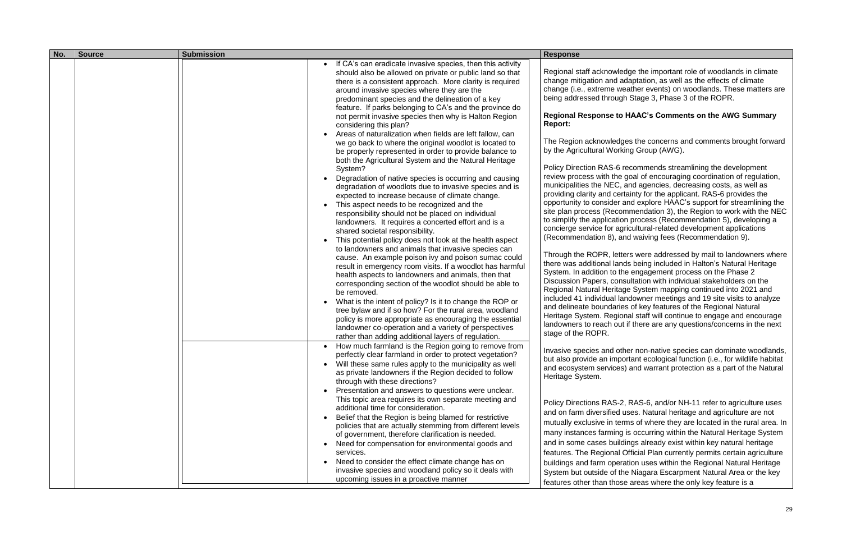Invasive species and other non -native species can dominate woodlands, portant ecological function (i.e., for wildlife habitat s) and warrant protection as a part of the Natural

> -2, RAS -6, and/or NH -11 refer to agriculture uses I uses. Natural heritage and agriculture are not erms of where they are located in the rural area. In ig is occurring within the Natural Heritage System ldings already exist within key natural heritage I Official Plan currently permits certain agriculture eration uses within the Regional Natural Heritage the Niagara Escarpment Natural Area or the key ise areas where the only key feature is a

| No. | <b>Source</b> | <b>Submission</b>                                                                                                                                                                                                                                                                                                                                                                                                                                                                                                                                                                                                                                                                                                                                                                                                                                                                                                                                                                                                                                                                                                                                                                                                                                                                                                                                                                                                                                                                                                                                                                                                                                                                                                                                                                                                                                                                                                                                                                                                                                                                                                                                                 | <b>Response</b>                                                                                                                                                                                                                                                                                                                                                                                                                                                                                                                                                                                                                                                                                                                                                                                                                                                                   |
|-----|---------------|-------------------------------------------------------------------------------------------------------------------------------------------------------------------------------------------------------------------------------------------------------------------------------------------------------------------------------------------------------------------------------------------------------------------------------------------------------------------------------------------------------------------------------------------------------------------------------------------------------------------------------------------------------------------------------------------------------------------------------------------------------------------------------------------------------------------------------------------------------------------------------------------------------------------------------------------------------------------------------------------------------------------------------------------------------------------------------------------------------------------------------------------------------------------------------------------------------------------------------------------------------------------------------------------------------------------------------------------------------------------------------------------------------------------------------------------------------------------------------------------------------------------------------------------------------------------------------------------------------------------------------------------------------------------------------------------------------------------------------------------------------------------------------------------------------------------------------------------------------------------------------------------------------------------------------------------------------------------------------------------------------------------------------------------------------------------------------------------------------------------------------------------------------------------|-----------------------------------------------------------------------------------------------------------------------------------------------------------------------------------------------------------------------------------------------------------------------------------------------------------------------------------------------------------------------------------------------------------------------------------------------------------------------------------------------------------------------------------------------------------------------------------------------------------------------------------------------------------------------------------------------------------------------------------------------------------------------------------------------------------------------------------------------------------------------------------|
|     |               | If CA's can eradicate invasive species, then this activity<br>should also be allowed on private or public land so that<br>there is a consistent approach. More clarity is required<br>around invasive species where they are the<br>predominant species and the delineation of a key<br>feature. If parks belonging to CA's and the province do<br>not permit invasive species then why is Halton Region<br>considering this plan?<br>Areas of naturalization when fields are left fallow, can<br>we go back to where the original woodlot is located to<br>be properly represented in order to provide balance to<br>both the Agricultural System and the Natural Heritage<br>System?<br>Degradation of native species is occurring and causing<br>degradation of woodlots due to invasive species and is<br>expected to increase because of climate change.<br>This aspect needs to be recognized and the<br>responsibility should not be placed on individual<br>landowners. It requires a concerted effort and is a<br>shared societal responsibility.<br>This potential policy does not look at the health aspect<br>to landowners and animals that invasive species can<br>cause. An example poison ivy and poison sumac could<br>result in emergency room visits. If a woodlot has harmful<br>health aspects to landowners and animals, then that<br>corresponding section of the woodlot should be able to<br>be removed.<br>What is the intent of policy? Is it to change the ROP or<br>tree bylaw and if so how? For the rural area, woodland<br>policy is more appropriate as encouraging the essential<br>landowner co-operation and a variety of perspectives<br>rather than adding additional layers of regulation.<br>How much farmland is the Region going to remove from<br>perfectly clear farmland in order to protect vegetation?<br>Will these same rules apply to the municipality as well<br>as private landowners if the Region decided to follow<br>through with these directions?<br>Presentation and answers to questions were unclear.<br>This topic area requires its own separate meeting and<br>additional time for consideration. | Regional staff acknowl<br>change mitigation and<br>change (i.e., extreme v<br>being addressed throug<br><b>Regional Response to</b><br><b>Report:</b><br>The Region acknowled<br>by the Agricultural Wor<br><b>Policy Direction RAS-6</b><br>review process with the<br>municipalities the NEC<br>providing clarity and ce<br>opportunity to consider<br>site plan process (Reco<br>to simplify the applicati<br>concierge service for a<br>(Recommendation 8), a<br>Through the ROPR, let<br>there was additional lar<br>System. In addition to t<br>Discussion Papers, cor<br><b>Regional Natural Herita</b><br>included 41 individual I<br>and delineate boundari<br>Heritage System. Regio<br>landowners to reach ou<br>stage of the ROPR.<br>Invasive species and o<br>but also provide an imp<br>and ecosystem service<br>Heritage System.<br><b>Policy Directions RAS-</b> |
|     |               | Belief that the Region is being blamed for restrictive<br>policies that are actually stemming from different levels<br>of government, therefore clarification is needed.                                                                                                                                                                                                                                                                                                                                                                                                                                                                                                                                                                                                                                                                                                                                                                                                                                                                                                                                                                                                                                                                                                                                                                                                                                                                                                                                                                                                                                                                                                                                                                                                                                                                                                                                                                                                                                                                                                                                                                                          | and on farm diversified<br>mutually exclusive in te<br>many instances farming                                                                                                                                                                                                                                                                                                                                                                                                                                                                                                                                                                                                                                                                                                                                                                                                     |
|     |               | Need for compensation for environmental goods and<br>services.<br>Need to consider the effect climate change has on<br>invasive species and woodland policy so it deals with<br>upcoming issues in a proactive manner                                                                                                                                                                                                                                                                                                                                                                                                                                                                                                                                                                                                                                                                                                                                                                                                                                                                                                                                                                                                                                                                                                                                                                                                                                                                                                                                                                                                                                                                                                                                                                                                                                                                                                                                                                                                                                                                                                                                             | and in some cases buil<br>features. The Regional<br>buildings and farm ope<br>System but outside of t                                                                                                                                                                                                                                                                                                                                                                                                                                                                                                                                                                                                                                                                                                                                                                             |
|     |               |                                                                                                                                                                                                                                                                                                                                                                                                                                                                                                                                                                                                                                                                                                                                                                                                                                                                                                                                                                                                                                                                                                                                                                                                                                                                                                                                                                                                                                                                                                                                                                                                                                                                                                                                                                                                                                                                                                                                                                                                                                                                                                                                                                   | features other than tho                                                                                                                                                                                                                                                                                                                                                                                                                                                                                                                                                                                                                                                                                                                                                                                                                                                           |

edge the important role of woodlands in climate adaptation, as well as the effects of climate weather events) on woodlands. These matters are igh Stage 3, Phase 3 of the ROPR.

## **Regional Response to HAAC's Comments on the AWG Summary**

Iges the concerns and comments brought forward rking Group (AWG).

i recommends streamlining the development e goal of encouraging coordination of regulation,  $k$ , and agencies, decreasing costs, as well as providing clarity and certainty for the applicant. RAS -6 provides the and explore HAAC's support for streamlining the ommendation 3), the Region to work with the NEC tion process (Recommendation 5), developing a concierge service for agricultural -related development applications and waiving fees (Recommendation 9).

> Iters were addressed by mail to landowners where nds being included in Halton's Natural Heritage the engagement process on the Phase 2 nsultation with individual stakeholders on the age System mapping continued into 2021 and landowner meetings and 19 site visits to analyze ies of key features of the Regional Natural ional staff will continue to engage and encourage ut if there are any questions/concerns in the next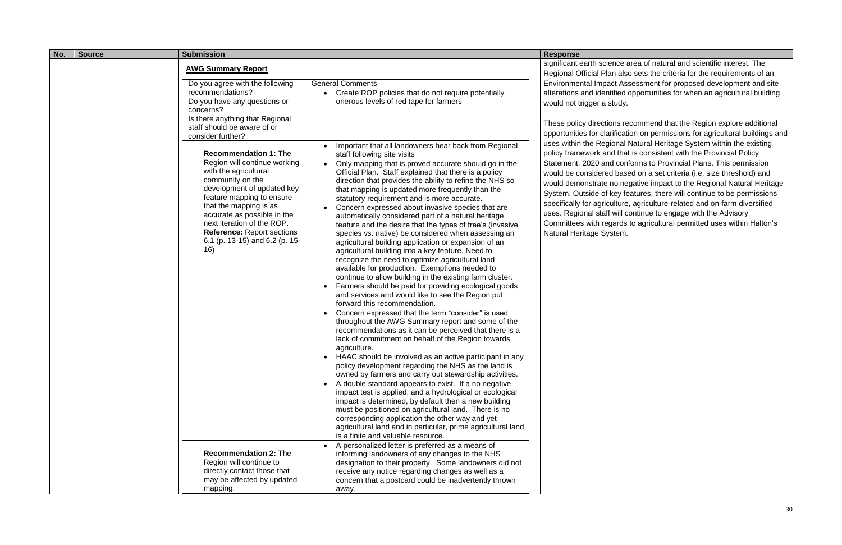| No. | <b>Source</b> | <b>Submission</b>                                                                                                                                                                                                                                                                                                                                                                                                                                                                                                                                                 |                                                                                                                                                                                                                                                                                                                                                                                                                                                                                                                                                                                                                                                                                                                                                                                                                                                                                                                                                                                                                                                                                                                                                                                                                                                                                                                                                                                                                                                                                                                                                                                                                                                                                                                                                                   | <b>Response</b>                                                                                                                                                                                                                                                                                                                                                                                                                                                  |
|-----|---------------|-------------------------------------------------------------------------------------------------------------------------------------------------------------------------------------------------------------------------------------------------------------------------------------------------------------------------------------------------------------------------------------------------------------------------------------------------------------------------------------------------------------------------------------------------------------------|-------------------------------------------------------------------------------------------------------------------------------------------------------------------------------------------------------------------------------------------------------------------------------------------------------------------------------------------------------------------------------------------------------------------------------------------------------------------------------------------------------------------------------------------------------------------------------------------------------------------------------------------------------------------------------------------------------------------------------------------------------------------------------------------------------------------------------------------------------------------------------------------------------------------------------------------------------------------------------------------------------------------------------------------------------------------------------------------------------------------------------------------------------------------------------------------------------------------------------------------------------------------------------------------------------------------------------------------------------------------------------------------------------------------------------------------------------------------------------------------------------------------------------------------------------------------------------------------------------------------------------------------------------------------------------------------------------------------------------------------------------------------|------------------------------------------------------------------------------------------------------------------------------------------------------------------------------------------------------------------------------------------------------------------------------------------------------------------------------------------------------------------------------------------------------------------------------------------------------------------|
|     |               | <b>AWG Summary Report</b><br>Do you agree with the following<br>recommendations?<br>Do you have any questions or<br>concerns?<br>Is there anything that Regional<br>staff should be aware of or<br>consider further?<br><b>Recommendation 1: The</b><br>Region will continue working<br>with the agricultural<br>community on the<br>development of updated key<br>feature mapping to ensure<br>that the mapping is as<br>accurate as possible in the<br>next iteration of the ROP.<br><b>Reference: Report sections</b><br>6.1 (p. 13-15) and 6.2 (p. 15-<br>16) | <b>General Comments</b><br>Create ROP policies that do not require potentially<br>onerous levels of red tape for farmers<br>Important that all landowners hear back from Regional<br>staff following site visits<br>Only mapping that is proved accurate should go in the<br>Official Plan. Staff explained that there is a policy<br>direction that provides the ability to refine the NHS so<br>that mapping is updated more frequently than the<br>statutory requirement and is more accurate.<br>Concern expressed about invasive species that are<br>automatically considered part of a natural heritage<br>feature and the desire that the types of tree's (invasive<br>species vs. native) be considered when assessing an<br>agricultural building application or expansion of an<br>agricultural building into a key feature. Need to<br>recognize the need to optimize agricultural land<br>available for production. Exemptions needed to<br>continue to allow building in the existing farm cluster.<br>Farmers should be paid for providing ecological goods<br>and services and would like to see the Region put<br>forward this recommendation.<br>Concern expressed that the term "consider" is used<br>throughout the AWG Summary report and some of the<br>recommendations as it can be perceived that there is a<br>lack of commitment on behalf of the Region towards<br>agriculture.<br>HAAC should be involved as an active participant in any<br>policy development regarding the NHS as the land is<br>owned by farmers and carry out stewardship activities.<br>A double standard appears to exist. If a no negative<br>impact test is applied, and a hydrological or ecological<br>impact is determined, by default then a new building | significant earth sciend<br>Regional Official Plan<br><b>Environmental Impact</b><br>alterations and identifie<br>would not trigger a stu<br>These policy directions<br>opportunities for clarifi<br>uses within the Regior<br>policy framework and<br>Statement, 2020 and o<br>would be considered b<br>would demonstrate no<br>System. Outside of ke<br>specifically for agricult<br>uses. Regional staff w<br>Committees with regar<br>Natural Heritage Syste |
|     |               |                                                                                                                                                                                                                                                                                                                                                                                                                                                                                                                                                                   | must be positioned on agricultural land. There is no<br>corresponding application the other way and yet<br>agricultural land and in particular, prime agricultural land                                                                                                                                                                                                                                                                                                                                                                                                                                                                                                                                                                                                                                                                                                                                                                                                                                                                                                                                                                                                                                                                                                                                                                                                                                                                                                                                                                                                                                                                                                                                                                                           |                                                                                                                                                                                                                                                                                                                                                                                                                                                                  |
|     |               | <b>Recommendation 2: The</b><br>Region will continue to<br>directly contact those that<br>may be affected by updated<br>mapping.                                                                                                                                                                                                                                                                                                                                                                                                                                  | is a finite and valuable resource.<br>A personalized letter is preferred as a means of<br>informing landowners of any changes to the NHS<br>designation to their property. Some landowners did not<br>receive any notice regarding changes as well as a<br>concern that a postcard could be inadvertently thrown<br>away.                                                                                                                                                                                                                                                                                                                                                                                                                                                                                                                                                                                                                                                                                                                                                                                                                                                                                                                                                                                                                                                                                                                                                                                                                                                                                                                                                                                                                                         |                                                                                                                                                                                                                                                                                                                                                                                                                                                                  |

ce area of natural and scientific interest. The also sets the criteria for the requirements of an t Assessment for proposed development and site ied opportunities for when an agricultural building udy.

is recommend that the Region explore additional ication on permissions for agricultural buildings and nal Natural Heritage System within the existing that is consistent with the Provincial Policy conforms to Provincial Plans. This permission based on a set criteria (i.e. size threshold) and megative impact to the Regional Natural Heritage y features, there will continue to be permissions ture, agriculture-related and on-farm diversified vill continue to engage with the Advisory ards to agricultural permitted uses within Halton's em.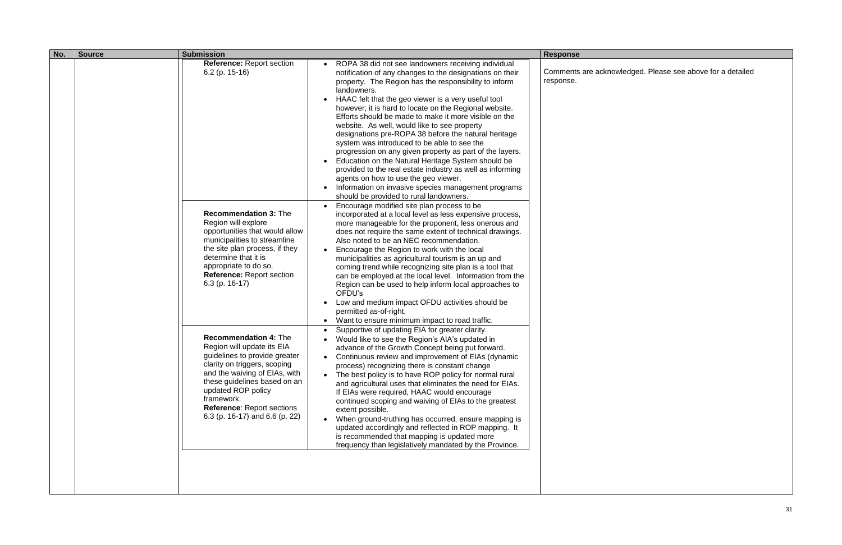| No. | <b>Source</b> | <b>Submission</b>                                                                                                                                                                                                                                                                                       |                                                                                                                                                                                                                                                                                                                                                                                                                                                                                                                                                                                                                                                                                                                                                                                                                                                                                                                                                                                       | <b>Response</b>                  |
|-----|---------------|---------------------------------------------------------------------------------------------------------------------------------------------------------------------------------------------------------------------------------------------------------------------------------------------------------|---------------------------------------------------------------------------------------------------------------------------------------------------------------------------------------------------------------------------------------------------------------------------------------------------------------------------------------------------------------------------------------------------------------------------------------------------------------------------------------------------------------------------------------------------------------------------------------------------------------------------------------------------------------------------------------------------------------------------------------------------------------------------------------------------------------------------------------------------------------------------------------------------------------------------------------------------------------------------------------|----------------------------------|
|     |               | <b>Reference: Report section</b><br>$6.2$ (p. 15-16)<br><b>Recommendation 3: The</b>                                                                                                                                                                                                                    | ROPA 38 did not see landowners receiving individual<br>notification of any changes to the designations on their<br>property. The Region has the responsibility to inform<br>landowners.<br>HAAC felt that the geo viewer is a very useful tool<br>$\bullet$<br>however; it is hard to locate on the Regional website.<br>Efforts should be made to make it more visible on the<br>website. As well, would like to see property<br>designations pre-ROPA 38 before the natural heritage<br>system was introduced to be able to see the<br>progression on any given property as part of the layers.<br>Education on the Natural Heritage System should be<br>$\bullet$<br>provided to the real estate industry as well as informing<br>agents on how to use the geo viewer.<br>Information on invasive species management programs<br>should be provided to rural landowners.<br>Encourage modified site plan process to be<br>incorporated at a local level as less expensive process, | Comments are acknow<br>response. |
|     |               | Region will explore<br>opportunities that would allow<br>municipalities to streamline<br>the site plan process, if they<br>determine that it is<br>appropriate to do so.<br><b>Reference: Report section</b><br>$6.3$ (p. 16-17)                                                                        | more manageable for the proponent, less onerous and<br>does not require the same extent of technical drawings.<br>Also noted to be an NEC recommendation.<br>Encourage the Region to work with the local<br>municipalities as agricultural tourism is an up and<br>coming trend while recognizing site plan is a tool that<br>can be employed at the local level. Information from the<br>Region can be used to help inform local approaches to<br>OFDU's<br>Low and medium impact OFDU activities should be<br>permitted as-of-right.<br>Want to ensure minimum impact to road traffic.<br>$\bullet$                                                                                                                                                                                                                                                                                                                                                                                 |                                  |
|     |               | <b>Recommendation 4: The</b><br>Region will update its EIA<br>guidelines to provide greater<br>clarity on triggers, scoping<br>and the waiving of EIAs, with<br>these guidelines based on an<br>updated ROP policy<br>framework.<br><b>Reference: Report sections</b><br>6.3 (p. 16-17) and 6.6 (p. 22) | Supportive of updating EIA for greater clarity.<br>$\bullet$<br>Would like to see the Region's AIA's updated in<br>advance of the Growth Concept being put forward.<br>Continuous review and improvement of EIAs (dynamic<br>process) recognizing there is constant change<br>The best policy is to have ROP policy for normal rural<br>$\bullet$<br>and agricultural uses that eliminates the need for EIAs.<br>If EIAs were required, HAAC would encourage<br>continued scoping and waiving of EIAs to the greatest<br>extent possible.<br>When ground-truthing has occurred, ensure mapping is<br>updated accordingly and reflected in ROP mapping. It<br>is recommended that mapping is updated more<br>frequency than legislatively mandated by the Province.                                                                                                                                                                                                                    |                                  |
|     |               |                                                                                                                                                                                                                                                                                                         |                                                                                                                                                                                                                                                                                                                                                                                                                                                                                                                                                                                                                                                                                                                                                                                                                                                                                                                                                                                       |                                  |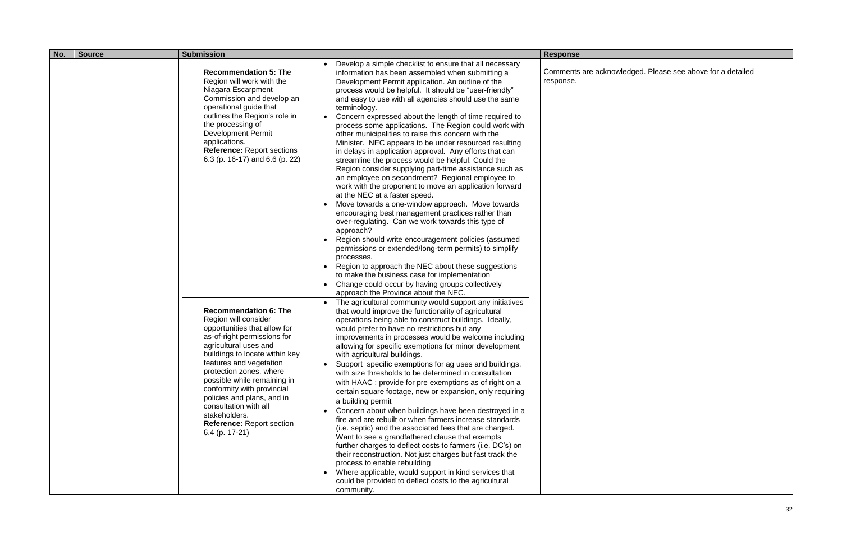| No. | <b>Source</b> | <b>Submission</b>                                                                                                                                                                                                                                                                                                                                                                                                               |                                                                                                                                                                                                                                                                                                                                                                                                                                                                                                                                                                                                                                                                                                                                                                                                                                                                                                                                                                                                                                                                                                                                                                                                                                                                                                                                                                             | <b>Response</b>                  |
|-----|---------------|---------------------------------------------------------------------------------------------------------------------------------------------------------------------------------------------------------------------------------------------------------------------------------------------------------------------------------------------------------------------------------------------------------------------------------|-----------------------------------------------------------------------------------------------------------------------------------------------------------------------------------------------------------------------------------------------------------------------------------------------------------------------------------------------------------------------------------------------------------------------------------------------------------------------------------------------------------------------------------------------------------------------------------------------------------------------------------------------------------------------------------------------------------------------------------------------------------------------------------------------------------------------------------------------------------------------------------------------------------------------------------------------------------------------------------------------------------------------------------------------------------------------------------------------------------------------------------------------------------------------------------------------------------------------------------------------------------------------------------------------------------------------------------------------------------------------------|----------------------------------|
|     |               | <b>Recommendation 5: The</b><br>Region will work with the<br>Niagara Escarpment<br>Commission and develop an<br>operational guide that<br>outlines the Region's role in<br>the processing of<br><b>Development Permit</b><br>applications.<br><b>Reference: Report sections</b><br>6.3 (p. 16-17) and 6.6 (p. 22)                                                                                                               | Develop a simple checklist to ensure that all necessary<br>information has been assembled when submitting a<br>Development Permit application. An outline of the<br>process would be helpful. It should be "user-friendly"<br>and easy to use with all agencies should use the same<br>terminology.<br>Concern expressed about the length of time required to<br>process some applications. The Region could work with<br>other municipalities to raise this concern with the<br>Minister. NEC appears to be under resourced resulting<br>in delays in application approval. Any efforts that can<br>streamline the process would be helpful. Could the<br>Region consider supplying part-time assistance such as<br>an employee on secondment? Regional employee to<br>work with the proponent to move an application forward<br>at the NEC at a faster speed.<br>Move towards a one-window approach. Move towards<br>encouraging best management practices rather than<br>over-regulating. Can we work towards this type of<br>approach?<br>Region should write encouragement policies (assumed<br>permissions or extended/long-term permits) to simplify<br>processes.<br>Region to approach the NEC about these suggestions<br>to make the business case for implementation<br>Change could occur by having groups collectively<br>approach the Province about the NEC. | Comments are acknoy<br>response. |
|     |               | <b>Recommendation 6: The</b><br>Region will consider<br>opportunities that allow for<br>as-of-right permissions for<br>agricultural uses and<br>buildings to locate within key<br>features and vegetation<br>protection zones, where<br>possible while remaining in<br>conformity with provincial<br>policies and plans, and in<br>consultation with all<br>stakeholders.<br><b>Reference: Report section</b><br>6.4 (p. 17-21) | The agricultural community would support any initiatives<br>$\bullet$<br>that would improve the functionality of agricultural<br>operations being able to construct buildings. Ideally,<br>would prefer to have no restrictions but any<br>improvements in processes would be welcome including<br>allowing for specific exemptions for minor development<br>with agricultural buildings.<br>Support specific exemptions for ag uses and buildings,<br>with size thresholds to be determined in consultation<br>with HAAC; provide for pre exemptions as of right on a<br>certain square footage, new or expansion, only requiring<br>a building permit<br>Concern about when buildings have been destroyed in a<br>fire and are rebuilt or when farmers increase standards<br>(i.e. septic) and the associated fees that are charged.<br>Want to see a grandfathered clause that exempts<br>further charges to deflect costs to farmers (i.e. DC's) on<br>their reconstruction. Not just charges but fast track the<br>process to enable rebuilding<br>Where applicable, would support in kind services that<br>could be provided to deflect costs to the agricultural<br>community.                                                                                                                                                                                       |                                  |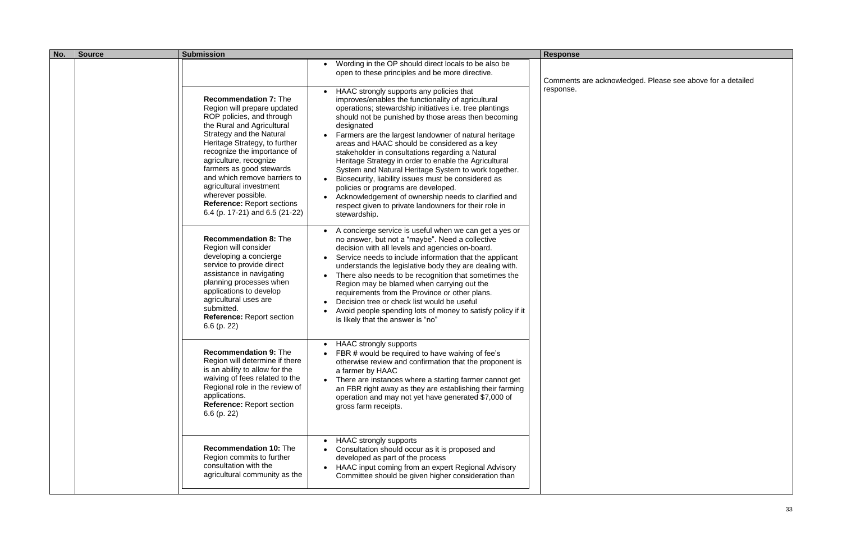| No. | <b>Source</b> | <b>Submission</b>                                                                                                                                                                                                                                                                                                                                                                                                                       |                                                                                                                                                                                                                                                                                                                                                                                                                                                                                                                                                                                                                                                                                                                                            | <b>Response</b>     |
|-----|---------------|-----------------------------------------------------------------------------------------------------------------------------------------------------------------------------------------------------------------------------------------------------------------------------------------------------------------------------------------------------------------------------------------------------------------------------------------|--------------------------------------------------------------------------------------------------------------------------------------------------------------------------------------------------------------------------------------------------------------------------------------------------------------------------------------------------------------------------------------------------------------------------------------------------------------------------------------------------------------------------------------------------------------------------------------------------------------------------------------------------------------------------------------------------------------------------------------------|---------------------|
|     |               |                                                                                                                                                                                                                                                                                                                                                                                                                                         | Wording in the OP should direct locals to be also be<br>open to these principles and be more directive.                                                                                                                                                                                                                                                                                                                                                                                                                                                                                                                                                                                                                                    | Comments are acknow |
|     |               | <b>Recommendation 7: The</b><br>Region will prepare updated<br>ROP policies, and through<br>the Rural and Agricultural<br><b>Strategy and the Natural</b><br>Heritage Strategy, to further<br>recognize the importance of<br>agriculture, recognize<br>farmers as good stewards<br>and which remove barriers to<br>agricultural investment<br>wherever possible.<br><b>Reference: Report sections</b><br>6.4 (p. 17-21) and 6.5 (21-22) | HAAC strongly supports any policies that<br>improves/enables the functionality of agricultural<br>operations; stewardship initiatives i.e. tree plantings<br>should not be punished by those areas then becoming<br>designated<br>Farmers are the largest landowner of natural heritage<br>areas and HAAC should be considered as a key<br>stakeholder in consultations regarding a Natural<br>Heritage Strategy in order to enable the Agricultural<br>System and Natural Heritage System to work together.<br>Biosecurity, liability issues must be considered as<br>policies or programs are developed.<br>Acknowledgement of ownership needs to clarified and<br>respect given to private landowners for their role in<br>stewardship. | response.           |
|     |               | <b>Recommendation 8: The</b><br>Region will consider<br>developing a concierge<br>service to provide direct<br>assistance in navigating<br>planning processes when<br>applications to develop<br>agricultural uses are<br>submitted.<br>Reference: Report section<br>$6.6$ (p. 22)                                                                                                                                                      | A concierge service is useful when we can get a yes or<br>no answer, but not a "maybe". Need a collective<br>decision with all levels and agencies on-board.<br>Service needs to include information that the applicant<br>understands the legislative body they are dealing with.<br>There also needs to be recognition that sometimes the<br>Region may be blamed when carrying out the<br>requirements from the Province or other plans.<br>Decision tree or check list would be useful<br>Avoid people spending lots of money to satisfy policy if it<br>is likely that the answer is "no"                                                                                                                                             |                     |
|     |               | <b>Recommendation 9: The</b><br>Region will determine if there<br>is an ability to allow for the<br>waiving of fees related to the<br>Regional role in the review of<br>applications.<br>Reference: Report section<br>$6.6$ (p. 22)                                                                                                                                                                                                     | <b>HAAC strongly supports</b><br>FBR # would be required to have waiving of fee's<br>otherwise review and confirmation that the proponent is<br>a farmer by HAAC<br>There are instances where a starting farmer cannot get<br>$\bullet$<br>an FBR right away as they are establishing their farming<br>operation and may not yet have generated \$7,000 of<br>gross farm receipts.                                                                                                                                                                                                                                                                                                                                                         |                     |
|     |               | <b>Recommendation 10: The</b><br>Region commits to further<br>consultation with the<br>agricultural community as the                                                                                                                                                                                                                                                                                                                    | <b>HAAC</b> strongly supports<br>Consultation should occur as it is proposed and<br>developed as part of the process<br>HAAC input coming from an expert Regional Advisory<br>Committee should be given higher consideration than                                                                                                                                                                                                                                                                                                                                                                                                                                                                                                          |                     |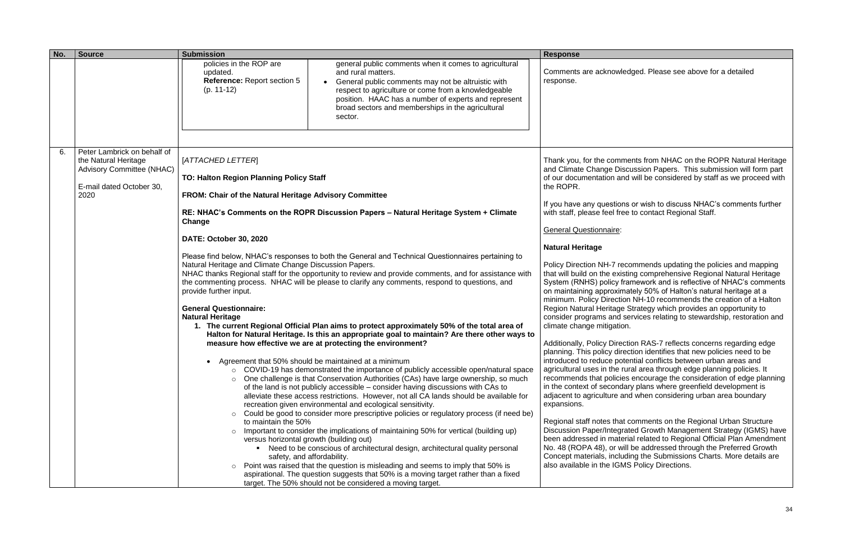| No. | <b>Source</b>                                                                                                        | <b>Submission</b>                                                                                                                                                                                                                                                                                                                                                  |                                                                                                                                                                                                                                                                                                                                                                                                                                                                                                                                                                                                                                                                                                                                                                                                                                                                                                                                                                                                                                                                                                                                                                                                                                                                                                                                                                                                                                                                                                                                                                                                                                                                                                                                                    | <b>Response</b>                                                                                                                                                                                                                                                                                                                                                                                                                                                                                                                                                                                                                                                                                                                                                                                                                   |
|-----|----------------------------------------------------------------------------------------------------------------------|--------------------------------------------------------------------------------------------------------------------------------------------------------------------------------------------------------------------------------------------------------------------------------------------------------------------------------------------------------------------|----------------------------------------------------------------------------------------------------------------------------------------------------------------------------------------------------------------------------------------------------------------------------------------------------------------------------------------------------------------------------------------------------------------------------------------------------------------------------------------------------------------------------------------------------------------------------------------------------------------------------------------------------------------------------------------------------------------------------------------------------------------------------------------------------------------------------------------------------------------------------------------------------------------------------------------------------------------------------------------------------------------------------------------------------------------------------------------------------------------------------------------------------------------------------------------------------------------------------------------------------------------------------------------------------------------------------------------------------------------------------------------------------------------------------------------------------------------------------------------------------------------------------------------------------------------------------------------------------------------------------------------------------------------------------------------------------------------------------------------------------|-----------------------------------------------------------------------------------------------------------------------------------------------------------------------------------------------------------------------------------------------------------------------------------------------------------------------------------------------------------------------------------------------------------------------------------------------------------------------------------------------------------------------------------------------------------------------------------------------------------------------------------------------------------------------------------------------------------------------------------------------------------------------------------------------------------------------------------|
|     |                                                                                                                      | policies in the ROP are<br>updated.<br>Reference: Report section 5<br>$(p. 11-12)$                                                                                                                                                                                                                                                                                 | general public comments when it comes to agricultural<br>and rural matters.<br>General public comments may not be altruistic with<br>respect to agriculture or come from a knowledgeable<br>position. HAAC has a number of experts and represent<br>broad sectors and memberships in the agricultural<br>sector.                                                                                                                                                                                                                                                                                                                                                                                                                                                                                                                                                                                                                                                                                                                                                                                                                                                                                                                                                                                                                                                                                                                                                                                                                                                                                                                                                                                                                                   | Comments are acknow<br>response.                                                                                                                                                                                                                                                                                                                                                                                                                                                                                                                                                                                                                                                                                                                                                                                                  |
| 6.  | Peter Lambrick on behalf of<br>the Natural Heritage<br>Advisory Committee (NHAC)<br>E-mail dated October 30,<br>2020 | [ATTACHED LETTER]<br>TO: Halton Region Planning Policy Staff<br>FROM: Chair of the Natural Heritage Advisory Committee<br>Change<br>DATE: October 30, 2020<br>Natural Heritage and Climate Change Discussion Papers.<br>provide further input.<br><b>General Questionnaire:</b><br><b>Natural Heritage</b><br>$\circ$<br>$\circ$<br>to maintain the 50%<br>$\circ$ | RE: NHAC's Comments on the ROPR Discussion Papers - Natural Heritage System + Climate<br>Please find below, NHAC's responses to both the General and Technical Questionnaires pertaining to<br>NHAC thanks Regional staff for the opportunity to review and provide comments, and for assistance with<br>the commenting process. NHAC will be please to clarify any comments, respond to questions, and<br>1. The current Regional Official Plan aims to protect approximately 50% of the total area of<br>Halton for Natural Heritage. Is this an appropriate goal to maintain? Are there other ways to<br>measure how effective we are at protecting the environment?<br>Agreement that 50% should be maintained at a minimum<br>$\circ$ COVID-19 has demonstrated the importance of publicly accessible open/natural space<br>One challenge is that Conservation Authorities (CAs) have large ownership, so much<br>of the land is not publicly accessible – consider having discussions with CAs to<br>alleviate these access restrictions. However, not all CA lands should be available for<br>recreation given environmental and ecological sensitivity.<br>Could be good to consider more prescriptive policies or regulatory process (if need be)<br>Important to consider the implications of maintaining 50% for vertical (building up)<br>versus horizontal growth (building out)<br>Need to be conscious of architectural design, architectural quality personal<br>safety, and affordability.<br>Point was raised that the question is misleading and seems to imply that 50% is<br>aspirational. The question suggests that 50% is a moving target rather than a fixed<br>target. The 50% should not be considered a moving target. | Thank you, for the com<br>and Climate Change Di<br>of our documentation a<br>the ROPR.<br>If you have any questio<br>with staff, please feel fr<br><b>General Questionnaire:</b><br><b>Natural Heritage</b><br>Policy Direction NH-7 re<br>that will build on the exi<br>System (RNHS) policy<br>on maintaining approxir<br>minimum. Policy Directi<br>Region Natural Heritage<br>consider programs and<br>climate change mitigation<br>Additionally, Policy Dire<br>planning. This policy dir<br>introduced to reduce po<br>agricultural uses in the<br>recommends that polici<br>in the context of second<br>adjacent to agriculture a<br>expansions.<br>Regional staff notes tha<br><b>Discussion Paper/Integ</b><br>been addressed in mate<br>No. 48 (ROPA 48), or w<br>Concept materials, inclu<br>also available in the IGI |

nments from NHAC on the ROPR Natural Heritage Discussion Papers. This submission will form part and will be considered by staff as we proceed with

ions or wish to discuss NHAC's comments further free to contact Regional Staff.

recommends updating the policies and mapping xisting comprehensive Regional Natural Heritage If framework and is reflective of NHAC's comments ,<br>‹imately 50% of Halton's natural heritage at a ction NH-10 recommends the creation of a Halton ge Strategy which provides an opportunity to d services relating to stewardship, restoration and tion.

rection RAS-7 reflects concerns regarding edge direction identifies that new policies need to be ootential conflicts between urban areas and e rural area through edge planning policies. It cies encourage the consideration of edge planning ndary plans where greenfield development is and when considering urban area boundary

hat comments on the Regional Urban Structure grated Growth Management Strategy (IGMS) have aterial related to Regional Official Plan Amendment will be addressed through the Preferred Growth cluding the Submissions Charts. More details are GMS Policy Directions.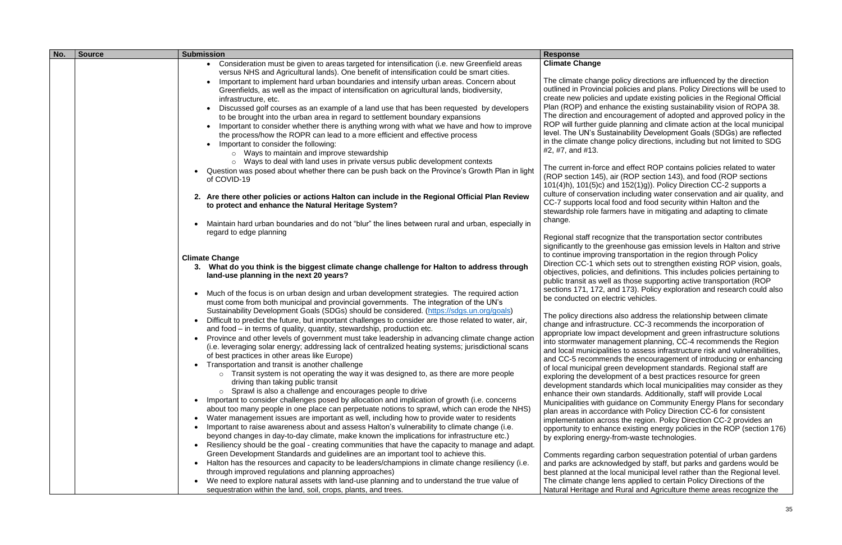| No. | <b>Source</b> | <b>Submission</b>                                                                                                                                                                          | <b>Response</b>                                  |
|-----|---------------|--------------------------------------------------------------------------------------------------------------------------------------------------------------------------------------------|--------------------------------------------------|
|     |               | • Consideration must be given to areas targeted for intensification (i.e. new Greenfield areas                                                                                             | <b>Climate Change</b>                            |
|     |               | versus NHS and Agricultural lands). One benefit of intensification could be smart cities.                                                                                                  |                                                  |
|     |               | Important to implement hard urban boundaries and intensify urban areas. Concern about                                                                                                      | The climate change po                            |
|     |               | Greenfields, as well as the impact of intensification on agricultural lands, biodiversity,                                                                                                 | outlined in Provincial po                        |
|     |               | infrastructure, etc.                                                                                                                                                                       | create new policies and                          |
|     |               | Discussed golf courses as an example of a land use that has been requested by developers                                                                                                   | Plan (ROP) and enhan                             |
|     |               | to be brought into the urban area in regard to settlement boundary expansions                                                                                                              | The direction and enco                           |
|     |               | Important to consider whether there is anything wrong with what we have and how to improve                                                                                                 | ROP will further guide                           |
|     |               | the process/how the ROPR can lead to a more efficient and effective process                                                                                                                | level. The UN's Sustair                          |
|     |               | Important to consider the following:                                                                                                                                                       | in the climate change p                          |
|     |               | o Ways to maintain and improve stewardship                                                                                                                                                 | #2, #7, and #13.                                 |
|     |               | Ways to deal with land uses in private versus public development contexts                                                                                                                  |                                                  |
|     |               | Question was posed about whether there can be push back on the Province's Growth Plan in light                                                                                             | The current in-force an                          |
|     |               | of COVID-19                                                                                                                                                                                | (ROP section 145), air                           |
|     |               |                                                                                                                                                                                            | $101(4)$ h), $101(5)$ c) and                     |
|     |               | 2. Are there other policies or actions Halton can include in the Regional Official Plan Review                                                                                             | culture of conservation                          |
|     |               | to protect and enhance the Natural Heritage System?                                                                                                                                        | CC-7 supports local for                          |
|     |               |                                                                                                                                                                                            | stewardship role farme<br>change.                |
|     |               | Maintain hard urban boundaries and do not "blur" the lines between rural and urban, especially in                                                                                          |                                                  |
|     |               | regard to edge planning                                                                                                                                                                    | Regional staff recogniz                          |
|     |               |                                                                                                                                                                                            | significantly to the gree                        |
|     |               |                                                                                                                                                                                            | to continue improving to                         |
|     |               | <b>Climate Change</b>                                                                                                                                                                      | Direction CC-1 which s                           |
|     |               | 3. What do you think is the biggest climate change challenge for Halton to address through                                                                                                 | objectives, policies, and                        |
|     |               | land-use planning in the next 20 years?                                                                                                                                                    | public transit as well as                        |
|     |               |                                                                                                                                                                                            | sections 171, 172, and                           |
|     |               | Much of the focus is on urban design and urban development strategies. The required action                                                                                                 | be conducted on electr                           |
|     |               | must come from both municipal and provincial governments. The integration of the UN's                                                                                                      |                                                  |
|     |               | Sustainability Development Goals (SDGs) should be considered. (https://sdgs.un.org/goals)                                                                                                  | The policy directions al                         |
|     |               | Difficult to predict the future, but important challenges to consider are those related to water, air,                                                                                     | change and infrastructu                          |
|     |               | and food – in terms of quality, quantity, stewardship, production etc.                                                                                                                     | appropriate low impact                           |
|     |               | Province and other levels of government must take leadership in advancing climate change action                                                                                            | into stormwater manag                            |
|     |               | (i.e. leveraging solar energy; addressing lack of centralized heating systems; jurisdictional scans                                                                                        | and local municipalities                         |
|     |               | of best practices in other areas like Europe)                                                                                                                                              | and CC-5 recommends                              |
|     |               | Transportation and transit is another challenge<br>$\circ$ Transit system is not operating the way it was designed to, as there are more people                                            | of local municipal greer                         |
|     |               | driving than taking public transit                                                                                                                                                         | exploring the developm                           |
|     |               | Sprawl is also a challenge and encourages people to drive                                                                                                                                  | development standards                            |
|     |               | Important to consider challenges posed by allocation and implication of growth (i.e. concerns                                                                                              | enhance their own star                           |
|     |               | about too many people in one place can perpetuate notions to sprawl, which can erode the NHS)                                                                                              | Municipalities with guid                         |
|     |               | Water management issues are important as well, including how to provide water to residents<br>$\bullet$                                                                                    | plan areas in accordan                           |
|     |               |                                                                                                                                                                                            | implementation across                            |
|     |               | Important to raise awareness about and assess Halton's vulnerability to climate change (i.e.<br>beyond changes in day-to-day climate, make known the implications for infrastructure etc.) | opportunity to enhance                           |
|     |               |                                                                                                                                                                                            | by exploring energy-fro                          |
|     |               | Resiliency should be the goal - creating communities that have the capacity to manage and adapt.<br>Green Development Standards and guidelines are an important tool to achieve this.      |                                                  |
|     |               |                                                                                                                                                                                            | Comments regarding c                             |
|     |               | Halton has the resources and capacity to be leaders/champions in climate change resiliency (i.e.<br>through improved regulations and planning approaches)                                  | and parks are acknowle                           |
|     |               | We need to explore natural assets with land-use planning and to understand the true value of                                                                                               | best planned at the loct                         |
|     |               | sequestration within the land, soil, crops, plants, and trees.                                                                                                                             | The climate change ler<br>Natural Heritage and R |
|     |               |                                                                                                                                                                                            |                                                  |

Ilicy directions are influenced by the direction olicies and plans. Policy Directions will be used to d update existing policies in the Regional Official Ice the existing sustainability vision of ROPA 38. ouragement of adopted and approved policy in the planning and climate action at the local municipal nability Development Goals (SDGs) are reflected bolicy directions, including but not limited to SDG

d effect ROP contains policies related to water (ROP section 143), and food (ROP sections  $\frac{1}{152(1)g)}$ . Policy Direction CC-2 supports a including water conservation and air quality, and od and food security within Halton and the irs have in mitigating and adapting to climate

re that the transportation sector contributes enhouse gas emission levels in Halton and strive transportation in the region through Policy ets out to strengthen existing ROP vision, goals, d definitions. This includes policies pertaining to those supporting active transportation (ROP 173). Policy exploration and research could also ic vehicles.

Iso address the relationship between climate ure. CC-3 recommends the incorporation of development and green infrastructure solutions jement planning, CC-4 recommends the Region and and vulnerabilities, to assess infrastructure risk and vulnerabilities, s the encouragement of introducing or enhancing n development standards. Regional staff are nent of a best practices resource for green s which local municipalities may consider as they ndards. Additionally, staff will provide Local dance on Community Energy Plans for secondary ice with Policy Direction CC-6 for consistent the region. Policy Direction CC-2 provides an existing energy policies in the ROP (section 176) om-waste technologies.

carbon sequestration potential of urban gardens edged by staff, but parks and gardens would be al municipal level rather than the Regional level. ns applied to certain Policy Directions of the Rural and Agriculture theme areas recognize the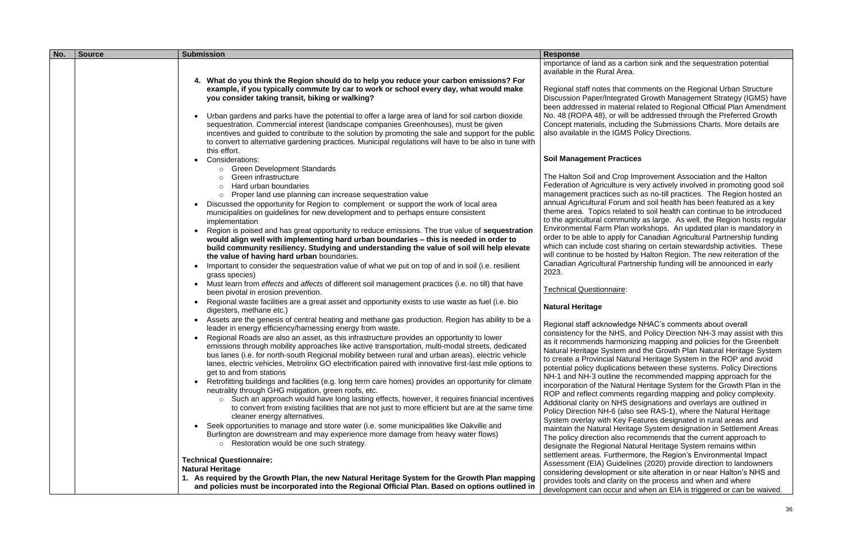| No. | <b>Source</b> | <b>Submission</b>                                                                                                                                                                                                                                                                                                                                                                                                                                                                                                                                                                                                                                                                                                                                                                                                                                                                                                                                                                                                                                                                                                                                                                                                                                                                    | <b>Response</b>                                                                                                                                                                                                                                                                                                                                                                                                                                                    |
|-----|---------------|--------------------------------------------------------------------------------------------------------------------------------------------------------------------------------------------------------------------------------------------------------------------------------------------------------------------------------------------------------------------------------------------------------------------------------------------------------------------------------------------------------------------------------------------------------------------------------------------------------------------------------------------------------------------------------------------------------------------------------------------------------------------------------------------------------------------------------------------------------------------------------------------------------------------------------------------------------------------------------------------------------------------------------------------------------------------------------------------------------------------------------------------------------------------------------------------------------------------------------------------------------------------------------------|--------------------------------------------------------------------------------------------------------------------------------------------------------------------------------------------------------------------------------------------------------------------------------------------------------------------------------------------------------------------------------------------------------------------------------------------------------------------|
|     |               |                                                                                                                                                                                                                                                                                                                                                                                                                                                                                                                                                                                                                                                                                                                                                                                                                                                                                                                                                                                                                                                                                                                                                                                                                                                                                      | importance of land as a c<br>available in the Rural Are                                                                                                                                                                                                                                                                                                                                                                                                            |
|     |               | 4. What do you think the Region should do to help you reduce your carbon emissions? For<br>example, if you typically commute by car to work or school every day, what would make<br>you consider taking transit, biking or walking?                                                                                                                                                                                                                                                                                                                                                                                                                                                                                                                                                                                                                                                                                                                                                                                                                                                                                                                                                                                                                                                  | Regional staff notes that<br><b>Discussion Paper/Integra</b><br>been addressed in mater                                                                                                                                                                                                                                                                                                                                                                            |
|     |               | Urban gardens and parks have the potential to offer a large area of land for soil carbon dioxide<br>sequestration. Commercial interest (landscape companies Greenhouses), must be given<br>incentives and guided to contribute to the solution by promoting the sale and support for the public<br>to convert to alternative gardening practices. Municipal regulations will have to be also in tune with                                                                                                                                                                                                                                                                                                                                                                                                                                                                                                                                                                                                                                                                                                                                                                                                                                                                            | No. 48 (ROPA 48), or wil<br>Concept materials, includ<br>also available in the IGM                                                                                                                                                                                                                                                                                                                                                                                 |
|     |               | this effort.<br>Considerations:                                                                                                                                                                                                                                                                                                                                                                                                                                                                                                                                                                                                                                                                                                                                                                                                                                                                                                                                                                                                                                                                                                                                                                                                                                                      | <b>Soil Management Pract</b>                                                                                                                                                                                                                                                                                                                                                                                                                                       |
|     |               | ○ Green Development Standards<br>Green infrastructure<br>$\circ$<br>Hard urban boundaries<br>$\circ$<br>o Proper land use planning can increase sequestration value<br>Discussed the opportunity for Region to complement or support the work of local area<br>municipalities on guidelines for new development and to perhaps ensure consistent<br>implementation<br>Region is poised and has great opportunity to reduce emissions. The true value of sequestration<br>would align well with implementing hard urban boundaries - this is needed in order to<br>build community resiliency. Studying and understanding the value of soil will help elevate<br>the value of having hard urban boundaries.<br>Important to consider the sequestration value of what we put on top of and in soil (i.e. resilient<br>grass species)                                                                                                                                                                                                                                                                                                                                                                                                                                                   | The Halton Soil and Crop<br><b>Federation of Agriculture</b><br>management practices so<br>annual Agricultural Forun<br>theme area. Topics relat<br>to the agricultural commu<br><b>Environmental Farm Plar</b><br>order to be able to apply<br>which can include cost sl<br>will continue to be hosted<br>Canadian Agricultural Pa<br>2023.                                                                                                                       |
|     |               | Must learn from effects and affects of different soil management practices (i.e. no till) that have<br>been pivotal in erosion prevention.<br>Regional waste facilities are a great asset and opportunity exists to use waste as fuel (i.e. bio                                                                                                                                                                                                                                                                                                                                                                                                                                                                                                                                                                                                                                                                                                                                                                                                                                                                                                                                                                                                                                      | <b>Technical Questionnaire:</b><br><b>Natural Heritage</b>                                                                                                                                                                                                                                                                                                                                                                                                         |
|     |               | digesters, methane etc.)<br>Assets are the genesis of central heating and methane gas production. Region has ability to be a<br>leader in energy efficiency/harnessing energy from waste.<br>Regional Roads are also an asset, as this infrastructure provides an opportunity to lower<br>emissions through mobility approaches like active transportation, multi-modal streets, dedicated<br>bus lanes (i.e. for north-south Regional mobility between rural and urban areas), electric vehicle<br>lanes, electric vehicles, Metrolinx GO electrification paired with innovative first-last mile options to<br>get to and from stations<br>Retrofitting buildings and facilities (e.g. long term care homes) provides an opportunity for climate<br>neutrality through GHG mitigation, green roofs, etc.<br>o Such an approach would have long lasting effects, however, it requires financial incentives<br>to convert from existing facilities that are not just to more efficient but are at the same time<br>cleaner energy alternatives.<br>Seek opportunities to manage and store water (i.e. some municipalities like Oakville and<br>Burlington are downstream and may experience more damage from heavy water flows)<br>Restoration would be one such strategy.<br>$\circ$ | Regional staff acknowled<br>consistency for the NHS,<br>as it recommends harmo<br>Natural Heritage System<br>to create a Provincial Nat<br>potential policy duplicatio<br>NH-1 and NH-3 outline th<br>incorporation of the Natu<br>ROP and reflect commer<br>Additional clarity on NHS<br>Policy Direction NH-6 (als<br>System overlay with Key<br>maintain the Natural Heri<br>The policy direction also<br>designate the Regional N<br>settlement areas. Further |
|     |               | <b>Technical Questionnaire:</b><br><b>Natural Heritage</b><br>1. As required by the Growth Plan, the new Natural Heritage System for the Growth Plan mapping<br>and policies must be incorporated into the Regional Official Plan. Based on options outlined in                                                                                                                                                                                                                                                                                                                                                                                                                                                                                                                                                                                                                                                                                                                                                                                                                                                                                                                                                                                                                      | Assessment (EIA) Guide<br>considering development<br>provides tools and clarity<br>development can occur a                                                                                                                                                                                                                                                                                                                                                         |

carbon sink and the sequestration potential \rea.

at comments on the Regional Urban Structure grated Growth Management Strategy (IGMS) have terial related to Regional Official Plan Amendment will be addressed through the Preferred Growth luding the Submissions Charts. More details are MS Policy Directions.

## **Ictices**

Top Improvement Association and the Halton re is very actively involved in promoting good soil such as no-till practices. The Region hosted an um and soil health has been featured as a key lated to soil health can continue to be introduced munity as large. As well, the Region hosts regular lan workshops. An updated plan is mandatory in ly for Canadian Agricultural Partnership funding sharing on certain stewardship activities. These ted by Halton Region. The new reiteration of the Partnership funding will be announced in early

edge NHAC's comments about overall S, and Policy Direction NH-3 may assist with this nonizing mapping and policies for the Greenbelt m and the Growth Plan Natural Heritage System Vatural Heritage System in the ROP and avoid tions between these systems. Policy Directions the recommended mapping approach for the itural Heritage System for the Growth Plan in the ents regarding mapping and policy complexity. HS designations and overlays are outlined in (also see RAS-1), where the Natural Heritage ey Features designated in rural areas and eritage System designation in Settlement Areas to recommends that the current approach to Reformat Heritage System remains within nermore, the Region's Environmental Impact delines (2020) provide direction to landowners ent or site alteration in or near Halton's NHS and ity on the process and when and where development can occur and when an EIA is triggered or can be waived.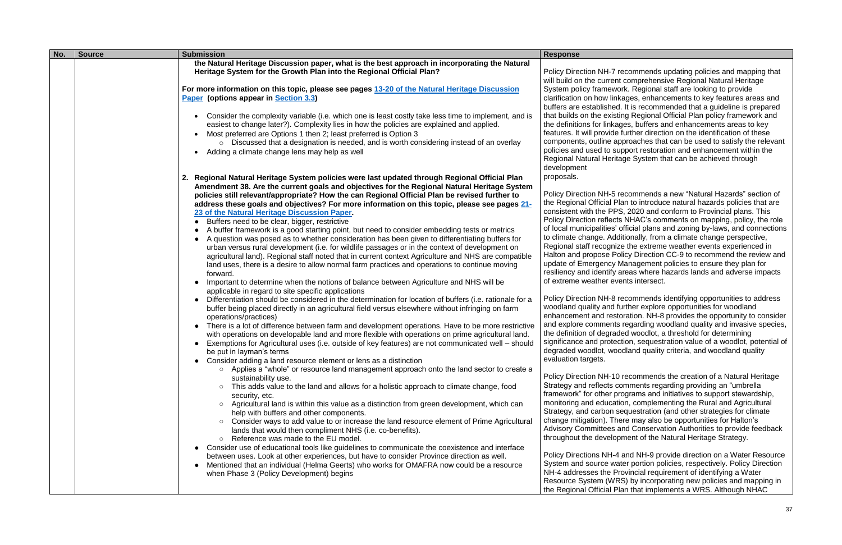| the Natural Heritage Discussion paper, what is the best approach in incorporating the Natural<br>Heritage System for the Growth Plan into the Regional Official Plan?<br><b>Policy Direction NH-7</b><br>will build on the curre<br>For more information on this topic, please see pages 13-20 of the Natural Heritage Discussion<br>System policy framev<br>clarification on how lir<br>Paper (options appear in Section 3.3)<br>buffers are establishe<br>that builds on the exis<br>Consider the complexity variable (i.e. which one is least costly take less time to implement, and is<br>$\bullet$<br>the definitions for link<br>easiest to change later?). Complexity lies in how the policies are explained and applied.<br>features. It will provid<br>Most preferred are Options 1 then 2; least preferred is Option 3<br>components, outline a<br>$\circ$ Discussed that a designation is needed, and is worth considering instead of an overlay<br>policies and used to a<br>Adding a climate change lens may help as well<br><b>Regional Natural Her</b><br>development<br>proposals. | <b>Response</b> |
|-----------------------------------------------------------------------------------------------------------------------------------------------------------------------------------------------------------------------------------------------------------------------------------------------------------------------------------------------------------------------------------------------------------------------------------------------------------------------------------------------------------------------------------------------------------------------------------------------------------------------------------------------------------------------------------------------------------------------------------------------------------------------------------------------------------------------------------------------------------------------------------------------------------------------------------------------------------------------------------------------------------------------------------------------------------------------------------------------------|-----------------|
|                                                                                                                                                                                                                                                                                                                                                                                                                                                                                                                                                                                                                                                                                                                                                                                                                                                                                                                                                                                                                                                                                                     |                 |
|                                                                                                                                                                                                                                                                                                                                                                                                                                                                                                                                                                                                                                                                                                                                                                                                                                                                                                                                                                                                                                                                                                     |                 |
|                                                                                                                                                                                                                                                                                                                                                                                                                                                                                                                                                                                                                                                                                                                                                                                                                                                                                                                                                                                                                                                                                                     |                 |
|                                                                                                                                                                                                                                                                                                                                                                                                                                                                                                                                                                                                                                                                                                                                                                                                                                                                                                                                                                                                                                                                                                     |                 |
|                                                                                                                                                                                                                                                                                                                                                                                                                                                                                                                                                                                                                                                                                                                                                                                                                                                                                                                                                                                                                                                                                                     |                 |
|                                                                                                                                                                                                                                                                                                                                                                                                                                                                                                                                                                                                                                                                                                                                                                                                                                                                                                                                                                                                                                                                                                     |                 |
|                                                                                                                                                                                                                                                                                                                                                                                                                                                                                                                                                                                                                                                                                                                                                                                                                                                                                                                                                                                                                                                                                                     |                 |
|                                                                                                                                                                                                                                                                                                                                                                                                                                                                                                                                                                                                                                                                                                                                                                                                                                                                                                                                                                                                                                                                                                     |                 |
|                                                                                                                                                                                                                                                                                                                                                                                                                                                                                                                                                                                                                                                                                                                                                                                                                                                                                                                                                                                                                                                                                                     |                 |
|                                                                                                                                                                                                                                                                                                                                                                                                                                                                                                                                                                                                                                                                                                                                                                                                                                                                                                                                                                                                                                                                                                     |                 |
|                                                                                                                                                                                                                                                                                                                                                                                                                                                                                                                                                                                                                                                                                                                                                                                                                                                                                                                                                                                                                                                                                                     |                 |
|                                                                                                                                                                                                                                                                                                                                                                                                                                                                                                                                                                                                                                                                                                                                                                                                                                                                                                                                                                                                                                                                                                     |                 |
|                                                                                                                                                                                                                                                                                                                                                                                                                                                                                                                                                                                                                                                                                                                                                                                                                                                                                                                                                                                                                                                                                                     |                 |
| 2. Regional Natural Heritage System policies were last updated through Regional Official Plan                                                                                                                                                                                                                                                                                                                                                                                                                                                                                                                                                                                                                                                                                                                                                                                                                                                                                                                                                                                                       |                 |
| Amendment 38. Are the current goals and objectives for the Regional Natural Heritage System                                                                                                                                                                                                                                                                                                                                                                                                                                                                                                                                                                                                                                                                                                                                                                                                                                                                                                                                                                                                         |                 |
| Policy Direction NH-5<br>policies still relevant/appropriate? How the can Regional Official Plan be revised further to                                                                                                                                                                                                                                                                                                                                                                                                                                                                                                                                                                                                                                                                                                                                                                                                                                                                                                                                                                              |                 |
| the Regional Official I<br>address these goals and objectives? For more information on this topic, please see pages 21-                                                                                                                                                                                                                                                                                                                                                                                                                                                                                                                                                                                                                                                                                                                                                                                                                                                                                                                                                                             |                 |
| consistent with the PI<br>23 of the Natural Heritage Discussion Paper.                                                                                                                                                                                                                                                                                                                                                                                                                                                                                                                                                                                                                                                                                                                                                                                                                                                                                                                                                                                                                              |                 |
| <b>Policy Direction refled</b><br>Buffers need to be clear, bigger, restrictive<br>of local municipalities                                                                                                                                                                                                                                                                                                                                                                                                                                                                                                                                                                                                                                                                                                                                                                                                                                                                                                                                                                                          |                 |
| A buffer framework is a good starting point, but need to consider embedding tests or metrics<br>to climate change. Ad                                                                                                                                                                                                                                                                                                                                                                                                                                                                                                                                                                                                                                                                                                                                                                                                                                                                                                                                                                               |                 |
| A question was posed as to whether consideration has been given to differentiating buffers for<br>Regional staff recogn                                                                                                                                                                                                                                                                                                                                                                                                                                                                                                                                                                                                                                                                                                                                                                                                                                                                                                                                                                             |                 |
| urban versus rural development (i.e. for wildlife passages or in the context of development on<br>Halton and propose F                                                                                                                                                                                                                                                                                                                                                                                                                                                                                                                                                                                                                                                                                                                                                                                                                                                                                                                                                                              |                 |
| agricultural land). Regional staff noted that in current context Agriculture and NHS are compatible<br>update of Emergency                                                                                                                                                                                                                                                                                                                                                                                                                                                                                                                                                                                                                                                                                                                                                                                                                                                                                                                                                                          |                 |
| land uses, there is a desire to allow normal farm practices and operations to continue moving<br>resiliency and identify<br>forward.                                                                                                                                                                                                                                                                                                                                                                                                                                                                                                                                                                                                                                                                                                                                                                                                                                                                                                                                                                |                 |
| of extreme weather e<br>Important to determine when the notions of balance between Agriculture and NHS will be                                                                                                                                                                                                                                                                                                                                                                                                                                                                                                                                                                                                                                                                                                                                                                                                                                                                                                                                                                                      |                 |
| $\bullet$<br>applicable in regard to site specific applications                                                                                                                                                                                                                                                                                                                                                                                                                                                                                                                                                                                                                                                                                                                                                                                                                                                                                                                                                                                                                                     |                 |
| Policy Direction NH-8<br>Differentiation should be considered in the determination for location of buffers (i.e. rationale for a<br>$\bullet$                                                                                                                                                                                                                                                                                                                                                                                                                                                                                                                                                                                                                                                                                                                                                                                                                                                                                                                                                       |                 |
| woodland quality and<br>buffer being placed directly in an agricultural field versus elsewhere without infringing on farm                                                                                                                                                                                                                                                                                                                                                                                                                                                                                                                                                                                                                                                                                                                                                                                                                                                                                                                                                                           |                 |
| enhancement and res<br>operations/practices)                                                                                                                                                                                                                                                                                                                                                                                                                                                                                                                                                                                                                                                                                                                                                                                                                                                                                                                                                                                                                                                        |                 |
| and explore commen<br>There is a lot of difference between farm and development operations. Have to be more restrictive                                                                                                                                                                                                                                                                                                                                                                                                                                                                                                                                                                                                                                                                                                                                                                                                                                                                                                                                                                             |                 |
| the definition of degra<br>with operations on developable land and more flexible with operations on prime agricultural land.                                                                                                                                                                                                                                                                                                                                                                                                                                                                                                                                                                                                                                                                                                                                                                                                                                                                                                                                                                        |                 |
| significance and prote<br>Exemptions for Agricultural uses (i.e. outside of key features) are not communicated well – should                                                                                                                                                                                                                                                                                                                                                                                                                                                                                                                                                                                                                                                                                                                                                                                                                                                                                                                                                                        |                 |
| degraded woodlot, wo<br>be put in layman's terms                                                                                                                                                                                                                                                                                                                                                                                                                                                                                                                                                                                                                                                                                                                                                                                                                                                                                                                                                                                                                                                    |                 |
| evaluation targets.<br>Consider adding a land resource element or lens as a distinction                                                                                                                                                                                                                                                                                                                                                                                                                                                                                                                                                                                                                                                                                                                                                                                                                                                                                                                                                                                                             |                 |
| Applies a "whole" or resource land management approach onto the land sector to create a                                                                                                                                                                                                                                                                                                                                                                                                                                                                                                                                                                                                                                                                                                                                                                                                                                                                                                                                                                                                             |                 |
| <b>Policy Direction NH-1</b><br>sustainability use.                                                                                                                                                                                                                                                                                                                                                                                                                                                                                                                                                                                                                                                                                                                                                                                                                                                                                                                                                                                                                                                 |                 |
| Strategy and reflects<br>This adds value to the land and allows for a holistic approach to climate change, food<br>$\circ$                                                                                                                                                                                                                                                                                                                                                                                                                                                                                                                                                                                                                                                                                                                                                                                                                                                                                                                                                                          |                 |
| framework" for other<br>security, etc.                                                                                                                                                                                                                                                                                                                                                                                                                                                                                                                                                                                                                                                                                                                                                                                                                                                                                                                                                                                                                                                              |                 |
| monitoring and educa<br>Agricultural land is within this value as a distinction from green development, which can<br>$\circ$                                                                                                                                                                                                                                                                                                                                                                                                                                                                                                                                                                                                                                                                                                                                                                                                                                                                                                                                                                        |                 |
| Strategy, and carbon<br>help with buffers and other components.                                                                                                                                                                                                                                                                                                                                                                                                                                                                                                                                                                                                                                                                                                                                                                                                                                                                                                                                                                                                                                     |                 |
| change mitigation). T<br>Consider ways to add value to or increase the land resource element of Prime Agricultural<br>$\circ$                                                                                                                                                                                                                                                                                                                                                                                                                                                                                                                                                                                                                                                                                                                                                                                                                                                                                                                                                                       |                 |
| <b>Advisory Committees</b><br>lands that would then compliment NHS (i.e. co-benefits).                                                                                                                                                                                                                                                                                                                                                                                                                                                                                                                                                                                                                                                                                                                                                                                                                                                                                                                                                                                                              |                 |
| throughout the develo<br>Reference was made to the EU model.<br>$\circ$                                                                                                                                                                                                                                                                                                                                                                                                                                                                                                                                                                                                                                                                                                                                                                                                                                                                                                                                                                                                                             |                 |
| Consider use of educational tools like guidelines to communicate the coexistence and interface<br>$\bullet$                                                                                                                                                                                                                                                                                                                                                                                                                                                                                                                                                                                                                                                                                                                                                                                                                                                                                                                                                                                         |                 |
| Policy Directions NH-<br>between uses. Look at other experiences, but have to consider Province direction as well.                                                                                                                                                                                                                                                                                                                                                                                                                                                                                                                                                                                                                                                                                                                                                                                                                                                                                                                                                                                  |                 |
| System and source w<br>Mentioned that an individual (Helma Geerts) who works for OMAFRA now could be a resource<br>NH-4 addresses the I                                                                                                                                                                                                                                                                                                                                                                                                                                                                                                                                                                                                                                                                                                                                                                                                                                                                                                                                                             |                 |
| when Phase 3 (Policy Development) begins<br>Resource System (W                                                                                                                                                                                                                                                                                                                                                                                                                                                                                                                                                                                                                                                                                                                                                                                                                                                                                                                                                                                                                                      |                 |
| the Regional Official I                                                                                                                                                                                                                                                                                                                                                                                                                                                                                                                                                                                                                                                                                                                                                                                                                                                                                                                                                                                                                                                                             |                 |

recommends updating policies and mapping that nt comprehensive Regional Natural Heritage vork. Regional staff are looking to provide nkages, enhancements to key features areas and ed. It is recommended that a guideline is prepared sting Regional Official Plan policy framework and tages, buffers and enhancements areas to key le further direction on the identification of these approaches that can be used to satisfy the relevant support restoration and enhancement within the itage System that can be achieved through

recommends a new "Natural Hazards" section of Plan to introduce natural hazards policies that are PS, 2020 and conform to Provincial plans. This cts NHAC's comments on mapping, policy, the role official plans and zoning by-laws, and connections dditionally, from a climate change perspective, ize the extreme weather events experienced in Policy Direction CC-9 to recommend the review and Management policies to ensure they plan for re areas where hazards lands and adverse impacts vents intersect.

recommends identifying opportunities to address I further explore opportunities for woodland storation. NH-8 provides the opportunity to consider ts regarding woodland quality and invasive species, aded woodlot, a threshold for determining ection, sequestration value of a woodlot, potential of oodland quality criteria, and woodland quality

0 recommends the creation of a Natural Heritage comments regarding providing an "umbrella programs and initiatives to support stewardship, ation, complementing the Rural and Agricultural sequestration (and other strategies for climate here may also be opportunities for Halton's and Conservation Authorities to provide feedback opment of the Natural Heritage Strategy.

4 and NH-9 provide direction on a Water Resource vater portion policies, respectively. Policy Direction Provincial requirement of identifying a Water RS) by incorporating new policies and mapping in Plan that implements a WRS. Although NHAC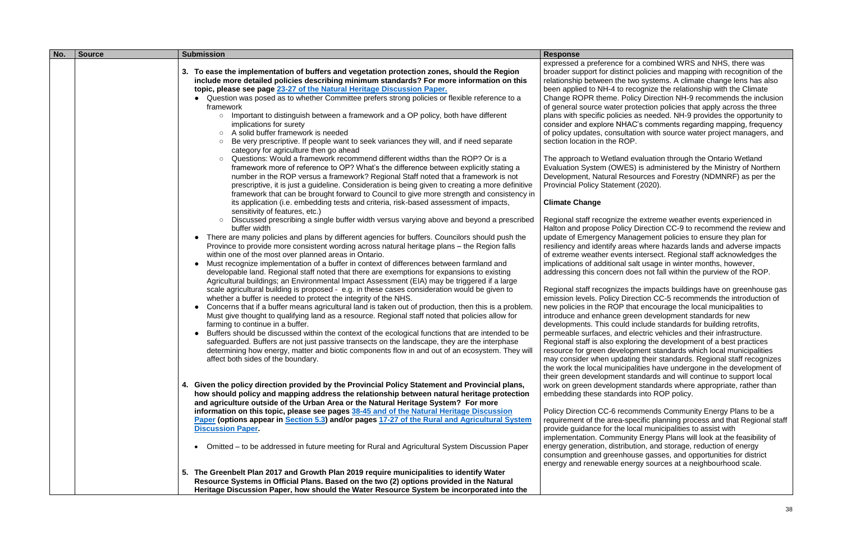| No. | <b>Source</b> | <b>Submission</b>                                                                                                                                                                                                                                                                                                                                                                                                                                                                                                                                                                                                                                                                                                                                                                                                                                                                                                                                                                                                                                                                                                                                                                                                                                                                                                                                                                                                                                                                                                                                                                                                                                                                                                                                                                                                                                                                                                                                                                                                                                                                                                                                                                                                                                                                                                                                                                                                                                                                                                                                                                                                                                                                                                                                                                                                                                                                                                                                                                                                                                                                                                                                                                                                                                                                                                                                                                       | <b>Response</b>                                                                                                                                                                                                                                                                                                                                                                                                                                                                                                                                                                                                                                                                                                                                                                                                                                                                                                                                                                                                                                                                                                                    |
|-----|---------------|-----------------------------------------------------------------------------------------------------------------------------------------------------------------------------------------------------------------------------------------------------------------------------------------------------------------------------------------------------------------------------------------------------------------------------------------------------------------------------------------------------------------------------------------------------------------------------------------------------------------------------------------------------------------------------------------------------------------------------------------------------------------------------------------------------------------------------------------------------------------------------------------------------------------------------------------------------------------------------------------------------------------------------------------------------------------------------------------------------------------------------------------------------------------------------------------------------------------------------------------------------------------------------------------------------------------------------------------------------------------------------------------------------------------------------------------------------------------------------------------------------------------------------------------------------------------------------------------------------------------------------------------------------------------------------------------------------------------------------------------------------------------------------------------------------------------------------------------------------------------------------------------------------------------------------------------------------------------------------------------------------------------------------------------------------------------------------------------------------------------------------------------------------------------------------------------------------------------------------------------------------------------------------------------------------------------------------------------------------------------------------------------------------------------------------------------------------------------------------------------------------------------------------------------------------------------------------------------------------------------------------------------------------------------------------------------------------------------------------------------------------------------------------------------------------------------------------------------------------------------------------------------------------------------------------------------------------------------------------------------------------------------------------------------------------------------------------------------------------------------------------------------------------------------------------------------------------------------------------------------------------------------------------------------------------------------------------------------------------------------------------------------|------------------------------------------------------------------------------------------------------------------------------------------------------------------------------------------------------------------------------------------------------------------------------------------------------------------------------------------------------------------------------------------------------------------------------------------------------------------------------------------------------------------------------------------------------------------------------------------------------------------------------------------------------------------------------------------------------------------------------------------------------------------------------------------------------------------------------------------------------------------------------------------------------------------------------------------------------------------------------------------------------------------------------------------------------------------------------------------------------------------------------------|
|     |               | 3. To ease the implementation of buffers and vegetation protection zones, should the Region<br>include more detailed policies describing minimum standards? For more information on this<br>topic, please see page 23-27 of the Natural Heritage Discussion Paper.<br>Question was posed as to whether Committee prefers strong policies or flexible reference to a<br>framework<br>Important to distinguish between a framework and a OP policy, both have different<br>$\circ$<br>implications for surety<br>A solid buffer framework is needed<br>$\circ$<br>Be very prescriptive. If people want to seek variances they will, and if need separate<br>$\circ$<br>category for agriculture then go ahead<br>Questions: Would a framework recommend different widths than the ROP? Or is a<br>$\circ$<br>framework more of reference to OP? What's the difference between explicitly stating a<br>number in the ROP versus a framework? Regional Staff noted that a framework is not<br>prescriptive, it is just a guideline. Consideration is being given to creating a more definitive<br>framework that can be brought forward to Council to give more strength and consistency in<br>its application (i.e. embedding tests and criteria, risk-based assessment of impacts,<br>sensitivity of features, etc.)<br>Discussed prescribing a single buffer width versus varying above and beyond a prescribed<br>$\circ$<br>buffer width<br>There are many policies and plans by different agencies for buffers. Councilors should push the<br>Province to provide more consistent wording across natural heritage plans – the Region falls<br>within one of the most over planned areas in Ontario.<br>Must recognize implementation of a buffer in context of differences between farmland and<br>developable land. Regional staff noted that there are exemptions for expansions to existing<br>Agricultural buildings; an Environmental Impact Assessment (EIA) may be triggered if a large<br>scale agricultural building is proposed - e.g. in these cases consideration would be given to<br>whether a buffer is needed to protect the integrity of the NHS.<br>Concerns that if a buffer means agricultural land is taken out of production, then this is a problem.<br>Must give thought to qualifying land as a resource. Regional staff noted that policies allow for<br>farming to continue in a buffer.<br>Buffers should be discussed within the context of the ecological functions that are intended to be<br>safeguarded. Buffers are not just passive transects on the landscape, they are the interphase<br>determining how energy, matter and biotic components flow in and out of an ecosystem. They will<br>affect both sides of the boundary.<br>4. Given the policy direction provided by the Provincial Policy Statement and Provincial plans,<br>how should policy and mapping address the relationship between natural heritage protection<br>and agriculture outside of the Urban Area or the Natural Heritage System? For more<br>information on this topic, please see pages 38-45 and of the Natural Heritage Discussion<br>Paper (options appear in Section 5.3) and/or pages 17-27 of the Rural and Agricultural System<br><b>Discussion Paper.</b><br>Omitted – to be addressed in future meeting for Rural and Agricultural System Discussion Paper | expressed a preferenc<br>broader support for dis<br>relationship between th<br>been applied to NH-4 t<br>Change ROPR theme.<br>of general source wate<br>plans with specific poli<br>consider and explore N<br>of policy updates, cons<br>section location in the<br>The approach to Wetla<br>Evaluation System (OV<br>Development, Natural<br><b>Provincial Policy State</b><br><b>Climate Change</b><br>Regional staff recogniz<br>Halton and propose Po<br>update of Emergency I<br>resiliency and identify a<br>of extreme weather eve<br>implications of addition<br>addressing this concer<br>Regional staff recogniz<br>emission levels. Policy<br>new policies in the RO<br>introduce and enhance<br>developments. This co<br>permeable surfaces, a<br>Regional staff is also e<br>resource for green dev<br>may consider when up<br>the work the local mun<br>their green developme<br>work on green develop<br>embedding these stand<br>Policy Direction CC-6 i<br>requirement of the area<br>provide guidance for th<br>implementation. Comm<br>energy generation, dis-<br>consumption and gree<br>energy and renewable |
|     |               | 5. The Greenbelt Plan 2017 and Growth Plan 2019 require municipalities to identify Water<br>Resource Systems in Official Plans. Based on the two (2) options provided in the Natural                                                                                                                                                                                                                                                                                                                                                                                                                                                                                                                                                                                                                                                                                                                                                                                                                                                                                                                                                                                                                                                                                                                                                                                                                                                                                                                                                                                                                                                                                                                                                                                                                                                                                                                                                                                                                                                                                                                                                                                                                                                                                                                                                                                                                                                                                                                                                                                                                                                                                                                                                                                                                                                                                                                                                                                                                                                                                                                                                                                                                                                                                                                                                                                                    |                                                                                                                                                                                                                                                                                                                                                                                                                                                                                                                                                                                                                                                                                                                                                                                                                                                                                                                                                                                                                                                                                                                                    |
|     |               | Heritage Discussion Paper, how should the Water Resource System be incorporated into the                                                                                                                                                                                                                                                                                                                                                                                                                                                                                                                                                                                                                                                                                                                                                                                                                                                                                                                                                                                                                                                                                                                                                                                                                                                                                                                                                                                                                                                                                                                                                                                                                                                                                                                                                                                                                                                                                                                                                                                                                                                                                                                                                                                                                                                                                                                                                                                                                                                                                                                                                                                                                                                                                                                                                                                                                                                                                                                                                                                                                                                                                                                                                                                                                                                                                                |                                                                                                                                                                                                                                                                                                                                                                                                                                                                                                                                                                                                                                                                                                                                                                                                                                                                                                                                                                                                                                                                                                                                    |

ce for a combined WRS and NHS, there was stinct policies and mapping with recognition of the he two systems. A climate change lens has also to recognize the relationship with the Climate Policy Direction NH-9 recommends the inclusion er protection policies that apply across the three cies as needed. NH-9 provides the opportunity to NHAC's comments regarding mapping, frequency sultation with source water project managers, and ROP.

and evaluation through the Ontario Wetland WES) is administered by the Ministry of Northern Resources and Forestry (NDMNRF) as per the ment (2020).

re the extreme weather events experienced in olicy Direction CC-9 to recommend the review and Management policies to ensure they plan for areas where hazards lands and adverse impacts ents intersect. Regional staff acknowledges the ial salt usage in winter months, however, rn does not fall within the purview of the ROP.

zes the impacts buildings have on greenhouse gas Direction CC-5 recommends the introduction of P that encourage the local municipalities to green development standards for new ould include standards for building retrofits, nd electric vehicles and their infrastructure. exploring the development of a best practices relopment standards which local municipalities dating their standards. Regional staff recognizes icipalities have undergone in the development of ent standards and will continue to support local ment standards where appropriate, rather than dards into ROP policy.

recommends Community Energy Plans to be a a-specific planning process and that Regional staff e local municipalities to assist with nunity Energy Plans will look at the feasibility of tribution, and storage, reduction of energy nhouse gasses, and opportunities for district energy sources at a neighbourhood scale.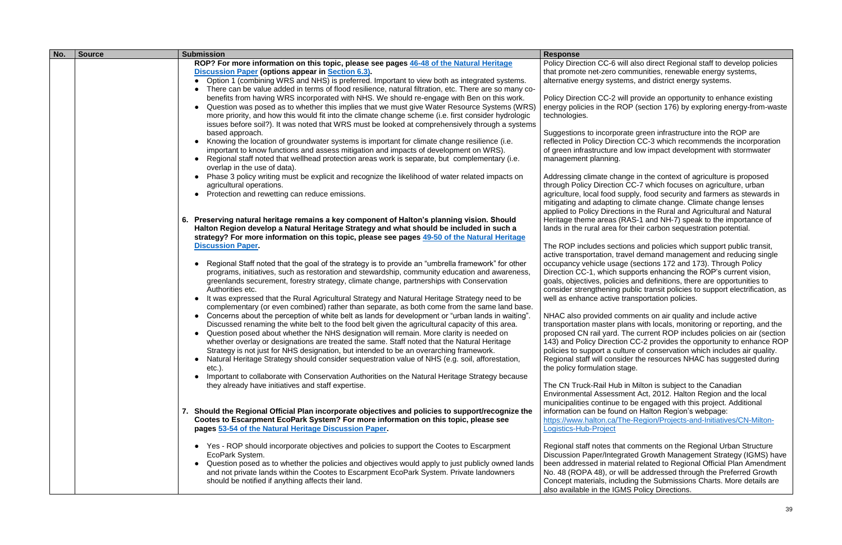| No. | <b>Source</b> | <b>Submission</b>                                                                                                                                                                     | <b>Response</b>                                      |
|-----|---------------|---------------------------------------------------------------------------------------------------------------------------------------------------------------------------------------|------------------------------------------------------|
|     |               | ROP? For more information on this topic, please see pages 46-48 of the Natural Heritage                                                                                               | Policy Direction CC-6 v                              |
|     |               | <b>Discussion Paper (options appear in Section 6.3).</b>                                                                                                                              | that promote net-zero o                              |
|     |               | Option 1 (combining WRS and NHS) is preferred. Important to view both as integrated systems.                                                                                          | alternative energy syst                              |
|     |               | There can be value added in terms of flood resilience, natural filtration, etc. There are so many co-                                                                                 |                                                      |
|     |               | benefits from having WRS incorporated with NHS. We should re-engage with Ben on this work.                                                                                            | Policy Direction CC-2 v                              |
|     |               | Question was posed as to whether this implies that we must give Water Resource Systems (WRS)                                                                                          | energy policies in the F                             |
|     |               | more priority, and how this would fit into the climate change scheme (i.e. first consider hydrologic                                                                                  | technologies.                                        |
|     |               | issues before soil?). It was noted that WRS must be looked at comprehensively through a systems                                                                                       |                                                      |
|     |               | based approach.                                                                                                                                                                       | Suggestions to incorpo                               |
|     |               | Knowing the location of groundwater systems is important for climate change resilience (i.e.<br>$\bullet$                                                                             | reflected in Policy Dire                             |
|     |               | important to know functions and assess mitigation and impacts of development on WRS).                                                                                                 | of green infrastructure                              |
|     |               | Regional staff noted that wellhead protection areas work is separate, but complementary (i.e.<br>overlap in the use of data).                                                         | management planning.                                 |
|     |               | Phase 3 policy writing must be explicit and recognize the likelihood of water related impacts on                                                                                      | Addressing climate cha                               |
|     |               | agricultural operations.                                                                                                                                                              | through Policy Direction                             |
|     |               | Protection and rewetting can reduce emissions.                                                                                                                                        | agriculture, local food s                            |
|     |               |                                                                                                                                                                                       | mitigating and adapting                              |
|     |               |                                                                                                                                                                                       | applied to Policy Direct                             |
|     |               | 6. Preserving natural heritage remains a key component of Halton's planning vision. Should                                                                                            | Heritage theme areas (                               |
|     |               | Halton Region develop a Natural Heritage Strategy and what should be included in such a                                                                                               | lands in the rural area f                            |
|     |               | strategy? For more information on this topic, please see pages 49-50 of the Natural Heritage                                                                                          |                                                      |
|     |               | <b>Discussion Paper.</b>                                                                                                                                                              | The ROP includes sect                                |
|     |               |                                                                                                                                                                                       | active transportation, tr                            |
|     |               | Regional Staff noted that the goal of the strategy is to provide an "umbrella framework" for other                                                                                    | occupancy vehicle usa                                |
|     |               | programs, initiatives, such as restoration and stewardship, community education and awareness,                                                                                        | Direction CC-1, which s                              |
|     |               | greenlands securement, forestry strategy, climate change, partnerships with Conservation                                                                                              | goals, objectives, polici                            |
|     |               | Authorities etc.                                                                                                                                                                      | consider strengthening                               |
|     |               | It was expressed that the Rural Agricultural Strategy and Natural Heritage Strategy need to be<br>$\bullet$                                                                           | well as enhance active                               |
|     |               | complementary (or even combined) rather than separate, as both come from the same land base.                                                                                          |                                                      |
|     |               | Concerns about the perception of white belt as lands for development or "urban lands in waiting".<br>$\bullet$                                                                        | NHAC also provided co                                |
|     |               | Discussed renaming the white belt to the food belt given the agricultural capacity of this area.                                                                                      | transportation master p                              |
|     |               | Question posed about whether the NHS designation will remain. More clarity is needed on                                                                                               | proposed CN rail yard.                               |
|     |               | whether overlay or designations are treated the same. Staff noted that the Natural Heritage<br>Strategy is not just for NHS designation, but intended to be an overarching framework. | 143) and Policy Directio<br>policies to support a cu |
|     |               | Natural Heritage Strategy should consider sequestration value of NHS (e.g. soil, afforestation,                                                                                       | Regional staff will cons                             |
|     |               | $etc.$ ).                                                                                                                                                                             | the policy formulation s                             |
|     |               | Important to collaborate with Conservation Authorities on the Natural Heritage Strategy because                                                                                       |                                                      |
|     |               | they already have initiatives and staff expertise.                                                                                                                                    | The CN Truck-Rail Hub                                |
|     |               |                                                                                                                                                                                       | <b>Environmental Assessr</b>                         |
|     |               |                                                                                                                                                                                       | municipalities continue                              |
|     |               | 7. Should the Regional Official Plan incorporate objectives and policies to support/recognize the                                                                                     | information can be four                              |
|     |               | Cootes to Escarpment EcoPark System? For more information on this topic, please see                                                                                                   | https://www.halton.ca/1                              |
|     |               | pages 53-54 of the Natural Heritage Discussion Paper.                                                                                                                                 | Logistics-Hub-Project                                |
|     |               |                                                                                                                                                                                       |                                                      |
|     |               | Yes - ROP should incorporate objectives and policies to support the Cootes to Escarpment                                                                                              | Regional staff notes tha                             |
|     |               | EcoPark System.                                                                                                                                                                       | <b>Discussion Paper/Integ</b>                        |
|     |               | Question posed as to whether the policies and objectives would apply to just publicly owned lands<br>$\bullet$                                                                        | been addressed in mat                                |
|     |               | and not private lands within the Cootes to Escarpment EcoPark System. Private landowners                                                                                              | No. 48 (ROPA 48), or v                               |
|     |               | should be notified if anything affects their land.                                                                                                                                    | Concept materials, incl                              |
|     |               |                                                                                                                                                                                       | also available in the IG                             |

will also direct Regional staff to develop policies communities, renewable energy systems, ems, and district energy systems.

will provide an opportunity to enhance existing ROP (section 176) by exploring energy-from-waste

orate green infrastructure into the ROP are ction CC-3 which recommends the incorporation and low impact development with stormwater

ange in the context of agriculture is proposed on CC-7 which focuses on agriculture, urban supply, food security and farmers as stewards in g to climate change. Climate change lenses tions in the Rural and Agricultural and Natural (RAS-1 and NH-7) speak to the importance of for their carbon sequestration potential.

tions and policies which support public transit, ravel demand management and reducing single ge (sections 172 and 173). Through Policy supports enhancing the ROP's current vision, ies and definitions, there are opportunities to public transit policies to support electrification, as transportation policies.

omments on air quality and include active blans with locals, monitoring or reporting, and the The current ROP includes policies on air (section ion CC-2 provides the opportunity to enhance ROP alture of conservation which includes air quality. sider the resources NHAC has suggested during stage.

Ib in Milton is subject to the Canadian ment Act, 2012. Halton Region and the local to be engaged with this project. Additional nd on Halton Region's webpage: The-Region/Projects-and-Initiatives/CN-Milton-

at comments on the Regional Urban Structure grated Growth Management Strategy (IGMS) have terial related to Regional Official Plan Amendment will be addressed through the Preferred Growth luding the Submissions Charts. More details are **IMS Policy Directions.**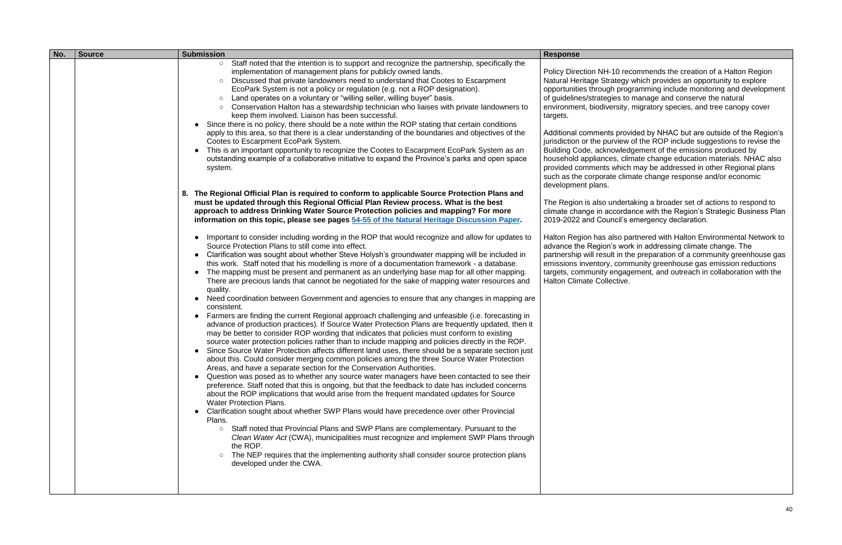| No. | <b>Source</b> | <b>Submission</b>                                                                                                                                                                                                                                                                                                                                                                                                                                                                                                                                                                                                                                                                                                                                                                                                                                                                                                                                                                                                                                                                                                                                                                                                                                                                                                                                                                                                                                                                                                                                                                                                                                                                                                                                                                                                                                                                                                                                                                                                                                                                                                                                                                                                                                                                                                                                                                                                                                                                                                                                                                                                                                                                                                                                                                                                                                                                                                                                                                                                                                                                                                                                                                                                                                                                                                                                                                                                                                                                                                                                                                                                                                                     | <b>Response</b>                                                                                                                                                                                                                                                                                                                                                                                                                                                                                                                                                                         |
|-----|---------------|-----------------------------------------------------------------------------------------------------------------------------------------------------------------------------------------------------------------------------------------------------------------------------------------------------------------------------------------------------------------------------------------------------------------------------------------------------------------------------------------------------------------------------------------------------------------------------------------------------------------------------------------------------------------------------------------------------------------------------------------------------------------------------------------------------------------------------------------------------------------------------------------------------------------------------------------------------------------------------------------------------------------------------------------------------------------------------------------------------------------------------------------------------------------------------------------------------------------------------------------------------------------------------------------------------------------------------------------------------------------------------------------------------------------------------------------------------------------------------------------------------------------------------------------------------------------------------------------------------------------------------------------------------------------------------------------------------------------------------------------------------------------------------------------------------------------------------------------------------------------------------------------------------------------------------------------------------------------------------------------------------------------------------------------------------------------------------------------------------------------------------------------------------------------------------------------------------------------------------------------------------------------------------------------------------------------------------------------------------------------------------------------------------------------------------------------------------------------------------------------------------------------------------------------------------------------------------------------------------------------------------------------------------------------------------------------------------------------------------------------------------------------------------------------------------------------------------------------------------------------------------------------------------------------------------------------------------------------------------------------------------------------------------------------------------------------------------------------------------------------------------------------------------------------------------------------------------------------------------------------------------------------------------------------------------------------------------------------------------------------------------------------------------------------------------------------------------------------------------------------------------------------------------------------------------------------------------------------------------------------------------------------------------------------------|-----------------------------------------------------------------------------------------------------------------------------------------------------------------------------------------------------------------------------------------------------------------------------------------------------------------------------------------------------------------------------------------------------------------------------------------------------------------------------------------------------------------------------------------------------------------------------------------|
|     |               | Staff noted that the intention is to support and recognize the partnership, specifically the<br>$\circ$<br>implementation of management plans for publicly owned lands.<br>Discussed that private landowners need to understand that Cootes to Escarpment<br>$\circ$<br>EcoPark System is not a policy or regulation (e.g. not a ROP designation).<br>Land operates on a voluntary or "willing seller, willing buyer" basis.<br>$\circ$<br>Conservation Halton has a stewardship technician who liaises with private landowners to<br>keep them involved. Liaison has been successful.<br>Since there is no policy, there should be a note within the ROP stating that certain conditions<br>apply to this area, so that there is a clear understanding of the boundaries and objectives of the<br>Cootes to Escarpment EcoPark System.<br>This is an important opportunity to recognize the Cootes to Escarpment EcoPark System as an<br>$\bullet$<br>outstanding example of a collaborative initiative to expand the Province's parks and open space<br>system.<br>8. The Regional Official Plan is required to conform to applicable Source Protection Plans and<br>must be updated through this Regional Official Plan Review process. What is the best<br>approach to address Drinking Water Source Protection policies and mapping? For more<br>information on this topic, please see pages 54-55 of the Natural Heritage Discussion Paper.<br>Important to consider including wording in the ROP that would recognize and allow for updates to<br>Source Protection Plans to still come into effect.<br>Clarification was sought about whether Steve Holysh's groundwater mapping will be included in<br>this work. Staff noted that his modelling is more of a documentation framework - a database.<br>The mapping must be present and permanent as an underlying base map for all other mapping.<br>$\bullet$<br>There are precious lands that cannot be negotiated for the sake of mapping water resources and<br>quality.<br>Need coordination between Government and agencies to ensure that any changes in mapping are<br>$\bullet$<br>consistent.<br>Farmers are finding the current Regional approach challenging and unfeasible (i.e. forecasting in<br>$\bullet$<br>advance of production practices). If Source Water Protection Plans are frequently updated, then it<br>may be better to consider ROP wording that indicates that policies must conform to existing<br>source water protection policies rather than to include mapping and policies directly in the ROP.<br>Since Source Water Protection affects different land uses, there should be a separate section just<br>about this. Could consider merging common policies among the three Source Water Protection<br>Areas, and have a separate section for the Conservation Authorities.<br>Question was posed as to whether any source water managers have been contacted to see their<br>$\bullet$<br>preference. Staff noted that this is ongoing, but that the feedback to date has included concerns<br>about the ROP implications that would arise from the frequent mandated updates for Source<br><b>Water Protection Plans.</b><br>Clarification sought about whether SWP Plans would have precedence over other Provincial<br>Plans.<br>Staff noted that Provincial Plans and SWP Plans are complementary. Pursuant to the<br>$\circ$<br>Clean Water Act (CWA), municipalities must recognize and implement SWP Plans through<br>the ROP.<br>The NEP requires that the implementing authority shall consider source protection plans<br>$\circ$<br>developed under the CWA. | Policy Direction NH-10<br><b>Natural Heritage Strate</b><br>opportunities through p<br>of guidelines/strategies<br>environment, biodivers<br>targets.<br>Additional comments p<br>jurisdiction or the purv<br><b>Building Code, acknov</b><br>household appliances,<br>provided comments wl<br>such as the corporate<br>development plans.<br>The Region is also und<br>climate change in acco<br>2019-2022 and Counc<br>Halton Region has als<br>advance the Region's<br>partnership will result i<br>emissions inventory, c<br>targets, community en<br><b>Halton Climate Collect</b> |
|     |               |                                                                                                                                                                                                                                                                                                                                                                                                                                                                                                                                                                                                                                                                                                                                                                                                                                                                                                                                                                                                                                                                                                                                                                                                                                                                                                                                                                                                                                                                                                                                                                                                                                                                                                                                                                                                                                                                                                                                                                                                                                                                                                                                                                                                                                                                                                                                                                                                                                                                                                                                                                                                                                                                                                                                                                                                                                                                                                                                                                                                                                                                                                                                                                                                                                                                                                                                                                                                                                                                                                                                                                                                                                                                       |                                                                                                                                                                                                                                                                                                                                                                                                                                                                                                                                                                                         |

0 recommends the creation of a Halton Region tegy which provides an opportunity to explore programming include monitoring and development is to manage and conserve the natural sity, migratory species, and tree canopy cover

provided by NHAC but are outside of the Region's  $\frac{1}{2}$  iew of the ROP include suggestions to revise the wledgement of the emissions produced by , climate change education materials. NHAC also which may be addressed in other Regional plans climate change response and/or economic

dertaking a broader set of actions to respond to cordance with the Region's Strategic Business Plan cil's emergency declaration.

so partnered with Halton Environmental Network to advork in addressing climate change. The in the preparation of a community greenhouse gas community greenhouse gas emission reductions ngagement, and outreach in collaboration with the tive.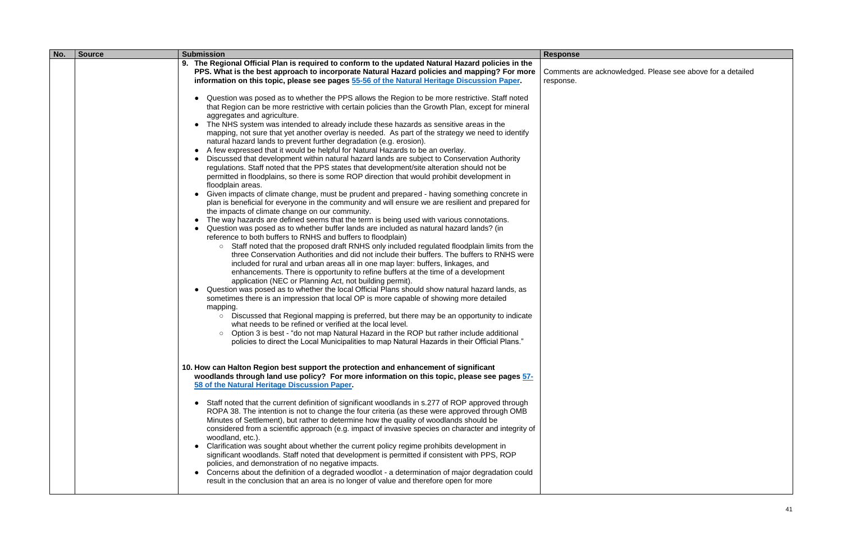| No. | <b>Source</b> | <b>Submission</b>                                                                                                                                                                                    | <b>Response</b>    |
|-----|---------------|------------------------------------------------------------------------------------------------------------------------------------------------------------------------------------------------------|--------------------|
|     |               | 9. The Regional Official Plan is required to conform to the updated Natural Hazard policies in the                                                                                                   |                    |
|     |               | PPS. What is the best approach to incorporate Natural Hazard policies and mapping? For more                                                                                                          | Comments are ackno |
|     |               | information on this topic, please see pages 55-56 of the Natural Heritage Discussion Paper.                                                                                                          | response.          |
|     |               |                                                                                                                                                                                                      |                    |
|     |               | Question was posed as to whether the PPS allows the Region to be more restrictive. Staff noted<br>$\bullet$                                                                                          |                    |
|     |               | that Region can be more restrictive with certain policies than the Growth Plan, except for mineral                                                                                                   |                    |
|     |               | aggregates and agriculture.                                                                                                                                                                          |                    |
|     |               | The NHS system was intended to already include these hazards as sensitive areas in the                                                                                                               |                    |
|     |               | mapping, not sure that yet another overlay is needed. As part of the strategy we need to identify                                                                                                    |                    |
|     |               | natural hazard lands to prevent further degradation (e.g. erosion).                                                                                                                                  |                    |
|     |               | A few expressed that it would be helpful for Natural Hazards to be an overlay.<br>$\bullet$                                                                                                          |                    |
|     |               | Discussed that development within natural hazard lands are subject to Conservation Authority                                                                                                         |                    |
|     |               | regulations. Staff noted that the PPS states that development/site alteration should not be                                                                                                          |                    |
|     |               | permitted in floodplains, so there is some ROP direction that would prohibit development in                                                                                                          |                    |
|     |               | floodplain areas.                                                                                                                                                                                    |                    |
|     |               | Given impacts of climate change, must be prudent and prepared - having something concrete in<br>$\bullet$                                                                                            |                    |
|     |               | plan is beneficial for everyone in the community and will ensure we are resilient and prepared for                                                                                                   |                    |
|     |               | the impacts of climate change on our community.                                                                                                                                                      |                    |
|     |               | The way hazards are defined seems that the term is being used with various connotations.                                                                                                             |                    |
|     |               | Question was posed as to whether buffer lands are included as natural hazard lands? (in                                                                                                              |                    |
|     |               | reference to both buffers to RNHS and buffers to floodplain)                                                                                                                                         |                    |
|     |               | Staff noted that the proposed draft RNHS only included regulated floodplain limits from the<br>$\circ$<br>three Conservation Authorities and did not include their buffers. The buffers to RNHS were |                    |
|     |               | included for rural and urban areas all in one map layer: buffers, linkages, and                                                                                                                      |                    |
|     |               | enhancements. There is opportunity to refine buffers at the time of a development                                                                                                                    |                    |
|     |               | application (NEC or Planning Act, not building permit).                                                                                                                                              |                    |
|     |               | Question was posed as to whether the local Official Plans should show natural hazard lands, as<br>$\bullet$                                                                                          |                    |
|     |               | sometimes there is an impression that local OP is more capable of showing more detailed                                                                                                              |                    |
|     |               | mapping.                                                                                                                                                                                             |                    |
|     |               | ○ Discussed that Regional mapping is preferred, but there may be an opportunity to indicate                                                                                                          |                    |
|     |               | what needs to be refined or verified at the local level.                                                                                                                                             |                    |
|     |               | Option 3 is best - "do not map Natural Hazard in the ROP but rather include additional<br>$\circ$                                                                                                    |                    |
|     |               | policies to direct the Local Municipalities to map Natural Hazards in their Official Plans."                                                                                                         |                    |
|     |               |                                                                                                                                                                                                      |                    |
|     |               |                                                                                                                                                                                                      |                    |
|     |               | 10. How can Halton Region best support the protection and enhancement of significant                                                                                                                 |                    |
|     |               | woodlands through land use policy? For more information on this topic, please see pages 57-                                                                                                          |                    |
|     |               | 58 of the Natural Heritage Discussion Paper.                                                                                                                                                         |                    |
|     |               |                                                                                                                                                                                                      |                    |
|     |               | • Staff noted that the current definition of significant woodlands in s.277 of ROP approved through                                                                                                  |                    |
|     |               | ROPA 38. The intention is not to change the four criteria (as these were approved through OMB                                                                                                        |                    |
|     |               | Minutes of Settlement), but rather to determine how the quality of woodlands should be                                                                                                               |                    |
|     |               | considered from a scientific approach (e.g. impact of invasive species on character and integrity of                                                                                                 |                    |
|     |               | woodland, etc.).                                                                                                                                                                                     |                    |
|     |               | Clarification was sought about whether the current policy regime prohibits development in                                                                                                            |                    |
|     |               | significant woodlands. Staff noted that development is permitted if consistent with PPS, ROP                                                                                                         |                    |
|     |               | policies, and demonstration of no negative impacts.                                                                                                                                                  |                    |
|     |               | Concerns about the definition of a degraded woodlot - a determination of major degradation could                                                                                                     |                    |
|     |               | result in the conclusion that an area is no longer of value and therefore open for more                                                                                                              |                    |
|     |               |                                                                                                                                                                                                      |                    |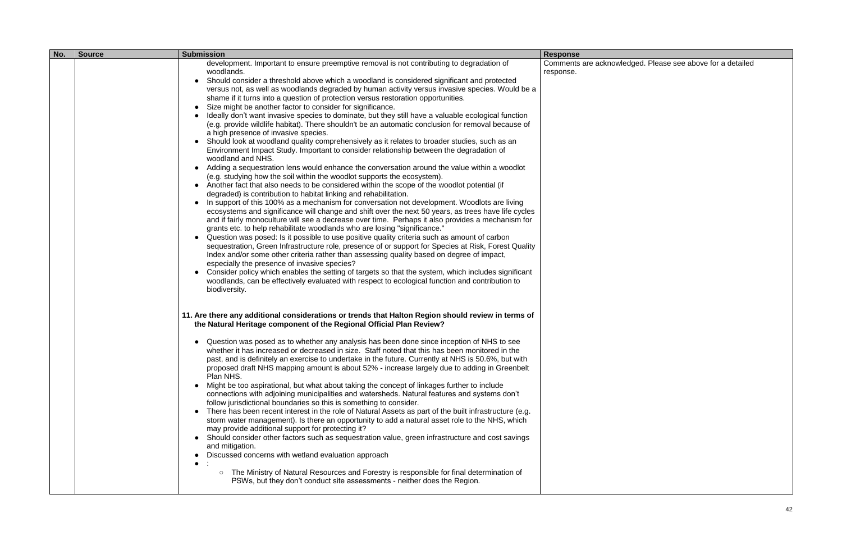| No. | <b>Source</b> | <b>Submission</b>                                                                                                                                                                                                                                                                                                                                                                                                                                                                                                                                                                                                                                                                                                                                                                                                                                                                                                                                                                                                                                                                                                                                                                                                                                                                                                                                                                                                                                                                                                                                                                                                                                                                                                                                                                                                                                                                                                                                                                                                                                                                                                                                                                                                                                       | <b>Response</b>                |
|-----|---------------|---------------------------------------------------------------------------------------------------------------------------------------------------------------------------------------------------------------------------------------------------------------------------------------------------------------------------------------------------------------------------------------------------------------------------------------------------------------------------------------------------------------------------------------------------------------------------------------------------------------------------------------------------------------------------------------------------------------------------------------------------------------------------------------------------------------------------------------------------------------------------------------------------------------------------------------------------------------------------------------------------------------------------------------------------------------------------------------------------------------------------------------------------------------------------------------------------------------------------------------------------------------------------------------------------------------------------------------------------------------------------------------------------------------------------------------------------------------------------------------------------------------------------------------------------------------------------------------------------------------------------------------------------------------------------------------------------------------------------------------------------------------------------------------------------------------------------------------------------------------------------------------------------------------------------------------------------------------------------------------------------------------------------------------------------------------------------------------------------------------------------------------------------------------------------------------------------------------------------------------------------------|--------------------------------|
|     |               | development. Important to ensure preemptive removal is not contributing to degradation of<br>woodlands.<br>Should consider a threshold above which a woodland is considered significant and protected<br>versus not, as well as woodlands degraded by human activity versus invasive species. Would be a<br>shame if it turns into a question of protection versus restoration opportunities.<br>Size might be another factor to consider for significance.<br>Ideally don't want invasive species to dominate, but they still have a valuable ecological function<br>(e.g. provide wildlife habitat). There shouldn't be an automatic conclusion for removal because of<br>a high presence of invasive species.<br>Should look at woodland quality comprehensively as it relates to broader studies, such as an<br>Environment Impact Study. Important to consider relationship between the degradation of<br>woodland and NHS.<br>Adding a sequestration lens would enhance the conversation around the value within a woodlot<br>(e.g. studying how the soil within the woodlot supports the ecosystem).<br>Another fact that also needs to be considered within the scope of the woodlot potential (if<br>degraded) is contribution to habitat linking and rehabilitation.<br>In support of this 100% as a mechanism for conversation not development. Woodlots are living<br>ecosystems and significance will change and shift over the next 50 years, as trees have life cycles<br>and if fairly monoculture will see a decrease over time. Perhaps it also provides a mechanism for<br>grants etc. to help rehabilitate woodlands who are losing "significance."<br>Question was posed: Is it possible to use positive quality criteria such as amount of carbon<br>sequestration, Green Infrastructure role, presence of or support for Species at Risk, Forest Quality<br>Index and/or some other criteria rather than assessing quality based on degree of impact,<br>especially the presence of invasive species?<br>Consider policy which enables the setting of targets so that the system, which includes significant<br>woodlands, can be effectively evaluated with respect to ecological function and contribution to<br>biodiversity. | Comments are ackn<br>response. |
|     |               | 11. Are there any additional considerations or trends that Halton Region should review in terms of<br>the Natural Heritage component of the Regional Official Plan Review?<br>Question was posed as to whether any analysis has been done since inception of NHS to see<br>whether it has increased or decreased in size. Staff noted that this has been monitored in the<br>past, and is definitely an exercise to undertake in the future. Currently at NHS is 50.6%, but with<br>proposed draft NHS mapping amount is about 52% - increase largely due to adding in Greenbelt<br>Plan NHS.<br>Might be too aspirational, but what about taking the concept of linkages further to include<br>$\bullet$<br>connections with adjoining municipalities and watersheds. Natural features and systems don't<br>follow jurisdictional boundaries so this is something to consider.<br>There has been recent interest in the role of Natural Assets as part of the built infrastructure (e.g.<br>storm water management). Is there an opportunity to add a natural asset role to the NHS, which<br>may provide additional support for protecting it?<br>Should consider other factors such as sequestration value, green infrastructure and cost savings<br>and mitigation.<br>Discussed concerns with wetland evaluation approach<br>The Ministry of Natural Resources and Forestry is responsible for final determination of<br>$\circ$<br>PSWs, but they don't conduct site assessments - neither does the Region.                                                                                                                                                                                                                                                                                                                                                                                                                                                                                                                                                                                                                                                                                                                                       |                                |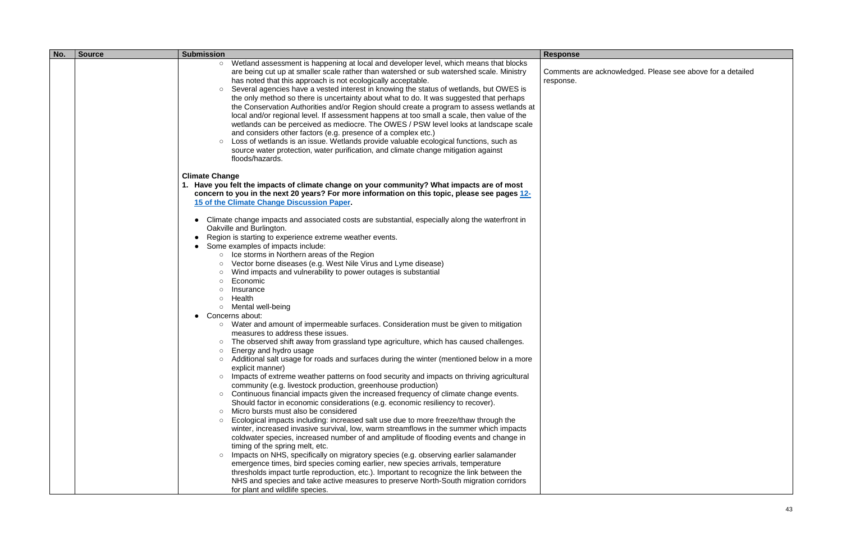| No. | <b>Source</b> | <b>Submission</b>                                                                                                                                                                                                                                                                                                                                                                                                                                                                                                                                                                                                                                                                                                                                                                                                                                                                                                                                                                                                                                                                                                                                                                                                                                                                 | <b>Response</b>                 |
|-----|---------------|-----------------------------------------------------------------------------------------------------------------------------------------------------------------------------------------------------------------------------------------------------------------------------------------------------------------------------------------------------------------------------------------------------------------------------------------------------------------------------------------------------------------------------------------------------------------------------------------------------------------------------------------------------------------------------------------------------------------------------------------------------------------------------------------------------------------------------------------------------------------------------------------------------------------------------------------------------------------------------------------------------------------------------------------------------------------------------------------------------------------------------------------------------------------------------------------------------------------------------------------------------------------------------------|---------------------------------|
|     |               | Wetland assessment is happening at local and developer level, which means that blocks<br>$\circ$<br>are being cut up at smaller scale rather than watershed or sub watershed scale. Ministry<br>has noted that this approach is not ecologically acceptable.<br>Several agencies have a vested interest in knowing the status of wetlands, but OWES is<br>the only method so there is uncertainty about what to do. It was suggested that perhaps<br>the Conservation Authorities and/or Region should create a program to assess wetlands at<br>local and/or regional level. If assessment happens at too small a scale, then value of the<br>wetlands can be perceived as mediocre. The OWES / PSW level looks at landscape scale<br>and considers other factors (e.g. presence of a complex etc.)<br>Loss of wetlands is an issue. Wetlands provide valuable ecological functions, such as<br>$\circ$<br>source water protection, water purification, and climate change mitigation against<br>floods/hazards.                                                                                                                                                                                                                                                                 | Comments are ackno<br>response. |
|     |               | <b>Climate Change</b><br>1. Have you felt the impacts of climate change on your community? What impacts are of most<br>concern to you in the next 20 years? For more information on this topic, please see pages 12-<br>15 of the Climate Change Discussion Paper.<br>Climate change impacts and associated costs are substantial, especially along the waterfront in<br>$\bullet$<br>Oakville and Burlington.<br>Region is starting to experience extreme weather events.<br>Some examples of impacts include:<br>Ice storms in Northern areas of the Region<br>$\circlearrowright$<br>Vector borne diseases (e.g. West Nile Virus and Lyme disease)<br>$\circ$<br>Wind impacts and vulnerability to power outages is substantial<br>$\circ$<br>Economic<br>$\circ$<br>Insurance<br>$\circ$<br>Health<br>$\circ$<br>Mental well-being<br>$\circlearrowright$<br>Concerns about:<br>Water and amount of impermeable surfaces. Consideration must be given to mitigation<br>$\circ$<br>measures to address these issues.<br>The observed shift away from grassland type agriculture, which has caused challenges.<br>$\circ$<br>Energy and hydro usage<br>$\circ$<br>Additional salt usage for roads and surfaces during the winter (mentioned below in a more<br>explicit manner) |                                 |
|     |               | Impacts of extreme weather patterns on food security and impacts on thriving agricultural<br>$\circ$<br>community (e.g. livestock production, greenhouse production)<br>Continuous financial impacts given the increased frequency of climate change events.<br>$\circ$<br>Should factor in economic considerations (e.g. economic resiliency to recover).<br>Micro bursts must also be considered<br>$\circ$<br>Ecological impacts including: increased salt use due to more freeze/thaw through the<br>$\circ$<br>winter, increased invasive survival, low, warm streamflows in the summer which impacts<br>coldwater species, increased number of and amplitude of flooding events and change in<br>timing of the spring melt, etc.<br>Impacts on NHS, specifically on migratory species (e.g. observing earlier salamander<br>emergence times, bird species coming earlier, new species arrivals, temperature<br>thresholds impact turtle reproduction, etc.). Important to recognize the link between the<br>NHS and species and take active measures to preserve North-South migration corridors<br>for plant and wildlife species.                                                                                                                                         |                                 |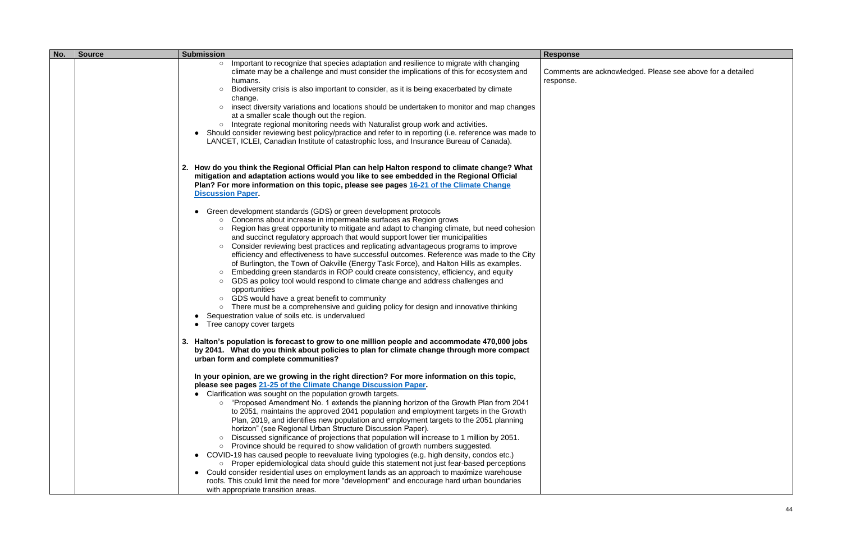| No. | <b>Source</b><br><b>Submission</b> |                                                                                                                                                                                                                                                                                                                                                                                                                                                                                                                                                                                                                                                                                                                                                                                                                                                                                                                                                                                                                                                                                                                                                                                                                                                                                                                                                                                                                                                           | <b>Response</b>                 |
|-----|------------------------------------|-----------------------------------------------------------------------------------------------------------------------------------------------------------------------------------------------------------------------------------------------------------------------------------------------------------------------------------------------------------------------------------------------------------------------------------------------------------------------------------------------------------------------------------------------------------------------------------------------------------------------------------------------------------------------------------------------------------------------------------------------------------------------------------------------------------------------------------------------------------------------------------------------------------------------------------------------------------------------------------------------------------------------------------------------------------------------------------------------------------------------------------------------------------------------------------------------------------------------------------------------------------------------------------------------------------------------------------------------------------------------------------------------------------------------------------------------------------|---------------------------------|
|     |                                    | Important to recognize that species adaptation and resilience to migrate with changing<br>$\circ$<br>climate may be a challenge and must consider the implications of this for ecosystem and<br>humans.<br>Biodiversity crisis is also important to consider, as it is being exacerbated by climate<br>$\circ$<br>change.<br>insect diversity variations and locations should be undertaken to monitor and map changes<br>at a smaller scale though out the region.<br>Integrate regional monitoring needs with Naturalist group work and activities.<br>$\bigcirc$<br>Should consider reviewing best policy/practice and refer to in reporting (i.e. reference was made to<br>LANCET, ICLEI, Canadian Institute of catastrophic loss, and Insurance Bureau of Canada).                                                                                                                                                                                                                                                                                                                                                                                                                                                                                                                                                                                                                                                                                   | Comments are ackno<br>response. |
|     |                                    | 2. How do you think the Regional Official Plan can help Halton respond to climate change? What<br>mitigation and adaptation actions would you like to see embedded in the Regional Official<br>Plan? For more information on this topic, please see pages 16-21 of the Climate Change<br><b>Discussion Paper</b><br>Green development standards (GDS) or green development protocols<br>○ Concerns about increase in impermeable surfaces as Region grows<br>Region has great opportunity to mitigate and adapt to changing climate, but need cohesion<br>$\circ$<br>and succinct regulatory approach that would support lower tier municipalities<br>Consider reviewing best practices and replicating advantageous programs to improve<br>efficiency and effectiveness to have successful outcomes. Reference was made to the City<br>of Burlington, the Town of Oakville (Energy Task Force), and Halton Hills as examples.<br>Embedding green standards in ROP could create consistency, efficiency, and equity<br>$\circ$<br>GDS as policy tool would respond to climate change and address challenges and<br>$\circ$<br>opportunities<br>GDS would have a great benefit to community<br>$\circ$<br>There must be a comprehensive and guiding policy for design and innovative thinking<br>$\bigcirc$<br>Sequestration value of soils etc. is undervalued<br>Tree canopy cover targets                                                               |                                 |
|     |                                    | 3. Halton's population is forecast to grow to one million people and accommodate 470,000 jobs<br>by 2041. What do you think about policies to plan for climate change through more compact<br>urban form and complete communities?<br>In your opinion, are we growing in the right direction? For more information on this topic,<br>please see pages 21-25 of the Climate Change Discussion Paper.<br>Clarification was sought on the population growth targets.<br>"Proposed Amendment No. 1 extends the planning horizon of the Growth Plan from 2041<br>$\circ$<br>to 2051, maintains the approved 2041 population and employment targets in the Growth<br>Plan, 2019, and identifies new population and employment targets to the 2051 planning<br>horizon" (see Regional Urban Structure Discussion Paper).<br>Discussed significance of projections that population will increase to 1 million by 2051.<br>$\circ$<br>Province should be required to show validation of growth numbers suggested.<br>$\circ$<br>COVID-19 has caused people to reevaluate living typologies (e.g. high density, condos etc.)<br>Proper epidemiological data should guide this statement not just fear-based perceptions<br>$\circ$<br>Could consider residential uses on employment lands as an approach to maximize warehouse<br>roofs. This could limit the need for more "development" and encourage hard urban boundaries<br>with appropriate transition areas. |                                 |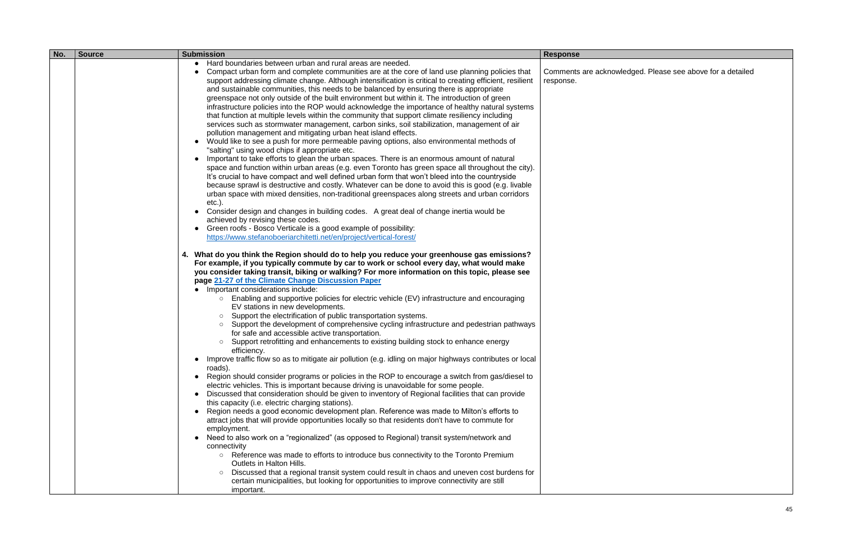| <b>Response</b><br>Hard boundaries between urban and rural areas are needed.<br>$\bullet$<br>Compact urban form and complete communities are at the core of land use planning policies that<br>Comments are ackno<br>support addressing climate change. Although intensification is critical to creating efficient, resilient<br>response.<br>and sustainable communities, this needs to be balanced by ensuring there is appropriate<br>greenspace not only outside of the built environment but within it. The introduction of green<br>infrastructure policies into the ROP would acknowledge the importance of healthy natural systems<br>that function at multiple levels within the community that support climate resiliency including<br>services such as stormwater management, carbon sinks, soil stabilization, management of air<br>pollution management and mitigating urban heat island effects.<br>Would like to see a push for more permeable paving options, also environmental methods of<br>"salting" using wood chips if appropriate etc.<br>Important to take efforts to glean the urban spaces. There is an enormous amount of natural<br>space and function within urban areas (e.g. even Toronto has green space all throughout the city).<br>It's crucial to have compact and well defined urban form that won't bleed into the countryside<br>because sprawl is destructive and costly. Whatever can be done to avoid this is good (e.g. livable<br>urban space with mixed densities, non-traditional greenspaces along streets and urban corridors<br>$etc.$ ).<br>Consider design and changes in building codes. A great deal of change inertia would be<br>achieved by revising these codes.<br>Green roofs - Bosco Verticale is a good example of possibility:<br>https://www.stefanoboeriarchitetti.net/en/project/vertical-forest/<br>4. What do you think the Region should do to help you reduce your greenhouse gas emissions?<br>For example, if you typically commute by car to work or school every day, what would make<br>you consider taking transit, biking or walking? For more information on this topic, please see<br>page 21-27 of the Climate Change Discussion Paper<br>Important considerations include:<br>Enabling and supportive policies for electric vehicle (EV) infrastructure and encouraging<br>$\circ$<br>EV stations in new developments.<br>Support the electrification of public transportation systems.<br>$\circ$<br>Support the development of comprehensive cycling infrastructure and pedestrian pathways<br>$\circ$<br>for safe and accessible active transportation.<br>Support retrofitting and enhancements to existing building stock to enhance energy<br>$\circ$<br>efficiency.<br>Improve traffic flow so as to mitigate air pollution (e.g. idling on major highways contributes or local<br>roads).<br>Region should consider programs or policies in the ROP to encourage a switch from gas/diesel to<br>electric vehicles. This is important because driving is unavoidable for some people.<br>Discussed that consideration should be given to inventory of Regional facilities that can provide<br>$\bullet$<br>this capacity (i.e. electric charging stations).<br>Region needs a good economic development plan. Reference was made to Milton's efforts to<br>attract jobs that will provide opportunities locally so that residents don't have to commute for<br>employment.<br>Need to also work on a "regionalized" (as opposed to Regional) transit system/network and<br>connectivity<br>○ Reference was made to efforts to introduce bus connectivity to the Toronto Premium<br>Outlets in Halton Hills. |
|----------------------------------------------------------------------------------------------------------------------------------------------------------------------------------------------------------------------------------------------------------------------------------------------------------------------------------------------------------------------------------------------------------------------------------------------------------------------------------------------------------------------------------------------------------------------------------------------------------------------------------------------------------------------------------------------------------------------------------------------------------------------------------------------------------------------------------------------------------------------------------------------------------------------------------------------------------------------------------------------------------------------------------------------------------------------------------------------------------------------------------------------------------------------------------------------------------------------------------------------------------------------------------------------------------------------------------------------------------------------------------------------------------------------------------------------------------------------------------------------------------------------------------------------------------------------------------------------------------------------------------------------------------------------------------------------------------------------------------------------------------------------------------------------------------------------------------------------------------------------------------------------------------------------------------------------------------------------------------------------------------------------------------------------------------------------------------------------------------------------------------------------------------------------------------------------------------------------------------------------------------------------------------------------------------------------------------------------------------------------------------------------------------------------------------------------------------------------------------------------------------------------------------------------------------------------------------------------------------------------------------------------------------------------------------------------------------------------------------------------------------------------------------------------------------------------------------------------------------------------------------------------------------------------------------------------------------------------------------------------------------------------------------------------------------------------------------------------------------------------------------------------------------------------------------------------------------------------------------------------------------------------------------------------------------------------------------------------------------------------------------------------------------------------------------------------------------------------------------------------------------------------------------------------------------------------------------------------------------------------------------------------------------------------------------------------------|
| Discussed that a regional transit system could result in chaos and uneven cost burdens for<br>certain municipalities, but looking for opportunities to improve connectivity are still                                                                                                                                                                                                                                                                                                                                                                                                                                                                                                                                                                                                                                                                                                                                                                                                                                                                                                                                                                                                                                                                                                                                                                                                                                                                                                                                                                                                                                                                                                                                                                                                                                                                                                                                                                                                                                                                                                                                                                                                                                                                                                                                                                                                                                                                                                                                                                                                                                                                                                                                                                                                                                                                                                                                                                                                                                                                                                                                                                                                                                                                                                                                                                                                                                                                                                                                                                                                                                                                                                              |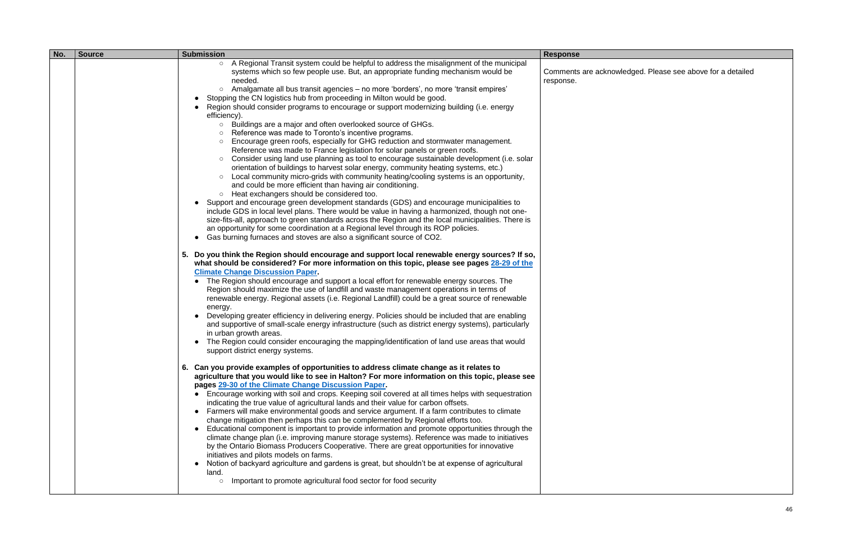| No. | <b>Submission</b><br><b>Source</b> |                                                                                                                                                                                                                                                                                                                                                                                                                                                                                                                                                                                                                                                                                                                                                                                                                                                                                                                                                                                                                                                                                                                                                                                                                                                                                                                                                                                                                                                                                                                                                                                                                                                                                                                                                                                                                                                                                                                                                                                                                                                                                                                                                                                                                                                                                                                                                                                                                                                                                                                                                                                                                                                                                                                                                                                                                                                                                                                                                                                                                                                                                                                                                                                                                                                                                                                                                                                                                                                                                                                                                                                                                                                                                                                                                                                                                                       | <b>Response</b>                 |  |
|-----|------------------------------------|---------------------------------------------------------------------------------------------------------------------------------------------------------------------------------------------------------------------------------------------------------------------------------------------------------------------------------------------------------------------------------------------------------------------------------------------------------------------------------------------------------------------------------------------------------------------------------------------------------------------------------------------------------------------------------------------------------------------------------------------------------------------------------------------------------------------------------------------------------------------------------------------------------------------------------------------------------------------------------------------------------------------------------------------------------------------------------------------------------------------------------------------------------------------------------------------------------------------------------------------------------------------------------------------------------------------------------------------------------------------------------------------------------------------------------------------------------------------------------------------------------------------------------------------------------------------------------------------------------------------------------------------------------------------------------------------------------------------------------------------------------------------------------------------------------------------------------------------------------------------------------------------------------------------------------------------------------------------------------------------------------------------------------------------------------------------------------------------------------------------------------------------------------------------------------------------------------------------------------------------------------------------------------------------------------------------------------------------------------------------------------------------------------------------------------------------------------------------------------------------------------------------------------------------------------------------------------------------------------------------------------------------------------------------------------------------------------------------------------------------------------------------------------------------------------------------------------------------------------------------------------------------------------------------------------------------------------------------------------------------------------------------------------------------------------------------------------------------------------------------------------------------------------------------------------------------------------------------------------------------------------------------------------------------------------------------------------------------------------------------------------------------------------------------------------------------------------------------------------------------------------------------------------------------------------------------------------------------------------------------------------------------------------------------------------------------------------------------------------------------------------------------------------------------------------------------------------------|---------------------------------|--|
|     |                                    | A Regional Transit system could be helpful to address the misalignment of the municipal<br>$\circ$<br>systems which so few people use. But, an appropriate funding mechanism would be<br>needed.<br>Amalgamate all bus transit agencies - no more 'borders', no more 'transit empires'<br>$\circ$<br>Stopping the CN logistics hub from proceeding in Milton would be good.<br>Region should consider programs to encourage or support modernizing building (i.e. energy<br>efficiency).<br>Buildings are a major and often overlooked source of GHGs.<br>$\circ$<br>Reference was made to Toronto's incentive programs.<br>$\circ$<br>Encourage green roofs, especially for GHG reduction and stormwater management.<br>$\circ$<br>Reference was made to France legislation for solar panels or green roofs.<br>Consider using land use planning as tool to encourage sustainable development (i.e. solar<br>$\circ$<br>orientation of buildings to harvest solar energy, community heating systems, etc.)<br>Local community micro-grids with community heating/cooling systems is an opportunity,<br>$\circ$<br>and could be more efficient than having air conditioning.<br>Heat exchangers should be considered too.<br>$\circ$<br>• Support and encourage green development standards (GDS) and encourage municipalities to<br>include GDS in local level plans. There would be value in having a harmonized, though not one-<br>size-fits-all, approach to green standards across the Region and the local municipalities. There is<br>an opportunity for some coordination at a Regional level through its ROP policies.<br>Gas burning furnaces and stoves are also a significant source of CO2.<br>$\bullet$<br>5. Do you think the Region should encourage and support local renewable energy sources? If so,<br>what should be considered? For more information on this topic, please see pages 28-29 of the<br><b>Climate Change Discussion Paper.</b><br>• The Region should encourage and support a local effort for renewable energy sources. The<br>Region should maximize the use of landfill and waste management operations in terms of<br>renewable energy. Regional assets (i.e. Regional Landfill) could be a great source of renewable<br>energy.<br>Developing greater efficiency in delivering energy. Policies should be included that are enabling<br>and supportive of small-scale energy infrastructure (such as district energy systems), particularly<br>in urban growth areas.<br>The Region could consider encouraging the mapping/identification of land use areas that would<br>support district energy systems.<br>6. Can you provide examples of opportunities to address climate change as it relates to<br>agriculture that you would like to see in Halton? For more information on this topic, please see<br>pages 29-30 of the Climate Change Discussion Paper.<br>Encourage working with soil and crops. Keeping soil covered at all times helps with sequestration<br>indicating the true value of agricultural lands and their value for carbon offsets.<br>• Farmers will make environmental goods and service argument. If a farm contributes to climate<br>change mitigation then perhaps this can be complemented by Regional efforts too.<br>Educational component is important to provide information and promote opportunities through the<br>climate change plan (i.e. improving manure storage systems). Reference was made to initiatives<br>by the Ontario Biomass Producers Cooperative. There are great opportunities for innovative<br>initiatives and pilots models on farms.<br>Notion of backyard agriculture and gardens is great, but shouldn't be at expense of agricultural<br>land.<br>Important to promote agricultural food sector for food security<br>$\circ$ | Comments are ackno<br>response. |  |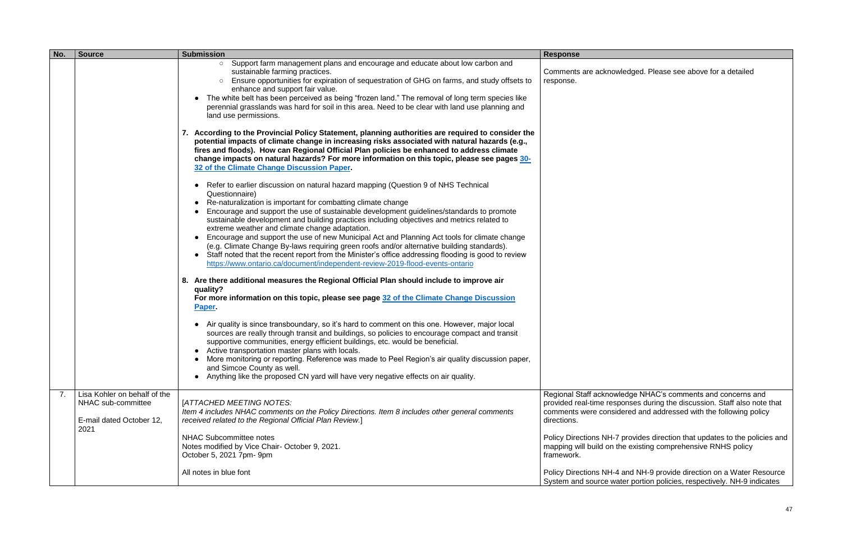| No. | <b>Source</b>                                                                  | <b>Submission</b>                                                                                                                                                                                                                                                                                                                                                                                                                                                                                                                                                                                                                                                                                               | <b>Response</b>                                                                                 |
|-----|--------------------------------------------------------------------------------|-----------------------------------------------------------------------------------------------------------------------------------------------------------------------------------------------------------------------------------------------------------------------------------------------------------------------------------------------------------------------------------------------------------------------------------------------------------------------------------------------------------------------------------------------------------------------------------------------------------------------------------------------------------------------------------------------------------------|-------------------------------------------------------------------------------------------------|
|     |                                                                                | Support farm management plans and encourage and educate about low carbon and<br>$\circ$<br>sustainable farming practices.<br>Ensure opportunities for expiration of sequestration of GHG on farms, and study offsets to<br>$\circ$<br>enhance and support fair value.<br>The white belt has been perceived as being "frozen land." The removal of long term species like<br>perennial grasslands was hard for soil in this area. Need to be clear with land use planning and<br>land use permissions.                                                                                                                                                                                                           | Comments are acknow<br>response.                                                                |
|     |                                                                                | 7. According to the Provincial Policy Statement, planning authorities are required to consider the<br>potential impacts of climate change in increasing risks associated with natural hazards (e.g.,<br>fires and floods). How can Regional Official Plan policies be enhanced to address climate<br>change impacts on natural hazards? For more information on this topic, please see pages 30-<br>32 of the Climate Change Discussion Paper.<br>Refer to earlier discussion on natural hazard mapping (Question 9 of NHS Technical                                                                                                                                                                            |                                                                                                 |
|     |                                                                                | Questionnaire)<br>Re-naturalization is important for combatting climate change<br>Encourage and support the use of sustainable development guidelines/standards to promote<br>sustainable development and building practices including objectives and metrics related to<br>extreme weather and climate change adaptation.<br>Encourage and support the use of new Municipal Act and Planning Act tools for climate change<br>(e.g. Climate Change By-laws requiring green roofs and/or alternative building standards).<br>Staff noted that the recent report from the Minister's office addressing flooding is good to review<br>https://www.ontario.ca/document/independent-review-2019-flood-events-ontario |                                                                                                 |
|     |                                                                                | 8. Are there additional measures the Regional Official Plan should include to improve air<br>quality?<br>For more information on this topic, please see page 32 of the Climate Change Discussion<br>Paper.                                                                                                                                                                                                                                                                                                                                                                                                                                                                                                      |                                                                                                 |
|     |                                                                                | Air quality is since transboundary, so it's hard to comment on this one. However, major local<br>sources are really through transit and buildings, so policies to encourage compact and transit<br>supportive communities, energy efficient buildings, etc. would be beneficial.<br>• Active transportation master plans with locals.<br>• More monitoring or reporting. Reference was made to Peel Region's air quality discussion paper,<br>and Simcoe County as well.<br>Anything like the proposed CN yard will have very negative effects on air quality.<br>$\bullet$                                                                                                                                     |                                                                                                 |
| 7.  | Lisa Kohler on behalf of the<br>NHAC sub-committee<br>E-mail dated October 12, | [ATTACHED MEETING NOTES:<br>Item 4 includes NHAC comments on the Policy Directions. Item 8 includes other general comments<br>received related to the Regional Official Plan Review.]                                                                                                                                                                                                                                                                                                                                                                                                                                                                                                                           | <b>Regional Staff acknowl</b><br>provided real-time resp<br>comments were consid<br>directions. |
|     | 2021                                                                           | <b>NHAC Subcommittee notes</b><br>Notes modified by Vice Chair- October 9, 2021.<br>October 5, 2021 7pm- 9pm                                                                                                                                                                                                                                                                                                                                                                                                                                                                                                                                                                                                    | <b>Policy Directions NH-7</b><br>mapping will build on th<br>framework.                         |
|     |                                                                                | All notes in blue font                                                                                                                                                                                                                                                                                                                                                                                                                                                                                                                                                                                                                                                                                          | <b>Policy Directions NH-4</b><br>System and source wa                                           |

Regional Staff acknowledge NHAC's comments and concerns and provided real-time responses during the discussion. Staff also note that comments were considered and addressed with the following policy

Policy Directions NH-7 provides direction that updates to the policies and mapping will build on the existing comprehensive RNHS policy

Policy Directions NH-4 and NH-9 provide direction on a Water Resource System and source water portion policies, respectively. NH-9 indicates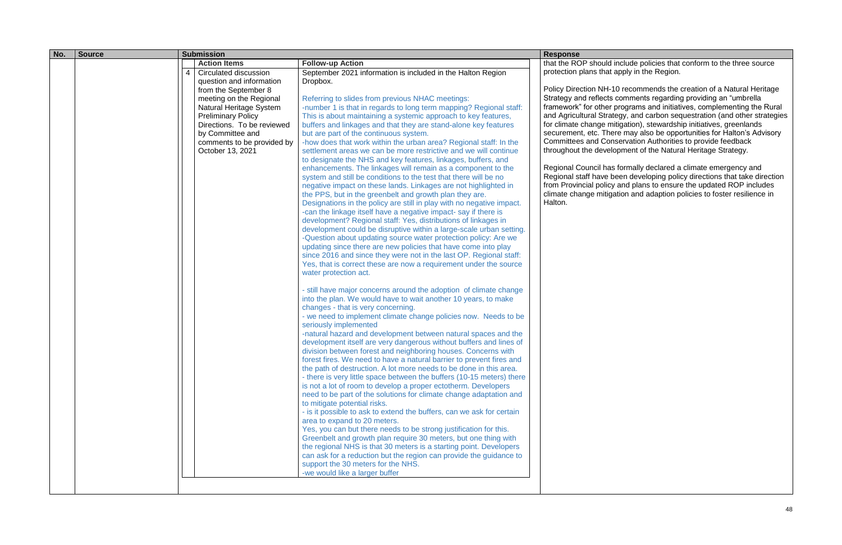| No. | <b>Source</b> |                | <b>Submission</b>                              |                                                                                                                                          | <b>Response</b>                                   |
|-----|---------------|----------------|------------------------------------------------|------------------------------------------------------------------------------------------------------------------------------------------|---------------------------------------------------|
|     |               |                | <b>Action Items</b>                            | <b>Follow-up Action</b>                                                                                                                  | that the ROP should in                            |
|     |               | $\overline{4}$ | <b>Circulated discussion</b>                   | September 2021 information is included in the Halton Region                                                                              | protection plans that a                           |
|     |               |                | question and information                       | Dropbox.                                                                                                                                 |                                                   |
|     |               |                | from the September 8                           |                                                                                                                                          | Policy Direction NH-10                            |
|     |               |                | meeting on the Regional                        | Referring to slides from previous NHAC meetings:                                                                                         | Strategy and reflects o                           |
|     |               |                | Natural Heritage System                        | -number 1 is that in regards to long term mapping? Regional staff:                                                                       | framework" for other p                            |
|     |               |                | <b>Preliminary Policy</b>                      | This is about maintaining a systemic approach to key features,                                                                           | and Agricultural Strate<br>for climate change mit |
|     |               |                | Directions. To be reviewed<br>by Committee and | buffers and linkages and that they are stand-alone key features<br>but are part of the continuous system.                                | securement, etc. Ther                             |
|     |               |                | comments to be provided by                     | -how does that work within the urban area? Regional staff: In the                                                                        | <b>Committees and Cons</b>                        |
|     |               |                | October 13, 2021                               | settlement areas we can be more restrictive and we will continue                                                                         | throughout the develo                             |
|     |               |                |                                                | to designate the NHS and key features, linkages, buffers, and                                                                            |                                                   |
|     |               |                |                                                | enhancements. The linkages will remain as a component to the                                                                             | Regional Council has                              |
|     |               |                |                                                | system and still be conditions to the test that there will be no                                                                         | Regional staff have be                            |
|     |               |                |                                                | negative impact on these lands. Linkages are not highlighted in                                                                          | from Provincial policy                            |
|     |               |                |                                                | the PPS, but in the greenbelt and growth plan they are.                                                                                  | climate change mitiga                             |
|     |               |                |                                                | Designations in the policy are still in play with no negative impact.                                                                    | Halton.                                           |
|     |               |                |                                                | -can the linkage itself have a negative impact-say if there is                                                                           |                                                   |
|     |               |                |                                                | development? Regional staff: Yes, distributions of linkages in                                                                           |                                                   |
|     |               |                |                                                | development could be disruptive within a large-scale urban setting.<br>-Question about updating source water protection policy: Are we   |                                                   |
|     |               |                |                                                | updating since there are new policies that have come into play                                                                           |                                                   |
|     |               |                |                                                | since 2016 and since they were not in the last OP. Regional staff:                                                                       |                                                   |
|     |               |                |                                                | Yes, that is correct these are now a requirement under the source                                                                        |                                                   |
|     |               |                |                                                | water protection act.                                                                                                                    |                                                   |
|     |               |                |                                                |                                                                                                                                          |                                                   |
|     |               |                |                                                | - still have major concerns around the adoption of climate change                                                                        |                                                   |
|     |               |                |                                                | into the plan. We would have to wait another 10 years, to make                                                                           |                                                   |
|     |               |                |                                                | changes - that is very concerning.                                                                                                       |                                                   |
|     |               |                |                                                | - we need to implement climate change policies now. Needs to be                                                                          |                                                   |
|     |               |                |                                                | seriously implemented                                                                                                                    |                                                   |
|     |               |                |                                                | -natural hazard and development between natural spaces and the                                                                           |                                                   |
|     |               |                |                                                | development itself are very dangerous without buffers and lines of<br>division between forest and neighboring houses. Concerns with      |                                                   |
|     |               |                |                                                | forest fires. We need to have a natural barrier to prevent fires and                                                                     |                                                   |
|     |               |                |                                                | the path of destruction. A lot more needs to be done in this area.                                                                       |                                                   |
|     |               |                |                                                | - there is very little space between the buffers (10-15 meters) there                                                                    |                                                   |
|     |               |                |                                                | is not a lot of room to develop a proper ectotherm. Developers                                                                           |                                                   |
|     |               |                |                                                | need to be part of the solutions for climate change adaptation and                                                                       |                                                   |
|     |               |                |                                                | to mitigate potential risks.                                                                                                             |                                                   |
|     |               |                |                                                | - is it possible to ask to extend the buffers, can we ask for certain                                                                    |                                                   |
|     |               |                |                                                | area to expand to 20 meters.                                                                                                             |                                                   |
|     |               |                |                                                | Yes, you can but there needs to be strong justification for this.                                                                        |                                                   |
|     |               |                |                                                | Greenbelt and growth plan require 30 meters, but one thing with                                                                          |                                                   |
|     |               |                |                                                | the regional NHS is that 30 meters is a starting point. Developers<br>can ask for a reduction but the region can provide the guidance to |                                                   |
|     |               |                |                                                | support the 30 meters for the NHS.                                                                                                       |                                                   |
|     |               |                |                                                | -we would like a larger buffer                                                                                                           |                                                   |
|     |               |                |                                                |                                                                                                                                          |                                                   |
|     |               |                |                                                |                                                                                                                                          |                                                   |

include policies that conform to the three source apply in the Region.

10 recommends the creation of a Natural Heritage comments regarding providing an "umbrella framework the many processing the many complementing the Rural and Agricultural Strategy, and carbon sequestration (and other strategies for climate change mitigation), stewardship initiatives, greenlands securement, etc. There may also be opportunities for Halton's Advisory servation Authorities to provide feedback pment of the Natural Heritage Strategy.

> formally declared a climate emergency and Remain, account to the minimum consigning the minimum contract of the direction and plans to ensure the updated ROP includes ation and adaption policies to foster resilience in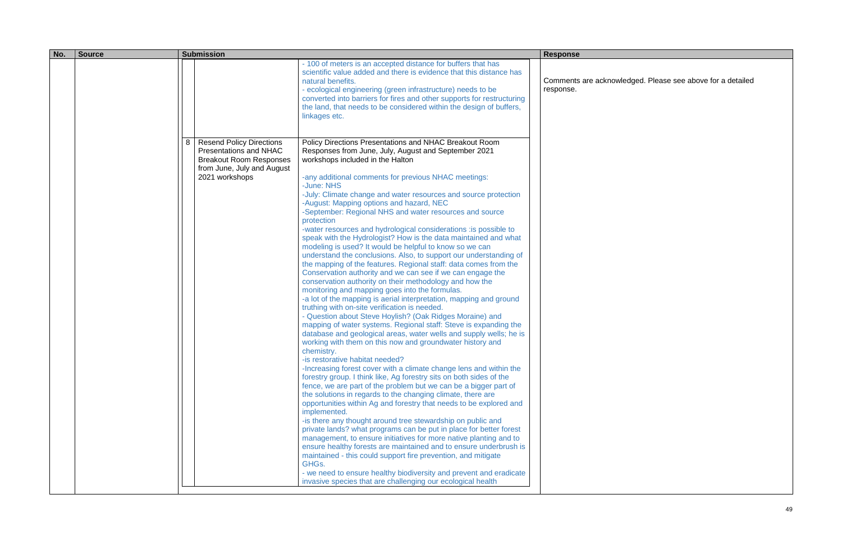| No. | <b>Source</b> | <b>Submission</b> |                                                                                                                                             | <b>Response</b>                                                                                                                                                                                                                                                                                                                                                                                                                                                                                                                                                                                                                                                                                                                                                                                                                                                                                                                                                                                                                                                                                                                                                                                                                                                                                                                                                                                                                                                                                                                                                                                                                                                                                                                                                                                                                                                                                                                                                                                                                                                                                                                                                                                                                                                     |  |                                  |
|-----|---------------|-------------------|---------------------------------------------------------------------------------------------------------------------------------------------|---------------------------------------------------------------------------------------------------------------------------------------------------------------------------------------------------------------------------------------------------------------------------------------------------------------------------------------------------------------------------------------------------------------------------------------------------------------------------------------------------------------------------------------------------------------------------------------------------------------------------------------------------------------------------------------------------------------------------------------------------------------------------------------------------------------------------------------------------------------------------------------------------------------------------------------------------------------------------------------------------------------------------------------------------------------------------------------------------------------------------------------------------------------------------------------------------------------------------------------------------------------------------------------------------------------------------------------------------------------------------------------------------------------------------------------------------------------------------------------------------------------------------------------------------------------------------------------------------------------------------------------------------------------------------------------------------------------------------------------------------------------------------------------------------------------------------------------------------------------------------------------------------------------------------------------------------------------------------------------------------------------------------------------------------------------------------------------------------------------------------------------------------------------------------------------------------------------------------------------------------------------------|--|----------------------------------|
|     |               |                   |                                                                                                                                             | - 100 of meters is an accepted distance for buffers that has<br>scientific value added and there is evidence that this distance has<br>natural benefits.<br>- ecological engineering (green infrastructure) needs to be<br>converted into barriers for fires and other supports for restructuring<br>the land, that needs to be considered within the design of buffers,<br>linkages etc.                                                                                                                                                                                                                                                                                                                                                                                                                                                                                                                                                                                                                                                                                                                                                                                                                                                                                                                                                                                                                                                                                                                                                                                                                                                                                                                                                                                                                                                                                                                                                                                                                                                                                                                                                                                                                                                                           |  | Comments are acknow<br>response. |
|     |               | 8                 | <b>Resend Policy Directions</b><br>Presentations and NHAC<br><b>Breakout Room Responses</b><br>from June, July and August<br>2021 workshops | Policy Directions Presentations and NHAC Breakout Room<br>Responses from June, July, August and September 2021<br>workshops included in the Halton<br>-any additional comments for previous NHAC meetings:<br>-June: NHS<br>-July: Climate change and water resources and source protection<br>-August: Mapping options and hazard, NEC<br>-September: Regional NHS and water resources and source<br>protection<br>-water resources and hydrological considerations : is possible to<br>speak with the Hydrologist? How is the data maintained and what<br>modeling is used? It would be helpful to know so we can<br>understand the conclusions. Also, to support our understanding of<br>the mapping of the features. Regional staff: data comes from the<br>Conservation authority and we can see if we can engage the<br>conservation authority on their methodology and how the<br>monitoring and mapping goes into the formulas.<br>-a lot of the mapping is aerial interpretation, mapping and ground<br>truthing with on-site verification is needed.<br>- Question about Steve Hoylish? (Oak Ridges Moraine) and<br>mapping of water systems. Regional staff: Steve is expanding the<br>database and geological areas, water wells and supply wells; he is<br>working with them on this now and groundwater history and<br>chemistry.<br>-is restorative habitat needed?<br>-Increasing forest cover with a climate change lens and within the<br>forestry group. I think like, Ag forestry sits on both sides of the<br>fence, we are part of the problem but we can be a bigger part of<br>the solutions in regards to the changing climate, there are<br>opportunities within Ag and forestry that needs to be explored and<br>implemented.<br>-is there any thought around tree stewardship on public and<br>private lands? what programs can be put in place for better forest<br>management, to ensure initiatives for more native planting and to<br>ensure healthy forests are maintained and to ensure underbrush is<br>maintained - this could support fire prevention, and mitigate<br>GHG <sub>s</sub> .<br>- we need to ensure healthy biodiversity and prevent and eradicate<br>invasive species that are challenging our ecological health |  |                                  |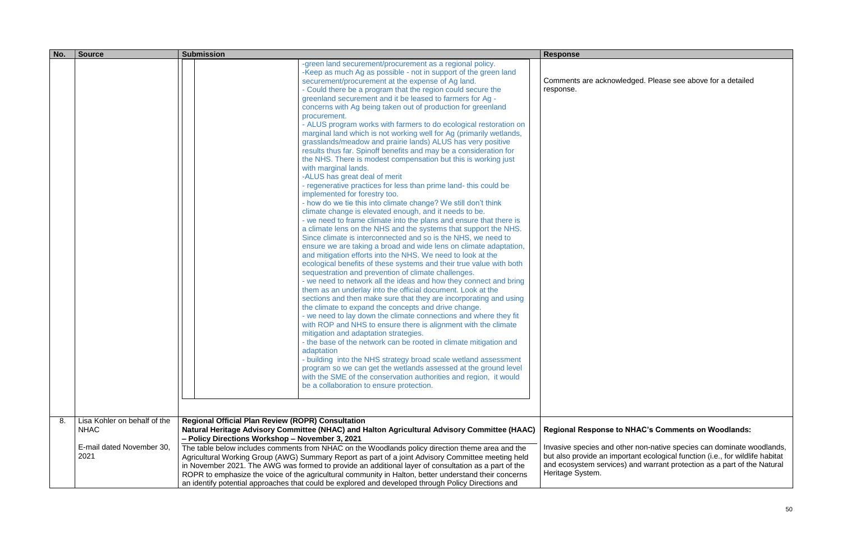| No. | <b>Source</b>                                    | <b>Submission</b>                                                                                                                                                                                                                                                                                                                                                                                                                                                                                                                                                                                                                                                                                                                                                                                                                                                                                                                                                                                                                                                                                                                                                                                                                                                                                                                                                                                                                                                                                                                                                                                                                                                                                                                                                                                                                                                                                                                                                                                                                                                                                                                                                                                                                                                                                                                                                         | <b>Response</b>                                                                                                               |
|-----|--------------------------------------------------|---------------------------------------------------------------------------------------------------------------------------------------------------------------------------------------------------------------------------------------------------------------------------------------------------------------------------------------------------------------------------------------------------------------------------------------------------------------------------------------------------------------------------------------------------------------------------------------------------------------------------------------------------------------------------------------------------------------------------------------------------------------------------------------------------------------------------------------------------------------------------------------------------------------------------------------------------------------------------------------------------------------------------------------------------------------------------------------------------------------------------------------------------------------------------------------------------------------------------------------------------------------------------------------------------------------------------------------------------------------------------------------------------------------------------------------------------------------------------------------------------------------------------------------------------------------------------------------------------------------------------------------------------------------------------------------------------------------------------------------------------------------------------------------------------------------------------------------------------------------------------------------------------------------------------------------------------------------------------------------------------------------------------------------------------------------------------------------------------------------------------------------------------------------------------------------------------------------------------------------------------------------------------------------------------------------------------------------------------------------------------|-------------------------------------------------------------------------------------------------------------------------------|
| 8.  | Lisa Kohler on behalf of the                     | -green land securement/procurement as a regional policy.<br>-Keep as much Ag as possible - not in support of the green land<br>securement/procurement at the expense of Ag land.<br>- Could there be a program that the region could secure the<br>greenland securement and it be leased to farmers for Ag -<br>concerns with Ag being taken out of production for greenland<br>procurement.<br>- ALUS program works with farmers to do ecological restoration on<br>marginal land which is not working well for Ag (primarily wetlands,<br>grasslands/meadow and prairie lands) ALUS has very positive<br>results thus far. Spinoff benefits and may be a consideration for<br>the NHS. There is modest compensation but this is working just<br>with marginal lands.<br>-ALUS has great deal of merit<br>- regenerative practices for less than prime land-this could be<br>implemented for forestry too.<br>- how do we tie this into climate change? We still don't think<br>climate change is elevated enough, and it needs to be.<br>- we need to frame climate into the plans and ensure that there is<br>a climate lens on the NHS and the systems that support the NHS.<br>Since climate is interconnected and so is the NHS, we need to<br>ensure we are taking a broad and wide lens on climate adaptation,<br>and mitigation efforts into the NHS. We need to look at the<br>ecological benefits of these systems and their true value with both<br>sequestration and prevention of climate challenges.<br>- we need to network all the ideas and how they connect and bring<br>them as an underlay into the official document. Look at the<br>sections and then make sure that they are incorporating and using<br>the climate to expand the concepts and drive change.<br>- we need to lay down the climate connections and where they fit<br>with ROP and NHS to ensure there is alignment with the climate<br>mitigation and adaptation strategies.<br>- the base of the network can be rooted in climate mitigation and<br>adaptation<br>- building into the NHS strategy broad scale wetland assessment<br>program so we can get the wetlands assessed at the ground level<br>with the SME of the conservation authorities and region, it would<br>be a collaboration to ensure protection.<br><b>Regional Official Plan Review (ROPR) Consultation</b> | Comments are acknow<br>response.                                                                                              |
|     | <b>NHAC</b><br>E-mail dated November 30,<br>2021 | Natural Heritage Advisory Committee (NHAC) and Halton Agricultural Advisory Committee (HAAC)<br>- Policy Directions Workshop - November 3, 2021<br>The table below includes comments from NHAC on the Woodlands policy direction theme area and the<br>Agricultural Working Group (AWG) Summary Report as part of a joint Advisory Committee meeting held<br>in November 2021. The AWG was formed to provide an additional layer of consultation as a part of the<br>ROPR to emphasize the voice of the agricultural community in Halton, better understand their concerns                                                                                                                                                                                                                                                                                                                                                                                                                                                                                                                                                                                                                                                                                                                                                                                                                                                                                                                                                                                                                                                                                                                                                                                                                                                                                                                                                                                                                                                                                                                                                                                                                                                                                                                                                                                                | <b>Regional Response to</b><br>Invasive species and o<br>but also provide an imp<br>and ecosystem service<br>Heritage System. |
|     |                                                  | an identify potential approaches that could be explored and developed through Policy Directions and                                                                                                                                                                                                                                                                                                                                                                                                                                                                                                                                                                                                                                                                                                                                                                                                                                                                                                                                                                                                                                                                                                                                                                                                                                                                                                                                                                                                                                                                                                                                                                                                                                                                                                                                                                                                                                                                                                                                                                                                                                                                                                                                                                                                                                                                       |                                                                                                                               |

# **Regional Response to NHAC's Comments on Woodlands:**

Invasive species and other non-native species can dominate woodlands, but also provide an important ecological function (i.e., for wildlife habitat and ecosystem services) and warrant protection as a part of the Natural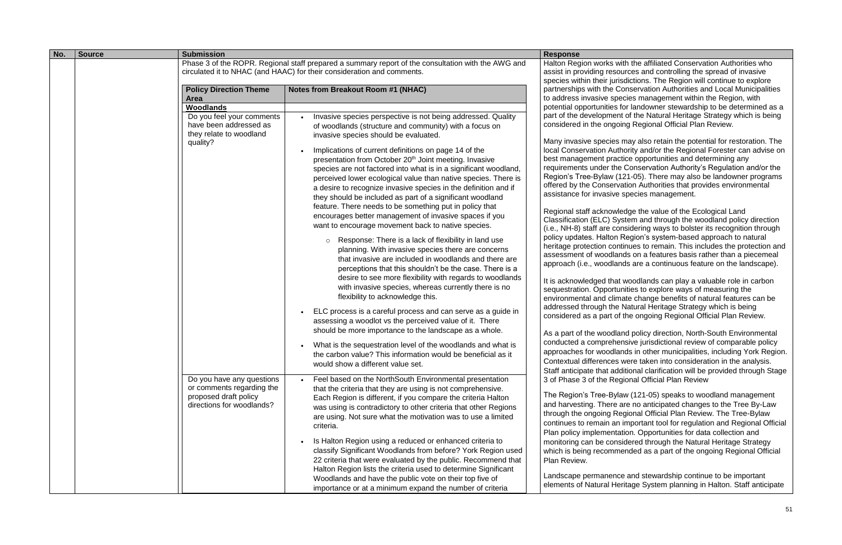| No. | <b>Source</b> | <b>Submission</b>                                      |                                                                                                                                                                              | <b>Response</b>                                                               |
|-----|---------------|--------------------------------------------------------|------------------------------------------------------------------------------------------------------------------------------------------------------------------------------|-------------------------------------------------------------------------------|
|     |               |                                                        | Phase 3 of the ROPR. Regional staff prepared a summary report of the consultation with the AWG and<br>circulated it to NHAC (and HAAC) for their consideration and comments. | Halton Region works v<br>assist in providing reso                             |
|     |               |                                                        |                                                                                                                                                                              | species within their jur                                                      |
|     |               | <b>Policy Direction Theme</b><br><b>Area</b>           | <b>Notes from Breakout Room #1 (NHAC)</b>                                                                                                                                    | partnerships with the C<br>to address invasive sp                             |
|     |               | Woodlands                                              |                                                                                                                                                                              | potential opportunities                                                       |
|     |               | Do you feel your comments                              | Invasive species perspective is not being addressed. Quality                                                                                                                 | part of the developmer                                                        |
|     |               | have been addressed as<br>they relate to woodland      | of woodlands (structure and community) with a focus on<br>invasive species should be evaluated.                                                                              | considered in the ongo                                                        |
|     |               | quality?                                               | Implications of current definitions on page 14 of the                                                                                                                        | Many invasive species<br>local Conservation Aut                               |
|     |               |                                                        | presentation from October 20 <sup>th</sup> Joint meeting. Invasive                                                                                                           | best management pra                                                           |
|     |               |                                                        | species are not factored into what is in a significant woodland,<br>perceived lower ecological value than native species. There is                                           | requirements under the<br>Region's Tree-Bylaw (                               |
|     |               |                                                        | a desire to recognize invasive species in the definition and if<br>they should be included as part of a significant woodland                                                 | offered by the Conserv<br>assistance for invasive                             |
|     |               |                                                        | feature. There needs to be something put in policy that                                                                                                                      |                                                                               |
|     |               |                                                        | encourages better management of invasive spaces if you<br>want to encourage movement back to native species.                                                                 | Regional staff acknow<br>Classification (ELC) Sy<br>(i.e., NH-8) staff are co |
|     |               |                                                        | Response: There is a lack of flexibility in land use<br>$\circ$<br>planning. With invasive species there are concerns                                                        | policy updates. Halton<br>heritage protection cor                             |
|     |               |                                                        | that invasive are included in woodlands and there are<br>perceptions that this shouldn't be the case. There is a                                                             | assessment of woodla<br>approach (i.e., woodla                                |
|     |               |                                                        | desire to see more flexibility with regards to woodlands                                                                                                                     |                                                                               |
|     |               |                                                        | with invasive species, whereas currently there is no<br>flexibility to acknowledge this.                                                                                     | It is acknowledged tha<br>sequestration. Opportu<br>environmental and clin    |
|     |               |                                                        | ELC process is a careful process and can serve as a guide in                                                                                                                 | addressed through the<br>considered as a part o                               |
|     |               |                                                        | assessing a woodlot vs the perceived value of it. There<br>should be more importance to the landscape as a whole.                                                            |                                                                               |
|     |               |                                                        |                                                                                                                                                                              | As a part of the woodk<br>conducted a comprehe                                |
|     |               |                                                        | What is the sequestration level of the woodlands and what is                                                                                                                 | approaches for woodla                                                         |
|     |               |                                                        | the carbon value? This information would be beneficial as it<br>would show a different value set.                                                                            | <b>Contextual differences</b>                                                 |
|     |               |                                                        |                                                                                                                                                                              | Staff anticipate that ad                                                      |
|     |               | Do you have any questions<br>or comments regarding the | Feel based on the NorthSouth Environmental presentation<br>that the criteria that they are using is not comprehensive.                                                       | 3 of Phase 3 of the Re                                                        |
|     |               | proposed draft policy                                  | Each Region is different, if you compare the criteria Halton                                                                                                                 | The Region's Tree-Byl                                                         |
|     |               | directions for woodlands?                              | was using is contradictory to other criteria that other Regions                                                                                                              | and harvesting. There                                                         |
|     |               |                                                        | are using. Not sure what the motivation was to use a limited                                                                                                                 | through the ongoing R                                                         |
|     |               |                                                        | criteria.                                                                                                                                                                    | continues to remain ar<br>Plan policy implement                               |
|     |               |                                                        | Is Halton Region using a reduced or enhanced criteria to                                                                                                                     | monitoring can be con                                                         |
|     |               |                                                        | classify Significant Woodlands from before? York Region used                                                                                                                 | which is being recomm                                                         |
|     |               |                                                        | 22 criteria that were evaluated by the public. Recommend that                                                                                                                | Plan Review.                                                                  |
|     |               |                                                        | Halton Region lists the criteria used to determine Significant                                                                                                               | Landscape permanen                                                            |
|     |               |                                                        | Woodlands and have the public vote on their top five of<br>importance or at a minimum expand the number of criteria                                                          | elements of Natural He                                                        |

with the affiliated Conservation Authorities who ources and controlling the spread of invasive risdictions. The Region will continue to explore Conservation Authorities and Local Municipalities becies management within the Region, with for landowner stewardship to be determined as a nt of the Natural Heritage Strategy which is being oing Regional Official Plan Review.

s may also retain the potential for restoration. The thority and/or the Regional Forester can advise on ctice opportunities and determining any re Conservation Authority's Regulation and/or the (121-05). There may also be landowner programs vation Authorities that provides environmental e species management.

ledge the value of the Ecological Land ystem and through the woodland policy direction onsidering ways to bolster its recognition through Region's system-based approach to natural ntinues to remain. This includes the protection and ands on a features basis rather than a piecemeal ands are a continuous feature on the landscape).

It woodlands can play a valuable role in carbon unities to explore ways of measuring the mate change benefits of natural features can be e Natural Heritage Strategy which is being of the ongoing Regional Official Plan Review.

and policy direction, North-South Environmental ensive jurisdictional review of comparable policy ands in other municipalities, including York Region. were taken into consideration in the analysis. dditional clarification will be provided through Stage egional Official Plan Review

law (121-05) speaks to woodland management are no anticipated changes to the Tree By-Law Regional Official Plan Review. The Tree-Bylaw n important tool for regulation and Regional Official ation. Opportunities for data collection and isidered through the Natural Heritage Strategy nended as a part of the ongoing Regional Official

ce and stewardship continue to be important eritage System planning in Halton. Staff anticipate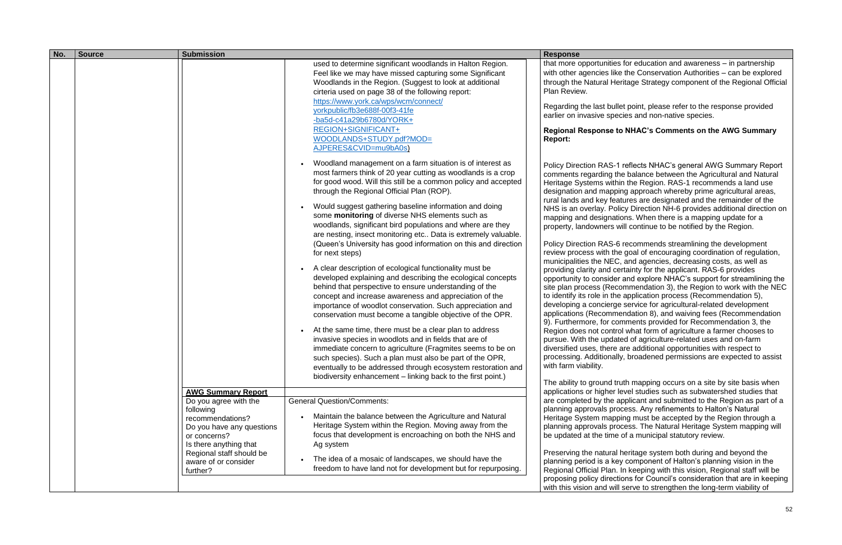| No. | <b>Source</b> | <b>Submission</b>                                                                                    |                                                                                                                                                                                                                                                                                                                                                                                                                                                                                                                                                                                                                                                                                                                                                                                                                                                                                                                                                                                                                                                                                                                                                                                                                                                                      | <b>Response</b>                                                                                                                                                                                                                                                                                                                                                                                                                                                                                                                                                                                                                           |
|-----|---------------|------------------------------------------------------------------------------------------------------|----------------------------------------------------------------------------------------------------------------------------------------------------------------------------------------------------------------------------------------------------------------------------------------------------------------------------------------------------------------------------------------------------------------------------------------------------------------------------------------------------------------------------------------------------------------------------------------------------------------------------------------------------------------------------------------------------------------------------------------------------------------------------------------------------------------------------------------------------------------------------------------------------------------------------------------------------------------------------------------------------------------------------------------------------------------------------------------------------------------------------------------------------------------------------------------------------------------------------------------------------------------------|-------------------------------------------------------------------------------------------------------------------------------------------------------------------------------------------------------------------------------------------------------------------------------------------------------------------------------------------------------------------------------------------------------------------------------------------------------------------------------------------------------------------------------------------------------------------------------------------------------------------------------------------|
|     |               |                                                                                                      | used to determine significant woodlands in Halton Region.<br>Feel like we may have missed capturing some Significant<br>Woodlands in the Region. (Suggest to look at additional<br>cirteria used on page 38 of the following report:<br>https://www.york.ca/wps/wcm/connect/<br>yorkpublic/fb3e688f-00f3-41fe<br>$-ba5d-c41a29b6780d/YORK+$<br>REGION+SIGNIFICANT+<br>WOODLANDS+STUDY.pdf?MOD=<br>AJPERES&CVID=mu9bA0s)<br>Woodland management on a farm situation is of interest as                                                                                                                                                                                                                                                                                                                                                                                                                                                                                                                                                                                                                                                                                                                                                                                 | that more opportunities<br>with other agencies like<br>through the Natural He<br>Plan Review.<br>Regarding the last bull<br>earlier on invasive spe<br><b>Regional Response to</b><br><b>Report:</b>                                                                                                                                                                                                                                                                                                                                                                                                                                      |
|     |               |                                                                                                      | most farmers think of 20 year cutting as woodlands is a crop<br>for good wood. Will this still be a common policy and accepted<br>through the Regional Official Plan (ROP).<br>Would suggest gathering baseline information and doing<br>some monitoring of diverse NHS elements such as<br>woodlands, significant bird populations and where are they<br>are nesting, insect monitoring etc Data is extremely valuable.<br>(Queen's University has good information on this and direction<br>for next steps)<br>A clear description of ecological functionality must be<br>developed explaining and describing the ecological concepts<br>behind that perspective to ensure understanding of the<br>concept and increase awareness and appreciation of the<br>importance of woodlot conservation. Such appreciation and<br>conservation must become a tangible objective of the OPR.<br>At the same time, there must be a clear plan to address<br>invasive species in woodlots and in fields that are of<br>immediate concern to agriculture (Fragmites seems to be on<br>such species). Such a plan must also be part of the OPR,<br>eventually to be addressed through ecosystem restoration and<br>biodiversity enhancement – linking back to the first point.) | <b>Policy Direction RAS-1</b><br>comments regarding th<br>Heritage Systems withi<br>designation and mappi<br>rural lands and key fea<br>NHS is an overlay. Poli<br>mapping and designati<br>property, landowners w<br><b>Policy Direction RAS-6</b><br>review process with the<br>municipalities the NEC<br>providing clarity and ce<br>opportunity to consider<br>site plan process (Reco<br>to identify its role in the<br>developing a concierge<br>applications (Recomme<br>9). Furthermore, for co<br>Region does not contro<br>pursue. With the updat<br>diversified uses, there<br>processing. Additionall<br>with farm viability. |
|     |               | <b>AWG Summary Report</b><br>Do you agree with the                                                   | <b>General Question/Comments:</b>                                                                                                                                                                                                                                                                                                                                                                                                                                                                                                                                                                                                                                                                                                                                                                                                                                                                                                                                                                                                                                                                                                                                                                                                                                    | The ability to ground tri<br>applications or higher le<br>are completed by the a                                                                                                                                                                                                                                                                                                                                                                                                                                                                                                                                                          |
|     |               | following<br>recommendations?<br>Do you have any questions<br>or concerns?<br>Is there anything that | Maintain the balance between the Agriculture and Natural<br>Heritage System within the Region. Moving away from the<br>focus that development is encroaching on both the NHS and<br>Ag system                                                                                                                                                                                                                                                                                                                                                                                                                                                                                                                                                                                                                                                                                                                                                                                                                                                                                                                                                                                                                                                                        | planning approvals pro<br>Heritage System mapp<br>planning approvals pro<br>be updated at the time                                                                                                                                                                                                                                                                                                                                                                                                                                                                                                                                        |
|     |               | Regional staff should be<br>aware of or consider<br>further?                                         | The idea of a mosaic of landscapes, we should have the<br>freedom to have land not for development but for repurposing.                                                                                                                                                                                                                                                                                                                                                                                                                                                                                                                                                                                                                                                                                                                                                                                                                                                                                                                                                                                                                                                                                                                                              | Preserving the natural<br>planning period is a ket<br>Regional Official Plan.<br>proposing policy directi<br>with this vision and will                                                                                                                                                                                                                                                                                                                                                                                                                                                                                                    |

that for education and awareness – in partnership e the Conservation Authorities – can be explored ritage Strategy component of the Regional Official

let point, please refer to the response provided cies and non-native species.

## **Regional Response to NHAC's Comments on the AWG Summary**

reflects NHAC's general AWG Summary Report e balance between the Agricultural and Natural in the Region. RAS-1 recommends a land use ing approach whereby prime agricultural areas, atures are designated and the remainder of the icy Direction NH-6 provides additional direction on ions. When there is a mapping update for a vill continue to be notified by the Region.

Frecommends streamlining the development e goal of encouraging coordination of regulation, and agencies, decreasing costs, as well as ertainty for the applicant. RAS-6 provides opportunity and explore NHAC's support for streamlining the ommendation 3), the Region to work with the NEC application process (Recommendation 5), e service for agricultural-related development endation 8), and waiving fees (Recommendation mments provided for Recommendation 3, the ol what form of agriculture a farmer chooses to ted of agriculture-related uses and on-farm are additional opportunities with respect to ly, broadened permissions are expected to assist

uth mapping occurs on a site by site basis when level studies such as subwatershed studies that applicant and submitted to the Region as part of a pcess. Any refinements to Halton's Natural bing must be accepted by the Region through a pcess. The Natural Heritage System mapping will of a municipal statutory review.

heritage system both during and beyond the y component of Halton's planning vision in the In keeping with this vision, Regional staff will be ions for Council's consideration that are in keeping I serve to strengthen the long-term viability of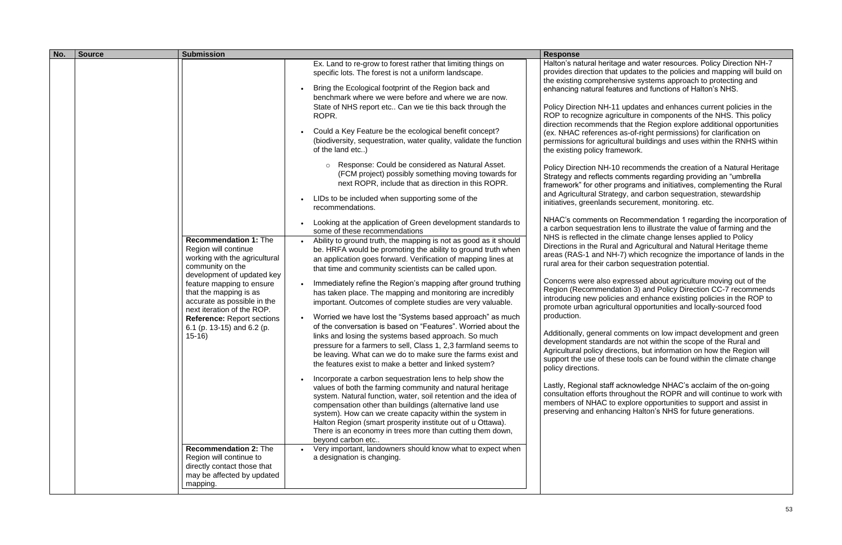| No. | <b>Source</b> | <b>Submission</b>                                                                                                                                                                                                                                                                                                                                                                                                                                                 |                                                                                                                                                                                                                                                                                                                                                                                                                                                                                                                                                                                                                                                                                                                                                                                                                                                                                                                                                                                                                                                                                                                                                                                                                                                                                                                                                                                                                                                                                                                                                                                                                                                                                                                                                                                                                                                                                                                                                                                                                                                                                                                                                                                                                                   | <b>Response</b>                                                                                                                                                                                                                                                                                                                                                                                                                                                                                                                                                                                                                                                                                                                                                                                                                                                                                                                      |
|-----|---------------|-------------------------------------------------------------------------------------------------------------------------------------------------------------------------------------------------------------------------------------------------------------------------------------------------------------------------------------------------------------------------------------------------------------------------------------------------------------------|-----------------------------------------------------------------------------------------------------------------------------------------------------------------------------------------------------------------------------------------------------------------------------------------------------------------------------------------------------------------------------------------------------------------------------------------------------------------------------------------------------------------------------------------------------------------------------------------------------------------------------------------------------------------------------------------------------------------------------------------------------------------------------------------------------------------------------------------------------------------------------------------------------------------------------------------------------------------------------------------------------------------------------------------------------------------------------------------------------------------------------------------------------------------------------------------------------------------------------------------------------------------------------------------------------------------------------------------------------------------------------------------------------------------------------------------------------------------------------------------------------------------------------------------------------------------------------------------------------------------------------------------------------------------------------------------------------------------------------------------------------------------------------------------------------------------------------------------------------------------------------------------------------------------------------------------------------------------------------------------------------------------------------------------------------------------------------------------------------------------------------------------------------------------------------------------------------------------------------------|--------------------------------------------------------------------------------------------------------------------------------------------------------------------------------------------------------------------------------------------------------------------------------------------------------------------------------------------------------------------------------------------------------------------------------------------------------------------------------------------------------------------------------------------------------------------------------------------------------------------------------------------------------------------------------------------------------------------------------------------------------------------------------------------------------------------------------------------------------------------------------------------------------------------------------------|
|     |               | <b>Recommendation 1: The</b><br>Region will continue<br>working with the agricultural<br>community on the<br>development of updated key<br>feature mapping to ensure<br>that the mapping is as<br>accurate as possible in the<br>next iteration of the ROP.<br><b>Reference: Report sections</b><br>6.1 (p. 13-15) and 6.2 (p.<br>$15-16$<br><b>Recommendation 2: The</b><br>Region will continue to<br>directly contact those that<br>may be affected by updated | Ex. Land to re-grow to forest rather that limiting things on<br>specific lots. The forest is not a uniform landscape.<br>Bring the Ecological footprint of the Region back and<br>benchmark where we were before and where we are now.<br>State of NHS report etc Can we tie this back through the<br>ROPR.<br>Could a Key Feature be the ecological benefit concept?<br>(biodiversity, sequestration, water quality, validate the function<br>of the land etc)<br>Response: Could be considered as Natural Asset.<br>(FCM project) possibly something moving towards for<br>next ROPR, include that as direction in this ROPR.<br>LIDs to be included when supporting some of the<br>recommendations.<br>Looking at the application of Green development standards to<br>some of these recommendations<br>Ability to ground truth, the mapping is not as good as it should<br>$\bullet$<br>be. HRFA would be promoting the ability to ground truth when<br>an application goes forward. Verification of mapping lines at<br>that time and community scientists can be called upon.<br>Immediately refine the Region's mapping after ground truthing<br>has taken place. The mapping and monitoring are incredibly<br>important. Outcomes of complete studies are very valuable.<br>Worried we have lost the "Systems based approach" as much<br>of the conversation is based on "Features". Worried about the<br>links and losing the systems based approach. So much<br>pressure for a farmers to sell, Class 1, 2,3 farmland seems to<br>be leaving. What can we do to make sure the farms exist and<br>the features exist to make a better and linked system?<br>Incorporate a carbon sequestration lens to help show the<br>values of both the farming community and natural heritage<br>system. Natural function, water, soil retention and the idea of<br>compensation other than buildings (alternative land use<br>system). How can we create capacity within the system in<br>Halton Region (smart prosperity institute out of u Ottawa).<br>There is an economy in trees more than cutting them down,<br>beyond carbon etc<br>Very important, landowners should know what to expect when<br>a designation is changing. | Halton's natural herita<br>provides direction that<br>the existing compreher<br>enhancing natural feat<br><b>Policy Direction NH-11</b><br>ROP to recognize agrie<br>direction recommends<br>(ex. NHAC references<br>permissions for agricul<br>the existing policy fram<br>Policy Direction NH-10<br>Strategy and reflects c<br>framework" for other p<br>and Agricultural Strate<br>initiatives, greenlands<br>NHAC's comments on<br>a carbon sequestration<br>NHS is reflected in the<br>Directions in the Rural<br>areas (RAS-1 and NH-<br>rural area for their carb<br>Concerns were also ex<br>Region (Recommenda<br>introducing new policie<br>promote urban agricult<br>production.<br>Additionally, general co<br>development standard<br>Agricultural policy dire<br>support the use of thes<br>policy directions.<br>Lastly, Regional staff a<br>consultation efforts thre<br>members of NHAC to<br>preserving and enhand |
|     |               | mapping.                                                                                                                                                                                                                                                                                                                                                                                                                                                          |                                                                                                                                                                                                                                                                                                                                                                                                                                                                                                                                                                                                                                                                                                                                                                                                                                                                                                                                                                                                                                                                                                                                                                                                                                                                                                                                                                                                                                                                                                                                                                                                                                                                                                                                                                                                                                                                                                                                                                                                                                                                                                                                                                                                                                   |                                                                                                                                                                                                                                                                                                                                                                                                                                                                                                                                                                                                                                                                                                                                                                                                                                                                                                                                      |

ge and water resources. Policy Direction NH-7 updates to the policies and mapping will build on nsive systems approach to protecting and tures and functions of Halton's NHS.

updates and enhances current policies in the iculture in components of the NHS. This policy that the Region explore additional opportunities as-of-right permissions) for clarification on lltural buildings and uses within the RNHS within nework.

recommends the creation of a Natural Heritage comments regarding providing an "umbrella rograms and initiatives, complementing the Rural egy, and carbon sequestration, stewardship securement, monitoring. etc.

Recommendation 1 regarding the incorporation of n lens to illustrate the value of farming and the climate change lenses applied to Policy and Agricultural and Natural Heritage theme -7) which recognize the importance of lands in the bon sequestration potential.

xpressed about agriculture moving out of the ation 3) and Policy Direction CC-7 recommends es and enhance existing policies in the ROP to tural opportunities and locally-sourced food

comments on low impact development and green Is are not within the scope of the Rural and ctions, but information on how the Region will se tools can be found within the climate change

acknowledge NHAC's acclaim of the on-going roughout the ROPR and will continue to work with explore opportunities to support and assist in cing Halton's NHS for future generations.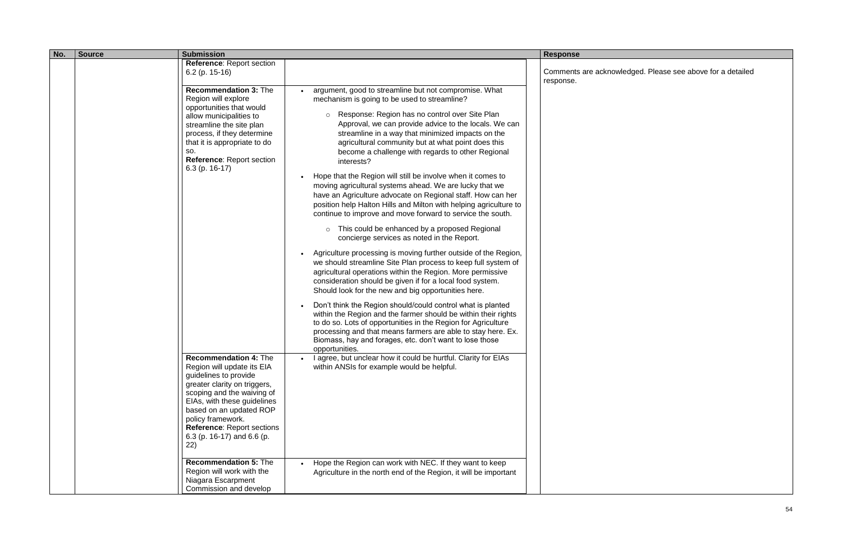| No. | <b>Submission</b><br><b>Source</b>                                                                                                                                                                                                                                                                                                  |                                                                                                                                                                                                                                                                                                                                                                                                                                                                                                                                                                                                                                                                                                                                                                                                                                                                                              | <b>Response</b>                  |
|-----|-------------------------------------------------------------------------------------------------------------------------------------------------------------------------------------------------------------------------------------------------------------------------------------------------------------------------------------|----------------------------------------------------------------------------------------------------------------------------------------------------------------------------------------------------------------------------------------------------------------------------------------------------------------------------------------------------------------------------------------------------------------------------------------------------------------------------------------------------------------------------------------------------------------------------------------------------------------------------------------------------------------------------------------------------------------------------------------------------------------------------------------------------------------------------------------------------------------------------------------------|----------------------------------|
|     | <b>Reference: Report section</b><br>6.2 (p. 15-16)<br><b>Recommendation 3: The</b><br>Region will explore<br>opportunities that would<br>allow municipalities to<br>streamline the site plan<br>process, if they determine<br>that it is appropriate to do<br>SO.<br><b>Reference: Report section</b><br>$6.3$ (p. 16-17)           | argument, good to streamline but not compromise. What<br>mechanism is going to be used to streamline?<br>Response: Region has no control over Site Plan<br>$\circ$<br>Approval, we can provide advice to the locals. We can<br>streamline in a way that minimized impacts on the<br>agricultural community but at what point does this<br>become a challenge with regards to other Regional<br>interests?<br>Hope that the Region will still be involve when it comes to<br>moving agricultural systems ahead. We are lucky that we<br>have an Agriculture advocate on Regional staff. How can her                                                                                                                                                                                                                                                                                           | Comments are acknow<br>response. |
|     |                                                                                                                                                                                                                                                                                                                                     | position help Halton Hills and Milton with helping agriculture to<br>continue to improve and move forward to service the south.<br>This could be enhanced by a proposed Regional<br>$\circ$<br>concierge services as noted in the Report.<br>Agriculture processing is moving further outside of the Region,<br>we should streamline Site Plan process to keep full system of<br>agricultural operations within the Region. More permissive<br>consideration should be given if for a local food system.<br>Should look for the new and big opportunities here.<br>Don't think the Region should/could control what is planted<br>within the Region and the farmer should be within their rights<br>to do so. Lots of opportunities in the Region for Agriculture<br>processing and that means farmers are able to stay here. Ex.<br>Biomass, hay and forages, etc. don't want to lose those |                                  |
|     | Recommendation 4: The<br>Region will update its EIA<br>guidelines to provide<br>greater clarity on triggers,<br>scoping and the waiving of<br>EIAs, with these guidelines<br>based on an updated ROP<br>policy framework.<br><b>Reference: Report sections</b><br>6.3 (p. 16-17) and 6.6 (p.<br>22)<br><b>Recommendation 5: The</b> | opportunities.<br>I agree, but unclear how it could be hurtful. Clarity for EIAs<br>within ANSIs for example would be helpful.<br>Hope the Region can work with NEC. If they want to keep                                                                                                                                                                                                                                                                                                                                                                                                                                                                                                                                                                                                                                                                                                    |                                  |
|     | Region will work with the<br>Niagara Escarpment<br>Commission and develop                                                                                                                                                                                                                                                           | Agriculture in the north end of the Region, it will be important                                                                                                                                                                                                                                                                                                                                                                                                                                                                                                                                                                                                                                                                                                                                                                                                                             |                                  |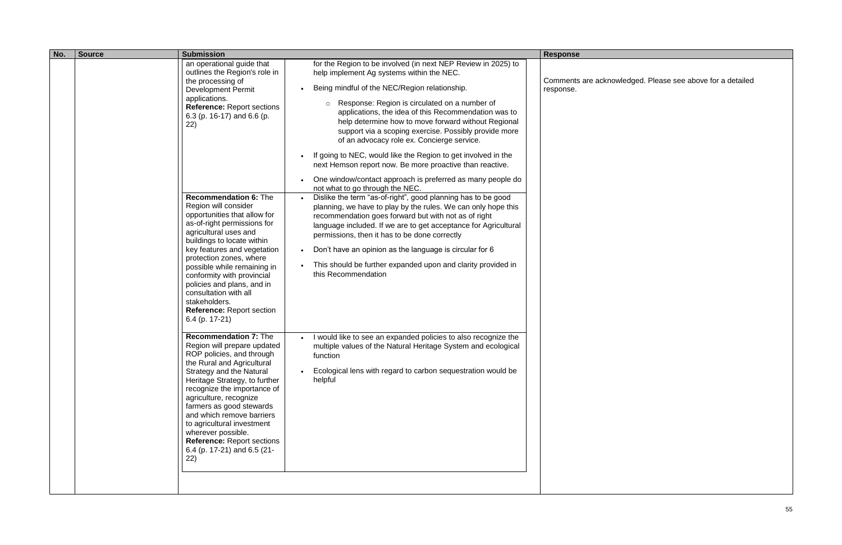| No. | <b>Source</b> | <b>Submission</b>                                                                                                                                                                                                                                                                                                                                                                                                                                                                                                                                                                                                                   |                                                                                                                                                                                                                                                                                                                                                                                                                                                                                                                                                                                                                                                                                                                                                                                                                                                                                                                                                                                                                                                                                                                                            | <b>Response</b>                  |
|-----|---------------|-------------------------------------------------------------------------------------------------------------------------------------------------------------------------------------------------------------------------------------------------------------------------------------------------------------------------------------------------------------------------------------------------------------------------------------------------------------------------------------------------------------------------------------------------------------------------------------------------------------------------------------|--------------------------------------------------------------------------------------------------------------------------------------------------------------------------------------------------------------------------------------------------------------------------------------------------------------------------------------------------------------------------------------------------------------------------------------------------------------------------------------------------------------------------------------------------------------------------------------------------------------------------------------------------------------------------------------------------------------------------------------------------------------------------------------------------------------------------------------------------------------------------------------------------------------------------------------------------------------------------------------------------------------------------------------------------------------------------------------------------------------------------------------------|----------------------------------|
|     |               | an operational guide that<br>outlines the Region's role in<br>the processing of<br>Development Permit<br>applications.<br><b>Reference: Report sections</b><br>6.3 (p. 16-17) and 6.6 (p.<br>22)<br><b>Recommendation 6: The</b><br>Region will consider<br>opportunities that allow for<br>as-of-right permissions for<br>agricultural uses and<br>buildings to locate within<br>key features and vegetation<br>protection zones, where<br>possible while remaining in<br>conformity with provincial<br>policies and plans, and in<br>consultation with all<br>stakeholders.<br><b>Reference: Report section</b><br>6.4 (p. 17-21) | for the Region to be involved (in next NEP Review in 2025) to<br>help implement Ag systems within the NEC.<br>Being mindful of the NEC/Region relationship.<br>Response: Region is circulated on a number of<br>$\circ$<br>applications, the idea of this Recommendation was to<br>help determine how to move forward without Regional<br>support via a scoping exercise. Possibly provide more<br>of an advocacy role ex. Concierge service.<br>If going to NEC, would like the Region to get involved in the<br>next Hemson report now. Be more proactive than reactive.<br>One window/contact approach is preferred as many people do<br>not what to go through the NEC.<br>Dislike the term "as-of-right", good planning has to be good<br>planning, we have to play by the rules. We can only hope this<br>recommendation goes forward but with not as of right<br>language included. If we are to get acceptance for Agricultural<br>permissions, then it has to be done correctly<br>Don't have an opinion as the language is circular for 6<br>This should be further expanded upon and clarity provided in<br>this Recommendation | Comments are acknow<br>response. |
|     |               | <b>Recommendation 7: The</b><br>Region will prepare updated<br>ROP policies, and through<br>the Rural and Agricultural<br>Strategy and the Natural<br>Heritage Strategy, to further<br>recognize the importance of<br>agriculture, recognize<br>farmers as good stewards<br>and which remove barriers<br>to agricultural investment<br>wherever possible.<br>Reference: Report sections<br>6.4 (p. 17-21) and 6.5 (21-<br>22)                                                                                                                                                                                                       | I would like to see an expanded policies to also recognize the<br>multiple values of the Natural Heritage System and ecological<br>function<br>Ecological lens with regard to carbon sequestration would be<br>helpful                                                                                                                                                                                                                                                                                                                                                                                                                                                                                                                                                                                                                                                                                                                                                                                                                                                                                                                     |                                  |
|     |               |                                                                                                                                                                                                                                                                                                                                                                                                                                                                                                                                                                                                                                     |                                                                                                                                                                                                                                                                                                                                                                                                                                                                                                                                                                                                                                                                                                                                                                                                                                                                                                                                                                                                                                                                                                                                            |                                  |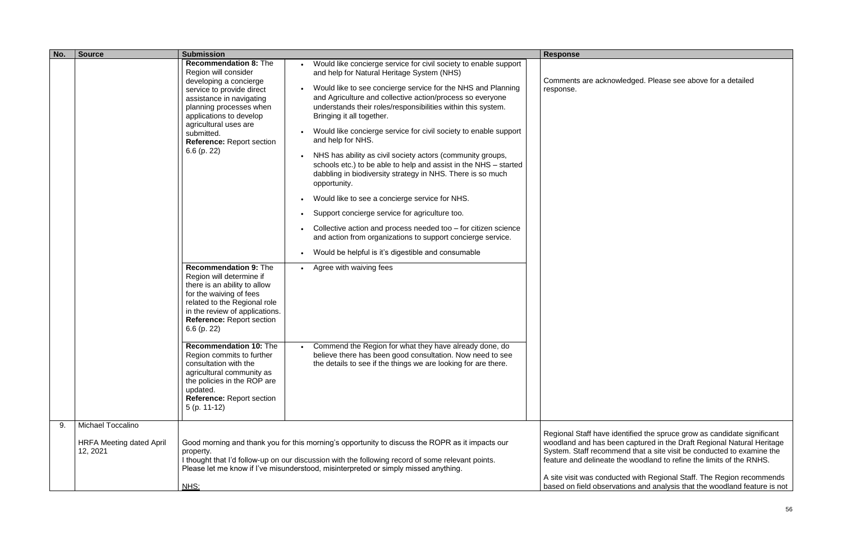| No. | <b>Source</b>                                                           | <b>Submission</b>                                                                                                                                                                                                                                                                         |                                                                                                                                                                                                                                                                                                                                                                                                                                                                                                                                                                                                                                                                                                                                                                                                                                                                                                                                              | <b>Response</b>                                                                                                                                         |
|-----|-------------------------------------------------------------------------|-------------------------------------------------------------------------------------------------------------------------------------------------------------------------------------------------------------------------------------------------------------------------------------------|----------------------------------------------------------------------------------------------------------------------------------------------------------------------------------------------------------------------------------------------------------------------------------------------------------------------------------------------------------------------------------------------------------------------------------------------------------------------------------------------------------------------------------------------------------------------------------------------------------------------------------------------------------------------------------------------------------------------------------------------------------------------------------------------------------------------------------------------------------------------------------------------------------------------------------------------|---------------------------------------------------------------------------------------------------------------------------------------------------------|
|     |                                                                         | <b>Recommendation 8: The</b><br>Region will consider<br>developing a concierge<br>service to provide direct<br>assistance in navigating<br>planning processes when<br>applications to develop<br>agricultural uses are<br>submitted.<br><b>Reference: Report section</b><br>$6.6$ (p. 22) | Would like concierge service for civil society to enable support<br>and help for Natural Heritage System (NHS)<br>Would like to see concierge service for the NHS and Planning<br>and Agriculture and collective action/process so everyone<br>understands their roles/responsibilities within this system.<br>Bringing it all together.<br>Would like concierge service for civil society to enable support<br>and help for NHS.<br>NHS has ability as civil society actors (community groups,<br>schools etc.) to be able to help and assist in the NHS - started<br>dabbling in biodiversity strategy in NHS. There is so much<br>opportunity.<br>Would like to see a concierge service for NHS.<br>Support concierge service for agriculture too.<br>Collective action and process needed too - for citizen science<br>and action from organizations to support concierge service.<br>Would be helpful is it's digestible and consumable | Comments are acknow<br>response.                                                                                                                        |
|     |                                                                         | <b>Recommendation 9: The</b><br>Region will determine if<br>there is an ability to allow<br>for the waiving of fees<br>related to the Regional role<br>in the review of applications.<br><b>Reference: Report section</b><br>$6.6$ (p. 22)                                                | Agree with waiving fees                                                                                                                                                                                                                                                                                                                                                                                                                                                                                                                                                                                                                                                                                                                                                                                                                                                                                                                      |                                                                                                                                                         |
|     |                                                                         | <b>Recommendation 10: The</b><br>Region commits to further<br>consultation with the<br>agricultural community as<br>the policies in the ROP are<br>updated.<br><b>Reference: Report section</b><br>$5$ (p. 11-12)                                                                         | Commend the Region for what they have already done, do<br>believe there has been good consultation. Now need to see<br>the details to see if the things we are looking for are there.                                                                                                                                                                                                                                                                                                                                                                                                                                                                                                                                                                                                                                                                                                                                                        |                                                                                                                                                         |
| 9.  | <b>Michael Toccalino</b><br><b>HRFA Meeting dated April</b><br>12, 2021 | property.<br>NHS:                                                                                                                                                                                                                                                                         | Good morning and thank you for this morning's opportunity to discuss the ROPR as it impacts our<br>I thought that I'd follow-up on our discussion with the following record of some relevant points.<br>Please let me know if I've misunderstood, misinterpreted or simply missed anything.                                                                                                                                                                                                                                                                                                                                                                                                                                                                                                                                                                                                                                                  | Regional Staff have ide<br>woodland and has bee<br>System. Staff recomm<br>feature and delineate t<br>A site visit was conduc<br>based on field observa |

Regional Staff have identified the spruce grow as candidate significant woodland and has been captured in the Draft Regional Natural Heritage System. Staff recommend that a site visit be conducted to examine the feature and delineate the woodland to refine the limits of the RNHS.

A site visit was conducted with Regional Staff. The Region recommends based on field observations and analysis that the woodland feature is not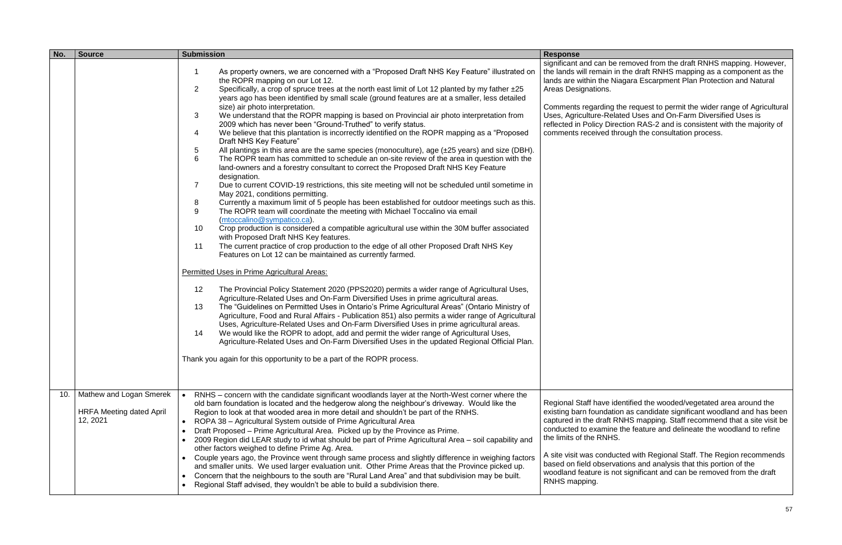stremoved from the draft RNHS mapping. However, the lands will remain in the draft RNHS mapping as a component as the lands are within the Niagara Escarpment Plan Protection and Natural

Comments regarding the request to permit the wider range of Agricultural Uses, Agriculture-Related Uses and On-Farm Diversified Uses is ection RAS-2 and is consistent with the majority of rough the consultation process.

dentified the wooded/vegetated area around the existing barn foundation as candidate significant woodland and has been captured in the draft RNHS mapping. Staff recommend that a site visit be conducted to examine the feature and delineate the woodland to refine

| No. | <b>Source</b>                                                          | <b>Submission</b>                                                                                                                                                                                                                                                                                                                                                                                                                                                                                                                                                                                                                                                                                                                                                                                                                                                                                                                                                                                                                                                                                                                                                                                                                                                                                                                                                                                                                                                                                                                                                                                                                                                                                                                                                                                                                                                                                                                                                                                                                                                                                                                                                                                                                                                                                                                                                                                                                                                                                                                            | <b>Response</b>                                                                                                                                                                                                                   |
|-----|------------------------------------------------------------------------|----------------------------------------------------------------------------------------------------------------------------------------------------------------------------------------------------------------------------------------------------------------------------------------------------------------------------------------------------------------------------------------------------------------------------------------------------------------------------------------------------------------------------------------------------------------------------------------------------------------------------------------------------------------------------------------------------------------------------------------------------------------------------------------------------------------------------------------------------------------------------------------------------------------------------------------------------------------------------------------------------------------------------------------------------------------------------------------------------------------------------------------------------------------------------------------------------------------------------------------------------------------------------------------------------------------------------------------------------------------------------------------------------------------------------------------------------------------------------------------------------------------------------------------------------------------------------------------------------------------------------------------------------------------------------------------------------------------------------------------------------------------------------------------------------------------------------------------------------------------------------------------------------------------------------------------------------------------------------------------------------------------------------------------------------------------------------------------------------------------------------------------------------------------------------------------------------------------------------------------------------------------------------------------------------------------------------------------------------------------------------------------------------------------------------------------------------------------------------------------------------------------------------------------------|-----------------------------------------------------------------------------------------------------------------------------------------------------------------------------------------------------------------------------------|
|     |                                                                        | As property owners, we are concerned with a "Proposed Draft NHS Key Feature" illustrated on<br>1<br>the ROPR mapping on our Lot 12.<br>$\overline{2}$<br>Specifically, a crop of spruce trees at the north east limit of Lot 12 planted by my father ±25<br>years ago has been identified by small scale (ground features are at a smaller, less detailed<br>size) air photo interpretation.<br>3<br>We understand that the ROPR mapping is based on Provincial air photo interpretation from<br>2009 which has never been "Ground-Truthed" to verify status.<br>We believe that this plantation is incorrectly identified on the ROPR mapping as a "Proposed"<br>4<br>Draft NHS Key Feature"<br>5<br>All plantings in this area are the same species (monoculture), age $(\pm 25 \text{ years})$ and size (DBH).<br>6<br>The ROPR team has committed to schedule an on-site review of the area in question with the<br>land-owners and a forestry consultant to correct the Proposed Draft NHS Key Feature<br>designation.<br>Due to current COVID-19 restrictions, this site meeting will not be scheduled until sometime in<br>7<br>May 2021, conditions permitting.<br>Currently a maximum limit of 5 people has been established for outdoor meetings such as this.<br>8<br>9<br>The ROPR team will coordinate the meeting with Michael Toccalino via email<br>(mtoccalino@sympatico.ca).<br>Crop production is considered a compatible agricultural use within the 30M buffer associated<br>10<br>with Proposed Draft NHS Key features.<br>The current practice of crop production to the edge of all other Proposed Draft NHS Key<br>11<br>Features on Lot 12 can be maintained as currently farmed.<br><b>Permitted Uses in Prime Agricultural Areas:</b><br>12<br>The Provincial Policy Statement 2020 (PPS2020) permits a wider range of Agricultural Uses,<br>Agriculture-Related Uses and On-Farm Diversified Uses in prime agricultural areas.<br>The "Guidelines on Permitted Uses in Ontario's Prime Agricultural Areas" (Ontario Ministry of<br>13<br>Agriculture, Food and Rural Affairs - Publication 851) also permits a wider range of Agricultural<br>Uses, Agriculture-Related Uses and On-Farm Diversified Uses in prime agricultural areas.<br>We would like the ROPR to adopt, add and permit the wider range of Agricultural Uses,<br>14<br>Agriculture-Related Uses and On-Farm Diversified Uses in the updated Regional Official Plan.<br>Thank you again for this opportunity to be a part of the ROPR process. | significant and can be<br>the lands will remain in<br>lands are within the Nia<br>Areas Designations.<br>Comments regarding tl<br>Uses, Agriculture-Rela<br>reflected in Policy Dire<br>comments received thr                     |
| 10. | Mathew and Logan Smerek<br><b>HRFA Meeting dated April</b><br>12, 2021 | RNHS – concern with the candidate significant woodlands layer at the North-West corner where the<br>old barn foundation is located and the hedgerow along the neighbour's driveway. Would like the<br>Region to look at that wooded area in more detail and shouldn't be part of the RNHS.<br>ROPA 38 - Agricultural System outside of Prime Agricultural Area<br>Draft Proposed – Prime Agricultural Area. Picked up by the Province as Prime.<br>$\bullet$<br>2009 Region did LEAR study to id what should be part of Prime Agricultural Area - soil capability and<br>$\bullet$<br>other factors weighed to define Prime Ag. Area.<br>Couple years ago, the Province went through same process and slightly difference in weighing factors<br>$\bullet$<br>and smaller units. We used larger evaluation unit. Other Prime Areas that the Province picked up.<br>Concern that the neighbours to the south are "Rural Land Area" and that subdivision may be built.<br>$\bullet$<br>Regional Staff advised, they wouldn't be able to build a subdivision there.                                                                                                                                                                                                                                                                                                                                                                                                                                                                                                                                                                                                                                                                                                                                                                                                                                                                                                                                                                                                                                                                                                                                                                                                                                                                                                                                                                                                                                                                             | Regional Staff have ide<br>existing barn foundatio<br>captured in the draft RI<br>conducted to examine<br>the limits of the RNHS.<br>A site visit was conduc<br>based on field observa<br>woodland feature is no<br>RNHS mapping. |

A site visit was conducted with Regional Staff. The Region recommends based on field observations and analysis that this portion of the woodland feature is not significant and can be removed from the draft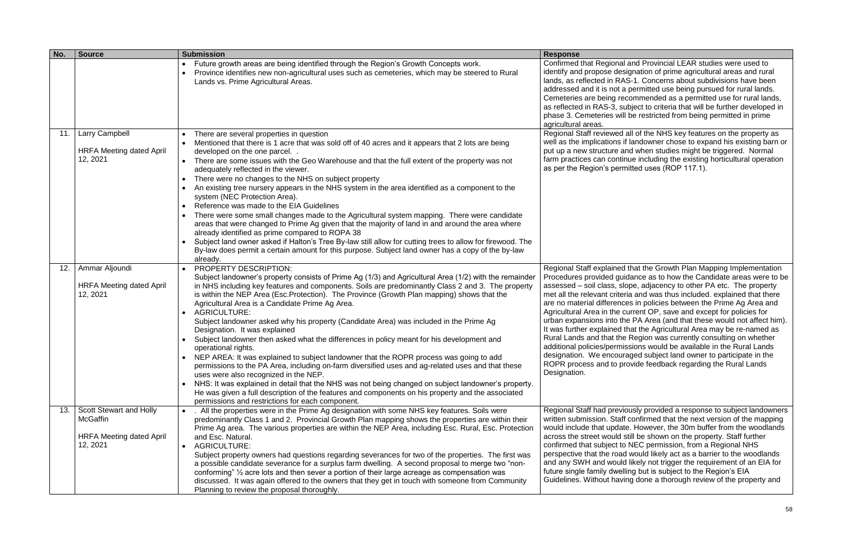| No. | <b>Source</b>                               | <b>Submission</b>                                                                                                                                                                                                                                                                                                                                                                                                                                                                  | <b>Response</b>                                                                                                                                                                                                |
|-----|---------------------------------------------|------------------------------------------------------------------------------------------------------------------------------------------------------------------------------------------------------------------------------------------------------------------------------------------------------------------------------------------------------------------------------------------------------------------------------------------------------------------------------------|----------------------------------------------------------------------------------------------------------------------------------------------------------------------------------------------------------------|
|     |                                             | Future growth areas are being identified through the Region's Growth Concepts work.<br>Province identifies new non-agricultural uses such as cemeteries, which may be steered to Rural<br>Lands vs. Prime Agricultural Areas.                                                                                                                                                                                                                                                      | <b>Confirmed that Region</b><br>identify and propose d<br>lands, as reflected in F<br>addressed and it is no<br>Cemeteries are being<br>as reflected in RAS-3,<br>phase 3. Cemeteries v<br>agricultural areas. |
| 11. | Larry Campbell                              | There are several properties in question                                                                                                                                                                                                                                                                                                                                                                                                                                           | <b>Regional Staff reviewe</b>                                                                                                                                                                                  |
|     | <b>HRFA Meeting dated April</b><br>12, 2021 | Mentioned that there is 1 acre that was sold off of 40 acres and it appears that 2 lots are being<br>developed on the one parcel<br>There are some issues with the Geo Warehouse and that the full extent of the property was not                                                                                                                                                                                                                                                  | well as the implication:<br>put up a new structure<br>farm practices can cor<br>as per the Region's pe                                                                                                         |
|     |                                             | adequately reflected in the viewer.<br>There were no changes to the NHS on subject property                                                                                                                                                                                                                                                                                                                                                                                        |                                                                                                                                                                                                                |
|     |                                             | An existing tree nursery appears in the NHS system in the area identified as a component to the<br>system (NEC Protection Area).                                                                                                                                                                                                                                                                                                                                                   |                                                                                                                                                                                                                |
|     |                                             | Reference was made to the EIA Guidelines                                                                                                                                                                                                                                                                                                                                                                                                                                           |                                                                                                                                                                                                                |
|     |                                             | There were some small changes made to the Agricultural system mapping. There were candidate<br>areas that were changed to Prime Ag given that the majority of land in and around the area where<br>already identified as prime compared to ROPA 38                                                                                                                                                                                                                                 |                                                                                                                                                                                                                |
|     |                                             | Subject land owner asked if Halton's Tree By-law still allow for cutting trees to allow for firewood. The<br>By-law does permit a certain amount for this purpose. Subject land owner has a copy of the by-law<br>already.                                                                                                                                                                                                                                                         |                                                                                                                                                                                                                |
| 12. | Ammar Aljoundi                              | PROPERTY DESCRIPTION:                                                                                                                                                                                                                                                                                                                                                                                                                                                              | Regional Staff explain                                                                                                                                                                                         |
|     | <b>HRFA Meeting dated April</b><br>12, 2021 | Subject landowner's property consists of Prime Ag (1/3) and Agricultural Area (1/2) with the remainder<br>in NHS including key features and components. Soils are predominantly Class 2 and 3. The property<br>is within the NEP Area (Esc. Protection). The Province (Growth Plan mapping) shows that the<br>Agricultural Area is a Candidate Prime Ag Area.<br><b>AGRICULTURE:</b>                                                                                               | Procedures provided o<br>assessed - soil class,<br>met all the relevant cri<br>are no material differer<br>Agricultural Area in the                                                                            |
|     |                                             | Subject landowner asked why his property (Candidate Area) was included in the Prime Ag<br>Designation. It was explained                                                                                                                                                                                                                                                                                                                                                            | urban expansions into<br>It was further explaine<br>Rural Lands and that t                                                                                                                                     |
|     |                                             | Subject landowner then asked what the differences in policy meant for his development and<br>operational rights.                                                                                                                                                                                                                                                                                                                                                                   | additional policies/perr                                                                                                                                                                                       |
|     |                                             | NEP AREA: It was explained to subject landowner that the ROPR process was going to add<br>permissions to the PA Area, including on-farm diversified uses and ag-related uses and that these<br>uses were also recognized in the NEP.                                                                                                                                                                                                                                               | designation. We enco<br>ROPR process and to<br>Designation.                                                                                                                                                    |
|     |                                             | NHS: It was explained in detail that the NHS was not being changed on subject landowner's property.<br>$\bullet$<br>He was given a full description of the features and components on his property and the associated<br>permissions and restrictions for each component.                                                                                                                                                                                                          |                                                                                                                                                                                                                |
| 13. | Scott Stewart and Holly<br><b>McGaffin</b>  | . All the properties were in the Prime Ag designation with some NHS key features. Soils were<br>predominantly Class 1 and 2. Provincial Growth Plan mapping shows the properties are within their<br>Prime Ag area. The various properties are within the NEP Area, including Esc. Rural, Esc. Protection                                                                                                                                                                          | Regional Staff had pre<br>written submission. Sta<br>would include that upd                                                                                                                                    |
|     | <b>HRFA Meeting dated April</b>             | and Esc. Natural.                                                                                                                                                                                                                                                                                                                                                                                                                                                                  | across the street would                                                                                                                                                                                        |
|     | 12, 2021                                    | <b>AGRICULTURE:</b><br>Subject property owners had questions regarding severances for two of the properties. The first was<br>a possible candidate severance for a surplus farm dwelling. A second proposal to merge two "non-<br>conforming" 1/2 acre lots and then sever a portion of their large acreage as compensation was<br>discussed. It was again offered to the owners that they get in touch with someone from Community<br>Planning to review the proposal thoroughly. | confirmed that subject<br>perspective that the ro<br>and any SWH and wor<br>future single family dw<br>Guidelines. Without ha                                                                                  |

nal and Provincial LEAR studies were used to lesignation of prime agricultural areas and rural RAS-1. Concerns about subdivisions have been ad permitted use being pursued for rural lands. recommended as a permitted use for rural lands, subject to criteria that will be further developed in will be restricted from being permitted in prime

ed all of the NHS key features on the property as is if landowner chose to expand his existing barn or and when studies might be triggered. Normal ntinue including the existing horticultural operation ermitted uses (ROP 117.1).

ed that the Growth Plan Mapping Implementation quidance as to how the Candidate areas were to be slope, adjacency to other PA etc. The property iteria and was thus included. explained that there nces in policies between the Prime Ag Area and e current OP, save and except for policies for the PA Area (and that these would not affect him). d that the Agricultural Area may be re-named as the Region was currently consulting on whether missions would be available in the Rural Lands ouraged subject land owner to participate in the provide feedback regarding the Rural Lands

eviously provided a response to subject landowners aff confirmed that the next version of the mapping date. However, the 30m buffer from the woodlands d still be shown on the property. Staff further t to NEC permission, from a Regional NHS pad would likely act as a barrier to the woodlands uld likely not trigger the requirement of an EIA for velling but is subject to the Region's EIA aving done a thorough review of the property and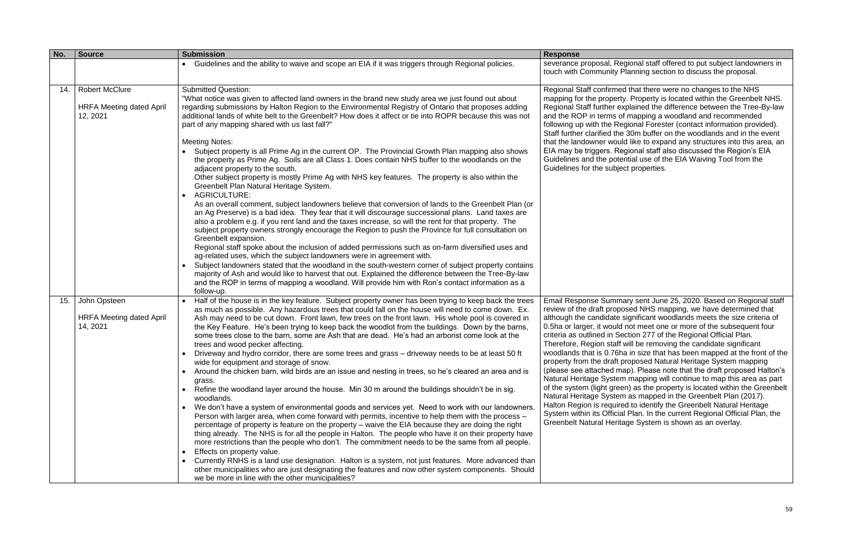| No. | <b>Source</b>                                                        | <b>Submission</b>                                                                                                                                                                                                                                                                                                                                                                                                                                                                                                                                                                                                                                                                                                                                                                                                                                                                                                                                                                                                                                                                                                                                                                                                                                                                                                                                                                                                                                                                                                                                                                                                                                                                                                                                                                                                         | <b>Response</b>                                                                                                                                                                                                                                                                                                                                                                                                                             |
|-----|----------------------------------------------------------------------|---------------------------------------------------------------------------------------------------------------------------------------------------------------------------------------------------------------------------------------------------------------------------------------------------------------------------------------------------------------------------------------------------------------------------------------------------------------------------------------------------------------------------------------------------------------------------------------------------------------------------------------------------------------------------------------------------------------------------------------------------------------------------------------------------------------------------------------------------------------------------------------------------------------------------------------------------------------------------------------------------------------------------------------------------------------------------------------------------------------------------------------------------------------------------------------------------------------------------------------------------------------------------------------------------------------------------------------------------------------------------------------------------------------------------------------------------------------------------------------------------------------------------------------------------------------------------------------------------------------------------------------------------------------------------------------------------------------------------------------------------------------------------------------------------------------------------|---------------------------------------------------------------------------------------------------------------------------------------------------------------------------------------------------------------------------------------------------------------------------------------------------------------------------------------------------------------------------------------------------------------------------------------------|
|     |                                                                      | Guidelines and the ability to waive and scope an EIA if it was triggers through Regional policies.                                                                                                                                                                                                                                                                                                                                                                                                                                                                                                                                                                                                                                                                                                                                                                                                                                                                                                                                                                                                                                                                                                                                                                                                                                                                                                                                                                                                                                                                                                                                                                                                                                                                                                                        | severance proposal, R<br>touch with Community                                                                                                                                                                                                                                                                                                                                                                                               |
| 14. | <b>Robert McClure</b><br><b>HRFA Meeting dated April</b><br>12, 2021 | <b>Submitted Question:</b><br>"What notice was given to affected land owners in the brand new study area we just found out about<br>regarding submissions by Halton Region to the Environmental Registry of Ontario that proposes adding<br>additional lands of white belt to the Greenbelt? How does it affect or tie into ROPR because this was not<br>part of any mapping shared with us last fall?"<br><b>Meeting Notes:</b><br>Subject property is all Prime Ag in the current OP. The Provincial Growth Plan mapping also shows<br>the property as Prime Ag. Soils are all Class 1. Does contain NHS buffer to the woodlands on the<br>adjacent property to the south.<br>Other subject property is mostly Prime Ag with NHS key features. The property is also within the<br>Greenbelt Plan Natural Heritage System.<br><b>AGRICULTURE:</b><br>As an overall comment, subject landowners believe that conversion of lands to the Greenbelt Plan (or<br>an Ag Preserve) is a bad idea. They fear that it will discourage successional plans. Land taxes are<br>also a problem e.g. if you rent land and the taxes increase, so will the rent for that property. The<br>subject property owners strongly encourage the Region to push the Province for full consultation on<br>Greenbelt expansion.<br>Regional staff spoke about the inclusion of added permissions such as on-farm diversified uses and<br>ag-related uses, which the subject landowners were in agreement with.<br>Subject landowners stated that the woodland in the south-western corner of subject property contains<br>majority of Ash and would like to harvest that out. Explained the difference between the Tree-By-law<br>and the ROP in terms of mapping a woodland. Will provide him with Ron's contact information as a<br>follow-up. | Regional Staff confirme<br>mapping for the proper<br>Regional Staff further e<br>and the ROP in terms<br>following up with the R<br>Staff further clarified th<br>that the landowner wou<br>EIA may be triggers. R<br>Guidelines and the pot<br>Guidelines for the subje                                                                                                                                                                    |
| 15. | John Opsteen<br><b>HRFA Meeting dated April</b><br>14, 2021          | Half of the house is in the key feature. Subject property owner has been trying to keep back the trees<br>as much as possible. Any hazardous trees that could fall on the house will need to come down. Ex.<br>Ash may need to be cut down. Front lawn, few trees on the front lawn. His whole pool is covered in<br>the Key Feature. He's been trying to keep back the woodlot from the buildings. Down by the barns,<br>some trees close to the barn, some are Ash that are dead. He's had an arborist come look at the<br>trees and wood pecker affecting.<br>Driveway and hydro corridor, there are some trees and grass - driveway needs to be at least 50 ft<br>wide for equipment and storage of snow.<br>Around the chicken barn, wild birds are an issue and nesting in trees, so he's cleared an area and is<br>grass.<br>Refine the woodland layer around the house. Min 30 m around the buildings shouldn't be in sig.<br>woodlands.<br>We don't have a system of environmental goods and services yet. Need to work with our landowners.<br>Person with larger area, when come forward with permits, incentive to help them with the process –<br>percentage of property is feature on the property – waive the EIA because they are doing the right<br>thing already. The NHS is for all the people in Halton. The people who have it on their property have<br>more restrictions than the people who don't. The commitment needs to be the same from all people.<br>Effects on property value.<br>Currently RNHS is a land use designation. Halton is a system, not just features. More advanced than<br>other municipalities who are just designating the features and now other system components. Should<br>we be more in line with the other municipalities?                                           | <b>Email Response Sumn</b><br>review of the draft prop<br>although the candidate<br>0.5ha or larger, it would<br>criteria as outlined in S<br>Therefore, Region staff<br>woodlands that is 0.76<br>property from the draft<br>(please see attached n<br><b>Natural Heritage Syste</b><br>of the system (light gre<br><b>Natural Heritage Syste</b><br>Halton Region is requir<br>System within its Officia<br><b>Greenbelt Natural Heri</b> |

egional staff offered to put subject landowners in Planning section to discuss the proposal.

ed that there were no changes to the NHS rty. Property is located within the Greenbelt NHS. explained the difference between the Tree-By-law of mapping a woodland and recommended egional Forester (contact information provided). ne 30m buffer on the woodlands and in the event uld like to expand any structures into this area, an egional staff also discussed the Region's EIA tential use of the EIA Waiving Tool from the ect properties.

nary sent June 25, 2020. Based on Regional staff oosed NHS mapping, we have determined that although the candidate significant woodlands meets the size criteria of d not meet one or more of the subsequent four Gection 277 of the Regional Official Plan. f will be removing the candidate significant ha in size that has been mapped at the front of the proposed Natural Heritage System mapping (please note that the draft proposed Halton's m mapping will continue to map this area as part en) as the property is located within the Greenbelt  $\overline{a}$  as mapped in the Greenbelt Plan (2017). red to identify the Greenbelt Natural Heritage  $\frac{1}{2}$ ial Plan. In the current Regional Official Plan, the itage System is shown as an overlay.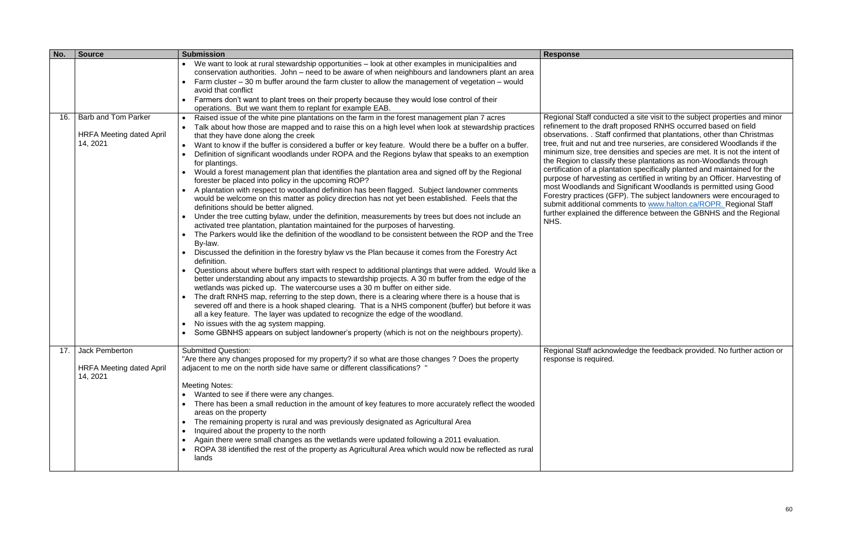| No. | <b>Source</b>                                                             | <b>Submission</b>                                                                                                                                                                                                                                                                                                                                                                                                                                                                                                                                                                                                                                                                                                                                                                                                                                                                                                                                                                                                                                                                                                                                                                                                                                                                                                                                                                                                                                                                                                                                                                                                                                                                                                                                                                                                                                                                                                                                                                                                                                            | <b>Response</b>                                                                                                                                                                                                                                                                                                                    |
|-----|---------------------------------------------------------------------------|--------------------------------------------------------------------------------------------------------------------------------------------------------------------------------------------------------------------------------------------------------------------------------------------------------------------------------------------------------------------------------------------------------------------------------------------------------------------------------------------------------------------------------------------------------------------------------------------------------------------------------------------------------------------------------------------------------------------------------------------------------------------------------------------------------------------------------------------------------------------------------------------------------------------------------------------------------------------------------------------------------------------------------------------------------------------------------------------------------------------------------------------------------------------------------------------------------------------------------------------------------------------------------------------------------------------------------------------------------------------------------------------------------------------------------------------------------------------------------------------------------------------------------------------------------------------------------------------------------------------------------------------------------------------------------------------------------------------------------------------------------------------------------------------------------------------------------------------------------------------------------------------------------------------------------------------------------------------------------------------------------------------------------------------------------------|------------------------------------------------------------------------------------------------------------------------------------------------------------------------------------------------------------------------------------------------------------------------------------------------------------------------------------|
|     |                                                                           | We want to look at rural stewardship opportunities - look at other examples in municipalities and<br>conservation authorities. John - need to be aware of when neighbours and landowners plant an area<br>Farm cluster $-30$ m buffer around the farm cluster to allow the management of vegetation $-$ would<br>avoid that conflict<br>Farmers don't want to plant trees on their property because they would lose control of their<br>operations. But we want them to replant for example EAB.                                                                                                                                                                                                                                                                                                                                                                                                                                                                                                                                                                                                                                                                                                                                                                                                                                                                                                                                                                                                                                                                                                                                                                                                                                                                                                                                                                                                                                                                                                                                                             |                                                                                                                                                                                                                                                                                                                                    |
| 16. | <b>Barb and Tom Parker</b><br><b>HRFA Meeting dated April</b><br>14, 2021 | Raised issue of the white pine plantations on the farm in the forest management plan 7 acres<br>Talk about how those are mapped and to raise this on a high level when look at stewardship practices<br>that they have done along the creek<br>Want to know if the buffer is considered a buffer or key feature. Would there be a buffer on a buffer.<br>Definition of significant woodlands under ROPA and the Regions bylaw that speaks to an exemption<br>for plantings.<br>Would a forest management plan that identifies the plantation area and signed off by the Regional<br>forester be placed into policy in the upcoming ROP?<br>A plantation with respect to woodland definition has been flagged. Subject landowner comments<br>would be welcome on this matter as policy direction has not yet been established. Feels that the<br>definitions should be better aligned.<br>Under the tree cutting bylaw, under the definition, measurements by trees but does not include an<br>activated tree plantation, plantation maintained for the purposes of harvesting.<br>The Parkers would like the definition of the woodland to be consistent between the ROP and the Tree<br>By-law.<br>Discussed the definition in the forestry bylaw vs the Plan because it comes from the Forestry Act<br>definition.<br>Questions about where buffers start with respect to additional plantings that were added. Would like a<br>better understanding about any impacts to stewardship projects. A 30 m buffer from the edge of the<br>wetlands was picked up. The watercourse uses a 30 m buffer on either side.<br>The draft RNHS map, referring to the step down, there is a clearing where there is a house that is<br>severed off and there is a hook shaped clearing. That is a NHS component (buffer) but before it was<br>all a key feature. The layer was updated to recognize the edge of the woodland.<br>No issues with the ag system mapping.<br>Some GBNHS appears on subject landowner's property (which is not on the neighbours property). | <b>Regional Staff conduc</b><br>refinement to the draft<br>observations. . Staff c<br>tree, fruit and nut and<br>minimum size, tree de<br>the Region to classify<br>certification of a planta<br>purpose of harvesting<br>most Woodlands and<br>Forestry practices (GF<br>submit additional com<br>further explained the o<br>NHS. |
| 17. | Jack Pemberton<br><b>HRFA Meeting dated April</b><br>14, 2021             | <b>Submitted Question:</b><br>"Are there any changes proposed for my property? if so what are those changes ? Does the property<br>adjacent to me on the north side have same or different classifications? "<br><b>Meeting Notes:</b><br>Wanted to see if there were any changes.<br>There has been a small reduction in the amount of key features to more accurately reflect the wooded<br>areas on the property<br>The remaining property is rural and was previously designated as Agricultural Area<br>$\bullet$<br>Inquired about the property to the north<br>Again there were small changes as the wetlands were updated following a 2011 evaluation.<br>ROPA 38 identified the rest of the property as Agricultural Area which would now be reflected as rural<br>lands                                                                                                                                                                                                                                                                                                                                                                                                                                                                                                                                                                                                                                                                                                                                                                                                                                                                                                                                                                                                                                                                                                                                                                                                                                                                            | <b>Regional Staff acknow</b><br>response is required.                                                                                                                                                                                                                                                                              |

Regional Staff conducted a site visit to the subject properties and minor refinement to the draft proposed RNHS occurred based on field observations. . Staff confirmed that plantations, other than Christmas I tree nurseries, are considered Woodlands if the ensities and species are met. It is not the intent of the Region to classify these plantations as non-Woodlands through certification of a plantation specifically planted and maintained for the purpose of harvesting as certified in writing by an Officer. Harvesting of most Woodlands and Significant Woodlands is permitted using Good Forestry practices (GFP). The subject landowners were encouraged to submit additional comments to [www.halton.ca/ROPR.](http://www.halton.ca/ROPR) Regional Staff further explained the difference between the GBNHS and the Regional

wledge the feedback provided. No further action or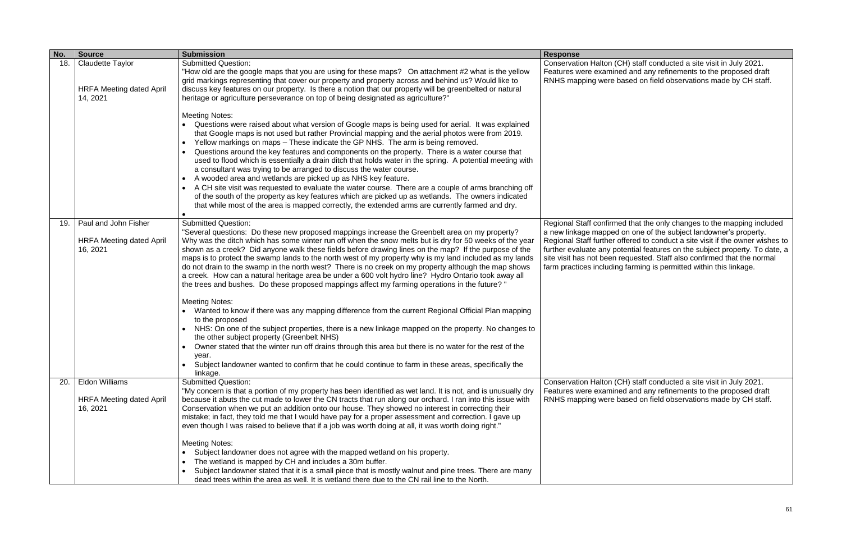(CH) staff conducted a site visit in July 2021. Features were examined and any refinements to the proposed draft RNHS mapping were based on field observations made by CH staff.

med that the only changes to the mapping included a new linkage mapped on one of the subject landowner's property. Regional Staff further offered to conduct a site visit if the owner wishes to further evaluate any potential features on the subject property. To date, a site visit has not been requested. Staff also confirmed that the normal ing farming is permitted within this linkage.

| No. | <b>Source</b>                                                          | <b>Submission</b>                                                                                                                                                                                                                                                                                                                                                                                                                                                                                                                                                                                                                                                                                                                                                                                                                                                                                                                                                                                                                                                                                                                                                                                                                                                                                               | <b>Response</b>                                                                                                                                                        |
|-----|------------------------------------------------------------------------|-----------------------------------------------------------------------------------------------------------------------------------------------------------------------------------------------------------------------------------------------------------------------------------------------------------------------------------------------------------------------------------------------------------------------------------------------------------------------------------------------------------------------------------------------------------------------------------------------------------------------------------------------------------------------------------------------------------------------------------------------------------------------------------------------------------------------------------------------------------------------------------------------------------------------------------------------------------------------------------------------------------------------------------------------------------------------------------------------------------------------------------------------------------------------------------------------------------------------------------------------------------------------------------------------------------------|------------------------------------------------------------------------------------------------------------------------------------------------------------------------|
| 18. | <b>Claudette Taylor</b><br><b>HRFA Meeting dated April</b><br>14, 2021 | <b>Submitted Question:</b><br>"How old are the google maps that you are using for these maps? On attachment #2 what is the yellow<br>grid markings representing that cover our property and property across and behind us? Would like to<br>discuss key features on our property. Is there a notion that our property will be greenbelted or natural<br>heritage or agriculture perseverance on top of being designated as agriculture?"                                                                                                                                                                                                                                                                                                                                                                                                                                                                                                                                                                                                                                                                                                                                                                                                                                                                        | <b>Conservation Halton (</b><br>Features were examir<br>RNHS mapping were                                                                                              |
|     |                                                                        | <b>Meeting Notes:</b><br>Questions were raised about what version of Google maps is being used for aerial. It was explained<br>that Google maps is not used but rather Provincial mapping and the aerial photos were from 2019.<br>Yellow markings on maps - These indicate the GP NHS. The arm is being removed.<br>Questions around the key features and components on the property. There is a water course that<br>used to flood which is essentially a drain ditch that holds water in the spring. A potential meeting with<br>a consultant was trying to be arranged to discuss the water course.<br>A wooded area and wetlands are picked up as NHS key feature.<br>A CH site visit was requested to evaluate the water course. There are a couple of arms branching off<br>of the south of the property as key features which are picked up as wetlands. The owners indicated<br>that while most of the area is mapped correctly, the extended arms are currently farmed and dry.                                                                                                                                                                                                                                                                                                                       |                                                                                                                                                                        |
| 19. | Paul and John Fisher<br><b>HRFA Meeting dated April</b><br>16, 2021    | <b>Submitted Question:</b><br>"Several questions: Do these new proposed mappings increase the Greenbelt area on my property?<br>Why was the ditch which has some winter run off when the snow melts but is dry for 50 weeks of the year<br>shown as a creek? Did anyone walk these fields before drawing lines on the map? If the purpose of the<br>maps is to protect the swamp lands to the north west of my property why is my land included as my lands<br>do not drain to the swamp in the north west? There is no creek on my property although the map shows<br>a creek. How can a natural heritage area be under a 600 volt hydro line? Hydro Ontario took away all<br>the trees and bushes. Do these proposed mappings affect my farming operations in the future? "<br><b>Meeting Notes:</b><br>Wanted to know if there was any mapping difference from the current Regional Official Plan mapping<br>to the proposed<br>NHS: On one of the subject properties, there is a new linkage mapped on the property. No changes to<br>the other subject property (Greenbelt NHS)<br>Owner stated that the winter run off drains through this area but there is no water for the rest of the<br>year.<br>Subject landowner wanted to confirm that he could continue to farm in these areas, specifically the | <b>Regional Staff confirm</b><br>a new linkage mapped<br><b>Regional Staff further</b><br>further evaluate any p<br>site visit has not been<br>farm practices includir |
| 20. | <b>Eldon Williams</b><br><b>HRFA Meeting dated April</b><br>16, 2021   | linkage.<br><b>Submitted Question:</b><br>"My concern is that a portion of my property has been identified as wet land. It is not, and is unusually dry<br>because it abuts the cut made to lower the CN tracts that run along our orchard. I ran into this issue with<br>Conservation when we put an addition onto our house. They showed no interest in correcting their<br>mistake; in fact, they told me that I would have pay for a proper assessment and correction. I gave up<br>even though I was raised to believe that if a job was worth doing at all, it was worth doing right."<br><b>Meeting Notes:</b><br>Subject landowner does not agree with the mapped wetland on his property.<br>The wetland is mapped by CH and includes a 30m buffer.<br>Subject landowner stated that it is a small piece that is mostly walnut and pine trees. There are many<br>dead trees within the area as well. It is wetland there due to the CN rail line to the North.                                                                                                                                                                                                                                                                                                                                         | <b>Conservation Halton (</b><br>Features were examir<br>RNHS mapping were                                                                                              |

(CH) staff conducted a site visit in July 2021. Features were examined and any refinements to the proposed draft RNHS mapping were based on field observations made by CH staff.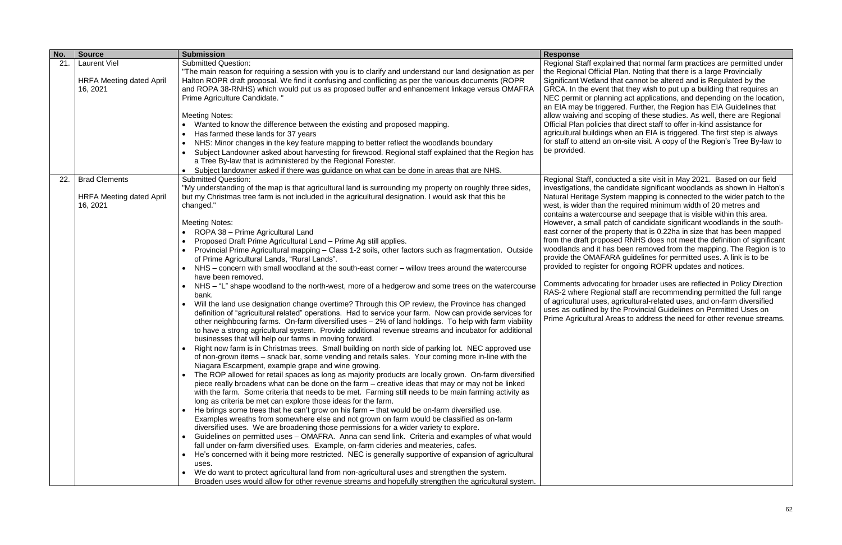| No. | <b>Source</b>                                                       | <b>Submission</b>                                                                                                                                                                                                                                                                                                                                                                                                                                                                                                                                                                                                                                                                                                                                                                                                                                                                                                                                                                                                                                                                                                                                                                                                                                                                                                                                                                                                                                                                                                                                                                                                                                                                                                                                                                                                                                                                                                                                                                                                                                                                                                                                                                                                                                                                                                                                                                                                                                                                                                                                                                            | <b>Response</b>                                                                                                                                                                                                                                                                                                                                                                                                                   |
|-----|---------------------------------------------------------------------|----------------------------------------------------------------------------------------------------------------------------------------------------------------------------------------------------------------------------------------------------------------------------------------------------------------------------------------------------------------------------------------------------------------------------------------------------------------------------------------------------------------------------------------------------------------------------------------------------------------------------------------------------------------------------------------------------------------------------------------------------------------------------------------------------------------------------------------------------------------------------------------------------------------------------------------------------------------------------------------------------------------------------------------------------------------------------------------------------------------------------------------------------------------------------------------------------------------------------------------------------------------------------------------------------------------------------------------------------------------------------------------------------------------------------------------------------------------------------------------------------------------------------------------------------------------------------------------------------------------------------------------------------------------------------------------------------------------------------------------------------------------------------------------------------------------------------------------------------------------------------------------------------------------------------------------------------------------------------------------------------------------------------------------------------------------------------------------------------------------------------------------------------------------------------------------------------------------------------------------------------------------------------------------------------------------------------------------------------------------------------------------------------------------------------------------------------------------------------------------------------------------------------------------------------------------------------------------------|-----------------------------------------------------------------------------------------------------------------------------------------------------------------------------------------------------------------------------------------------------------------------------------------------------------------------------------------------------------------------------------------------------------------------------------|
| 21. | <b>Laurent Viel</b><br><b>HRFA Meeting dated April</b><br>16, 2021  | <b>Submitted Question:</b><br>"The main reason for requiring a session with you is to clarify and understand our land designation as per<br>Halton ROPR draft proposal. We find it confusing and conflicting as per the various documents (ROPR<br>and ROPA 38-RNHS) which would put us as proposed buffer and enhancement linkage versus OMAFRA<br>Prime Agriculture Candidate. "                                                                                                                                                                                                                                                                                                                                                                                                                                                                                                                                                                                                                                                                                                                                                                                                                                                                                                                                                                                                                                                                                                                                                                                                                                                                                                                                                                                                                                                                                                                                                                                                                                                                                                                                                                                                                                                                                                                                                                                                                                                                                                                                                                                                           | Regional Staff explaine<br>the Regional Official P<br>Significant Wetland tha<br>GRCA. In the event that<br>NEC permit or planning<br>an EIA may be triggere                                                                                                                                                                                                                                                                      |
|     |                                                                     | <b>Meeting Notes:</b><br>Wanted to know the difference between the existing and proposed mapping.<br>$\bullet$<br>Has farmed these lands for 37 years<br>$\bullet$<br>NHS: Minor changes in the key feature mapping to better reflect the woodlands boundary<br>$\bullet$<br>Subject Landowner asked about harvesting for firewood. Regional staff explained that the Region has<br>$\bullet$<br>a Tree By-law that is administered by the Regional Forester.<br>Subject landowner asked if there was guidance on what can be done in areas that are NHS.                                                                                                                                                                                                                                                                                                                                                                                                                                                                                                                                                                                                                                                                                                                                                                                                                                                                                                                                                                                                                                                                                                                                                                                                                                                                                                                                                                                                                                                                                                                                                                                                                                                                                                                                                                                                                                                                                                                                                                                                                                    | allow waiving and scop<br>Official Plan policies th<br>agricultural buildings w<br>for staff to attend an or<br>be provided.                                                                                                                                                                                                                                                                                                      |
| 22. | <b>Brad Clements</b><br><b>HRFA Meeting dated April</b><br>16, 2021 | <b>Submitted Question:</b><br>"My understanding of the map is that agricultural land is surrounding my property on roughly three sides,<br>but my Christmas tree farm is not included in the agricultural designation. I would ask that this be<br>changed."<br><b>Meeting Notes:</b><br>ROPA 38 - Prime Agricultural Land<br>$\bullet$<br>Proposed Draft Prime Agricultural Land - Prime Ag still applies.<br>$\bullet$<br>Provincial Prime Agricultural mapping - Class 1-2 soils, other factors such as fragmentation. Outside<br>of Prime Agricultural Lands, "Rural Lands".<br>NHS – concern with small woodland at the south-east corner – willow trees around the watercourse<br>have been removed.<br>NHS - "L" shape woodland to the north-west, more of a hedgerow and some trees on the watercourse<br>bank.<br>Will the land use designation change overtime? Through this OP review, the Province has changed<br>definition of "agricultural related" operations. Had to service your farm. Now can provide services for<br>other neighbouring farms. On-farm diversified uses - 2% of land holdings. To help with farm viability<br>to have a strong agricultural system. Provide additional revenue streams and incubator for additional<br>businesses that will help our farms in moving forward.<br>Right now farm is in Christmas trees. Small building on north side of parking lot. NEC approved use<br>of non-grown items - snack bar, some vending and retails sales. Your coming more in-line with the<br>Niagara Escarpment, example grape and wine growing.<br>The ROP allowed for retail spaces as long as majority products are locally grown. On-farm diversified<br>piece really broadens what can be done on the farm – creative ideas that may or may not be linked<br>with the farm. Some criteria that needs to be met. Farming still needs to be main farming activity as<br>long as criteria be met can explore those ideas for the farm.<br>He brings some trees that he can't grow on his farm – that would be on-farm diversified use.<br>Examples wreaths from somewhere else and not grown on farm would be classified as on-farm<br>diversified uses. We are broadening those permissions for a wider variety to explore.<br>Guidelines on permitted uses - OMAFRA. Anna can send link. Criteria and examples of what would<br>fall under on-farm diversified uses. Example, on-farm cideries and meateries, cafes.<br>He's concerned with it being more restricted. NEC is generally supportive of expansion of agricultural<br>$\bullet$<br>uses. | Regional Staff, conduc<br>investigations, the can<br><b>Natural Heritage Syste</b><br>west, is wider than the<br>contains a watercours<br>However, a small patc<br>east corner of the prop<br>from the draft propose<br>woodlands and it has b<br>provide the OMAFARA<br>provided to register for<br>Comments advocating<br>RAS-2 where Regiona<br>of agricultural uses, ag<br>uses as outlined by the<br>Prime Agricultural Area |
|     |                                                                     | We do want to protect agricultural land from non-agricultural uses and strengthen the system.<br>Broaden uses would allow for other revenue streams and hopefully strengthen the agricultural system.                                                                                                                                                                                                                                                                                                                                                                                                                                                                                                                                                                                                                                                                                                                                                                                                                                                                                                                                                                                                                                                                                                                                                                                                                                                                                                                                                                                                                                                                                                                                                                                                                                                                                                                                                                                                                                                                                                                                                                                                                                                                                                                                                                                                                                                                                                                                                                                        |                                                                                                                                                                                                                                                                                                                                                                                                                                   |

ed that normal farm practices are permitted under lan. Noting that there is a large Provincially at cannot be altered and is Regulated by the at they wish to put up a building that requires an ng act applications, and depending on the location, ed. Further, the Region has EIA Guidelines that ping of these studies. As well, there are Regional hat direct staff to offer in-kind assistance for when an EIA is triggered. The first step is always n-site visit. A copy of the Region's Tree By-law to

cted a site visit in May 2021. Based on our field ididate significant woodlands as shown in Halton's em mapping is connected to the wider patch to the required minimum width of 20 metres and e and seepage that is visible within this area. th of candidate significant woodlands in the southperty that is 0.22ha in size that has been mapped ed RNHS does not meet the definition of significant been removed from the mapping. The Region is to A guidelines for permitted uses. A link is to be ongoing ROPR updates and notices.

for broader uses are reflected in Policy Direction al staff are recommending permitted the full range gricultural-related uses, and on-farm diversified e Provincial Guidelines on Permitted Uses on as to address the need for other revenue streams.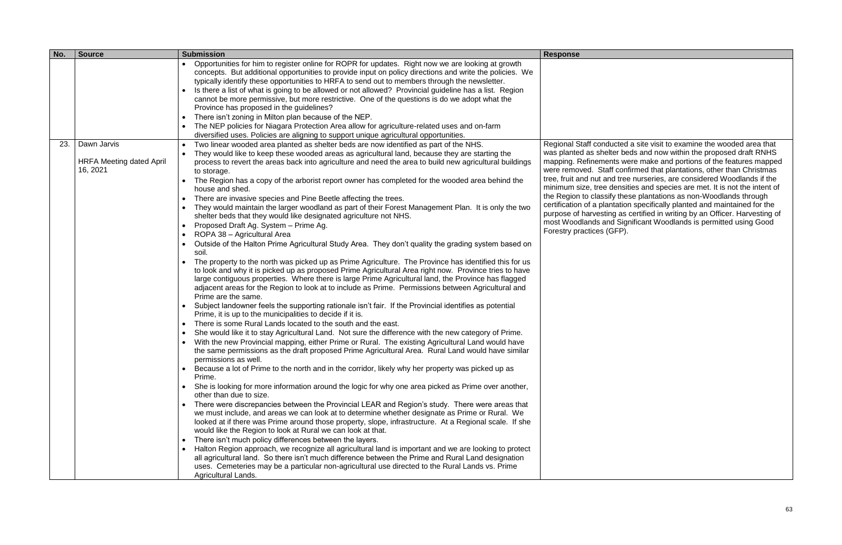| No. | <b>Source</b>                                              | <b>Submission</b>                                                                                                                                                                                                                                                                                                                                                                                                                                                                                                                                                                                                                                                                                                                                                                                                                                                                                                                                                                                                                                                                                                                                                                                                                                                                                                                                                                                                                                                                                                                                                                                                                                                                                                                                                                                                                                                                                                                                                                                                                                                                                                                                                                                                                                                                                                                                                                                                                                                                                                                                                                                                                                                                                                                                                                                                                                                                                                                                                                                                                                                                                                                | <b>Response</b>                                                                                                                                                                                                                                                                             |
|-----|------------------------------------------------------------|----------------------------------------------------------------------------------------------------------------------------------------------------------------------------------------------------------------------------------------------------------------------------------------------------------------------------------------------------------------------------------------------------------------------------------------------------------------------------------------------------------------------------------------------------------------------------------------------------------------------------------------------------------------------------------------------------------------------------------------------------------------------------------------------------------------------------------------------------------------------------------------------------------------------------------------------------------------------------------------------------------------------------------------------------------------------------------------------------------------------------------------------------------------------------------------------------------------------------------------------------------------------------------------------------------------------------------------------------------------------------------------------------------------------------------------------------------------------------------------------------------------------------------------------------------------------------------------------------------------------------------------------------------------------------------------------------------------------------------------------------------------------------------------------------------------------------------------------------------------------------------------------------------------------------------------------------------------------------------------------------------------------------------------------------------------------------------------------------------------------------------------------------------------------------------------------------------------------------------------------------------------------------------------------------------------------------------------------------------------------------------------------------------------------------------------------------------------------------------------------------------------------------------------------------------------------------------------------------------------------------------------------------------------------------------------------------------------------------------------------------------------------------------------------------------------------------------------------------------------------------------------------------------------------------------------------------------------------------------------------------------------------------------------------------------------------------------------------------------------------------------|---------------------------------------------------------------------------------------------------------------------------------------------------------------------------------------------------------------------------------------------------------------------------------------------|
|     |                                                            | Opportunities for him to register online for ROPR for updates. Right now we are looking at growth<br>$\bullet$<br>concepts. But additional opportunities to provide input on policy directions and write the policies. We<br>typically identify these opportunities to HRFA to send out to members through the newsletter.<br>Is there a list of what is going to be allowed or not allowed? Provincial guideline has a list. Region<br>cannot be more permissive, but more restrictive. One of the questions is do we adopt what the<br>Province has proposed in the guidelines?<br>There isn't zoning in Milton plan because of the NEP.<br>$\bullet$<br>The NEP policies for Niagara Protection Area allow for agriculture-related uses and on-farm<br>$\bullet$<br>diversified uses. Policies are aligning to support unique agricultural opportunities.                                                                                                                                                                                                                                                                                                                                                                                                                                                                                                                                                                                                                                                                                                                                                                                                                                                                                                                                                                                                                                                                                                                                                                                                                                                                                                                                                                                                                                                                                                                                                                                                                                                                                                                                                                                                                                                                                                                                                                                                                                                                                                                                                                                                                                                                     |                                                                                                                                                                                                                                                                                             |
| 23. | Dawn Jarvis<br><b>HRFA Meeting dated April</b><br>16, 2021 | Two linear wooded area planted as shelter beds are now identified as part of the NHS.<br>$\bullet$<br>They would like to keep these wooded areas as agricultural land, because they are starting the<br>process to revert the areas back into agriculture and need the area to build new agricultural buildings<br>to storage.<br>The Region has a copy of the arborist report owner has completed for the wooded area behind the<br>house and shed.<br>There are invasive species and Pine Beetle affecting the trees.<br>$\bullet$<br>They would maintain the larger woodland as part of their Forest Management Plan. It is only the two<br>$\bullet$<br>shelter beds that they would like designated agriculture not NHS.<br>Proposed Draft Ag. System - Prime Ag.<br>$\bullet$<br>ROPA 38 - Agricultural Area<br>$\bullet$<br>Outside of the Halton Prime Agricultural Study Area. They don't quality the grading system based on<br>$\bullet$<br>soil.<br>The property to the north was picked up as Prime Agriculture. The Province has identified this for us<br>$\bullet$<br>to look and why it is picked up as proposed Prime Agricultural Area right now. Province tries to have<br>large contiguous properties. Where there is large Prime Agricultural land, the Province has flagged<br>adjacent areas for the Region to look at to include as Prime. Permissions between Agricultural and<br>Prime are the same.<br>Subject landowner feels the supporting rationale isn't fair. If the Provincial identifies as potential<br>$\bullet$<br>Prime, it is up to the municipalities to decide if it is.<br>There is some Rural Lands located to the south and the east.<br>$\bullet$<br>She would like it to stay Agricultural Land. Not sure the difference with the new category of Prime.<br>$\bullet$<br>With the new Provincial mapping, either Prime or Rural. The existing Agricultural Land would have<br>the same permissions as the draft proposed Prime Agricultural Area. Rural Land would have similar<br>permissions as well.<br>Because a lot of Prime to the north and in the corridor, likely why her property was picked up as<br>Prime.<br>She is looking for more information around the logic for why one area picked as Prime over another,<br>other than due to size.<br>There were discrepancies between the Provincial LEAR and Region's study. There were areas that<br>$\bullet$<br>we must include, and areas we can look at to determine whether designate as Prime or Rural. We<br>looked at if there was Prime around those property, slope, infrastructure. At a Regional scale. If she<br>would like the Region to look at Rural we can look at that.<br>There isn't much policy differences between the layers.<br>$\bullet$<br>Halton Region approach, we recognize all agricultural land is important and we are looking to protect<br>$\bullet$<br>all agricultural land. So there isn't much difference between the Prime and Rural Land designation<br>uses. Cemeteries may be a particular non-agricultural use directed to the Rural Lands vs. Prime<br>Agricultural Lands. | <b>Regional Staff conduc</b><br>was planted as shelter<br>mapping. Refinements<br>were removed. Staff o<br>tree, fruit and nut and<br>minimum size, tree de<br>the Region to classify<br>certification of a planta<br>purpose of harvesting<br>most Woodlands and<br>Forestry practices (GF |

cted a site visit to examine the wooded area that in beds and now within the proposed draft RNHS is were make and portions of the features mapped were removed. Staff confirmed that plantations, other than Christmas tree, fruit and nut and tree nurseries, are considered Woodlands if the minimum size, tree densities and species are met. It is not the intent of the Region to classify these plantations as non-Woodlands through certification of a plantation specifically planted and maintained for the purpose of harvesting as certified in writing by an Officer. Harvesting of most Woodlands and Significant Woodlands is permitted using Good FP).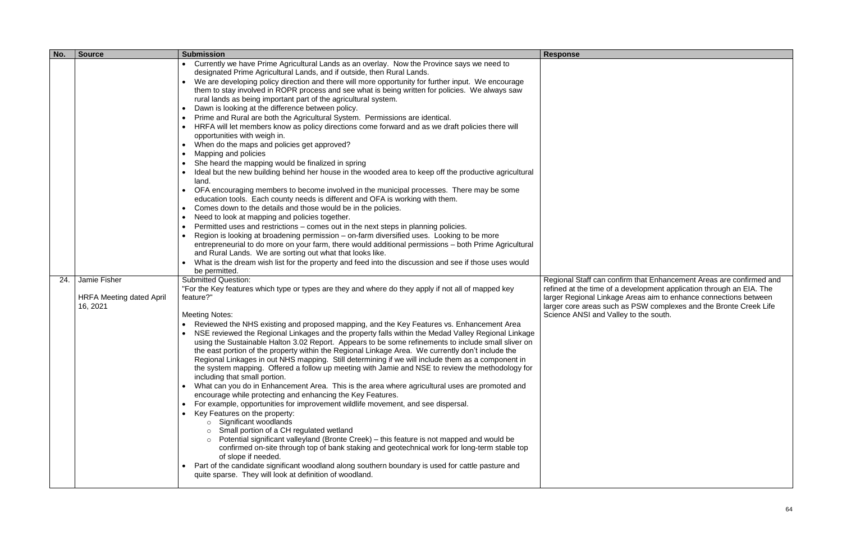| No. | <b>Source</b>                                               | <b>Submission</b>                                                                                                                                                                                                                                                                                                                                                                                                                                                                                                                                                                                                                                                                                                                                                                                                                                                                                                                                                                                                                                                                                                                                                                                                                                                                                                                                                                                                                                                                                                                                                                                                                                                                                                                                                                       | <b>Response</b>                                                                                                                                                                                              |
|-----|-------------------------------------------------------------|-----------------------------------------------------------------------------------------------------------------------------------------------------------------------------------------------------------------------------------------------------------------------------------------------------------------------------------------------------------------------------------------------------------------------------------------------------------------------------------------------------------------------------------------------------------------------------------------------------------------------------------------------------------------------------------------------------------------------------------------------------------------------------------------------------------------------------------------------------------------------------------------------------------------------------------------------------------------------------------------------------------------------------------------------------------------------------------------------------------------------------------------------------------------------------------------------------------------------------------------------------------------------------------------------------------------------------------------------------------------------------------------------------------------------------------------------------------------------------------------------------------------------------------------------------------------------------------------------------------------------------------------------------------------------------------------------------------------------------------------------------------------------------------------|--------------------------------------------------------------------------------------------------------------------------------------------------------------------------------------------------------------|
|     |                                                             | Currently we have Prime Agricultural Lands as an overlay. Now the Province says we need to<br>designated Prime Agricultural Lands, and if outside, then Rural Lands.<br>We are developing policy direction and there will more opportunity for further input. We encourage<br>them to stay involved in ROPR process and see what is being written for policies. We always saw<br>rural lands as being important part of the agricultural system.<br>Dawn is looking at the difference between policy.<br>Prime and Rural are both the Agricultural System. Permissions are identical.<br>HRFA will let members know as policy directions come forward and as we draft policies there will<br>opportunities with weigh in.<br>When do the maps and policies get approved?<br>Mapping and policies<br>She heard the mapping would be finalized in spring<br>Ideal but the new building behind her house in the wooded area to keep off the productive agricultural<br>land.<br>OFA encouraging members to become involved in the municipal processes. There may be some<br>$\bullet$<br>education tools. Each county needs is different and OFA is working with them.<br>Comes down to the details and those would be in the policies.<br>$\bullet$<br>Need to look at mapping and policies together.<br>Permitted uses and restrictions - comes out in the next steps in planning policies.<br>Region is looking at broadening permission - on-farm diversified uses. Looking to be more<br>entrepreneurial to do more on your farm, there would additional permissions - both Prime Agricultural<br>and Rural Lands. We are sorting out what that looks like.<br>What is the dream wish list for the property and feed into the discussion and see if those uses would<br>be permitted. |                                                                                                                                                                                                              |
| 24. | Jamie Fisher<br><b>HRFA Meeting dated April</b><br>16, 2021 | <b>Submitted Question:</b><br>"For the Key features which type or types are they and where do they apply if not all of mapped key<br>feature?"<br><b>Meeting Notes:</b><br>Reviewed the NHS existing and proposed mapping, and the Key Features vs. Enhancement Area<br>NSE reviewed the Regional Linkages and the property falls within the Medad Valley Regional Linkage<br>using the Sustainable Halton 3.02 Report. Appears to be some refinements to include small sliver on<br>the east portion of the property within the Regional Linkage Area. We currently don't include the<br>Regional Linkages in out NHS mapping. Still determining if we will include them as a component in<br>the system mapping. Offered a follow up meeting with Jamie and NSE to review the methodology for<br>including that small portion.<br>• What can you do in Enhancement Area. This is the area where agricultural uses are promoted and<br>encourage while protecting and enhancing the Key Features.<br>For example, opportunities for improvement wildlife movement, and see dispersal.<br>Key Features on the property:<br>$\circ$ Significant woodlands<br>o Small portion of a CH regulated wetland<br>$\circ$ Potential significant valleyland (Bronte Creek) – this feature is not mapped and would be<br>confirmed on-site through top of bank staking and geotechnical work for long-term stable top<br>of slope if needed.<br>Part of the candidate significant woodland along southern boundary is used for cattle pasture and<br>$\bullet$<br>quite sparse. They will look at definition of woodland.                                                                                                                                                                          | Regional Staff can confirm that Enhand<br>refined at the time of a development ap<br>larger Regional Linkage Areas aim to e<br>larger core areas such as PSW comple<br>Science ANSI and Valley to the south. |

Regional Staff can confirm that Enhancement Areas are confirmed and refined at the time of a development application through an EIA. The larger Regional Linkage Areas aim to enhance connections between larger core areas such as PSW complexes and the Bronte Creek Life